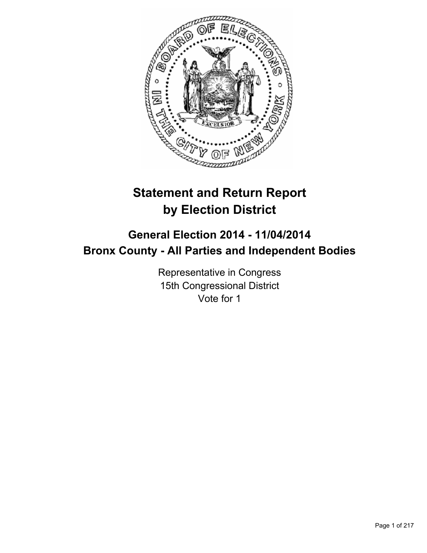

# **Statement and Return Report by Election District**

## **General Election 2014 - 11/04/2014 Bronx County - All Parties and Independent Bodies**

Representative in Congress 15th Congressional District Vote for 1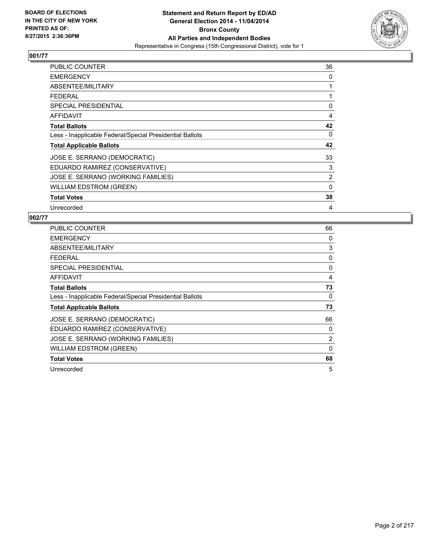

| PUBLIC COUNTER                                           | 36       |
|----------------------------------------------------------|----------|
| <b>EMERGENCY</b>                                         | 0        |
| ABSENTEE/MILITARY                                        | 1        |
| <b>FEDERAL</b>                                           | 1        |
| <b>SPECIAL PRESIDENTIAL</b>                              | 0        |
| AFFIDAVIT                                                | 4        |
| <b>Total Ballots</b>                                     | 42       |
| Less - Inapplicable Federal/Special Presidential Ballots | 0        |
| <b>Total Applicable Ballots</b>                          | 42       |
| JOSE E. SERRANO (DEMOCRATIC)                             | 33       |
| EDUARDO RAMIREZ (CONSERVATIVE)                           | 3        |
| JOSE E. SERRANO (WORKING FAMILIES)                       | 2        |
| <b>WILLIAM EDSTROM (GREEN)</b>                           | $\Omega$ |
| <b>Total Votes</b>                                       | 38       |
| Unrecorded                                               | 4        |

| <b>PUBLIC COUNTER</b>                                    | 66 |
|----------------------------------------------------------|----|
| <b>EMERGENCY</b>                                         | 0  |
| ABSENTEE/MILITARY                                        | 3  |
| <b>FEDERAL</b>                                           | 0  |
| <b>SPECIAL PRESIDENTIAL</b>                              | 0  |
| AFFIDAVIT                                                | 4  |
| <b>Total Ballots</b>                                     | 73 |
| Less - Inapplicable Federal/Special Presidential Ballots | 0  |
| <b>Total Applicable Ballots</b>                          | 73 |
| JOSE E. SERRANO (DEMOCRATIC)                             | 66 |
| EDUARDO RAMIREZ (CONSERVATIVE)                           | 0  |
| JOSE E. SERRANO (WORKING FAMILIES)                       | 2  |
| <b>WILLIAM EDSTROM (GREEN)</b>                           | 0  |
| <b>Total Votes</b>                                       | 68 |
| Unrecorded                                               | 5  |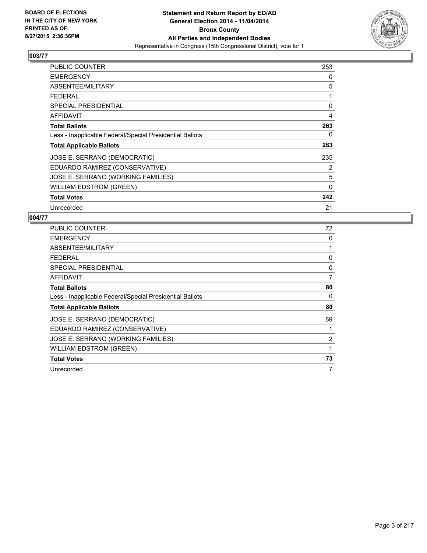

| <b>PUBLIC COUNTER</b>                                    | 253 |
|----------------------------------------------------------|-----|
| <b>EMERGENCY</b>                                         | 0   |
| ABSENTEE/MILITARY                                        | 5   |
| <b>FEDERAL</b>                                           | 1   |
| <b>SPECIAL PRESIDENTIAL</b>                              | 0   |
| AFFIDAVIT                                                | 4   |
| <b>Total Ballots</b>                                     | 263 |
| Less - Inapplicable Federal/Special Presidential Ballots | 0   |
| <b>Total Applicable Ballots</b>                          | 263 |
| JOSE E. SERRANO (DEMOCRATIC)                             | 235 |
| EDUARDO RAMIREZ (CONSERVATIVE)                           | 2   |
| JOSE E. SERRANO (WORKING FAMILIES)                       | 5   |
| WILLIAM EDSTROM (GREEN)                                  | 0   |
| <b>Total Votes</b>                                       | 242 |
| Unrecorded                                               | 21  |

| <b>PUBLIC COUNTER</b>                                    | 72 |
|----------------------------------------------------------|----|
| <b>EMERGENCY</b>                                         | 0  |
| ABSENTEE/MILITARY                                        | 1  |
| <b>FEDERAL</b>                                           | 0  |
| SPECIAL PRESIDENTIAL                                     | 0  |
| <b>AFFIDAVIT</b>                                         | 7  |
| <b>Total Ballots</b>                                     | 80 |
| Less - Inapplicable Federal/Special Presidential Ballots | 0  |
| <b>Total Applicable Ballots</b>                          | 80 |
| JOSE E. SERRANO (DEMOCRATIC)                             | 69 |
| EDUARDO RAMIREZ (CONSERVATIVE)                           | 1  |
| JOSE E. SERRANO (WORKING FAMILIES)                       | 2  |
| <b>WILLIAM EDSTROM (GREEN)</b>                           | 1  |
| <b>Total Votes</b>                                       | 73 |
| Unrecorded                                               | 7  |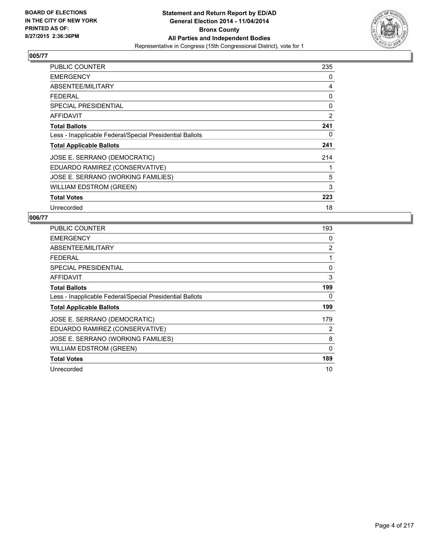

| PUBLIC COUNTER                                           | 235 |
|----------------------------------------------------------|-----|
| <b>EMERGENCY</b>                                         | 0   |
| ABSENTEE/MILITARY                                        | 4   |
| <b>FEDERAL</b>                                           | 0   |
| <b>SPECIAL PRESIDENTIAL</b>                              | 0   |
| AFFIDAVIT                                                | 2   |
| <b>Total Ballots</b>                                     | 241 |
| Less - Inapplicable Federal/Special Presidential Ballots | 0   |
| <b>Total Applicable Ballots</b>                          | 241 |
| JOSE E. SERRANO (DEMOCRATIC)                             | 214 |
| EDUARDO RAMIREZ (CONSERVATIVE)                           |     |
| JOSE E. SERRANO (WORKING FAMILIES)                       | 5   |
| WILLIAM EDSTROM (GREEN)                                  | 3   |
| <b>Total Votes</b>                                       | 223 |
| Unrecorded                                               | 18  |

| <b>PUBLIC COUNTER</b>                                    | 193         |
|----------------------------------------------------------|-------------|
| <b>EMERGENCY</b>                                         | 0           |
| ABSENTEE/MILITARY                                        | 2           |
| <b>FEDERAL</b>                                           | 1           |
| <b>SPECIAL PRESIDENTIAL</b>                              | 0           |
| AFFIDAVIT                                                | 3           |
| <b>Total Ballots</b>                                     | 199         |
| Less - Inapplicable Federal/Special Presidential Ballots | 0           |
| <b>Total Applicable Ballots</b>                          | 199         |
| JOSE E. SERRANO (DEMOCRATIC)                             | 179         |
| EDUARDO RAMIREZ (CONSERVATIVE)                           | 2           |
| JOSE E. SERRANO (WORKING FAMILIES)                       | 8           |
| WILLIAM EDSTROM (GREEN)                                  | $\mathbf 0$ |
| <b>Total Votes</b>                                       | 189         |
| Unrecorded                                               | 10          |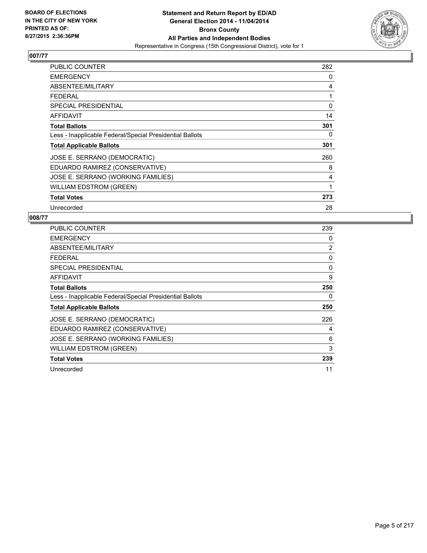

| <b>PUBLIC COUNTER</b>                                    | 282 |
|----------------------------------------------------------|-----|
| <b>EMERGENCY</b>                                         | 0   |
| ABSENTEE/MILITARY                                        | 4   |
| <b>FEDERAL</b>                                           | 1   |
| <b>SPECIAL PRESIDENTIAL</b>                              | 0   |
| AFFIDAVIT                                                | 14  |
| <b>Total Ballots</b>                                     | 301 |
| Less - Inapplicable Federal/Special Presidential Ballots | 0   |
| <b>Total Applicable Ballots</b>                          | 301 |
| JOSE E. SERRANO (DEMOCRATIC)                             | 260 |
| EDUARDO RAMIREZ (CONSERVATIVE)                           | 8   |
| JOSE E. SERRANO (WORKING FAMILIES)                       | 4   |
| WILLIAM EDSTROM (GREEN)                                  | 1   |
| <b>Total Votes</b>                                       | 273 |
| Unrecorded                                               | 28  |

| <b>PUBLIC COUNTER</b>                                    | 239 |
|----------------------------------------------------------|-----|
| <b>EMERGENCY</b>                                         | 0   |
| ABSENTEE/MILITARY                                        | 2   |
| <b>FEDERAL</b>                                           | 0   |
| <b>SPECIAL PRESIDENTIAL</b>                              | 0   |
| <b>AFFIDAVIT</b>                                         | 9   |
| <b>Total Ballots</b>                                     | 250 |
| Less - Inapplicable Federal/Special Presidential Ballots | 0   |
| <b>Total Applicable Ballots</b>                          | 250 |
| JOSE E. SERRANO (DEMOCRATIC)                             | 226 |
| EDUARDO RAMIREZ (CONSERVATIVE)                           | 4   |
| JOSE E. SERRANO (WORKING FAMILIES)                       | 6   |
| <b>WILLIAM EDSTROM (GREEN)</b>                           | 3   |
| <b>Total Votes</b>                                       | 239 |
| Unrecorded                                               | 11  |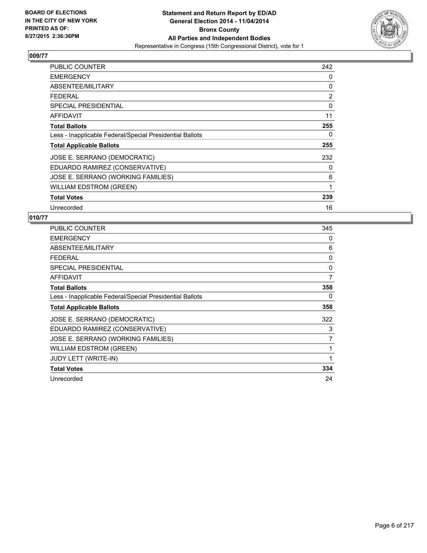

| PUBLIC COUNTER                                           | 242 |
|----------------------------------------------------------|-----|
| <b>EMERGENCY</b>                                         | 0   |
| ABSENTEE/MILITARY                                        | 0   |
| <b>FEDERAL</b>                                           | 2   |
| <b>SPECIAL PRESIDENTIAL</b>                              | 0   |
| AFFIDAVIT                                                | 11  |
| <b>Total Ballots</b>                                     | 255 |
| Less - Inapplicable Federal/Special Presidential Ballots | 0   |
| <b>Total Applicable Ballots</b>                          | 255 |
| JOSE E. SERRANO (DEMOCRATIC)                             | 232 |
| EDUARDO RAMIREZ (CONSERVATIVE)                           | 0   |
| JOSE E. SERRANO (WORKING FAMILIES)                       | 6   |
| <b>WILLIAM EDSTROM (GREEN)</b>                           | 1   |
| <b>Total Votes</b>                                       | 239 |
| Unrecorded                                               | 16  |

| <b>PUBLIC COUNTER</b>                                    | 345 |
|----------------------------------------------------------|-----|
| <b>EMERGENCY</b>                                         | 0   |
| ABSENTEE/MILITARY                                        | 6   |
| <b>FEDERAL</b>                                           | 0   |
| <b>SPECIAL PRESIDENTIAL</b>                              | 0   |
| <b>AFFIDAVIT</b>                                         | 7   |
| <b>Total Ballots</b>                                     | 358 |
| Less - Inapplicable Federal/Special Presidential Ballots | 0   |
| <b>Total Applicable Ballots</b>                          | 358 |
| JOSE E. SERRANO (DEMOCRATIC)                             | 322 |
| EDUARDO RAMIREZ (CONSERVATIVE)                           | 3   |
| JOSE E. SERRANO (WORKING FAMILIES)                       | 7   |
| <b>WILLIAM EDSTROM (GREEN)</b>                           | 1   |
| JUDY LETT (WRITE-IN)                                     | 1   |
| <b>Total Votes</b>                                       | 334 |
| Unrecorded                                               | 24  |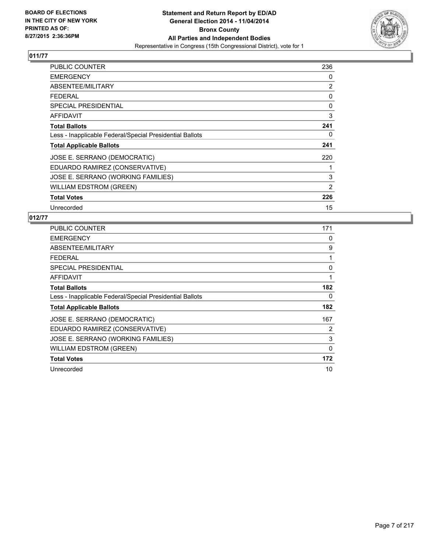

| PUBLIC COUNTER                                           | 236 |
|----------------------------------------------------------|-----|
| <b>EMERGENCY</b>                                         | 0   |
| ABSENTEE/MILITARY                                        | 2   |
| <b>FEDERAL</b>                                           | 0   |
| <b>SPECIAL PRESIDENTIAL</b>                              | 0   |
| AFFIDAVIT                                                | 3   |
| <b>Total Ballots</b>                                     | 241 |
| Less - Inapplicable Federal/Special Presidential Ballots | 0   |
| <b>Total Applicable Ballots</b>                          | 241 |
| JOSE E. SERRANO (DEMOCRATIC)                             | 220 |
| EDUARDO RAMIREZ (CONSERVATIVE)                           |     |
| JOSE E. SERRANO (WORKING FAMILIES)                       | 3   |
| WILLIAM EDSTROM (GREEN)                                  | 2   |
| <b>Total Votes</b>                                       | 226 |
| Unrecorded                                               | 15  |

| <b>PUBLIC COUNTER</b>                                    | 171            |
|----------------------------------------------------------|----------------|
| <b>EMERGENCY</b>                                         | 0              |
| ABSENTEE/MILITARY                                        | 9              |
| <b>FEDERAL</b>                                           | 1              |
| <b>SPECIAL PRESIDENTIAL</b>                              | 0              |
| <b>AFFIDAVIT</b>                                         | 1              |
| <b>Total Ballots</b>                                     | 182            |
| Less - Inapplicable Federal/Special Presidential Ballots | 0              |
| <b>Total Applicable Ballots</b>                          | 182            |
| JOSE E. SERRANO (DEMOCRATIC)                             | 167            |
| EDUARDO RAMIREZ (CONSERVATIVE)                           | $\overline{2}$ |
| JOSE E. SERRANO (WORKING FAMILIES)                       | 3              |
| <b>WILLIAM EDSTROM (GREEN)</b>                           | 0              |
| <b>Total Votes</b>                                       | 172            |
| Unrecorded                                               | 10             |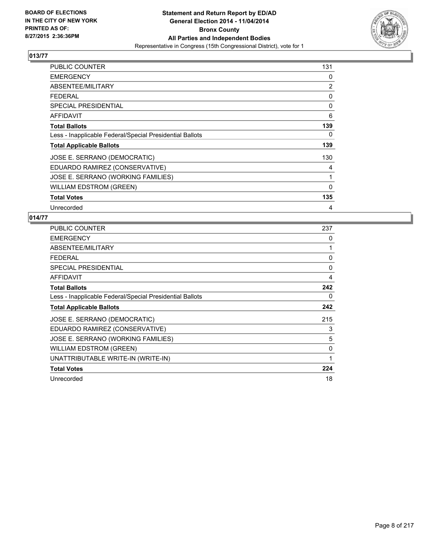

| PUBLIC COUNTER                                           | 131 |
|----------------------------------------------------------|-----|
| <b>EMERGENCY</b>                                         | 0   |
| ABSENTEE/MILITARY                                        | 2   |
| <b>FEDERAL</b>                                           | 0   |
| <b>SPECIAL PRESIDENTIAL</b>                              | 0   |
| AFFIDAVIT                                                | 6   |
| <b>Total Ballots</b>                                     | 139 |
| Less - Inapplicable Federal/Special Presidential Ballots | 0   |
| <b>Total Applicable Ballots</b>                          | 139 |
| JOSE E. SERRANO (DEMOCRATIC)                             | 130 |
| EDUARDO RAMIREZ (CONSERVATIVE)                           | 4   |
| JOSE E. SERRANO (WORKING FAMILIES)                       | 1   |
| WILLIAM EDSTROM (GREEN)                                  | 0   |
| <b>Total Votes</b>                                       | 135 |
| Unrecorded                                               | 4   |

| <b>PUBLIC COUNTER</b>                                    | 237 |
|----------------------------------------------------------|-----|
| <b>EMERGENCY</b>                                         | 0   |
| ABSENTEE/MILITARY                                        | 1   |
| <b>FEDERAL</b>                                           | 0   |
| <b>SPECIAL PRESIDENTIAL</b>                              | 0   |
| <b>AFFIDAVIT</b>                                         | 4   |
| <b>Total Ballots</b>                                     | 242 |
| Less - Inapplicable Federal/Special Presidential Ballots | 0   |
| <b>Total Applicable Ballots</b>                          | 242 |
| JOSE E. SERRANO (DEMOCRATIC)                             | 215 |
| EDUARDO RAMIREZ (CONSERVATIVE)                           | 3   |
| JOSE E. SERRANO (WORKING FAMILIES)                       | 5   |
| <b>WILLIAM EDSTROM (GREEN)</b>                           | 0   |
| UNATTRIBUTABLE WRITE-IN (WRITE-IN)                       | 1   |
| <b>Total Votes</b>                                       | 224 |
| Unrecorded                                               | 18  |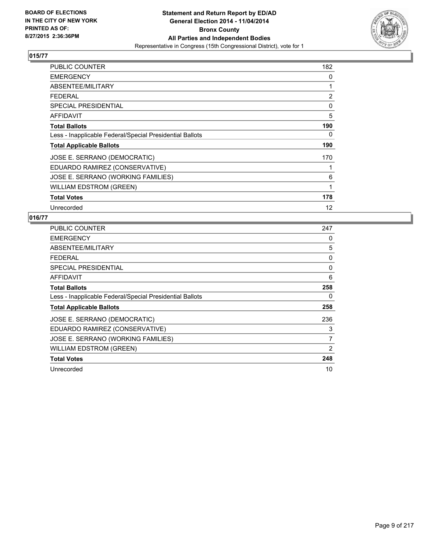

| PUBLIC COUNTER                                           | 182 |
|----------------------------------------------------------|-----|
| <b>EMERGENCY</b>                                         | 0   |
| ABSENTEE/MILITARY                                        | 1   |
| <b>FEDERAL</b>                                           | 2   |
| <b>SPECIAL PRESIDENTIAL</b>                              | 0   |
| AFFIDAVIT                                                | 5   |
| <b>Total Ballots</b>                                     | 190 |
| Less - Inapplicable Federal/Special Presidential Ballots | 0   |
| <b>Total Applicable Ballots</b>                          | 190 |
| JOSE E. SERRANO (DEMOCRATIC)                             | 170 |
| EDUARDO RAMIREZ (CONSERVATIVE)                           |     |
| JOSE E. SERRANO (WORKING FAMILIES)                       | 6   |
| <b>WILLIAM EDSTROM (GREEN)</b>                           | 1   |
| <b>Total Votes</b>                                       | 178 |
| Unrecorded                                               | 12  |

| <b>PUBLIC COUNTER</b>                                    | 247 |
|----------------------------------------------------------|-----|
| <b>EMERGENCY</b>                                         | 0   |
| ABSENTEE/MILITARY                                        | 5   |
| <b>FEDERAL</b>                                           | 0   |
| <b>SPECIAL PRESIDENTIAL</b>                              | 0   |
| <b>AFFIDAVIT</b>                                         | 6   |
| <b>Total Ballots</b>                                     | 258 |
| Less - Inapplicable Federal/Special Presidential Ballots | 0   |
| <b>Total Applicable Ballots</b>                          | 258 |
| JOSE E. SERRANO (DEMOCRATIC)                             | 236 |
| EDUARDO RAMIREZ (CONSERVATIVE)                           | 3   |
| JOSE E. SERRANO (WORKING FAMILIES)                       | 7   |
| <b>WILLIAM EDSTROM (GREEN)</b>                           | 2   |
| <b>Total Votes</b>                                       | 248 |
| Unrecorded                                               | 10  |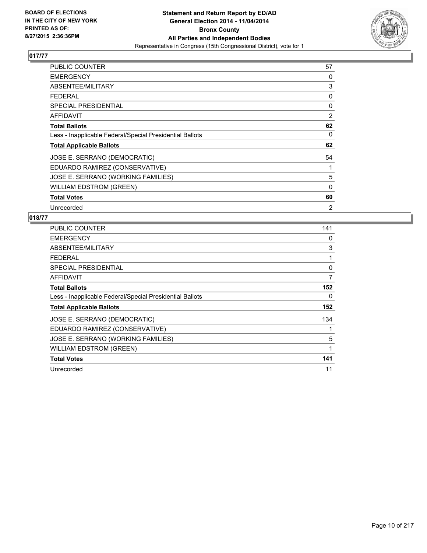

| PUBLIC COUNTER                                           | 57             |
|----------------------------------------------------------|----------------|
| <b>EMERGENCY</b>                                         | 0              |
| ABSENTEE/MILITARY                                        | 3              |
| <b>FEDERAL</b>                                           | 0              |
| <b>SPECIAL PRESIDENTIAL</b>                              | 0              |
| AFFIDAVIT                                                | 2              |
| <b>Total Ballots</b>                                     | 62             |
| Less - Inapplicable Federal/Special Presidential Ballots | 0              |
| <b>Total Applicable Ballots</b>                          | 62             |
| JOSE E. SERRANO (DEMOCRATIC)                             | 54             |
| EDUARDO RAMIREZ (CONSERVATIVE)                           | 1              |
| JOSE E. SERRANO (WORKING FAMILIES)                       | 5              |
| WILLIAM EDSTROM (GREEN)                                  | $\Omega$       |
| <b>Total Votes</b>                                       | 60             |
| Unrecorded                                               | $\overline{2}$ |

| <b>PUBLIC COUNTER</b>                                    | 141 |
|----------------------------------------------------------|-----|
| <b>EMERGENCY</b>                                         | 0   |
| ABSENTEE/MILITARY                                        | 3   |
| <b>FEDERAL</b>                                           | 1   |
| <b>SPECIAL PRESIDENTIAL</b>                              | 0   |
| AFFIDAVIT                                                | 7   |
| <b>Total Ballots</b>                                     | 152 |
| Less - Inapplicable Federal/Special Presidential Ballots | 0   |
| <b>Total Applicable Ballots</b>                          | 152 |
| JOSE E. SERRANO (DEMOCRATIC)                             | 134 |
| EDUARDO RAMIREZ (CONSERVATIVE)                           | 1   |
| JOSE E. SERRANO (WORKING FAMILIES)                       | 5   |
| WILLIAM EDSTROM (GREEN)                                  | 1   |
| <b>Total Votes</b>                                       | 141 |
| Unrecorded                                               | 11  |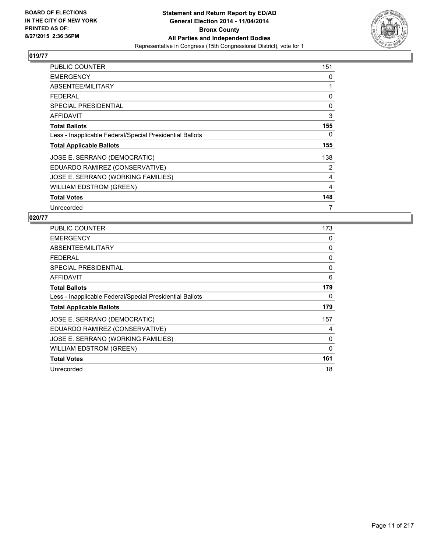

| PUBLIC COUNTER                                           | 151 |
|----------------------------------------------------------|-----|
| <b>EMERGENCY</b>                                         | 0   |
| ABSENTEE/MILITARY                                        | 1   |
| <b>FEDERAL</b>                                           | 0   |
| <b>SPECIAL PRESIDENTIAL</b>                              | 0   |
| <b>AFFIDAVIT</b>                                         | 3   |
| <b>Total Ballots</b>                                     | 155 |
| Less - Inapplicable Federal/Special Presidential Ballots | 0   |
| <b>Total Applicable Ballots</b>                          | 155 |
| JOSE E. SERRANO (DEMOCRATIC)                             | 138 |
| EDUARDO RAMIREZ (CONSERVATIVE)                           | 2   |
| JOSE E. SERRANO (WORKING FAMILIES)                       | 4   |
| <b>WILLIAM EDSTROM (GREEN)</b>                           | 4   |
| <b>Total Votes</b>                                       | 148 |
| Unrecorded                                               | 7   |

| PUBLIC COUNTER                                           | 173 |
|----------------------------------------------------------|-----|
| <b>EMERGENCY</b>                                         | 0   |
| ABSENTEE/MILITARY                                        | 0   |
| <b>FEDERAL</b>                                           | 0   |
| SPECIAL PRESIDENTIAL                                     | 0   |
| AFFIDAVIT                                                | 6   |
| <b>Total Ballots</b>                                     | 179 |
| Less - Inapplicable Federal/Special Presidential Ballots | 0   |
| <b>Total Applicable Ballots</b>                          | 179 |
| JOSE E. SERRANO (DEMOCRATIC)                             | 157 |
| EDUARDO RAMIREZ (CONSERVATIVE)                           | 4   |
| JOSE E. SERRANO (WORKING FAMILIES)                       | 0   |
| <b>WILLIAM EDSTROM (GREEN)</b>                           | 0   |
| <b>Total Votes</b>                                       | 161 |
| Unrecorded                                               | 18  |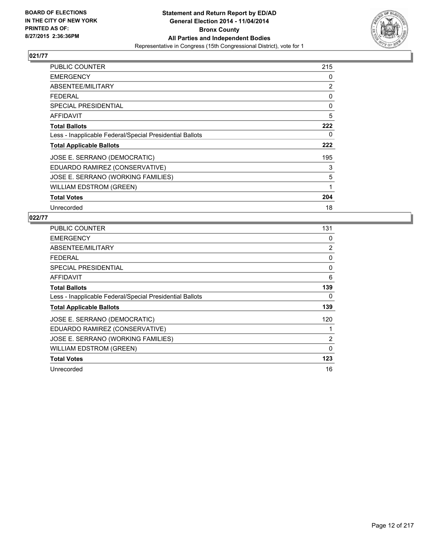

| PUBLIC COUNTER                                           | 215 |
|----------------------------------------------------------|-----|
| <b>EMERGENCY</b>                                         | 0   |
| ABSENTEE/MILITARY                                        | 2   |
| FEDERAL                                                  | 0   |
| <b>SPECIAL PRESIDENTIAL</b>                              | 0   |
| AFFIDAVIT                                                | 5   |
| <b>Total Ballots</b>                                     | 222 |
| Less - Inapplicable Federal/Special Presidential Ballots | 0   |
| <b>Total Applicable Ballots</b>                          | 222 |
| JOSE E. SERRANO (DEMOCRATIC)                             | 195 |
| EDUARDO RAMIREZ (CONSERVATIVE)                           | 3   |
| JOSE E. SERRANO (WORKING FAMILIES)                       | 5   |
| <b>WILLIAM EDSTROM (GREEN)</b>                           | 1   |
| <b>Total Votes</b>                                       | 204 |
| Unrecorded                                               | 18  |

| <b>PUBLIC COUNTER</b>                                    | 131         |
|----------------------------------------------------------|-------------|
| <b>EMERGENCY</b>                                         | 0           |
| ABSENTEE/MILITARY                                        | 2           |
| <b>FEDERAL</b>                                           | 0           |
| <b>SPECIAL PRESIDENTIAL</b>                              | 0           |
| AFFIDAVIT                                                | 6           |
| <b>Total Ballots</b>                                     | 139         |
| Less - Inapplicable Federal/Special Presidential Ballots | 0           |
| <b>Total Applicable Ballots</b>                          | 139         |
| JOSE E. SERRANO (DEMOCRATIC)                             | 120         |
| EDUARDO RAMIREZ (CONSERVATIVE)                           |             |
| JOSE E. SERRANO (WORKING FAMILIES)                       | 2           |
| <b>WILLIAM EDSTROM (GREEN)</b>                           | $\mathbf 0$ |
| <b>Total Votes</b>                                       | 123         |
| Unrecorded                                               | 16          |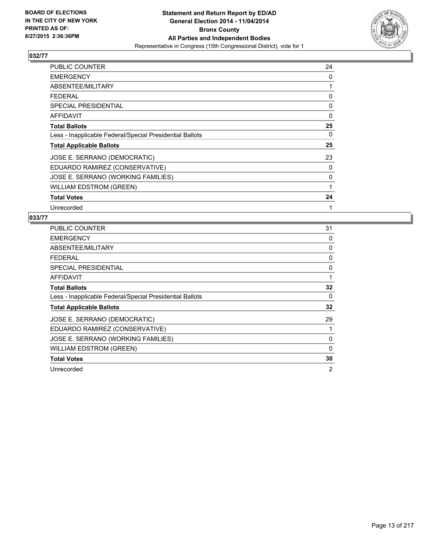

| PUBLIC COUNTER                                           | 24       |
|----------------------------------------------------------|----------|
| <b>EMERGENCY</b>                                         | 0        |
| ABSENTEE/MILITARY                                        | 1        |
| <b>FEDERAL</b>                                           | 0        |
| <b>SPECIAL PRESIDENTIAL</b>                              | 0        |
| <b>AFFIDAVIT</b>                                         | $\Omega$ |
| <b>Total Ballots</b>                                     | 25       |
| Less - Inapplicable Federal/Special Presidential Ballots | 0        |
| <b>Total Applicable Ballots</b>                          | 25       |
| JOSE E. SERRANO (DEMOCRATIC)                             | 23       |
| EDUARDO RAMIREZ (CONSERVATIVE)                           | 0        |
| JOSE E. SERRANO (WORKING FAMILIES)                       | 0        |
| WILLIAM EDSTROM (GREEN)                                  | 1        |
| <b>Total Votes</b>                                       | 24       |
| Unrecorded                                               | 1        |

| <b>PUBLIC COUNTER</b>                                    | 31 |
|----------------------------------------------------------|----|
| <b>EMERGENCY</b>                                         | 0  |
| ABSENTEE/MILITARY                                        | 0  |
| <b>FEDERAL</b>                                           | 0  |
| <b>SPECIAL PRESIDENTIAL</b>                              | 0  |
| AFFIDAVIT                                                | 1  |
| <b>Total Ballots</b>                                     | 32 |
| Less - Inapplicable Federal/Special Presidential Ballots | 0  |
| <b>Total Applicable Ballots</b>                          | 32 |
| JOSE E. SERRANO (DEMOCRATIC)                             | 29 |
| EDUARDO RAMIREZ (CONSERVATIVE)                           |    |
| JOSE E. SERRANO (WORKING FAMILIES)                       | 0  |
| <b>WILLIAM EDSTROM (GREEN)</b>                           | 0  |
| <b>Total Votes</b>                                       | 30 |
| Unrecorded                                               | 2  |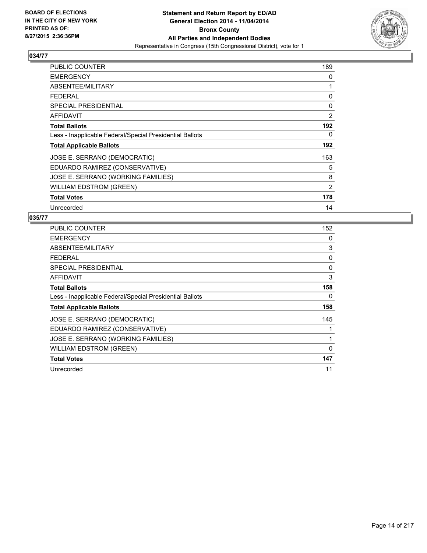

| <b>PUBLIC COUNTER</b>                                    | 189 |
|----------------------------------------------------------|-----|
| <b>EMERGENCY</b>                                         | 0   |
| ABSENTEE/MILITARY                                        | 1   |
| <b>FEDERAL</b>                                           | 0   |
| <b>SPECIAL PRESIDENTIAL</b>                              | 0   |
| AFFIDAVIT                                                | 2   |
| <b>Total Ballots</b>                                     | 192 |
| Less - Inapplicable Federal/Special Presidential Ballots | 0   |
| <b>Total Applicable Ballots</b>                          | 192 |
| JOSE E. SERRANO (DEMOCRATIC)                             | 163 |
| EDUARDO RAMIREZ (CONSERVATIVE)                           | 5   |
| JOSE E. SERRANO (WORKING FAMILIES)                       | 8   |
| WILLIAM EDSTROM (GREEN)                                  | 2   |
| <b>Total Votes</b>                                       | 178 |
| Unrecorded                                               | 14  |

| <b>PUBLIC COUNTER</b>                                    | 152 |
|----------------------------------------------------------|-----|
| <b>EMERGENCY</b>                                         | 0   |
| ABSENTEE/MILITARY                                        | 3   |
| <b>FEDERAL</b>                                           | 0   |
| SPECIAL PRESIDENTIAL                                     | 0   |
| AFFIDAVIT                                                | 3   |
| <b>Total Ballots</b>                                     | 158 |
| Less - Inapplicable Federal/Special Presidential Ballots | 0   |
| <b>Total Applicable Ballots</b>                          | 158 |
| JOSE E. SERRANO (DEMOCRATIC)                             | 145 |
| EDUARDO RAMIREZ (CONSERVATIVE)                           | 1   |
| JOSE E. SERRANO (WORKING FAMILIES)                       | 1   |
| <b>WILLIAM EDSTROM (GREEN)</b>                           | 0   |
| <b>Total Votes</b>                                       | 147 |
| Unrecorded                                               | 11  |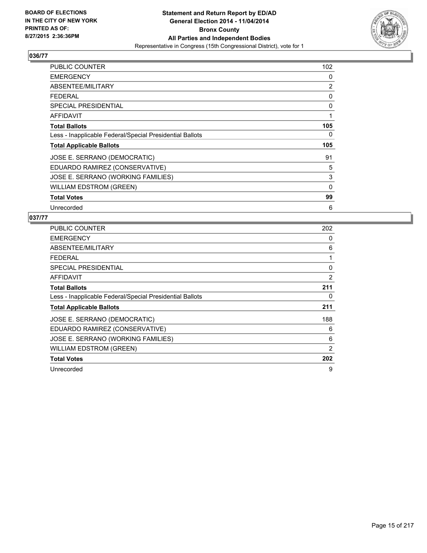

| PUBLIC COUNTER                                           | 102         |
|----------------------------------------------------------|-------------|
| <b>EMERGENCY</b>                                         | 0           |
| ABSENTEE/MILITARY                                        | 2           |
| <b>FEDERAL</b>                                           | 0           |
| <b>SPECIAL PRESIDENTIAL</b>                              | 0           |
| AFFIDAVIT                                                | 1           |
| <b>Total Ballots</b>                                     | 105         |
| Less - Inapplicable Federal/Special Presidential Ballots | 0           |
| <b>Total Applicable Ballots</b>                          | 105         |
| JOSE E. SERRANO (DEMOCRATIC)                             | 91          |
| EDUARDO RAMIREZ (CONSERVATIVE)                           | 5           |
| JOSE E. SERRANO (WORKING FAMILIES)                       | 3           |
| <b>WILLIAM EDSTROM (GREEN)</b>                           | $\mathbf 0$ |
| <b>Total Votes</b>                                       | 99          |
| Unrecorded                                               | 6           |

| <b>PUBLIC COUNTER</b>                                    | 202 |
|----------------------------------------------------------|-----|
| <b>EMERGENCY</b>                                         | 0   |
| ABSENTEE/MILITARY                                        | 6   |
| <b>FEDERAL</b>                                           | 1   |
| SPECIAL PRESIDENTIAL                                     | 0   |
| AFFIDAVIT                                                | 2   |
| <b>Total Ballots</b>                                     | 211 |
| Less - Inapplicable Federal/Special Presidential Ballots | 0   |
| <b>Total Applicable Ballots</b>                          | 211 |
| JOSE E. SERRANO (DEMOCRATIC)                             | 188 |
| EDUARDO RAMIREZ (CONSERVATIVE)                           | 6   |
| JOSE E. SERRANO (WORKING FAMILIES)                       | 6   |
| <b>WILLIAM EDSTROM (GREEN)</b>                           | 2   |
| <b>Total Votes</b>                                       | 202 |
| Unrecorded                                               | 9   |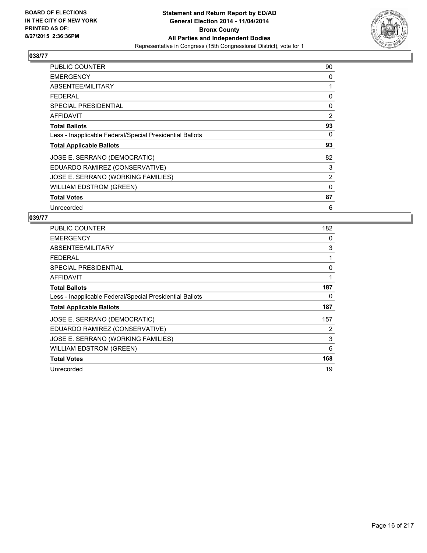

| PUBLIC COUNTER                                           | 90 |
|----------------------------------------------------------|----|
| <b>EMERGENCY</b>                                         | 0  |
| ABSENTEE/MILITARY                                        | 1  |
| <b>FEDERAL</b>                                           | 0  |
| <b>SPECIAL PRESIDENTIAL</b>                              | 0  |
| <b>AFFIDAVIT</b>                                         | 2  |
| <b>Total Ballots</b>                                     | 93 |
| Less - Inapplicable Federal/Special Presidential Ballots | 0  |
| <b>Total Applicable Ballots</b>                          | 93 |
| JOSE E. SERRANO (DEMOCRATIC)                             | 82 |
| EDUARDO RAMIREZ (CONSERVATIVE)                           | 3  |
| JOSE E. SERRANO (WORKING FAMILIES)                       | 2  |
| <b>WILLIAM EDSTROM (GREEN)</b>                           | 0  |
| <b>Total Votes</b>                                       | 87 |
| Unrecorded                                               | 6  |

| PUBLIC COUNTER                                           | 182 |
|----------------------------------------------------------|-----|
| <b>EMERGENCY</b>                                         | 0   |
| ABSENTEE/MILITARY                                        | 3   |
| <b>FEDERAL</b>                                           | 1   |
| <b>SPECIAL PRESIDENTIAL</b>                              | 0   |
| AFFIDAVIT                                                | 1   |
| <b>Total Ballots</b>                                     | 187 |
| Less - Inapplicable Federal/Special Presidential Ballots | 0   |
| <b>Total Applicable Ballots</b>                          | 187 |
| JOSE E. SERRANO (DEMOCRATIC)                             | 157 |
| EDUARDO RAMIREZ (CONSERVATIVE)                           | 2   |
| JOSE E. SERRANO (WORKING FAMILIES)                       | 3   |
| WILLIAM EDSTROM (GREEN)                                  | 6   |
| <b>Total Votes</b>                                       | 168 |
| Unrecorded                                               | 19  |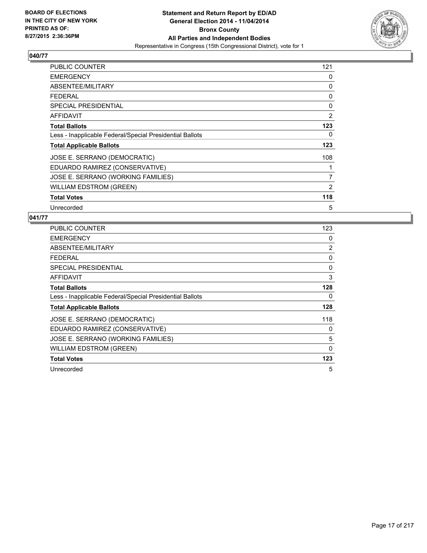

| PUBLIC COUNTER                                           | 121 |
|----------------------------------------------------------|-----|
| <b>EMERGENCY</b>                                         | 0   |
| ABSENTEE/MILITARY                                        | 0   |
| <b>FEDERAL</b>                                           | 0   |
| <b>SPECIAL PRESIDENTIAL</b>                              | 0   |
| AFFIDAVIT                                                | 2   |
| <b>Total Ballots</b>                                     | 123 |
| Less - Inapplicable Federal/Special Presidential Ballots | 0   |
| <b>Total Applicable Ballots</b>                          | 123 |
| JOSE E. SERRANO (DEMOCRATIC)                             | 108 |
| EDUARDO RAMIREZ (CONSERVATIVE)                           | 1   |
| JOSE E. SERRANO (WORKING FAMILIES)                       | 7   |
| <b>WILLIAM EDSTROM (GREEN)</b>                           | 2   |
| <b>Total Votes</b>                                       | 118 |
| Unrecorded                                               | 5   |

| <b>PUBLIC COUNTER</b>                                    | 123 |
|----------------------------------------------------------|-----|
| <b>EMERGENCY</b>                                         | 0   |
| ABSENTEE/MILITARY                                        | 2   |
| <b>FEDERAL</b>                                           | 0   |
| <b>SPECIAL PRESIDENTIAL</b>                              | 0   |
| <b>AFFIDAVIT</b>                                         | 3   |
| <b>Total Ballots</b>                                     | 128 |
| Less - Inapplicable Federal/Special Presidential Ballots | 0   |
| <b>Total Applicable Ballots</b>                          | 128 |
| JOSE E. SERRANO (DEMOCRATIC)                             | 118 |
| EDUARDO RAMIREZ (CONSERVATIVE)                           | 0   |
| JOSE E. SERRANO (WORKING FAMILIES)                       | 5   |
| <b>WILLIAM EDSTROM (GREEN)</b>                           | 0   |
| <b>Total Votes</b>                                       | 123 |
| Unrecorded                                               | 5   |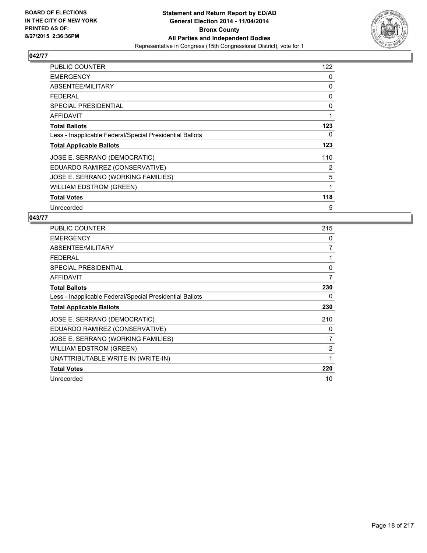

| PUBLIC COUNTER                                           | 122 |
|----------------------------------------------------------|-----|
| <b>EMERGENCY</b>                                         | 0   |
| ABSENTEE/MILITARY                                        | 0   |
| <b>FEDERAL</b>                                           | 0   |
| <b>SPECIAL PRESIDENTIAL</b>                              | 0   |
| AFFIDAVIT                                                | 1   |
| <b>Total Ballots</b>                                     | 123 |
| Less - Inapplicable Federal/Special Presidential Ballots | 0   |
| <b>Total Applicable Ballots</b>                          | 123 |
| JOSE E. SERRANO (DEMOCRATIC)                             | 110 |
| EDUARDO RAMIREZ (CONSERVATIVE)                           | 2   |
| JOSE E. SERRANO (WORKING FAMILIES)                       | 5   |
| WILLIAM EDSTROM (GREEN)                                  | 1   |
| <b>Total Votes</b>                                       | 118 |
| Unrecorded                                               | 5   |

| <b>PUBLIC COUNTER</b>                                    | 215 |
|----------------------------------------------------------|-----|
| <b>EMERGENCY</b>                                         | 0   |
| ABSENTEE/MILITARY                                        | 7   |
| <b>FEDERAL</b>                                           | 1   |
| <b>SPECIAL PRESIDENTIAL</b>                              | 0   |
| AFFIDAVIT                                                | 7   |
| <b>Total Ballots</b>                                     | 230 |
| Less - Inapplicable Federal/Special Presidential Ballots | 0   |
| <b>Total Applicable Ballots</b>                          | 230 |
| JOSE E. SERRANO (DEMOCRATIC)                             | 210 |
| EDUARDO RAMIREZ (CONSERVATIVE)                           | 0   |
| JOSE E. SERRANO (WORKING FAMILIES)                       | 7   |
| <b>WILLIAM EDSTROM (GREEN)</b>                           | 2   |
| UNATTRIBUTABLE WRITE-IN (WRITE-IN)                       | 1   |
| <b>Total Votes</b>                                       | 220 |
| Unrecorded                                               | 10  |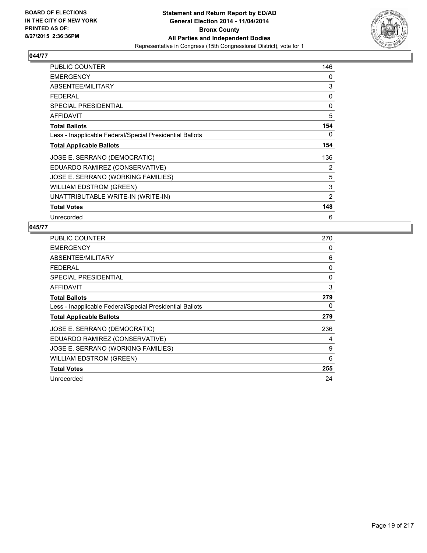

| PUBLIC COUNTER                                           | 146            |
|----------------------------------------------------------|----------------|
| <b>EMERGENCY</b>                                         | 0              |
| ABSENTEE/MILITARY                                        | 3              |
| FEDERAL                                                  | 0              |
| <b>SPECIAL PRESIDENTIAL</b>                              | 0              |
| <b>AFFIDAVIT</b>                                         | 5              |
| <b>Total Ballots</b>                                     | 154            |
| Less - Inapplicable Federal/Special Presidential Ballots | 0              |
| <b>Total Applicable Ballots</b>                          | 154            |
| JOSE E. SERRANO (DEMOCRATIC)                             | 136            |
| EDUARDO RAMIREZ (CONSERVATIVE)                           | 2              |
| JOSE E. SERRANO (WORKING FAMILIES)                       | 5              |
| <b>WILLIAM EDSTROM (GREEN)</b>                           | 3              |
| UNATTRIBUTABLE WRITE-IN (WRITE-IN)                       | $\overline{2}$ |
| <b>Total Votes</b>                                       | 148            |
| Unrecorded                                               | 6              |

| PUBLIC COUNTER                                           | 270 |
|----------------------------------------------------------|-----|
| <b>EMERGENCY</b>                                         | 0   |
| ABSENTEE/MILITARY                                        | 6   |
| <b>FEDERAL</b>                                           | 0   |
| <b>SPECIAL PRESIDENTIAL</b>                              | 0   |
| AFFIDAVIT                                                | 3   |
| <b>Total Ballots</b>                                     | 279 |
| Less - Inapplicable Federal/Special Presidential Ballots | 0   |
| <b>Total Applicable Ballots</b>                          | 279 |
| JOSE E. SERRANO (DEMOCRATIC)                             | 236 |
| EDUARDO RAMIREZ (CONSERVATIVE)                           | 4   |
| JOSE E. SERRANO (WORKING FAMILIES)                       | 9   |
| <b>WILLIAM EDSTROM (GREEN)</b>                           | 6   |
| <b>Total Votes</b>                                       | 255 |
| Unrecorded                                               | 24  |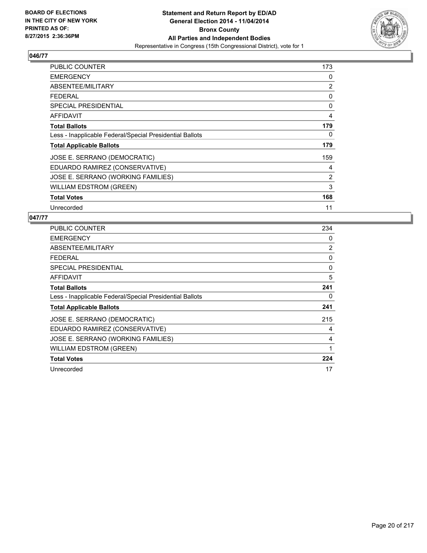

| PUBLIC COUNTER                                           | 173 |
|----------------------------------------------------------|-----|
| <b>EMERGENCY</b>                                         | 0   |
| ABSENTEE/MILITARY                                        | 2   |
| <b>FEDERAL</b>                                           | 0   |
| <b>SPECIAL PRESIDENTIAL</b>                              | 0   |
| AFFIDAVIT                                                | 4   |
| <b>Total Ballots</b>                                     | 179 |
| Less - Inapplicable Federal/Special Presidential Ballots | 0   |
| <b>Total Applicable Ballots</b>                          | 179 |
| JOSE E. SERRANO (DEMOCRATIC)                             | 159 |
| EDUARDO RAMIREZ (CONSERVATIVE)                           | 4   |
| JOSE E. SERRANO (WORKING FAMILIES)                       | 2   |
| WILLIAM EDSTROM (GREEN)                                  | 3   |
| <b>Total Votes</b>                                       | 168 |
| Unrecorded                                               | 11  |

| <b>PUBLIC COUNTER</b>                                    | 234 |
|----------------------------------------------------------|-----|
| <b>EMERGENCY</b>                                         | 0   |
| ABSENTEE/MILITARY                                        | 2   |
| <b>FEDERAL</b>                                           | 0   |
| SPECIAL PRESIDENTIAL                                     | 0   |
| AFFIDAVIT                                                | 5   |
| <b>Total Ballots</b>                                     | 241 |
| Less - Inapplicable Federal/Special Presidential Ballots | 0   |
| <b>Total Applicable Ballots</b>                          | 241 |
| JOSE E. SERRANO (DEMOCRATIC)                             | 215 |
| EDUARDO RAMIREZ (CONSERVATIVE)                           | 4   |
| JOSE E. SERRANO (WORKING FAMILIES)                       | 4   |
| <b>WILLIAM EDSTROM (GREEN)</b>                           | 1   |
| <b>Total Votes</b>                                       | 224 |
| Unrecorded                                               | 17  |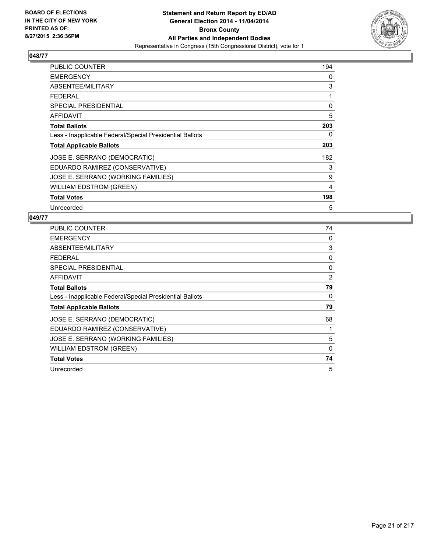

| PUBLIC COUNTER                                           | 194 |
|----------------------------------------------------------|-----|
| <b>EMERGENCY</b>                                         | 0   |
| ABSENTEE/MILITARY                                        | 3   |
| <b>FEDERAL</b>                                           | 1   |
| <b>SPECIAL PRESIDENTIAL</b>                              | 0   |
| AFFIDAVIT                                                | 5   |
| <b>Total Ballots</b>                                     | 203 |
| Less - Inapplicable Federal/Special Presidential Ballots | 0   |
| <b>Total Applicable Ballots</b>                          | 203 |
| JOSE E. SERRANO (DEMOCRATIC)                             | 182 |
| EDUARDO RAMIREZ (CONSERVATIVE)                           | 3   |
| JOSE E. SERRANO (WORKING FAMILIES)                       | 9   |
| WILLIAM EDSTROM (GREEN)                                  | 4   |
| <b>Total Votes</b>                                       | 198 |
| Unrecorded                                               | 5   |

| PUBLIC COUNTER                                           | 74       |
|----------------------------------------------------------|----------|
| <b>EMERGENCY</b>                                         | 0        |
| ABSENTEE/MILITARY                                        | 3        |
| <b>FEDERAL</b>                                           | 0        |
| <b>SPECIAL PRESIDENTIAL</b>                              | 0        |
| AFFIDAVIT                                                | 2        |
| <b>Total Ballots</b>                                     | 79       |
| Less - Inapplicable Federal/Special Presidential Ballots | 0        |
| <b>Total Applicable Ballots</b>                          | 79       |
| JOSE E. SERRANO (DEMOCRATIC)                             | 68       |
| EDUARDO RAMIREZ (CONSERVATIVE)                           | 1        |
| JOSE E. SERRANO (WORKING FAMILIES)                       | 5        |
| <b>WILLIAM EDSTROM (GREEN)</b>                           | $\Omega$ |
| <b>Total Votes</b>                                       | 74       |
| Unrecorded                                               | 5        |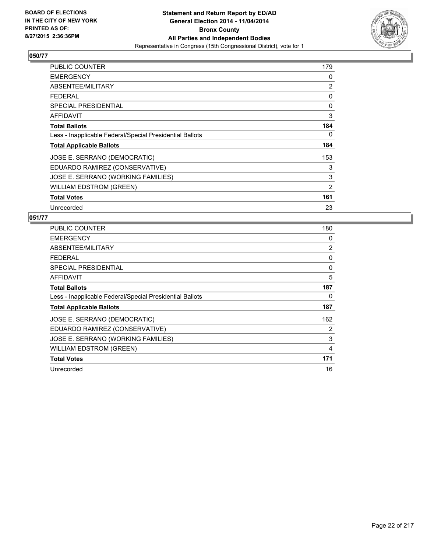

| PUBLIC COUNTER                                           | 179 |
|----------------------------------------------------------|-----|
| <b>EMERGENCY</b>                                         | 0   |
| ABSENTEE/MILITARY                                        | 2   |
| <b>FEDERAL</b>                                           | 0   |
| <b>SPECIAL PRESIDENTIAL</b>                              | 0   |
| <b>AFFIDAVIT</b>                                         | 3   |
| <b>Total Ballots</b>                                     | 184 |
| Less - Inapplicable Federal/Special Presidential Ballots | 0   |
| <b>Total Applicable Ballots</b>                          | 184 |
| JOSE E. SERRANO (DEMOCRATIC)                             | 153 |
| EDUARDO RAMIREZ (CONSERVATIVE)                           | 3   |
| JOSE E. SERRANO (WORKING FAMILIES)                       | 3   |
| WILLIAM EDSTROM (GREEN)                                  | 2   |
| <b>Total Votes</b>                                       | 161 |
| Unrecorded                                               | 23  |

| <b>PUBLIC COUNTER</b>                                    | 180 |
|----------------------------------------------------------|-----|
| <b>EMERGENCY</b>                                         | 0   |
| ABSENTEE/MILITARY                                        | 2   |
| <b>FEDERAL</b>                                           | 0   |
| <b>SPECIAL PRESIDENTIAL</b>                              | 0   |
| AFFIDAVIT                                                | 5   |
| <b>Total Ballots</b>                                     | 187 |
| Less - Inapplicable Federal/Special Presidential Ballots | 0   |
| <b>Total Applicable Ballots</b>                          | 187 |
| JOSE E. SERRANO (DEMOCRATIC)                             | 162 |
| EDUARDO RAMIREZ (CONSERVATIVE)                           | 2   |
| JOSE E. SERRANO (WORKING FAMILIES)                       | 3   |
| <b>WILLIAM EDSTROM (GREEN)</b>                           | 4   |
| <b>Total Votes</b>                                       | 171 |
| Unrecorded                                               | 16  |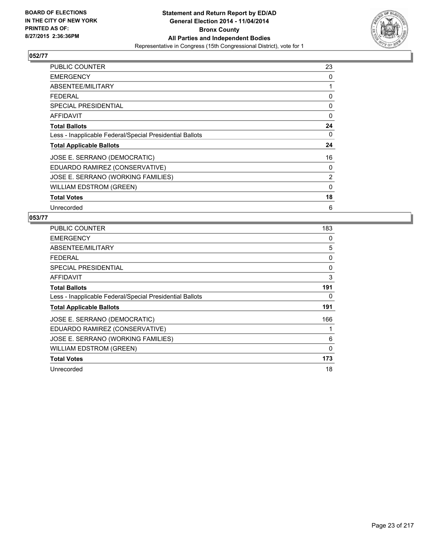

| PUBLIC COUNTER                                           | 23             |
|----------------------------------------------------------|----------------|
| <b>EMERGENCY</b>                                         | 0              |
| ABSENTEE/MILITARY                                        | 1              |
| <b>FEDERAL</b>                                           | 0              |
| <b>SPECIAL PRESIDENTIAL</b>                              | 0              |
| AFFIDAVIT                                                | 0              |
| <b>Total Ballots</b>                                     | 24             |
| Less - Inapplicable Federal/Special Presidential Ballots | 0              |
| <b>Total Applicable Ballots</b>                          | 24             |
| JOSE E. SERRANO (DEMOCRATIC)                             | 16             |
| EDUARDO RAMIREZ (CONSERVATIVE)                           | 0              |
| JOSE E. SERRANO (WORKING FAMILIES)                       | $\overline{2}$ |
| <b>WILLIAM EDSTROM (GREEN)</b>                           | $\Omega$       |
| <b>Total Votes</b>                                       | 18             |
| Unrecorded                                               | 6              |

| <b>PUBLIC COUNTER</b>                                    | 183      |
|----------------------------------------------------------|----------|
| <b>EMERGENCY</b>                                         | 0        |
| ABSENTEE/MILITARY                                        | 5        |
| <b>FEDERAL</b>                                           | 0        |
| <b>SPECIAL PRESIDENTIAL</b>                              | 0        |
| AFFIDAVIT                                                | 3        |
| <b>Total Ballots</b>                                     | 191      |
| Less - Inapplicable Federal/Special Presidential Ballots | 0        |
| <b>Total Applicable Ballots</b>                          | 191      |
| JOSE E. SERRANO (DEMOCRATIC)                             | 166      |
| EDUARDO RAMIREZ (CONSERVATIVE)                           | 1        |
| JOSE E. SERRANO (WORKING FAMILIES)                       | 6        |
| <b>WILLIAM EDSTROM (GREEN)</b>                           | $\Omega$ |
| <b>Total Votes</b>                                       | 173      |
| Unrecorded                                               | 18       |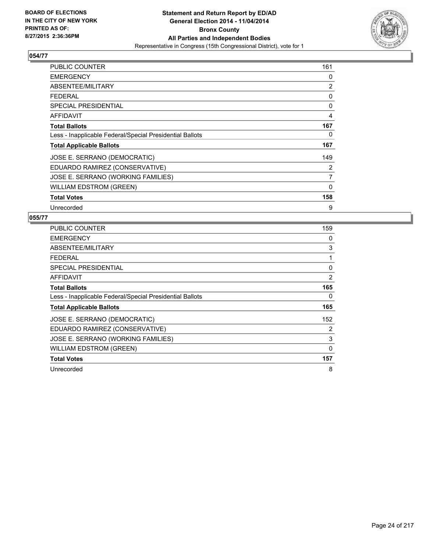

| <b>PUBLIC COUNTER</b>                                    | 161 |
|----------------------------------------------------------|-----|
| <b>EMERGENCY</b>                                         | 0   |
| ABSENTEE/MILITARY                                        | 2   |
| <b>FEDERAL</b>                                           | 0   |
| <b>SPECIAL PRESIDENTIAL</b>                              | 0   |
| <b>AFFIDAVIT</b>                                         | 4   |
| <b>Total Ballots</b>                                     | 167 |
| Less - Inapplicable Federal/Special Presidential Ballots | 0   |
| <b>Total Applicable Ballots</b>                          | 167 |
| JOSE E. SERRANO (DEMOCRATIC)                             | 149 |
| EDUARDO RAMIREZ (CONSERVATIVE)                           | 2   |
| JOSE E. SERRANO (WORKING FAMILIES)                       | 7   |
| <b>WILLIAM EDSTROM (GREEN)</b>                           | 0   |
| <b>Total Votes</b>                                       | 158 |
| Unrecorded                                               | 9   |

| <b>PUBLIC COUNTER</b>                                    | 159 |
|----------------------------------------------------------|-----|
| <b>EMERGENCY</b>                                         | 0   |
| ABSENTEE/MILITARY                                        | 3   |
| <b>FEDERAL</b>                                           | 1   |
| <b>SPECIAL PRESIDENTIAL</b>                              | 0   |
| <b>AFFIDAVIT</b>                                         | 2   |
| <b>Total Ballots</b>                                     | 165 |
| Less - Inapplicable Federal/Special Presidential Ballots | 0   |
| <b>Total Applicable Ballots</b>                          | 165 |
| JOSE E. SERRANO (DEMOCRATIC)                             | 152 |
| EDUARDO RAMIREZ (CONSERVATIVE)                           | 2   |
| JOSE E. SERRANO (WORKING FAMILIES)                       | 3   |
| <b>WILLIAM EDSTROM (GREEN)</b>                           | 0   |
| <b>Total Votes</b>                                       | 157 |
| Unrecorded                                               | 8   |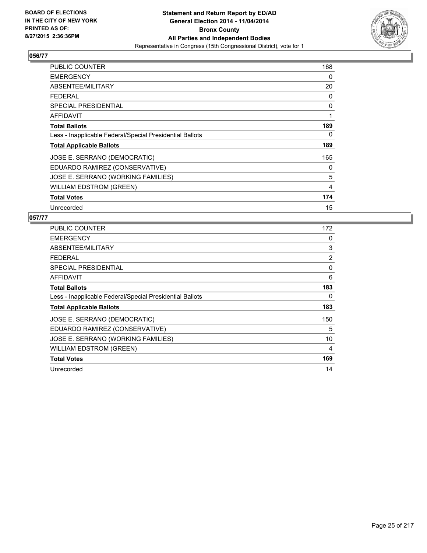

| PUBLIC COUNTER                                           | 168 |
|----------------------------------------------------------|-----|
| <b>EMERGENCY</b>                                         | 0   |
| ABSENTEE/MILITARY                                        | 20  |
| <b>FEDERAL</b>                                           | 0   |
| SPECIAL PRESIDENTIAL                                     | 0   |
| <b>AFFIDAVIT</b>                                         | 1   |
| <b>Total Ballots</b>                                     | 189 |
| Less - Inapplicable Federal/Special Presidential Ballots | 0   |
| <b>Total Applicable Ballots</b>                          | 189 |
| JOSE E. SERRANO (DEMOCRATIC)                             | 165 |
| EDUARDO RAMIREZ (CONSERVATIVE)                           | 0   |
| JOSE E. SERRANO (WORKING FAMILIES)                       | 5   |
| <b>WILLIAM EDSTROM (GREEN)</b>                           | 4   |
| <b>Total Votes</b>                                       | 174 |
| Unrecorded                                               | 15  |

| <b>PUBLIC COUNTER</b>                                    | 172 |
|----------------------------------------------------------|-----|
| <b>EMERGENCY</b>                                         | 0   |
| ABSENTEE/MILITARY                                        | 3   |
| <b>FEDERAL</b>                                           | 2   |
| <b>SPECIAL PRESIDENTIAL</b>                              | 0   |
| <b>AFFIDAVIT</b>                                         | 6   |
| <b>Total Ballots</b>                                     | 183 |
| Less - Inapplicable Federal/Special Presidential Ballots | 0   |
| <b>Total Applicable Ballots</b>                          | 183 |
| JOSE E. SERRANO (DEMOCRATIC)                             | 150 |
| EDUARDO RAMIREZ (CONSERVATIVE)                           | 5   |
| JOSE E. SERRANO (WORKING FAMILIES)                       | 10  |
| <b>WILLIAM EDSTROM (GREEN)</b>                           | 4   |
| <b>Total Votes</b>                                       | 169 |
| Unrecorded                                               | 14  |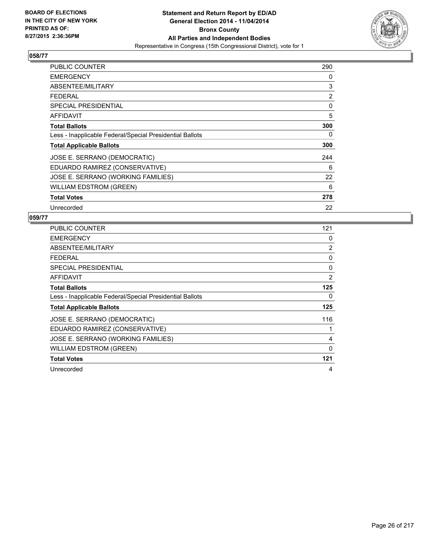

| <b>PUBLIC COUNTER</b>                                    | 290 |
|----------------------------------------------------------|-----|
| <b>EMERGENCY</b>                                         | 0   |
| ABSENTEE/MILITARY                                        | 3   |
| <b>FEDERAL</b>                                           | 2   |
| <b>SPECIAL PRESIDENTIAL</b>                              | 0   |
| <b>AFFIDAVIT</b>                                         | 5   |
| <b>Total Ballots</b>                                     | 300 |
| Less - Inapplicable Federal/Special Presidential Ballots | 0   |
| <b>Total Applicable Ballots</b>                          | 300 |
| JOSE E. SERRANO (DEMOCRATIC)                             | 244 |
| EDUARDO RAMIREZ (CONSERVATIVE)                           | 6   |
| JOSE E. SERRANO (WORKING FAMILIES)                       | 22  |
| <b>WILLIAM EDSTROM (GREEN)</b>                           | 6   |
| <b>Total Votes</b>                                       | 278 |
| Unrecorded                                               | 22  |

| <b>PUBLIC COUNTER</b>                                    | 121          |
|----------------------------------------------------------|--------------|
| <b>EMERGENCY</b>                                         | 0            |
| ABSENTEE/MILITARY                                        | 2            |
| <b>FEDERAL</b>                                           | 0            |
| <b>SPECIAL PRESIDENTIAL</b>                              | 0            |
| AFFIDAVIT                                                | 2            |
| <b>Total Ballots</b>                                     | 125          |
| Less - Inapplicable Federal/Special Presidential Ballots | 0            |
| <b>Total Applicable Ballots</b>                          | 125          |
| JOSE E. SERRANO (DEMOCRATIC)                             | 116          |
| EDUARDO RAMIREZ (CONSERVATIVE)                           |              |
| JOSE E. SERRANO (WORKING FAMILIES)                       | 4            |
| WILLIAM EDSTROM (GREEN)                                  | $\mathbf{0}$ |
| <b>Total Votes</b>                                       | 121          |
| Unrecorded                                               | 4            |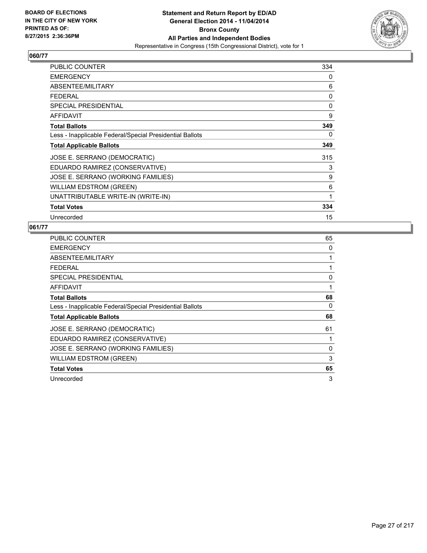

| <b>PUBLIC COUNTER</b>                                    | 334 |
|----------------------------------------------------------|-----|
| <b>EMERGENCY</b>                                         | 0   |
| ABSENTEE/MILITARY                                        | 6   |
| <b>FEDERAL</b>                                           | 0   |
| <b>SPECIAL PRESIDENTIAL</b>                              | 0   |
| AFFIDAVIT                                                | 9   |
| <b>Total Ballots</b>                                     | 349 |
| Less - Inapplicable Federal/Special Presidential Ballots | 0   |
| <b>Total Applicable Ballots</b>                          | 349 |
| JOSE E. SERRANO (DEMOCRATIC)                             | 315 |
| EDUARDO RAMIREZ (CONSERVATIVE)                           | 3   |
| JOSE E. SERRANO (WORKING FAMILIES)                       | 9   |
| <b>WILLIAM EDSTROM (GREEN)</b>                           | 6   |
| UNATTRIBUTABLE WRITE-IN (WRITE-IN)                       | 1   |
| <b>Total Votes</b>                                       | 334 |
| Unrecorded                                               | 15  |

| <b>PUBLIC COUNTER</b>                                    | 65 |
|----------------------------------------------------------|----|
| <b>EMERGENCY</b>                                         | 0  |
| ABSENTEE/MILITARY                                        | 1  |
| <b>FEDERAL</b>                                           | 1  |
| <b>SPECIAL PRESIDENTIAL</b>                              | 0  |
| <b>AFFIDAVIT</b>                                         | 1  |
| <b>Total Ballots</b>                                     | 68 |
| Less - Inapplicable Federal/Special Presidential Ballots | 0  |
| <b>Total Applicable Ballots</b>                          | 68 |
| JOSE E. SERRANO (DEMOCRATIC)                             | 61 |
| EDUARDO RAMIREZ (CONSERVATIVE)                           | 1  |
| JOSE E. SERRANO (WORKING FAMILIES)                       | 0  |
| <b>WILLIAM EDSTROM (GREEN)</b>                           | 3  |
| <b>Total Votes</b>                                       | 65 |
| Unrecorded                                               | 3  |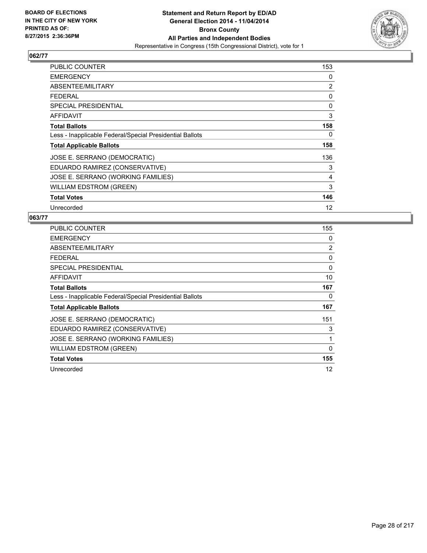

| <b>PUBLIC COUNTER</b>                                    | 153 |
|----------------------------------------------------------|-----|
| <b>EMERGENCY</b>                                         | 0   |
| ABSENTEE/MILITARY                                        | 2   |
| <b>FEDERAL</b>                                           | 0   |
| <b>SPECIAL PRESIDENTIAL</b>                              | 0   |
| AFFIDAVIT                                                | 3   |
| <b>Total Ballots</b>                                     | 158 |
| Less - Inapplicable Federal/Special Presidential Ballots | 0   |
| <b>Total Applicable Ballots</b>                          | 158 |
| JOSE E. SERRANO (DEMOCRATIC)                             | 136 |
| EDUARDO RAMIREZ (CONSERVATIVE)                           | 3   |
| JOSE E. SERRANO (WORKING FAMILIES)                       | 4   |
| WILLIAM EDSTROM (GREEN)                                  | 3   |
| <b>Total Votes</b>                                       | 146 |
| Unrecorded                                               | 12  |

| <b>PUBLIC COUNTER</b>                                    | 155      |
|----------------------------------------------------------|----------|
| <b>EMERGENCY</b>                                         | 0        |
| ABSENTEE/MILITARY                                        | 2        |
| <b>FEDERAL</b>                                           | 0        |
| <b>SPECIAL PRESIDENTIAL</b>                              | 0        |
| AFFIDAVIT                                                | 10       |
| <b>Total Ballots</b>                                     | 167      |
| Less - Inapplicable Federal/Special Presidential Ballots | 0        |
| <b>Total Applicable Ballots</b>                          | 167      |
| JOSE E. SERRANO (DEMOCRATIC)                             | 151      |
| EDUARDO RAMIREZ (CONSERVATIVE)                           | 3        |
| JOSE E. SERRANO (WORKING FAMILIES)                       | 1        |
| <b>WILLIAM EDSTROM (GREEN)</b>                           | $\Omega$ |
| <b>Total Votes</b>                                       | 155      |
| Unrecorded                                               | 12       |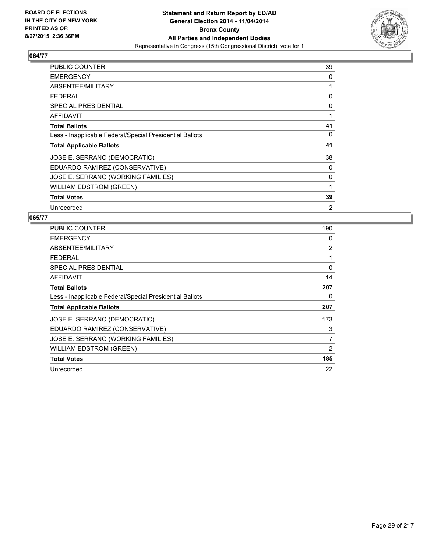

| PUBLIC COUNTER                                           | 39             |
|----------------------------------------------------------|----------------|
| <b>EMERGENCY</b>                                         | 0              |
| ABSENTEE/MILITARY                                        | 1              |
| <b>FEDERAL</b>                                           | 0              |
| <b>SPECIAL PRESIDENTIAL</b>                              | 0              |
| AFFIDAVIT                                                | 1              |
| <b>Total Ballots</b>                                     | 41             |
| Less - Inapplicable Federal/Special Presidential Ballots | 0              |
| <b>Total Applicable Ballots</b>                          | 41             |
| JOSE E. SERRANO (DEMOCRATIC)                             | 38             |
| EDUARDO RAMIREZ (CONSERVATIVE)                           | 0              |
| JOSE E. SERRANO (WORKING FAMILIES)                       | 0              |
| <b>WILLIAM EDSTROM (GREEN)</b>                           | $\mathbf{1}$   |
| <b>Total Votes</b>                                       | 39             |
| Unrecorded                                               | $\overline{2}$ |

| <b>PUBLIC COUNTER</b>                                    | 190 |
|----------------------------------------------------------|-----|
| <b>EMERGENCY</b>                                         | 0   |
| ABSENTEE/MILITARY                                        | 2   |
| <b>FEDERAL</b>                                           | 1   |
| SPECIAL PRESIDENTIAL                                     | 0   |
| <b>AFFIDAVIT</b>                                         | 14  |
| <b>Total Ballots</b>                                     | 207 |
| Less - Inapplicable Federal/Special Presidential Ballots | 0   |
| <b>Total Applicable Ballots</b>                          | 207 |
| JOSE E. SERRANO (DEMOCRATIC)                             | 173 |
| EDUARDO RAMIREZ (CONSERVATIVE)                           | 3   |
| JOSE E. SERRANO (WORKING FAMILIES)                       | 7   |
| <b>WILLIAM EDSTROM (GREEN)</b>                           | 2   |
| <b>Total Votes</b>                                       | 185 |
| Unrecorded                                               | 22  |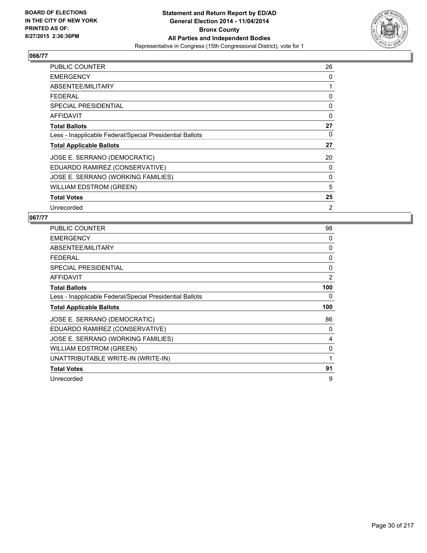

| PUBLIC COUNTER                                           | 26       |
|----------------------------------------------------------|----------|
| <b>EMERGENCY</b>                                         | 0        |
| ABSENTEE/MILITARY                                        | 1        |
| <b>FEDERAL</b>                                           | 0        |
| <b>SPECIAL PRESIDENTIAL</b>                              | 0        |
| <b>AFFIDAVIT</b>                                         | $\Omega$ |
| <b>Total Ballots</b>                                     | 27       |
| Less - Inapplicable Federal/Special Presidential Ballots | 0        |
| <b>Total Applicable Ballots</b>                          | 27       |
| JOSE E. SERRANO (DEMOCRATIC)                             | 20       |
| EDUARDO RAMIREZ (CONSERVATIVE)                           | 0        |
| JOSE E. SERRANO (WORKING FAMILIES)                       | 0        |
| <b>WILLIAM EDSTROM (GREEN)</b>                           | 5        |
| <b>Total Votes</b>                                       | 25       |
| Unrecorded                                               | 2        |

| <b>PUBLIC COUNTER</b>                                    | 98  |
|----------------------------------------------------------|-----|
| <b>EMERGENCY</b>                                         | 0   |
| ABSENTEE/MILITARY                                        | 0   |
| <b>FEDERAL</b>                                           | 0   |
| <b>SPECIAL PRESIDENTIAL</b>                              | 0   |
| AFFIDAVIT                                                | 2   |
| <b>Total Ballots</b>                                     | 100 |
| Less - Inapplicable Federal/Special Presidential Ballots | 0   |
| <b>Total Applicable Ballots</b>                          | 100 |
| JOSE E. SERRANO (DEMOCRATIC)                             | 86  |
| EDUARDO RAMIREZ (CONSERVATIVE)                           | 0   |
| JOSE E. SERRANO (WORKING FAMILIES)                       | 4   |
| <b>WILLIAM EDSTROM (GREEN)</b>                           | 0   |
| UNATTRIBUTABLE WRITE-IN (WRITE-IN)                       | 1   |
| <b>Total Votes</b>                                       | 91  |
| Unrecorded                                               | 9   |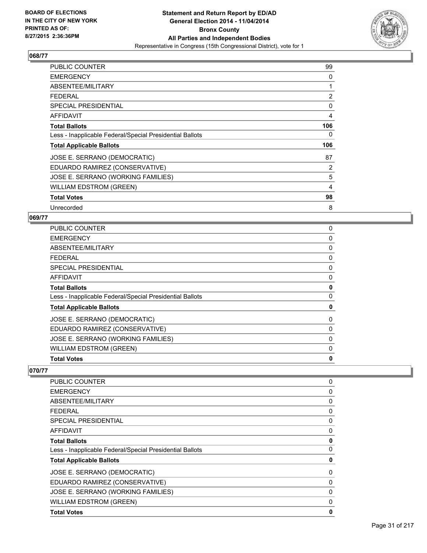

| <b>PUBLIC COUNTER</b>                                    | 99  |
|----------------------------------------------------------|-----|
| <b>EMERGENCY</b>                                         | 0   |
| ABSENTEE/MILITARY                                        | 1   |
| <b>FEDERAL</b>                                           | 2   |
| <b>SPECIAL PRESIDENTIAL</b>                              | 0   |
| <b>AFFIDAVIT</b>                                         | 4   |
| <b>Total Ballots</b>                                     | 106 |
| Less - Inapplicable Federal/Special Presidential Ballots | 0   |
| <b>Total Applicable Ballots</b>                          | 106 |
| JOSE E. SERRANO (DEMOCRATIC)                             | 87  |
| EDUARDO RAMIREZ (CONSERVATIVE)                           | 2   |
| JOSE E. SERRANO (WORKING FAMILIES)                       | 5   |
| WILLIAM EDSTROM (GREEN)                                  | 4   |
| <b>Total Votes</b>                                       | 98  |
| Unrecorded                                               | 8   |

#### **069/77**

| <b>PUBLIC COUNTER</b>                                    | 0 |
|----------------------------------------------------------|---|
| <b>EMERGENCY</b>                                         | 0 |
| ABSENTEE/MILITARY                                        | 0 |
| <b>FEDERAL</b>                                           | 0 |
| <b>SPECIAL PRESIDENTIAL</b>                              | 0 |
| <b>AFFIDAVIT</b>                                         | 0 |
| <b>Total Ballots</b>                                     | 0 |
| Less - Inapplicable Federal/Special Presidential Ballots | 0 |
| <b>Total Applicable Ballots</b>                          | 0 |
| JOSE E. SERRANO (DEMOCRATIC)                             | 0 |
| EDUARDO RAMIREZ (CONSERVATIVE)                           | 0 |
| JOSE E. SERRANO (WORKING FAMILIES)                       | 0 |
| <b>WILLIAM EDSTROM (GREEN)</b>                           | 0 |
| <b>Total Votes</b>                                       | 0 |

| PUBLIC COUNTER                                           | 0 |
|----------------------------------------------------------|---|
| <b>EMERGENCY</b>                                         | 0 |
| ABSENTEE/MILITARY                                        | 0 |
| <b>FEDERAL</b>                                           | 0 |
| <b>SPECIAL PRESIDENTIAL</b>                              | 0 |
| <b>AFFIDAVIT</b>                                         | 0 |
| <b>Total Ballots</b>                                     | 0 |
| Less - Inapplicable Federal/Special Presidential Ballots | 0 |
| <b>Total Applicable Ballots</b>                          | 0 |
| JOSE E. SERRANO (DEMOCRATIC)                             | 0 |
| EDUARDO RAMIREZ (CONSERVATIVE)                           | 0 |
| JOSE E. SERRANO (WORKING FAMILIES)                       | 0 |
| <b>WILLIAM EDSTROM (GREEN)</b>                           | 0 |
| <b>Total Votes</b>                                       | 0 |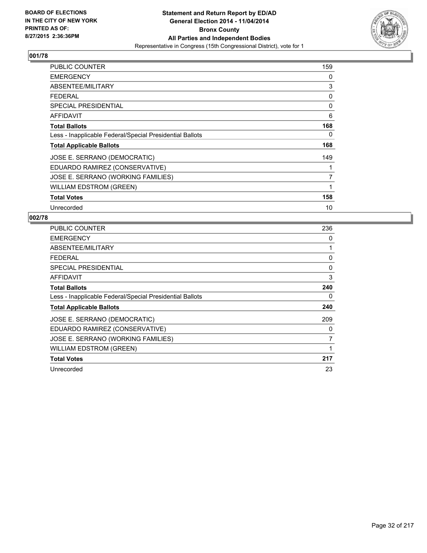

| PUBLIC COUNTER                                           | 159            |
|----------------------------------------------------------|----------------|
| <b>EMERGENCY</b>                                         | 0              |
| ABSENTEE/MILITARY                                        | 3              |
| <b>FEDERAL</b>                                           | 0              |
| SPECIAL PRESIDENTIAL                                     | 0              |
| AFFIDAVIT                                                | 6              |
| <b>Total Ballots</b>                                     | 168            |
| Less - Inapplicable Federal/Special Presidential Ballots | 0              |
| <b>Total Applicable Ballots</b>                          | 168            |
| JOSE E. SERRANO (DEMOCRATIC)                             | 149            |
| EDUARDO RAMIREZ (CONSERVATIVE)                           | 1              |
| JOSE E. SERRANO (WORKING FAMILIES)                       | $\overline{7}$ |
| <b>WILLIAM EDSTROM (GREEN)</b>                           | 1              |
| <b>Total Votes</b>                                       | 158            |
| Unrecorded                                               | 10             |

| <b>PUBLIC COUNTER</b>                                    | 236 |
|----------------------------------------------------------|-----|
| <b>EMERGENCY</b>                                         | 0   |
| ABSENTEE/MILITARY                                        | 1   |
| <b>FEDERAL</b>                                           | 0   |
| <b>SPECIAL PRESIDENTIAL</b>                              | 0   |
| AFFIDAVIT                                                | 3   |
| <b>Total Ballots</b>                                     | 240 |
| Less - Inapplicable Federal/Special Presidential Ballots | 0   |
| <b>Total Applicable Ballots</b>                          | 240 |
| JOSE E. SERRANO (DEMOCRATIC)                             | 209 |
| EDUARDO RAMIREZ (CONSERVATIVE)                           | 0   |
| JOSE E. SERRANO (WORKING FAMILIES)                       | 7   |
| WILLIAM EDSTROM (GREEN)                                  | 1   |
| <b>Total Votes</b>                                       | 217 |
| Unrecorded                                               | 23  |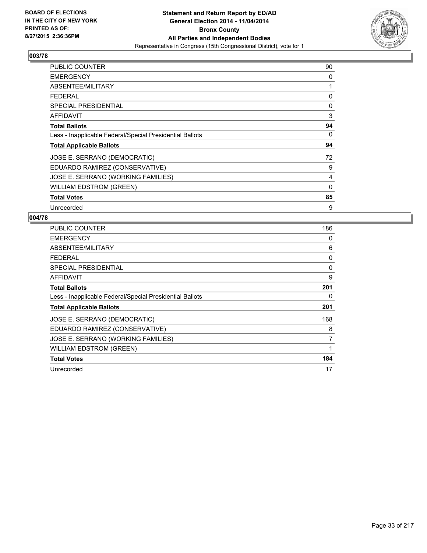

| <b>PUBLIC COUNTER</b>                                    | 90           |
|----------------------------------------------------------|--------------|
| <b>EMERGENCY</b>                                         | 0            |
| ABSENTEE/MILITARY                                        | 1            |
| <b>FEDERAL</b>                                           | 0            |
| <b>SPECIAL PRESIDENTIAL</b>                              | 0            |
| AFFIDAVIT                                                | 3            |
| <b>Total Ballots</b>                                     | 94           |
| Less - Inapplicable Federal/Special Presidential Ballots | 0            |
| <b>Total Applicable Ballots</b>                          | 94           |
| JOSE E. SERRANO (DEMOCRATIC)                             | 72           |
| EDUARDO RAMIREZ (CONSERVATIVE)                           | 9            |
| JOSE E. SERRANO (WORKING FAMILIES)                       | 4            |
| WILLIAM EDSTROM (GREEN)                                  | $\mathbf{0}$ |
| <b>Total Votes</b>                                       | 85           |
| Unrecorded                                               | 9            |

| PUBLIC COUNTER                                           | 186 |
|----------------------------------------------------------|-----|
| <b>EMERGENCY</b>                                         | 0   |
| ABSENTEE/MILITARY                                        | 6   |
| <b>FEDERAL</b>                                           | 0   |
| <b>SPECIAL PRESIDENTIAL</b>                              | 0   |
| AFFIDAVIT                                                | 9   |
| <b>Total Ballots</b>                                     | 201 |
| Less - Inapplicable Federal/Special Presidential Ballots | 0   |
| <b>Total Applicable Ballots</b>                          | 201 |
| JOSE E. SERRANO (DEMOCRATIC)                             | 168 |
| EDUARDO RAMIREZ (CONSERVATIVE)                           | 8   |
| JOSE E. SERRANO (WORKING FAMILIES)                       | 7   |
| WILLIAM EDSTROM (GREEN)                                  | 1   |
| <b>Total Votes</b>                                       | 184 |
| Unrecorded                                               | 17  |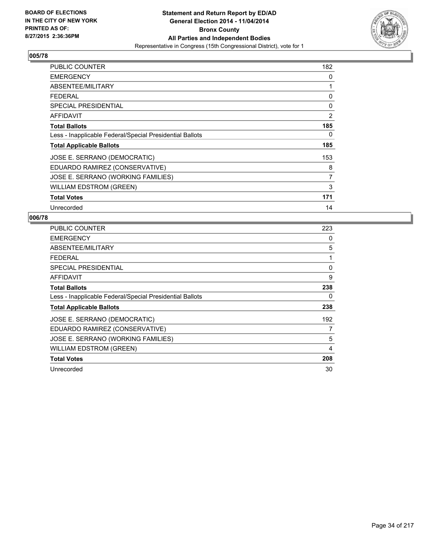

| PUBLIC COUNTER                                           | 182            |
|----------------------------------------------------------|----------------|
| <b>EMERGENCY</b>                                         | 0              |
| ABSENTEE/MILITARY                                        | 1              |
| <b>FEDERAL</b>                                           | 0              |
| <b>SPECIAL PRESIDENTIAL</b>                              | 0              |
| AFFIDAVIT                                                | 2              |
| <b>Total Ballots</b>                                     | 185            |
| Less - Inapplicable Federal/Special Presidential Ballots | 0              |
| <b>Total Applicable Ballots</b>                          | 185            |
| JOSE E. SERRANO (DEMOCRATIC)                             | 153            |
| EDUARDO RAMIREZ (CONSERVATIVE)                           | 8              |
| JOSE E. SERRANO (WORKING FAMILIES)                       | $\overline{7}$ |
| <b>WILLIAM EDSTROM (GREEN)</b>                           | 3              |
| <b>Total Votes</b>                                       | 171            |
| Unrecorded                                               | 14             |

| PUBLIC COUNTER                                           | 223 |
|----------------------------------------------------------|-----|
| <b>EMERGENCY</b>                                         | 0   |
| ABSENTEE/MILITARY                                        | 5   |
| <b>FEDERAL</b>                                           | 1   |
| <b>SPECIAL PRESIDENTIAL</b>                              | 0   |
| AFFIDAVIT                                                | 9   |
| <b>Total Ballots</b>                                     | 238 |
| Less - Inapplicable Federal/Special Presidential Ballots | 0   |
| <b>Total Applicable Ballots</b>                          | 238 |
| JOSE E. SERRANO (DEMOCRATIC)                             | 192 |
| EDUARDO RAMIREZ (CONSERVATIVE)                           | 7   |
| JOSE E. SERRANO (WORKING FAMILIES)                       | 5   |
| WILLIAM EDSTROM (GREEN)                                  | 4   |
| <b>Total Votes</b>                                       | 208 |
| Unrecorded                                               | 30  |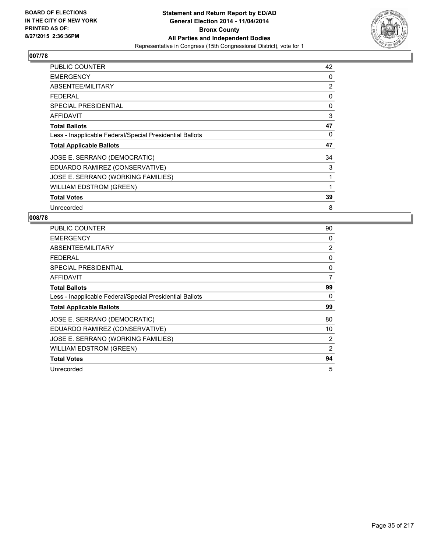

| <b>PUBLIC COUNTER</b>                                    | 42 |
|----------------------------------------------------------|----|
| <b>EMERGENCY</b>                                         | 0  |
| ABSENTEE/MILITARY                                        | 2  |
| <b>FEDERAL</b>                                           | 0  |
| SPECIAL PRESIDENTIAL                                     | 0  |
| AFFIDAVIT                                                | 3  |
| <b>Total Ballots</b>                                     | 47 |
| Less - Inapplicable Federal/Special Presidential Ballots | 0  |
| <b>Total Applicable Ballots</b>                          | 47 |
| JOSE E. SERRANO (DEMOCRATIC)                             | 34 |
| EDUARDO RAMIREZ (CONSERVATIVE)                           | 3  |
| JOSE E. SERRANO (WORKING FAMILIES)                       | 1  |
| WILLIAM EDSTROM (GREEN)                                  | 1  |
| <b>Total Votes</b>                                       | 39 |
| Unrecorded                                               | 8  |

| <b>PUBLIC COUNTER</b>                                    | 90 |
|----------------------------------------------------------|----|
| <b>EMERGENCY</b>                                         | 0  |
| ABSENTEE/MILITARY                                        | 2  |
| <b>FEDERAL</b>                                           | 0  |
| <b>SPECIAL PRESIDENTIAL</b>                              | 0  |
| <b>AFFIDAVIT</b>                                         | 7  |
| <b>Total Ballots</b>                                     | 99 |
| Less - Inapplicable Federal/Special Presidential Ballots | 0  |
| <b>Total Applicable Ballots</b>                          | 99 |
| JOSE E. SERRANO (DEMOCRATIC)                             | 80 |
| EDUARDO RAMIREZ (CONSERVATIVE)                           | 10 |
| JOSE E. SERRANO (WORKING FAMILIES)                       | 2  |
| <b>WILLIAM EDSTROM (GREEN)</b>                           | 2  |
| <b>Total Votes</b>                                       | 94 |
| Unrecorded                                               | 5  |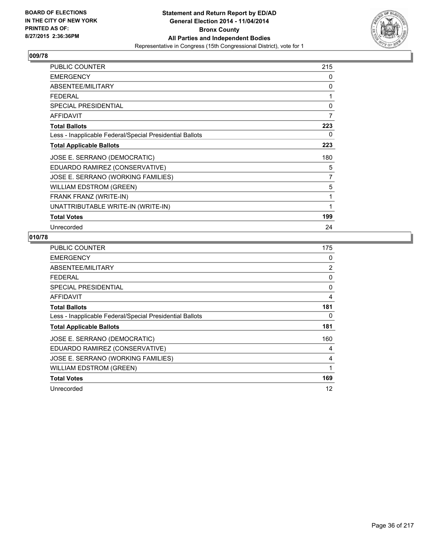

| <b>PUBLIC COUNTER</b>                                    | 215 |
|----------------------------------------------------------|-----|
| <b>EMERGENCY</b>                                         | 0   |
| ABSENTEE/MILITARY                                        | 0   |
| <b>FEDERAL</b>                                           | 1   |
| <b>SPECIAL PRESIDENTIAL</b>                              | 0   |
| <b>AFFIDAVIT</b>                                         | 7   |
| <b>Total Ballots</b>                                     | 223 |
| Less - Inapplicable Federal/Special Presidential Ballots | 0   |
| <b>Total Applicable Ballots</b>                          | 223 |
| JOSE E. SERRANO (DEMOCRATIC)                             | 180 |
| EDUARDO RAMIREZ (CONSERVATIVE)                           | 5   |
| JOSE E. SERRANO (WORKING FAMILIES)                       | 7   |
| <b>WILLIAM EDSTROM (GREEN)</b>                           | 5   |
| FRANK FRANZ (WRITE-IN)                                   | 1   |
| UNATTRIBUTABLE WRITE-IN (WRITE-IN)                       |     |
| <b>Total Votes</b>                                       | 199 |
| Unrecorded                                               | 24  |

| <b>PUBLIC COUNTER</b>                                    | 175            |
|----------------------------------------------------------|----------------|
| <b>EMERGENCY</b>                                         | 0              |
| ABSENTEE/MILITARY                                        | $\overline{2}$ |
| <b>FEDERAL</b>                                           | 0              |
| <b>SPECIAL PRESIDENTIAL</b>                              | 0              |
| <b>AFFIDAVIT</b>                                         | 4              |
| <b>Total Ballots</b>                                     | 181            |
| Less - Inapplicable Federal/Special Presidential Ballots | 0              |
| <b>Total Applicable Ballots</b>                          | 181            |
| JOSE E. SERRANO (DEMOCRATIC)                             | 160            |
| EDUARDO RAMIREZ (CONSERVATIVE)                           | 4              |
| JOSE E. SERRANO (WORKING FAMILIES)                       | 4              |
| <b>WILLIAM EDSTROM (GREEN)</b>                           | 1              |
| <b>Total Votes</b>                                       | 169            |
| Unrecorded                                               | 12             |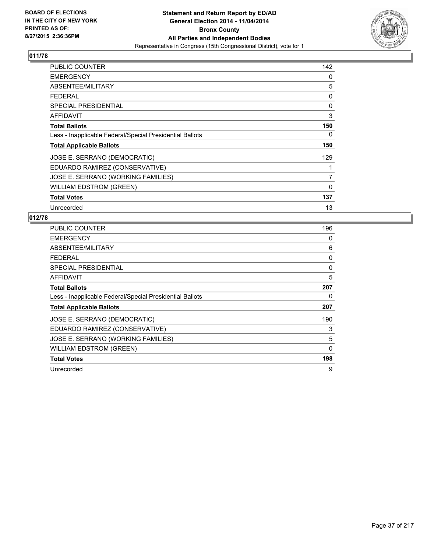

| PUBLIC COUNTER                                           | 142            |
|----------------------------------------------------------|----------------|
| <b>EMERGENCY</b>                                         | 0              |
| ABSENTEE/MILITARY                                        | 5              |
| <b>FEDERAL</b>                                           | 0              |
| <b>SPECIAL PRESIDENTIAL</b>                              | 0              |
| <b>AFFIDAVIT</b>                                         | 3              |
| <b>Total Ballots</b>                                     | 150            |
| Less - Inapplicable Federal/Special Presidential Ballots | 0              |
| <b>Total Applicable Ballots</b>                          | 150            |
| JOSE E. SERRANO (DEMOCRATIC)                             | 129            |
| EDUARDO RAMIREZ (CONSERVATIVE)                           |                |
| JOSE E. SERRANO (WORKING FAMILIES)                       | $\overline{7}$ |
| <b>WILLIAM EDSTROM (GREEN)</b>                           | 0              |
| <b>Total Votes</b>                                       | 137            |
| Unrecorded                                               | 13             |

| PUBLIC COUNTER                                           | 196      |
|----------------------------------------------------------|----------|
| <b>EMERGENCY</b>                                         | 0        |
| ABSENTEE/MILITARY                                        | 6        |
| <b>FEDERAL</b>                                           | 0        |
| SPECIAL PRESIDENTIAL                                     | $\Omega$ |
| <b>AFFIDAVIT</b>                                         | 5        |
| <b>Total Ballots</b>                                     | 207      |
| Less - Inapplicable Federal/Special Presidential Ballots | 0        |
| <b>Total Applicable Ballots</b>                          | 207      |
| JOSE E. SERRANO (DEMOCRATIC)                             | 190      |
| EDUARDO RAMIREZ (CONSERVATIVE)                           | 3        |
| JOSE E. SERRANO (WORKING FAMILIES)                       | 5        |
| <b>WILLIAM EDSTROM (GREEN)</b>                           | 0        |
| <b>Total Votes</b>                                       | 198      |
| Unrecorded                                               | 9        |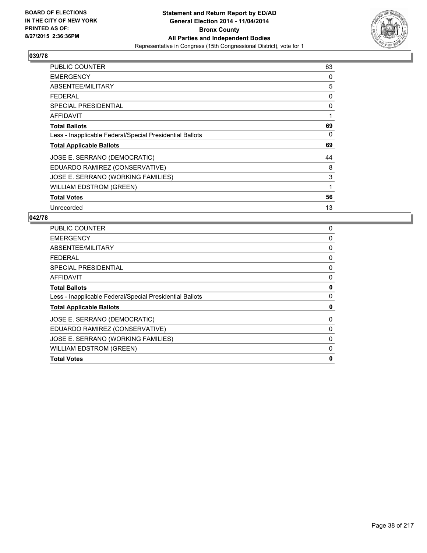

| <b>PUBLIC COUNTER</b>                                    | 63 |
|----------------------------------------------------------|----|
| <b>EMERGENCY</b>                                         | 0  |
| ABSENTEE/MILITARY                                        | 5  |
| <b>FEDERAL</b>                                           | 0  |
| <b>SPECIAL PRESIDENTIAL</b>                              | 0  |
| <b>AFFIDAVIT</b>                                         | 1  |
| <b>Total Ballots</b>                                     | 69 |
| Less - Inapplicable Federal/Special Presidential Ballots | 0  |
| <b>Total Applicable Ballots</b>                          | 69 |
| JOSE E. SERRANO (DEMOCRATIC)                             | 44 |
| EDUARDO RAMIREZ (CONSERVATIVE)                           | 8  |
| JOSE E. SERRANO (WORKING FAMILIES)                       | 3  |
| WILLIAM EDSTROM (GREEN)                                  | 1  |
| <b>Total Votes</b>                                       | 56 |
| Unrecorded                                               | 13 |

| <b>PUBLIC COUNTER</b>                                    | 0        |
|----------------------------------------------------------|----------|
| <b>EMERGENCY</b>                                         | 0        |
| ABSENTEE/MILITARY                                        | 0        |
| <b>FEDERAL</b>                                           | 0        |
| <b>SPECIAL PRESIDENTIAL</b>                              | 0        |
| <b>AFFIDAVIT</b>                                         | 0        |
| <b>Total Ballots</b>                                     | 0        |
| Less - Inapplicable Federal/Special Presidential Ballots | $\Omega$ |
| <b>Total Applicable Ballots</b>                          | 0        |
| JOSE E. SERRANO (DEMOCRATIC)                             | 0        |
| EDUARDO RAMIREZ (CONSERVATIVE)                           | 0        |
| JOSE E. SERRANO (WORKING FAMILIES)                       | $\Omega$ |
| <b>WILLIAM EDSTROM (GREEN)</b>                           | 0        |
| <b>Total Votes</b>                                       | 0        |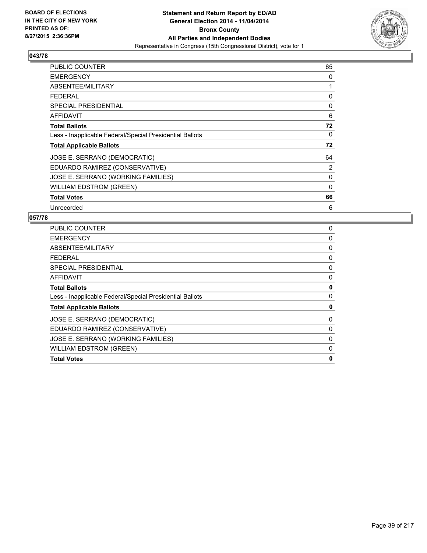

| PUBLIC COUNTER                                           | 65          |
|----------------------------------------------------------|-------------|
| <b>EMERGENCY</b>                                         | 0           |
| ABSENTEE/MILITARY                                        | 1           |
| <b>FEDERAL</b>                                           | 0           |
| SPECIAL PRESIDENTIAL                                     | 0           |
| <b>AFFIDAVIT</b>                                         | 6           |
| <b>Total Ballots</b>                                     | 72          |
| Less - Inapplicable Federal/Special Presidential Ballots | 0           |
| <b>Total Applicable Ballots</b>                          | 72          |
| JOSE E. SERRANO (DEMOCRATIC)                             | 64          |
| EDUARDO RAMIREZ (CONSERVATIVE)                           | 2           |
| JOSE E. SERRANO (WORKING FAMILIES)                       | 0           |
| <b>WILLIAM EDSTROM (GREEN)</b>                           | $\mathbf 0$ |
| <b>Total Votes</b>                                       | 66          |
| Unrecorded                                               | 6           |

| PUBLIC COUNTER                                           | 0        |
|----------------------------------------------------------|----------|
| <b>EMERGENCY</b>                                         | 0        |
| ABSENTEE/MILITARY                                        | 0        |
| <b>FEDERAL</b>                                           | 0        |
| <b>SPECIAL PRESIDENTIAL</b>                              | 0        |
| AFFIDAVIT                                                | 0        |
| <b>Total Ballots</b>                                     | 0        |
| Less - Inapplicable Federal/Special Presidential Ballots | $\Omega$ |
| <b>Total Applicable Ballots</b>                          | 0        |
| JOSE E. SERRANO (DEMOCRATIC)                             | 0        |
| EDUARDO RAMIREZ (CONSERVATIVE)                           | 0        |
| JOSE E. SERRANO (WORKING FAMILIES)                       | 0        |
| <b>WILLIAM EDSTROM (GREEN)</b>                           | 0        |
| <b>Total Votes</b>                                       | 0        |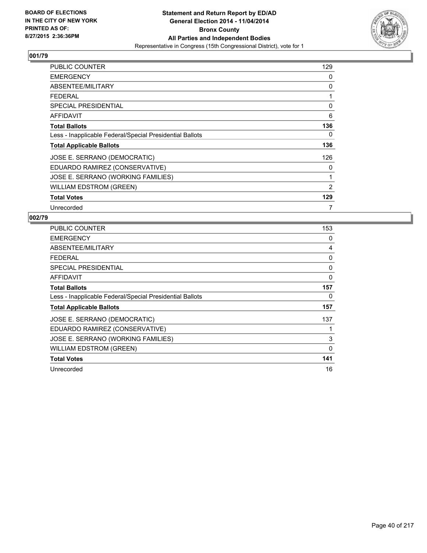

| PUBLIC COUNTER                                           | 129 |
|----------------------------------------------------------|-----|
| <b>EMERGENCY</b>                                         | 0   |
| ABSENTEE/MILITARY                                        | 0   |
| <b>FEDERAL</b>                                           | 1   |
| <b>SPECIAL PRESIDENTIAL</b>                              | 0   |
| <b>AFFIDAVIT</b>                                         | 6   |
| <b>Total Ballots</b>                                     | 136 |
| Less - Inapplicable Federal/Special Presidential Ballots | 0   |
| <b>Total Applicable Ballots</b>                          | 136 |
| JOSE E. SERRANO (DEMOCRATIC)                             | 126 |
| EDUARDO RAMIREZ (CONSERVATIVE)                           | 0   |
| JOSE E. SERRANO (WORKING FAMILIES)                       | 1   |
| <b>WILLIAM EDSTROM (GREEN)</b>                           | 2   |
| <b>Total Votes</b>                                       | 129 |
| Unrecorded                                               | 7   |

| <b>PUBLIC COUNTER</b>                                    | 153 |
|----------------------------------------------------------|-----|
| <b>EMERGENCY</b>                                         | 0   |
| ABSENTEE/MILITARY                                        | 4   |
| <b>FEDERAL</b>                                           | 0   |
| <b>SPECIAL PRESIDENTIAL</b>                              | 0   |
| AFFIDAVIT                                                | 0   |
| <b>Total Ballots</b>                                     | 157 |
| Less - Inapplicable Federal/Special Presidential Ballots | 0   |
| <b>Total Applicable Ballots</b>                          | 157 |
| JOSE E. SERRANO (DEMOCRATIC)                             | 137 |
| EDUARDO RAMIREZ (CONSERVATIVE)                           |     |
| JOSE E. SERRANO (WORKING FAMILIES)                       | 3   |
| WILLIAM EDSTROM (GREEN)                                  | 0   |
| <b>Total Votes</b>                                       | 141 |
| Unrecorded                                               | 16  |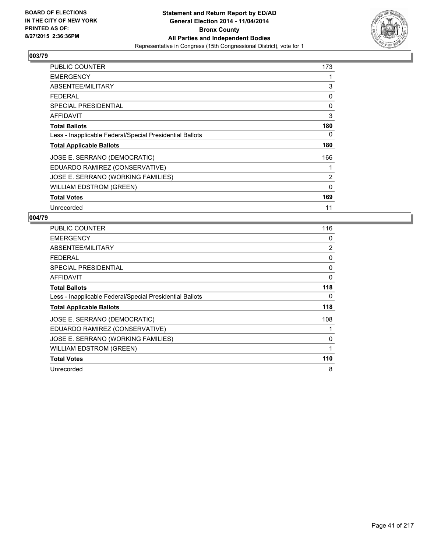

| PUBLIC COUNTER                                           | 173         |
|----------------------------------------------------------|-------------|
| <b>EMERGENCY</b>                                         | 1           |
| ABSENTEE/MILITARY                                        | 3           |
| <b>FEDERAL</b>                                           | 0           |
| <b>SPECIAL PRESIDENTIAL</b>                              | 0           |
| AFFIDAVIT                                                | 3           |
| <b>Total Ballots</b>                                     | 180         |
| Less - Inapplicable Federal/Special Presidential Ballots | 0           |
| <b>Total Applicable Ballots</b>                          | 180         |
| JOSE E. SERRANO (DEMOCRATIC)                             | 166         |
| EDUARDO RAMIREZ (CONSERVATIVE)                           | 1           |
| JOSE E. SERRANO (WORKING FAMILIES)                       | 2           |
| <b>WILLIAM EDSTROM (GREEN)</b>                           | $\mathbf 0$ |
| <b>Total Votes</b>                                       | 169         |
| Unrecorded                                               | 11          |

| <b>PUBLIC COUNTER</b>                                    | 116 |
|----------------------------------------------------------|-----|
| <b>EMERGENCY</b>                                         | 0   |
| ABSENTEE/MILITARY                                        | 2   |
| <b>FEDERAL</b>                                           | 0   |
| <b>SPECIAL PRESIDENTIAL</b>                              | 0   |
| <b>AFFIDAVIT</b>                                         | 0   |
| <b>Total Ballots</b>                                     | 118 |
| Less - Inapplicable Federal/Special Presidential Ballots | 0   |
| <b>Total Applicable Ballots</b>                          | 118 |
| JOSE E. SERRANO (DEMOCRATIC)                             | 108 |
| EDUARDO RAMIREZ (CONSERVATIVE)                           | 1   |
| JOSE E. SERRANO (WORKING FAMILIES)                       | 0   |
| <b>WILLIAM EDSTROM (GREEN)</b>                           | 1   |
| <b>Total Votes</b>                                       | 110 |
| Unrecorded                                               | 8   |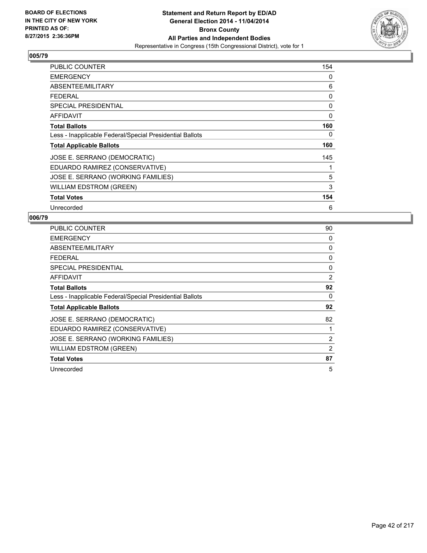

| <b>PUBLIC COUNTER</b>                                    | 154 |
|----------------------------------------------------------|-----|
| <b>EMERGENCY</b>                                         | 0   |
| ABSENTEE/MILITARY                                        | 6   |
| <b>FEDERAL</b>                                           | 0   |
| SPECIAL PRESIDENTIAL                                     | 0   |
| AFFIDAVIT                                                | 0   |
| <b>Total Ballots</b>                                     | 160 |
| Less - Inapplicable Federal/Special Presidential Ballots | 0   |
| <b>Total Applicable Ballots</b>                          | 160 |
| JOSE E. SERRANO (DEMOCRATIC)                             | 145 |
| EDUARDO RAMIREZ (CONSERVATIVE)                           | 1   |
| JOSE E. SERRANO (WORKING FAMILIES)                       | 5   |
| WILLIAM EDSTROM (GREEN)                                  | 3   |
| <b>Total Votes</b>                                       | 154 |
| Unrecorded                                               | 6   |

| <b>PUBLIC COUNTER</b>                                    | 90 |
|----------------------------------------------------------|----|
| <b>EMERGENCY</b>                                         | 0  |
| ABSENTEE/MILITARY                                        | 0  |
| <b>FEDERAL</b>                                           | 0  |
| SPECIAL PRESIDENTIAL                                     | 0  |
| AFFIDAVIT                                                | 2  |
| <b>Total Ballots</b>                                     | 92 |
| Less - Inapplicable Federal/Special Presidential Ballots | 0  |
| <b>Total Applicable Ballots</b>                          | 92 |
| JOSE E. SERRANO (DEMOCRATIC)                             | 82 |
| EDUARDO RAMIREZ (CONSERVATIVE)                           |    |
| JOSE E. SERRANO (WORKING FAMILIES)                       | 2  |
| WILLIAM EDSTROM (GREEN)                                  | 2  |
| <b>Total Votes</b>                                       | 87 |
| Unrecorded                                               | 5  |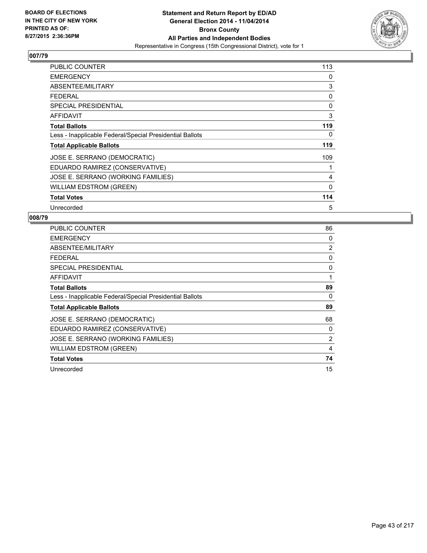

| PUBLIC COUNTER                                           | 113         |
|----------------------------------------------------------|-------------|
| <b>EMERGENCY</b>                                         | 0           |
| ABSENTEE/MILITARY                                        | 3           |
| <b>FEDERAL</b>                                           | 0           |
| <b>SPECIAL PRESIDENTIAL</b>                              | 0           |
| AFFIDAVIT                                                | 3           |
| <b>Total Ballots</b>                                     | 119         |
| Less - Inapplicable Federal/Special Presidential Ballots | 0           |
| <b>Total Applicable Ballots</b>                          | 119         |
| JOSE E. SERRANO (DEMOCRATIC)                             | 109         |
| EDUARDO RAMIREZ (CONSERVATIVE)                           | 1           |
| JOSE E. SERRANO (WORKING FAMILIES)                       | 4           |
| <b>WILLIAM EDSTROM (GREEN)</b>                           | $\mathbf 0$ |
| <b>Total Votes</b>                                       | 114         |
| Unrecorded                                               | 5           |

| PUBLIC COUNTER                                           | 86 |
|----------------------------------------------------------|----|
| <b>EMERGENCY</b>                                         | 0  |
| ABSENTEE/MILITARY                                        | 2  |
| <b>FEDERAL</b>                                           | 0  |
| <b>SPECIAL PRESIDENTIAL</b>                              | 0  |
| AFFIDAVIT                                                | 1  |
| <b>Total Ballots</b>                                     | 89 |
| Less - Inapplicable Federal/Special Presidential Ballots | 0  |
| <b>Total Applicable Ballots</b>                          | 89 |
| JOSE E. SERRANO (DEMOCRATIC)                             | 68 |
| EDUARDO RAMIREZ (CONSERVATIVE)                           | 0  |
| JOSE E. SERRANO (WORKING FAMILIES)                       | 2  |
| WILLIAM EDSTROM (GREEN)                                  | 4  |
| <b>Total Votes</b>                                       | 74 |
| Unrecorded                                               | 15 |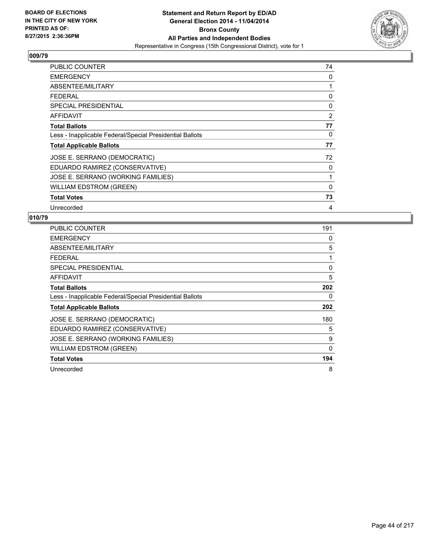

| <b>PUBLIC COUNTER</b>                                    | 74 |
|----------------------------------------------------------|----|
| <b>EMERGENCY</b>                                         | 0  |
| ABSENTEE/MILITARY                                        | 1  |
| <b>FEDERAL</b>                                           | 0  |
| <b>SPECIAL PRESIDENTIAL</b>                              | 0  |
| <b>AFFIDAVIT</b>                                         | 2  |
| <b>Total Ballots</b>                                     | 77 |
| Less - Inapplicable Federal/Special Presidential Ballots | 0  |
| <b>Total Applicable Ballots</b>                          | 77 |
| JOSE E. SERRANO (DEMOCRATIC)                             | 72 |
| EDUARDO RAMIREZ (CONSERVATIVE)                           | 0  |
| JOSE E. SERRANO (WORKING FAMILIES)                       | 1  |
| <b>WILLIAM EDSTROM (GREEN)</b>                           | 0  |
| <b>Total Votes</b>                                       | 73 |
| Unrecorded                                               | 4  |

| PUBLIC COUNTER                                           | 191 |
|----------------------------------------------------------|-----|
| <b>EMERGENCY</b>                                         | 0   |
| ABSENTEE/MILITARY                                        | 5   |
| <b>FEDERAL</b>                                           | 1   |
| SPECIAL PRESIDENTIAL                                     | 0   |
| <b>AFFIDAVIT</b>                                         | 5   |
| <b>Total Ballots</b>                                     | 202 |
| Less - Inapplicable Federal/Special Presidential Ballots | 0   |
| <b>Total Applicable Ballots</b>                          | 202 |
| JOSE E. SERRANO (DEMOCRATIC)                             | 180 |
| EDUARDO RAMIREZ (CONSERVATIVE)                           | 5   |
| JOSE E. SERRANO (WORKING FAMILIES)                       | 9   |
| <b>WILLIAM EDSTROM (GREEN)</b>                           | 0   |
| <b>Total Votes</b>                                       | 194 |
| Unrecorded                                               | 8   |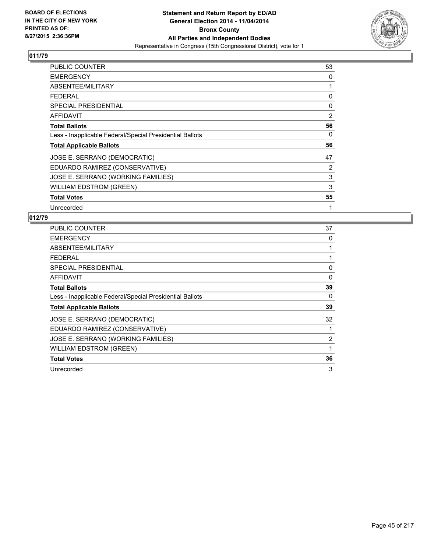

| PUBLIC COUNTER                                           | 53 |
|----------------------------------------------------------|----|
| <b>EMERGENCY</b>                                         | 0  |
| ABSENTEE/MILITARY                                        | 1  |
| <b>FEDERAL</b>                                           | 0  |
| <b>SPECIAL PRESIDENTIAL</b>                              | 0  |
| AFFIDAVIT                                                | 2  |
| <b>Total Ballots</b>                                     | 56 |
| Less - Inapplicable Federal/Special Presidential Ballots | 0  |
| <b>Total Applicable Ballots</b>                          | 56 |
| JOSE E. SERRANO (DEMOCRATIC)                             | 47 |
| EDUARDO RAMIREZ (CONSERVATIVE)                           | 2  |
| JOSE E. SERRANO (WORKING FAMILIES)                       | 3  |
| <b>WILLIAM EDSTROM (GREEN)</b>                           | 3  |
| <b>Total Votes</b>                                       | 55 |
| Unrecorded                                               | 1  |

| <b>PUBLIC COUNTER</b>                                    | 37 |
|----------------------------------------------------------|----|
| <b>EMERGENCY</b>                                         | 0  |
| ABSENTEE/MILITARY                                        | 1  |
| <b>FEDERAL</b>                                           | 1  |
| <b>SPECIAL PRESIDENTIAL</b>                              | 0  |
| <b>AFFIDAVIT</b>                                         | 0  |
| <b>Total Ballots</b>                                     | 39 |
| Less - Inapplicable Federal/Special Presidential Ballots | 0  |
| <b>Total Applicable Ballots</b>                          | 39 |
| JOSE E. SERRANO (DEMOCRATIC)                             | 32 |
| EDUARDO RAMIREZ (CONSERVATIVE)                           | 1  |
| JOSE E. SERRANO (WORKING FAMILIES)                       | 2  |
| <b>WILLIAM EDSTROM (GREEN)</b>                           | 1  |
| <b>Total Votes</b>                                       | 36 |
| Unrecorded                                               | 3  |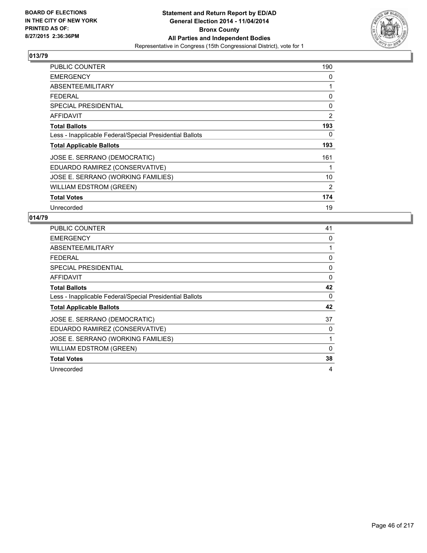

| <b>PUBLIC COUNTER</b>                                    | 190            |
|----------------------------------------------------------|----------------|
| <b>EMERGENCY</b>                                         | 0              |
| ABSENTEE/MILITARY                                        | 1              |
| <b>FEDERAL</b>                                           | 0              |
| <b>SPECIAL PRESIDENTIAL</b>                              | 0              |
| AFFIDAVIT                                                | 2              |
| <b>Total Ballots</b>                                     | 193            |
| Less - Inapplicable Federal/Special Presidential Ballots | 0              |
| <b>Total Applicable Ballots</b>                          | 193            |
| JOSE E. SERRANO (DEMOCRATIC)                             | 161            |
| EDUARDO RAMIREZ (CONSERVATIVE)                           | 1              |
| JOSE E. SERRANO (WORKING FAMILIES)                       | 10             |
| <b>WILLIAM EDSTROM (GREEN)</b>                           | $\overline{2}$ |
| <b>Total Votes</b>                                       | 174            |
| Unrecorded                                               | 19             |

| PUBLIC COUNTER                                           | 41 |
|----------------------------------------------------------|----|
| <b>EMERGENCY</b>                                         | 0  |
| ABSENTEE/MILITARY                                        |    |
| <b>FEDERAL</b>                                           | 0  |
| SPECIAL PRESIDENTIAL                                     | 0  |
| <b>AFFIDAVIT</b>                                         | 0  |
| <b>Total Ballots</b>                                     | 42 |
| Less - Inapplicable Federal/Special Presidential Ballots | 0  |
| <b>Total Applicable Ballots</b>                          | 42 |
| JOSE E. SERRANO (DEMOCRATIC)                             | 37 |
| EDUARDO RAMIREZ (CONSERVATIVE)                           | 0  |
| JOSE E. SERRANO (WORKING FAMILIES)                       | 1  |
| <b>WILLIAM EDSTROM (GREEN)</b>                           | 0  |
| <b>Total Votes</b>                                       | 38 |
| Unrecorded                                               | 4  |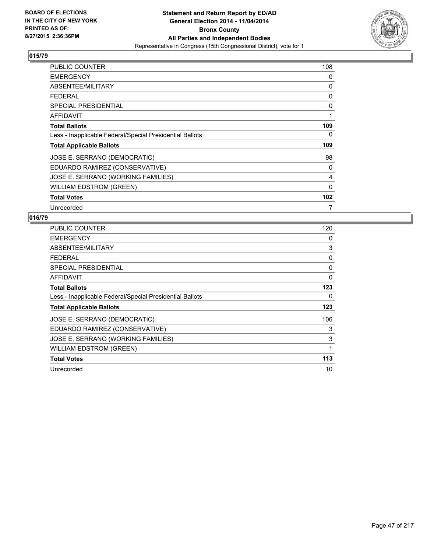

| <b>PUBLIC COUNTER</b>                                    | 108 |
|----------------------------------------------------------|-----|
| <b>EMERGENCY</b>                                         | 0   |
| ABSENTEE/MILITARY                                        | 0   |
| <b>FEDERAL</b>                                           | 0   |
| <b>SPECIAL PRESIDENTIAL</b>                              | 0   |
| <b>AFFIDAVIT</b>                                         | 1   |
| <b>Total Ballots</b>                                     | 109 |
| Less - Inapplicable Federal/Special Presidential Ballots | 0   |
| <b>Total Applicable Ballots</b>                          | 109 |
| JOSE E. SERRANO (DEMOCRATIC)                             | 98  |
| EDUARDO RAMIREZ (CONSERVATIVE)                           | 0   |
| JOSE E. SERRANO (WORKING FAMILIES)                       | 4   |
| <b>WILLIAM EDSTROM (GREEN)</b>                           | 0   |
| <b>Total Votes</b>                                       | 102 |
| Unrecorded                                               | 7   |

| <b>PUBLIC COUNTER</b>                                    | 120 |
|----------------------------------------------------------|-----|
| <b>EMERGENCY</b>                                         | 0   |
| ABSENTEE/MILITARY                                        | 3   |
| <b>FEDERAL</b>                                           | 0   |
| <b>SPECIAL PRESIDENTIAL</b>                              | 0   |
| <b>AFFIDAVIT</b>                                         | 0   |
| <b>Total Ballots</b>                                     | 123 |
| Less - Inapplicable Federal/Special Presidential Ballots | 0   |
| <b>Total Applicable Ballots</b>                          | 123 |
| JOSE E. SERRANO (DEMOCRATIC)                             | 106 |
| EDUARDO RAMIREZ (CONSERVATIVE)                           | 3   |
| JOSE E. SERRANO (WORKING FAMILIES)                       | 3   |
| <b>WILLIAM EDSTROM (GREEN)</b>                           | 1   |
| <b>Total Votes</b>                                       | 113 |
| Unrecorded                                               | 10  |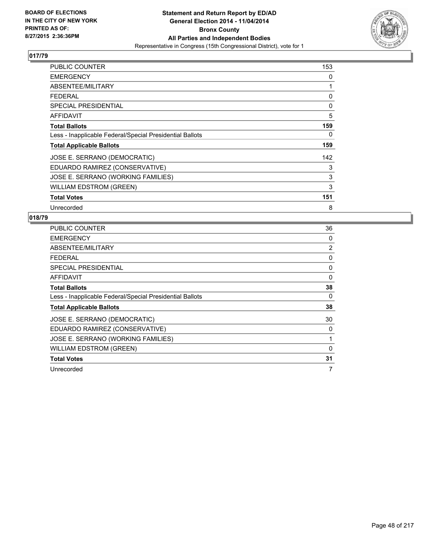

| <b>PUBLIC COUNTER</b>                                    | 153 |
|----------------------------------------------------------|-----|
| <b>EMERGENCY</b>                                         | 0   |
| ABSENTEE/MILITARY                                        | 1   |
| <b>FEDERAL</b>                                           | 0   |
| <b>SPECIAL PRESIDENTIAL</b>                              | 0   |
| <b>AFFIDAVIT</b>                                         | 5   |
| <b>Total Ballots</b>                                     | 159 |
| Less - Inapplicable Federal/Special Presidential Ballots | 0   |
| <b>Total Applicable Ballots</b>                          | 159 |
| JOSE E. SERRANO (DEMOCRATIC)                             | 142 |
| EDUARDO RAMIREZ (CONSERVATIVE)                           | 3   |
| JOSE E. SERRANO (WORKING FAMILIES)                       | 3   |
| <b>WILLIAM EDSTROM (GREEN)</b>                           | 3   |
| <b>Total Votes</b>                                       | 151 |
| Unrecorded                                               | 8   |

| PUBLIC COUNTER                                           | 36             |
|----------------------------------------------------------|----------------|
| <b>EMERGENCY</b>                                         | 0              |
| ABSENTEE/MILITARY                                        | $\overline{2}$ |
| <b>FEDERAL</b>                                           | 0              |
| SPECIAL PRESIDENTIAL                                     | 0              |
| <b>AFFIDAVIT</b>                                         | 0              |
| <b>Total Ballots</b>                                     | 38             |
| Less - Inapplicable Federal/Special Presidential Ballots | 0              |
| <b>Total Applicable Ballots</b>                          | 38             |
| JOSE E. SERRANO (DEMOCRATIC)                             | 30             |
| EDUARDO RAMIREZ (CONSERVATIVE)                           | 0              |
| JOSE E. SERRANO (WORKING FAMILIES)                       | 1              |
| <b>WILLIAM EDSTROM (GREEN)</b>                           | 0              |
| <b>Total Votes</b>                                       | 31             |
| Unrecorded                                               | 7              |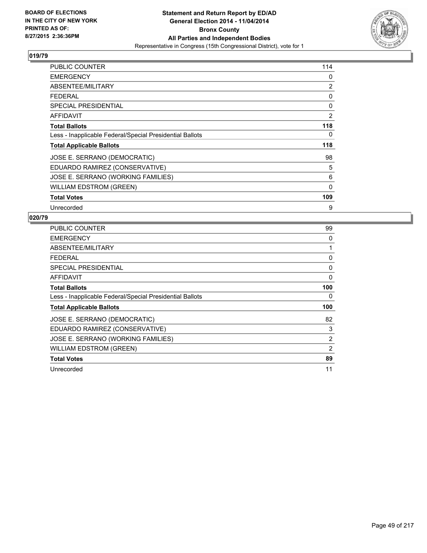

| PUBLIC COUNTER                                           | 114            |
|----------------------------------------------------------|----------------|
| <b>EMERGENCY</b>                                         | 0              |
| ABSENTEE/MILITARY                                        | 2              |
| <b>FEDERAL</b>                                           | 0              |
| <b>SPECIAL PRESIDENTIAL</b>                              | 0              |
| AFFIDAVIT                                                | $\overline{2}$ |
| <b>Total Ballots</b>                                     | 118            |
| Less - Inapplicable Federal/Special Presidential Ballots | 0              |
| <b>Total Applicable Ballots</b>                          | 118            |
| JOSE E. SERRANO (DEMOCRATIC)                             | 98             |
| EDUARDO RAMIREZ (CONSERVATIVE)                           | 5              |
| JOSE E. SERRANO (WORKING FAMILIES)                       | 6              |
| <b>WILLIAM EDSTROM (GREEN)</b>                           | $\mathbf 0$    |
| <b>Total Votes</b>                                       | 109            |
| Unrecorded                                               | 9              |

| PUBLIC COUNTER                                           | 99             |
|----------------------------------------------------------|----------------|
| <b>EMERGENCY</b>                                         | 0              |
| ABSENTEE/MILITARY                                        | 1              |
| <b>FEDERAL</b>                                           | 0              |
| <b>SPECIAL PRESIDENTIAL</b>                              | 0              |
| AFFIDAVIT                                                | 0              |
| <b>Total Ballots</b>                                     | 100            |
| Less - Inapplicable Federal/Special Presidential Ballots | 0              |
| <b>Total Applicable Ballots</b>                          | 100            |
| JOSE E. SERRANO (DEMOCRATIC)                             | 82             |
| EDUARDO RAMIREZ (CONSERVATIVE)                           | 3              |
| JOSE E. SERRANO (WORKING FAMILIES)                       | $\overline{2}$ |
| WILLIAM EDSTROM (GREEN)                                  | 2              |
| <b>Total Votes</b>                                       | 89             |
| Unrecorded                                               | 11             |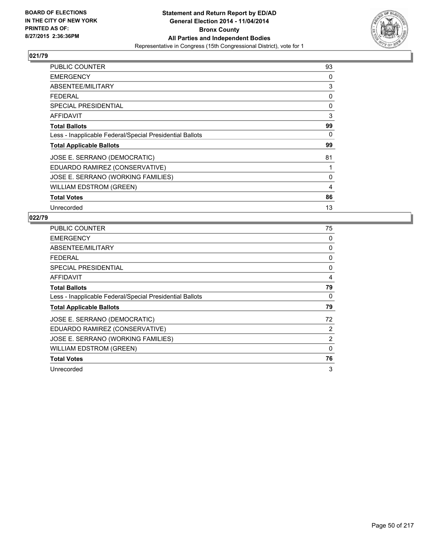

| <b>PUBLIC COUNTER</b>                                    | 93 |
|----------------------------------------------------------|----|
| <b>EMERGENCY</b>                                         | 0  |
| ABSENTEE/MILITARY                                        | 3  |
| <b>FEDERAL</b>                                           | 0  |
| <b>SPECIAL PRESIDENTIAL</b>                              | 0  |
| <b>AFFIDAVIT</b>                                         | 3  |
| <b>Total Ballots</b>                                     | 99 |
| Less - Inapplicable Federal/Special Presidential Ballots | 0  |
| <b>Total Applicable Ballots</b>                          | 99 |
| JOSE E. SERRANO (DEMOCRATIC)                             | 81 |
| EDUARDO RAMIREZ (CONSERVATIVE)                           | 1  |
| JOSE E. SERRANO (WORKING FAMILIES)                       | 0  |
| WILLIAM EDSTROM (GREEN)                                  | 4  |
| <b>Total Votes</b>                                       | 86 |
| Unrecorded                                               | 13 |

| <b>PUBLIC COUNTER</b>                                    | 75          |
|----------------------------------------------------------|-------------|
| <b>EMERGENCY</b>                                         | 0           |
| ABSENTEE/MILITARY                                        | 0           |
| <b>FEDERAL</b>                                           | 0           |
| <b>SPECIAL PRESIDENTIAL</b>                              | 0           |
| AFFIDAVIT                                                | 4           |
| <b>Total Ballots</b>                                     | 79          |
| Less - Inapplicable Federal/Special Presidential Ballots | 0           |
| <b>Total Applicable Ballots</b>                          | 79          |
| JOSE E. SERRANO (DEMOCRATIC)                             | 72          |
| EDUARDO RAMIREZ (CONSERVATIVE)                           | 2           |
| JOSE E. SERRANO (WORKING FAMILIES)                       | 2           |
| <b>WILLIAM EDSTROM (GREEN)</b>                           | $\mathbf 0$ |
| <b>Total Votes</b>                                       | 76          |
| Unrecorded                                               | 3           |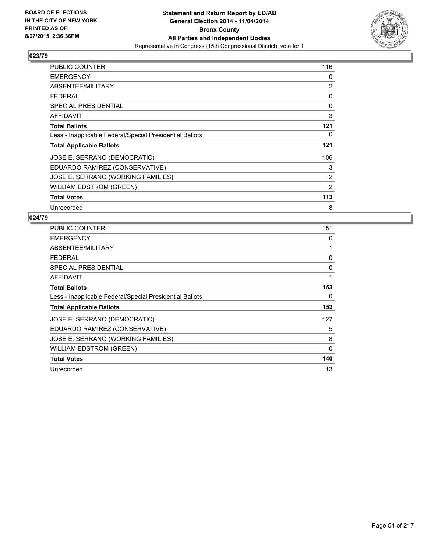

| <b>PUBLIC COUNTER</b>                                    | 116 |
|----------------------------------------------------------|-----|
| <b>EMERGENCY</b>                                         | 0   |
| ABSENTEE/MILITARY                                        | 2   |
| <b>FEDERAL</b>                                           | 0   |
| <b>SPECIAL PRESIDENTIAL</b>                              | 0   |
| AFFIDAVIT                                                | 3   |
| <b>Total Ballots</b>                                     | 121 |
| Less - Inapplicable Federal/Special Presidential Ballots | 0   |
| <b>Total Applicable Ballots</b>                          | 121 |
| JOSE E. SERRANO (DEMOCRATIC)                             | 106 |
| EDUARDO RAMIREZ (CONSERVATIVE)                           | 3   |
| JOSE E. SERRANO (WORKING FAMILIES)                       | 2   |
| <b>WILLIAM EDSTROM (GREEN)</b>                           | 2   |
| <b>Total Votes</b>                                       | 113 |
| Unrecorded                                               | 8   |

| <b>PUBLIC COUNTER</b>                                    | 151      |
|----------------------------------------------------------|----------|
| <b>EMERGENCY</b>                                         | 0        |
| ABSENTEE/MILITARY                                        | 1        |
| <b>FEDERAL</b>                                           | 0        |
| SPECIAL PRESIDENTIAL                                     | 0        |
| AFFIDAVIT                                                | 1        |
| <b>Total Ballots</b>                                     | 153      |
| Less - Inapplicable Federal/Special Presidential Ballots | 0        |
| <b>Total Applicable Ballots</b>                          | 153      |
| JOSE E. SERRANO (DEMOCRATIC)                             | 127      |
| EDUARDO RAMIREZ (CONSERVATIVE)                           | 5        |
| JOSE E. SERRANO (WORKING FAMILIES)                       | 8        |
| WILLIAM EDSTROM (GREEN)                                  | $\Omega$ |
| <b>Total Votes</b>                                       | 140      |
| Unrecorded                                               | 13       |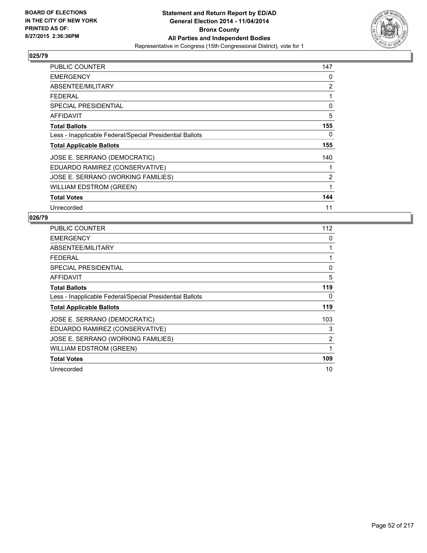

| PUBLIC COUNTER                                           | 147 |
|----------------------------------------------------------|-----|
| <b>EMERGENCY</b>                                         | 0   |
| ABSENTEE/MILITARY                                        | 2   |
| <b>FEDERAL</b>                                           | 1   |
| <b>SPECIAL PRESIDENTIAL</b>                              | 0   |
| AFFIDAVIT                                                | 5   |
| <b>Total Ballots</b>                                     | 155 |
| Less - Inapplicable Federal/Special Presidential Ballots | 0   |
| <b>Total Applicable Ballots</b>                          | 155 |
| JOSE E. SERRANO (DEMOCRATIC)                             | 140 |
| EDUARDO RAMIREZ (CONSERVATIVE)                           |     |
| JOSE E. SERRANO (WORKING FAMILIES)                       | 2   |
| <b>WILLIAM EDSTROM (GREEN)</b>                           | 1   |
| <b>Total Votes</b>                                       | 144 |
| Unrecorded                                               | 11  |

| <b>PUBLIC COUNTER</b>                                    | 112 |
|----------------------------------------------------------|-----|
| <b>EMERGENCY</b>                                         | 0   |
| ABSENTEE/MILITARY                                        | 1   |
| <b>FEDERAL</b>                                           |     |
| <b>SPECIAL PRESIDENTIAL</b>                              | 0   |
| AFFIDAVIT                                                | 5   |
| <b>Total Ballots</b>                                     | 119 |
| Less - Inapplicable Federal/Special Presidential Ballots | 0   |
| <b>Total Applicable Ballots</b>                          | 119 |
| JOSE E. SERRANO (DEMOCRATIC)                             | 103 |
| EDUARDO RAMIREZ (CONSERVATIVE)                           | 3   |
| JOSE E. SERRANO (WORKING FAMILIES)                       | 2   |
| WILLIAM EDSTROM (GREEN)                                  | 1   |
| <b>Total Votes</b>                                       | 109 |
| Unrecorded                                               | 10  |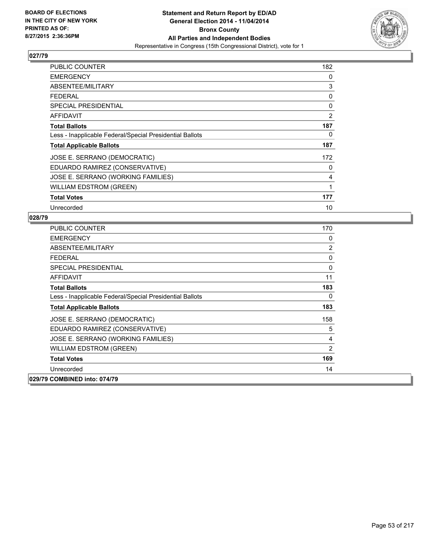

| PUBLIC COUNTER                                           | 182 |
|----------------------------------------------------------|-----|
| <b>EMERGENCY</b>                                         | 0   |
| ABSENTEE/MILITARY                                        | 3   |
| <b>FEDERAL</b>                                           | 0   |
| <b>SPECIAL PRESIDENTIAL</b>                              | 0   |
| AFFIDAVIT                                                | 2   |
| <b>Total Ballots</b>                                     | 187 |
| Less - Inapplicable Federal/Special Presidential Ballots | 0   |
| <b>Total Applicable Ballots</b>                          | 187 |
| JOSE E. SERRANO (DEMOCRATIC)                             | 172 |
| EDUARDO RAMIREZ (CONSERVATIVE)                           | 0   |
| JOSE E. SERRANO (WORKING FAMILIES)                       | 4   |
| <b>WILLIAM EDSTROM (GREEN)</b>                           | 1   |
| <b>Total Votes</b>                                       | 177 |
| Unrecorded                                               | 10  |

| <b>PUBLIC COUNTER</b>                                    | 170            |
|----------------------------------------------------------|----------------|
| <b>EMERGENCY</b>                                         | 0              |
| ABSENTEE/MILITARY                                        | $\overline{2}$ |
| <b>FEDERAL</b>                                           | 0              |
| <b>SPECIAL PRESIDENTIAL</b>                              | 0              |
| <b>AFFIDAVIT</b>                                         | 11             |
| <b>Total Ballots</b>                                     | 183            |
| Less - Inapplicable Federal/Special Presidential Ballots | 0              |
| <b>Total Applicable Ballots</b>                          | 183            |
| JOSE E. SERRANO (DEMOCRATIC)                             | 158            |
| EDUARDO RAMIREZ (CONSERVATIVE)                           | 5              |
| JOSE E. SERRANO (WORKING FAMILIES)                       | 4              |
| <b>WILLIAM EDSTROM (GREEN)</b>                           | $\overline{2}$ |
| <b>Total Votes</b>                                       | 169            |
| Unrecorded                                               | 14             |
| 029/79 COMBINED into: 074/79                             |                |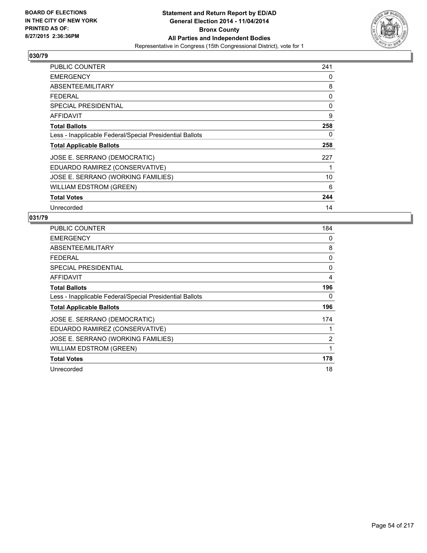

| PUBLIC COUNTER                                           | 241 |
|----------------------------------------------------------|-----|
| <b>EMERGENCY</b>                                         | 0   |
| ABSENTEE/MILITARY                                        | 8   |
| <b>FEDERAL</b>                                           | 0   |
| <b>SPECIAL PRESIDENTIAL</b>                              | 0   |
| AFFIDAVIT                                                | 9   |
| <b>Total Ballots</b>                                     | 258 |
| Less - Inapplicable Federal/Special Presidential Ballots | 0   |
| <b>Total Applicable Ballots</b>                          | 258 |
| JOSE E. SERRANO (DEMOCRATIC)                             | 227 |
| EDUARDO RAMIREZ (CONSERVATIVE)                           | 1   |
| JOSE E. SERRANO (WORKING FAMILIES)                       | 10  |
| <b>WILLIAM EDSTROM (GREEN)</b>                           | 6   |
| <b>Total Votes</b>                                       | 244 |
| Unrecorded                                               | 14  |

| <b>PUBLIC COUNTER</b>                                    | 184 |
|----------------------------------------------------------|-----|
| <b>EMERGENCY</b>                                         | 0   |
| ABSENTEE/MILITARY                                        | 8   |
| <b>FEDERAL</b>                                           | 0   |
| <b>SPECIAL PRESIDENTIAL</b>                              | 0   |
| AFFIDAVIT                                                | 4   |
| <b>Total Ballots</b>                                     | 196 |
| Less - Inapplicable Federal/Special Presidential Ballots | 0   |
| <b>Total Applicable Ballots</b>                          | 196 |
| JOSE E. SERRANO (DEMOCRATIC)                             | 174 |
| EDUARDO RAMIREZ (CONSERVATIVE)                           |     |
| JOSE E. SERRANO (WORKING FAMILIES)                       | 2   |
| WILLIAM EDSTROM (GREEN)                                  | 1   |
| <b>Total Votes</b>                                       | 178 |
| Unrecorded                                               | 18  |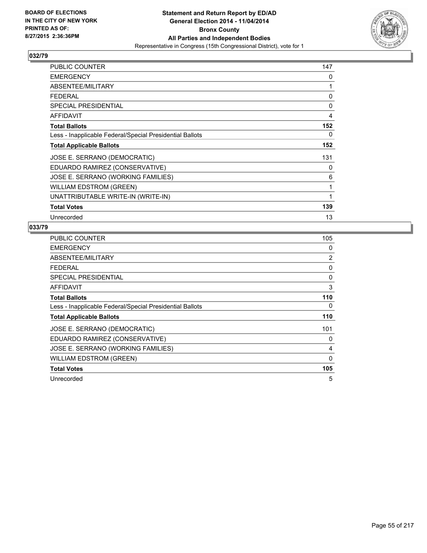

| PUBLIC COUNTER                                           | 147 |
|----------------------------------------------------------|-----|
| <b>EMERGENCY</b>                                         | 0   |
| ABSENTEE/MILITARY                                        | 1   |
| <b>FEDERAL</b>                                           | 0   |
| <b>SPECIAL PRESIDENTIAL</b>                              | 0   |
| <b>AFFIDAVIT</b>                                         | 4   |
| <b>Total Ballots</b>                                     | 152 |
| Less - Inapplicable Federal/Special Presidential Ballots | 0   |
| <b>Total Applicable Ballots</b>                          | 152 |
| JOSE E. SERRANO (DEMOCRATIC)                             | 131 |
| EDUARDO RAMIREZ (CONSERVATIVE)                           | 0   |
| JOSE E. SERRANO (WORKING FAMILIES)                       | 6   |
| <b>WILLIAM EDSTROM (GREEN)</b>                           | 1   |
| UNATTRIBUTABLE WRITE-IN (WRITE-IN)                       | 1   |
| <b>Total Votes</b>                                       | 139 |
| Unrecorded                                               | 13  |

| <b>PUBLIC COUNTER</b>                                    | 105 |
|----------------------------------------------------------|-----|
| <b>EMERGENCY</b>                                         | 0   |
| ABSENTEE/MILITARY                                        | 2   |
| <b>FEDERAL</b>                                           | 0   |
| <b>SPECIAL PRESIDENTIAL</b>                              | 0   |
| <b>AFFIDAVIT</b>                                         | 3   |
| <b>Total Ballots</b>                                     | 110 |
| Less - Inapplicable Federal/Special Presidential Ballots | 0   |
| <b>Total Applicable Ballots</b>                          | 110 |
| JOSE E. SERRANO (DEMOCRATIC)                             | 101 |
| EDUARDO RAMIREZ (CONSERVATIVE)                           | 0   |
| JOSE E. SERRANO (WORKING FAMILIES)                       | 4   |
| <b>WILLIAM EDSTROM (GREEN)</b>                           | 0   |
| <b>Total Votes</b>                                       | 105 |
| Unrecorded                                               | 5   |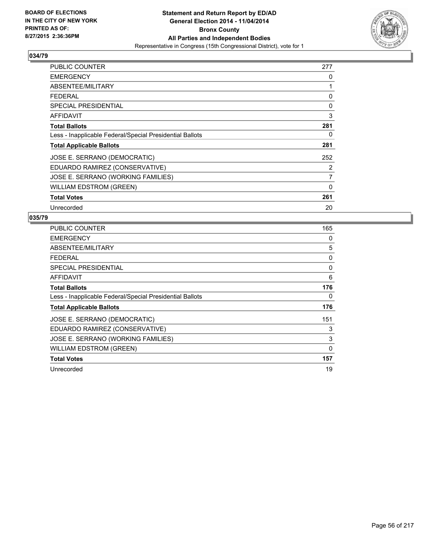

| PUBLIC COUNTER                                           | 277            |
|----------------------------------------------------------|----------------|
| <b>EMERGENCY</b>                                         | 0              |
| ABSENTEE/MILITARY                                        | 1              |
| <b>FEDERAL</b>                                           | 0              |
| <b>SPECIAL PRESIDENTIAL</b>                              | 0              |
| AFFIDAVIT                                                | 3              |
| <b>Total Ballots</b>                                     | 281            |
| Less - Inapplicable Federal/Special Presidential Ballots | 0              |
| <b>Total Applicable Ballots</b>                          | 281            |
| JOSE E. SERRANO (DEMOCRATIC)                             | 252            |
| EDUARDO RAMIREZ (CONSERVATIVE)                           | 2              |
| JOSE E. SERRANO (WORKING FAMILIES)                       | $\overline{7}$ |
| <b>WILLIAM EDSTROM (GREEN)</b>                           | 0              |
| <b>Total Votes</b>                                       | 261            |
| Unrecorded                                               | 20             |

| PUBLIC COUNTER                                           | 165      |
|----------------------------------------------------------|----------|
| <b>EMERGENCY</b>                                         | 0        |
| ABSENTEE/MILITARY                                        | 5        |
| <b>FEDERAL</b>                                           | 0        |
| <b>SPECIAL PRESIDENTIAL</b>                              | 0        |
| AFFIDAVIT                                                | 6        |
| <b>Total Ballots</b>                                     | 176      |
| Less - Inapplicable Federal/Special Presidential Ballots | 0        |
| <b>Total Applicable Ballots</b>                          | 176      |
| JOSE E. SERRANO (DEMOCRATIC)                             | 151      |
| EDUARDO RAMIREZ (CONSERVATIVE)                           | 3        |
| JOSE E. SERRANO (WORKING FAMILIES)                       | 3        |
| WILLIAM EDSTROM (GREEN)                                  | $\Omega$ |
| <b>Total Votes</b>                                       | 157      |
| Unrecorded                                               | 19       |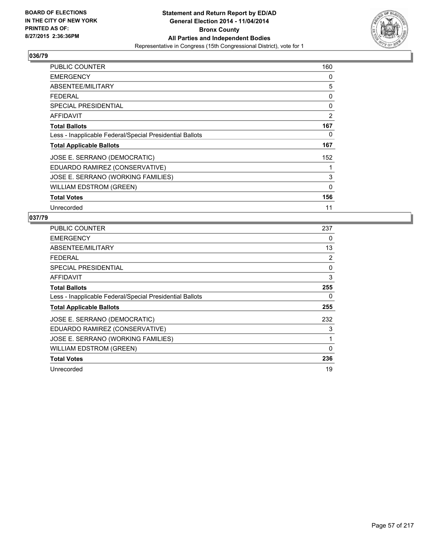

| PUBLIC COUNTER                                           | 160      |
|----------------------------------------------------------|----------|
| <b>EMERGENCY</b>                                         | 0        |
| ABSENTEE/MILITARY                                        | 5        |
| <b>FEDERAL</b>                                           | 0        |
| <b>SPECIAL PRESIDENTIAL</b>                              | 0        |
| AFFIDAVIT                                                | 2        |
| <b>Total Ballots</b>                                     | 167      |
| Less - Inapplicable Federal/Special Presidential Ballots | 0        |
| <b>Total Applicable Ballots</b>                          | 167      |
| JOSE E. SERRANO (DEMOCRATIC)                             | 152      |
| EDUARDO RAMIREZ (CONSERVATIVE)                           |          |
| JOSE E. SERRANO (WORKING FAMILIES)                       | 3        |
| WILLIAM EDSTROM (GREEN)                                  | $\Omega$ |
| <b>Total Votes</b>                                       | 156      |
| Unrecorded                                               | 11       |

| <b>PUBLIC COUNTER</b>                                    | 237 |
|----------------------------------------------------------|-----|
| <b>EMERGENCY</b>                                         | 0   |
| ABSENTEE/MILITARY                                        | 13  |
| <b>FEDERAL</b>                                           | 2   |
| <b>SPECIAL PRESIDENTIAL</b>                              | 0   |
| AFFIDAVIT                                                | 3   |
| <b>Total Ballots</b>                                     | 255 |
| Less - Inapplicable Federal/Special Presidential Ballots | 0   |
| <b>Total Applicable Ballots</b>                          | 255 |
| JOSE E. SERRANO (DEMOCRATIC)                             | 232 |
| EDUARDO RAMIREZ (CONSERVATIVE)                           | 3   |
| JOSE E. SERRANO (WORKING FAMILIES)                       | 1   |
| <b>WILLIAM EDSTROM (GREEN)</b>                           | 0   |
| <b>Total Votes</b>                                       | 236 |
| Unrecorded                                               | 19  |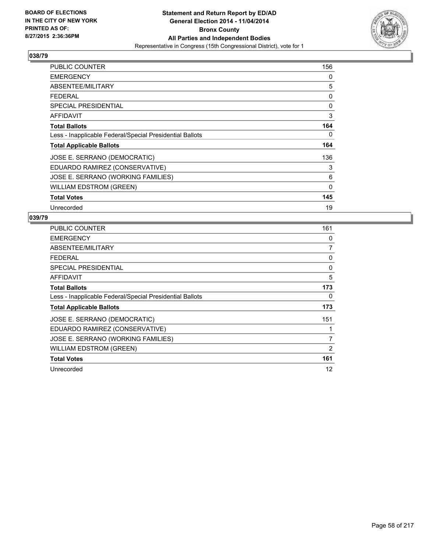

| <b>PUBLIC COUNTER</b>                                    | 156         |
|----------------------------------------------------------|-------------|
| <b>EMERGENCY</b>                                         | 0           |
| ABSENTEE/MILITARY                                        | 5           |
| <b>FEDERAL</b>                                           | 0           |
| SPECIAL PRESIDENTIAL                                     | 0           |
| AFFIDAVIT                                                | 3           |
| <b>Total Ballots</b>                                     | 164         |
| Less - Inapplicable Federal/Special Presidential Ballots | 0           |
| <b>Total Applicable Ballots</b>                          | 164         |
| JOSE E. SERRANO (DEMOCRATIC)                             | 136         |
| EDUARDO RAMIREZ (CONSERVATIVE)                           | 3           |
| JOSE E. SERRANO (WORKING FAMILIES)                       | 6           |
| <b>WILLIAM EDSTROM (GREEN)</b>                           | $\mathbf 0$ |
| <b>Total Votes</b>                                       | 145         |
| Unrecorded                                               | 19          |

| PUBLIC COUNTER                                           | 161 |
|----------------------------------------------------------|-----|
| <b>EMERGENCY</b>                                         | 0   |
| ABSENTEE/MILITARY                                        | 7   |
| <b>FEDERAL</b>                                           | 0   |
| <b>SPECIAL PRESIDENTIAL</b>                              | 0   |
| AFFIDAVIT                                                | 5   |
| <b>Total Ballots</b>                                     | 173 |
| Less - Inapplicable Federal/Special Presidential Ballots | 0   |
| <b>Total Applicable Ballots</b>                          | 173 |
| JOSE E. SERRANO (DEMOCRATIC)                             | 151 |
| EDUARDO RAMIREZ (CONSERVATIVE)                           |     |
| JOSE E. SERRANO (WORKING FAMILIES)                       | 7   |
| WILLIAM EDSTROM (GREEN)                                  | 2   |
| <b>Total Votes</b>                                       | 161 |
| Unrecorded                                               | 12  |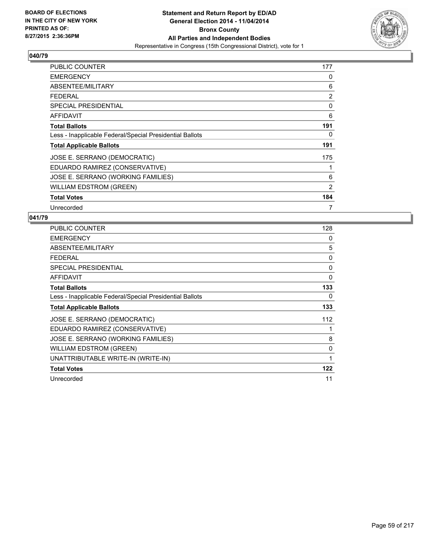

| <b>PUBLIC COUNTER</b>                                    | 177 |
|----------------------------------------------------------|-----|
| <b>EMERGENCY</b>                                         | 0   |
| ABSENTEE/MILITARY                                        | 6   |
| <b>FEDERAL</b>                                           | 2   |
| <b>SPECIAL PRESIDENTIAL</b>                              | 0   |
| AFFIDAVIT                                                | 6   |
| <b>Total Ballots</b>                                     | 191 |
| Less - Inapplicable Federal/Special Presidential Ballots | 0   |
| <b>Total Applicable Ballots</b>                          | 191 |
| JOSE E. SERRANO (DEMOCRATIC)                             | 175 |
| EDUARDO RAMIREZ (CONSERVATIVE)                           | 1   |
| JOSE E. SERRANO (WORKING FAMILIES)                       | 6   |
| <b>WILLIAM EDSTROM (GREEN)</b>                           | 2   |
| <b>Total Votes</b>                                       | 184 |
| Unrecorded                                               | 7   |

| <b>PUBLIC COUNTER</b>                                    | 128 |
|----------------------------------------------------------|-----|
| <b>EMERGENCY</b>                                         | 0   |
| ABSENTEE/MILITARY                                        | 5   |
| <b>FEDERAL</b>                                           | 0   |
| <b>SPECIAL PRESIDENTIAL</b>                              | 0   |
| <b>AFFIDAVIT</b>                                         | 0   |
| <b>Total Ballots</b>                                     | 133 |
| Less - Inapplicable Federal/Special Presidential Ballots | 0   |
| <b>Total Applicable Ballots</b>                          | 133 |
| JOSE E. SERRANO (DEMOCRATIC)                             | 112 |
| EDUARDO RAMIREZ (CONSERVATIVE)                           |     |
| JOSE E. SERRANO (WORKING FAMILIES)                       | 8   |
| <b>WILLIAM EDSTROM (GREEN)</b>                           | 0   |
| UNATTRIBUTABLE WRITE-IN (WRITE-IN)                       | 1   |
| <b>Total Votes</b>                                       | 122 |
| Unrecorded                                               | 11  |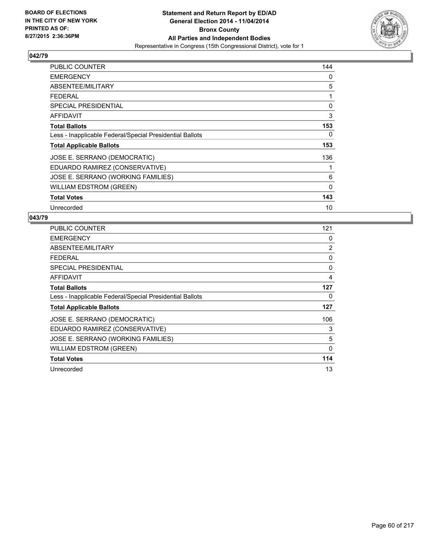

| <b>PUBLIC COUNTER</b>                                    | 144         |
|----------------------------------------------------------|-------------|
| <b>EMERGENCY</b>                                         | 0           |
| ABSENTEE/MILITARY                                        | 5           |
| <b>FEDERAL</b>                                           | 1           |
| <b>SPECIAL PRESIDENTIAL</b>                              | 0           |
| AFFIDAVIT                                                | 3           |
| <b>Total Ballots</b>                                     | 153         |
| Less - Inapplicable Federal/Special Presidential Ballots | 0           |
| <b>Total Applicable Ballots</b>                          | 153         |
| JOSE E. SERRANO (DEMOCRATIC)                             | 136         |
| EDUARDO RAMIREZ (CONSERVATIVE)                           | 1           |
| JOSE E. SERRANO (WORKING FAMILIES)                       | 6           |
| <b>WILLIAM EDSTROM (GREEN)</b>                           | $\mathbf 0$ |
| <b>Total Votes</b>                                       | 143         |
| Unrecorded                                               | 10          |

| <b>PUBLIC COUNTER</b>                                    | 121 |
|----------------------------------------------------------|-----|
| <b>EMERGENCY</b>                                         | 0   |
| ABSENTEE/MILITARY                                        | 2   |
| <b>FEDERAL</b>                                           | 0   |
| <b>SPECIAL PRESIDENTIAL</b>                              | 0   |
| AFFIDAVIT                                                | 4   |
| <b>Total Ballots</b>                                     | 127 |
| Less - Inapplicable Federal/Special Presidential Ballots | 0   |
| <b>Total Applicable Ballots</b>                          | 127 |
| JOSE E. SERRANO (DEMOCRATIC)                             | 106 |
| EDUARDO RAMIREZ (CONSERVATIVE)                           | 3   |
| JOSE E. SERRANO (WORKING FAMILIES)                       | 5   |
| <b>WILLIAM EDSTROM (GREEN)</b>                           | 0   |
| <b>Total Votes</b>                                       | 114 |
| Unrecorded                                               | 13  |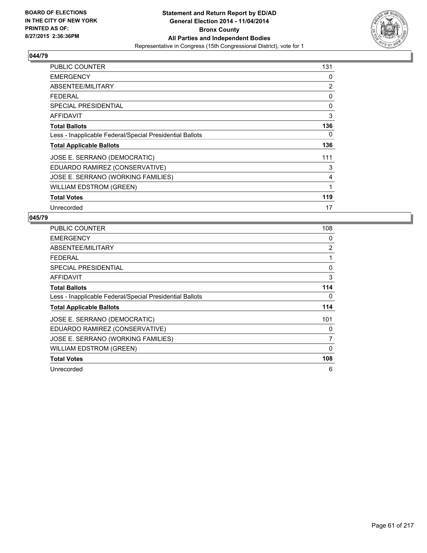

| PUBLIC COUNTER                                           | 131 |
|----------------------------------------------------------|-----|
| <b>EMERGENCY</b>                                         | 0   |
| ABSENTEE/MILITARY                                        | 2   |
| <b>FEDERAL</b>                                           | 0   |
| <b>SPECIAL PRESIDENTIAL</b>                              | 0   |
| AFFIDAVIT                                                | 3   |
| <b>Total Ballots</b>                                     | 136 |
| Less - Inapplicable Federal/Special Presidential Ballots | 0   |
| <b>Total Applicable Ballots</b>                          | 136 |
| JOSE E. SERRANO (DEMOCRATIC)                             | 111 |
| EDUARDO RAMIREZ (CONSERVATIVE)                           | 3   |
| JOSE E. SERRANO (WORKING FAMILIES)                       | 4   |
| <b>WILLIAM EDSTROM (GREEN)</b>                           | 1   |
| <b>Total Votes</b>                                       | 119 |
| Unrecorded                                               | 17  |

| <b>PUBLIC COUNTER</b>                                    | 108 |
|----------------------------------------------------------|-----|
| <b>EMERGENCY</b>                                         | 0   |
| ABSENTEE/MILITARY                                        | 2   |
| <b>FEDERAL</b>                                           | 1   |
| <b>SPECIAL PRESIDENTIAL</b>                              | 0   |
| <b>AFFIDAVIT</b>                                         | 3   |
| <b>Total Ballots</b>                                     | 114 |
| Less - Inapplicable Federal/Special Presidential Ballots | 0   |
| <b>Total Applicable Ballots</b>                          | 114 |
| JOSE E. SERRANO (DEMOCRATIC)                             | 101 |
| EDUARDO RAMIREZ (CONSERVATIVE)                           | 0   |
| JOSE E. SERRANO (WORKING FAMILIES)                       | 7   |
| <b>WILLIAM EDSTROM (GREEN)</b>                           | 0   |
| <b>Total Votes</b>                                       | 108 |
| Unrecorded                                               | 6   |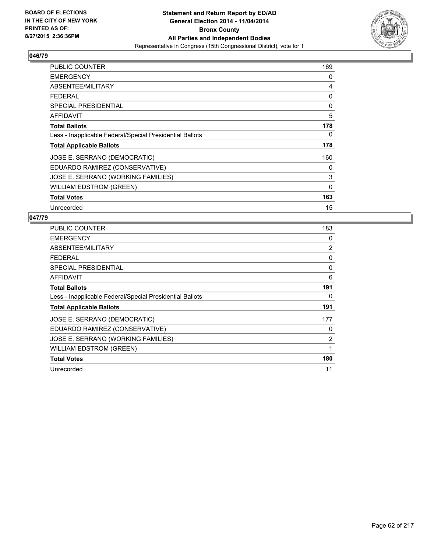

| <b>PUBLIC COUNTER</b>                                    | 169         |
|----------------------------------------------------------|-------------|
| <b>EMERGENCY</b>                                         | 0           |
| ABSENTEE/MILITARY                                        | 4           |
| <b>FEDERAL</b>                                           | 0           |
| <b>SPECIAL PRESIDENTIAL</b>                              | 0           |
| AFFIDAVIT                                                | 5           |
| <b>Total Ballots</b>                                     | 178         |
| Less - Inapplicable Federal/Special Presidential Ballots | 0           |
| <b>Total Applicable Ballots</b>                          | 178         |
| JOSE E. SERRANO (DEMOCRATIC)                             | 160         |
| EDUARDO RAMIREZ (CONSERVATIVE)                           | 0           |
| JOSE E. SERRANO (WORKING FAMILIES)                       | 3           |
| <b>WILLIAM EDSTROM (GREEN)</b>                           | $\mathbf 0$ |
| <b>Total Votes</b>                                       | 163         |
| Unrecorded                                               | 15          |

| PUBLIC COUNTER                                           | 183 |
|----------------------------------------------------------|-----|
| <b>EMERGENCY</b>                                         | 0   |
| ABSENTEE/MILITARY                                        | 2   |
| <b>FEDERAL</b>                                           | 0   |
| SPECIAL PRESIDENTIAL                                     | 0   |
| AFFIDAVIT                                                | 6   |
| <b>Total Ballots</b>                                     | 191 |
| Less - Inapplicable Federal/Special Presidential Ballots | 0   |
| <b>Total Applicable Ballots</b>                          | 191 |
| JOSE E. SERRANO (DEMOCRATIC)                             | 177 |
| EDUARDO RAMIREZ (CONSERVATIVE)                           | 0   |
| JOSE E. SERRANO (WORKING FAMILIES)                       | 2   |
| WILLIAM EDSTROM (GREEN)                                  | 1   |
| <b>Total Votes</b>                                       | 180 |
| Unrecorded                                               | 11  |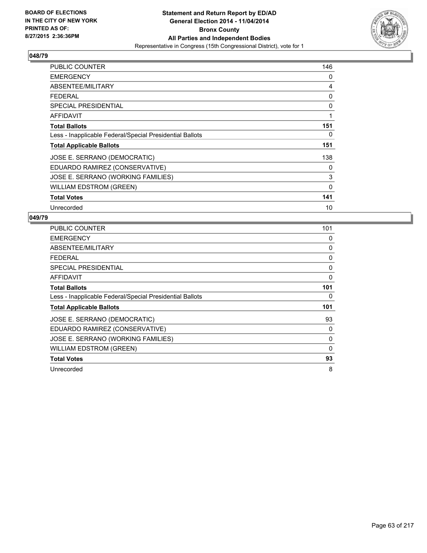

| <b>PUBLIC COUNTER</b>                                    | 146 |
|----------------------------------------------------------|-----|
| <b>EMERGENCY</b>                                         | 0   |
| ABSENTEE/MILITARY                                        | 4   |
| <b>FEDERAL</b>                                           | 0   |
| <b>SPECIAL PRESIDENTIAL</b>                              | 0   |
| AFFIDAVIT                                                | 1   |
| <b>Total Ballots</b>                                     | 151 |
| Less - Inapplicable Federal/Special Presidential Ballots | 0   |
| <b>Total Applicable Ballots</b>                          | 151 |
| JOSE E. SERRANO (DEMOCRATIC)                             | 138 |
| EDUARDO RAMIREZ (CONSERVATIVE)                           | 0   |
| JOSE E. SERRANO (WORKING FAMILIES)                       | 3   |
| WILLIAM EDSTROM (GREEN)                                  | 0   |
| <b>Total Votes</b>                                       | 141 |
| Unrecorded                                               | 10  |

| PUBLIC COUNTER                                           | 101      |
|----------------------------------------------------------|----------|
| <b>EMERGENCY</b>                                         | 0        |
| ABSENTEE/MILITARY                                        | 0        |
| <b>FEDERAL</b>                                           | 0        |
| <b>SPECIAL PRESIDENTIAL</b>                              | 0        |
| AFFIDAVIT                                                | 0        |
| <b>Total Ballots</b>                                     | 101      |
| Less - Inapplicable Federal/Special Presidential Ballots | 0        |
| <b>Total Applicable Ballots</b>                          | 101      |
| JOSE E. SERRANO (DEMOCRATIC)                             | 93       |
| EDUARDO RAMIREZ (CONSERVATIVE)                           | 0        |
| JOSE E. SERRANO (WORKING FAMILIES)                       | 0        |
| WILLIAM EDSTROM (GREEN)                                  | $\Omega$ |
| <b>Total Votes</b>                                       | 93       |
| Unrecorded                                               | 8        |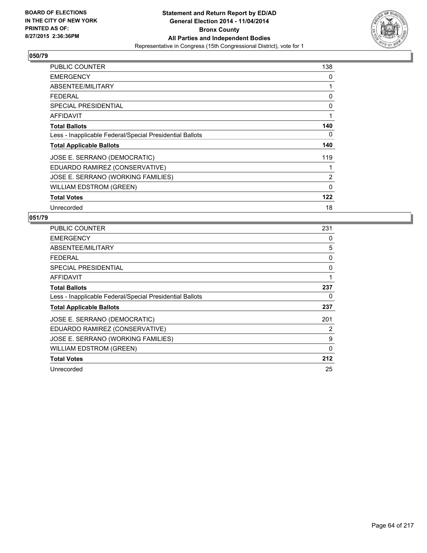

| <b>PUBLIC COUNTER</b>                                    | 138            |
|----------------------------------------------------------|----------------|
| <b>EMERGENCY</b>                                         | 0              |
| ABSENTEE/MILITARY                                        | 1              |
| <b>FEDERAL</b>                                           | 0              |
| <b>SPECIAL PRESIDENTIAL</b>                              | 0              |
| AFFIDAVIT                                                | 1              |
| <b>Total Ballots</b>                                     | 140            |
| Less - Inapplicable Federal/Special Presidential Ballots | 0              |
| <b>Total Applicable Ballots</b>                          | 140            |
| JOSE E. SERRANO (DEMOCRATIC)                             | 119            |
| EDUARDO RAMIREZ (CONSERVATIVE)                           | 1              |
| JOSE E. SERRANO (WORKING FAMILIES)                       | $\overline{2}$ |
| WILLIAM EDSTROM (GREEN)                                  | $\mathbf 0$    |
| <b>Total Votes</b>                                       | 122            |
| Unrecorded                                               | 18             |

| <b>PUBLIC COUNTER</b>                                    | 231 |
|----------------------------------------------------------|-----|
| <b>EMERGENCY</b>                                         | 0   |
| ABSENTEE/MILITARY                                        | 5   |
| <b>FEDERAL</b>                                           | 0   |
| SPECIAL PRESIDENTIAL                                     | 0   |
| <b>AFFIDAVIT</b>                                         | 1   |
| <b>Total Ballots</b>                                     | 237 |
| Less - Inapplicable Federal/Special Presidential Ballots | 0   |
| <b>Total Applicable Ballots</b>                          | 237 |
| JOSE E. SERRANO (DEMOCRATIC)                             | 201 |
| EDUARDO RAMIREZ (CONSERVATIVE)                           | 2   |
| JOSE E. SERRANO (WORKING FAMILIES)                       | 9   |
| WILLIAM EDSTROM (GREEN)                                  | 0   |
| <b>Total Votes</b>                                       | 212 |
| Unrecorded                                               | 25  |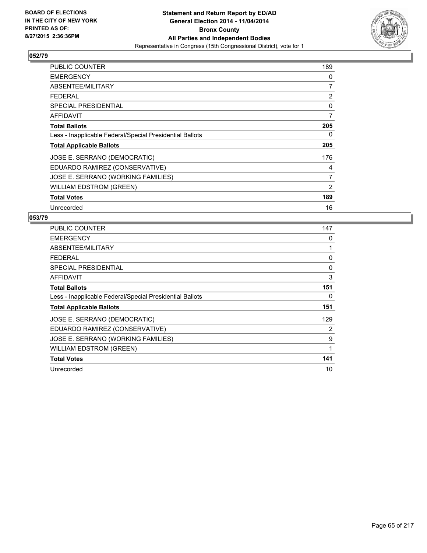

| <b>PUBLIC COUNTER</b>                                    | 189            |
|----------------------------------------------------------|----------------|
| <b>EMERGENCY</b>                                         | 0              |
| ABSENTEE/MILITARY                                        | 7              |
| <b>FEDERAL</b>                                           | 2              |
| <b>SPECIAL PRESIDENTIAL</b>                              | 0              |
| AFFIDAVIT                                                | $\overline{7}$ |
| <b>Total Ballots</b>                                     | 205            |
| Less - Inapplicable Federal/Special Presidential Ballots | 0              |
| <b>Total Applicable Ballots</b>                          | 205            |
| JOSE E. SERRANO (DEMOCRATIC)                             | 176            |
| EDUARDO RAMIREZ (CONSERVATIVE)                           | 4              |
| JOSE E. SERRANO (WORKING FAMILIES)                       | $\overline{7}$ |
| <b>WILLIAM EDSTROM (GREEN)</b>                           | 2              |
| <b>Total Votes</b>                                       | 189            |
| Unrecorded                                               | 16             |

| <b>PUBLIC COUNTER</b>                                    | 147 |
|----------------------------------------------------------|-----|
| <b>EMERGENCY</b>                                         | 0   |
| ABSENTEE/MILITARY                                        | 1   |
| <b>FEDERAL</b>                                           | 0   |
| <b>SPECIAL PRESIDENTIAL</b>                              | 0   |
| AFFIDAVIT                                                | 3   |
| <b>Total Ballots</b>                                     | 151 |
| Less - Inapplicable Federal/Special Presidential Ballots | 0   |
| <b>Total Applicable Ballots</b>                          | 151 |
| JOSE E. SERRANO (DEMOCRATIC)                             | 129 |
| EDUARDO RAMIREZ (CONSERVATIVE)                           | 2   |
| JOSE E. SERRANO (WORKING FAMILIES)                       | 9   |
| WILLIAM EDSTROM (GREEN)                                  | 1   |
| <b>Total Votes</b>                                       | 141 |
| Unrecorded                                               | 10  |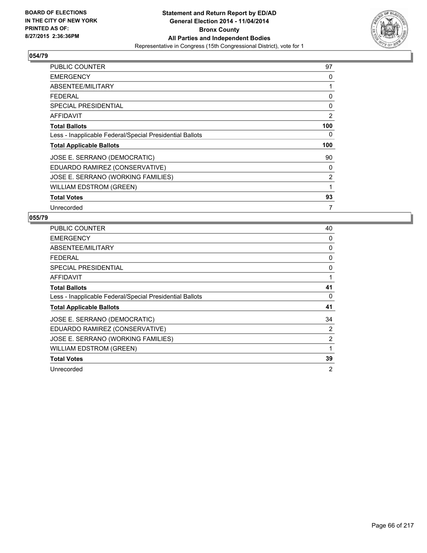

| <b>PUBLIC COUNTER</b>                                    | 97  |
|----------------------------------------------------------|-----|
| <b>EMERGENCY</b>                                         | 0   |
| ABSENTEE/MILITARY                                        | 1   |
| <b>FEDERAL</b>                                           | 0   |
| <b>SPECIAL PRESIDENTIAL</b>                              | 0   |
| AFFIDAVIT                                                | 2   |
| <b>Total Ballots</b>                                     | 100 |
| Less - Inapplicable Federal/Special Presidential Ballots | 0   |
| <b>Total Applicable Ballots</b>                          | 100 |
| JOSE E. SERRANO (DEMOCRATIC)                             | 90  |
| EDUARDO RAMIREZ (CONSERVATIVE)                           | 0   |
| JOSE E. SERRANO (WORKING FAMILIES)                       | 2   |
| <b>WILLIAM EDSTROM (GREEN)</b>                           | 1   |
| <b>Total Votes</b>                                       | 93  |
| Unrecorded                                               | 7   |

| PUBLIC COUNTER                                           | 40 |
|----------------------------------------------------------|----|
| <b>EMERGENCY</b>                                         | 0  |
| ABSENTEE/MILITARY                                        | 0  |
| <b>FEDERAL</b>                                           | 0  |
| <b>SPECIAL PRESIDENTIAL</b>                              | 0  |
| AFFIDAVIT                                                | 1  |
| <b>Total Ballots</b>                                     | 41 |
| Less - Inapplicable Federal/Special Presidential Ballots | 0  |
| <b>Total Applicable Ballots</b>                          | 41 |
| JOSE E. SERRANO (DEMOCRATIC)                             | 34 |
| EDUARDO RAMIREZ (CONSERVATIVE)                           | 2  |
| JOSE E. SERRANO (WORKING FAMILIES)                       | 2  |
| <b>WILLIAM EDSTROM (GREEN)</b>                           | 1  |
| <b>Total Votes</b>                                       | 39 |
| Unrecorded                                               | 2  |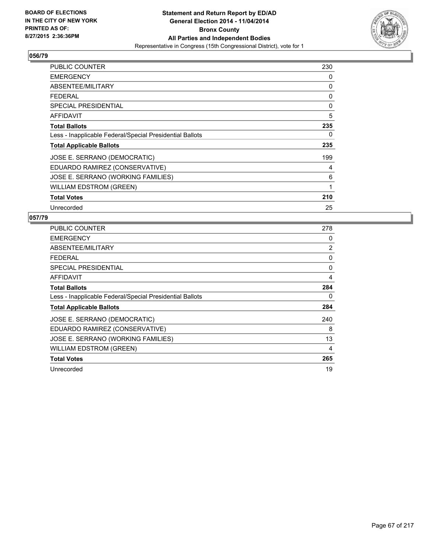

| PUBLIC COUNTER                                           | 230 |
|----------------------------------------------------------|-----|
| <b>EMERGENCY</b>                                         | 0   |
| ABSENTEE/MILITARY                                        | 0   |
| <b>FEDERAL</b>                                           | 0   |
| <b>SPECIAL PRESIDENTIAL</b>                              | 0   |
| AFFIDAVIT                                                | 5   |
| <b>Total Ballots</b>                                     | 235 |
| Less - Inapplicable Federal/Special Presidential Ballots | 0   |
| <b>Total Applicable Ballots</b>                          | 235 |
| JOSE E. SERRANO (DEMOCRATIC)                             | 199 |
| EDUARDO RAMIREZ (CONSERVATIVE)                           | 4   |
| JOSE E. SERRANO (WORKING FAMILIES)                       | 6   |
| <b>WILLIAM EDSTROM (GREEN)</b>                           | 1   |
| <b>Total Votes</b>                                       | 210 |
| Unrecorded                                               | 25  |

| PUBLIC COUNTER                                           | 278 |
|----------------------------------------------------------|-----|
| <b>EMERGENCY</b>                                         | 0   |
| ABSENTEE/MILITARY                                        | 2   |
| <b>FEDERAL</b>                                           | 0   |
| <b>SPECIAL PRESIDENTIAL</b>                              | 0   |
| AFFIDAVIT                                                | 4   |
| <b>Total Ballots</b>                                     | 284 |
| Less - Inapplicable Federal/Special Presidential Ballots | 0   |
| <b>Total Applicable Ballots</b>                          | 284 |
| JOSE E. SERRANO (DEMOCRATIC)                             | 240 |
| EDUARDO RAMIREZ (CONSERVATIVE)                           | 8   |
| JOSE E. SERRANO (WORKING FAMILIES)                       | 13  |
| WILLIAM EDSTROM (GREEN)                                  | 4   |
| <b>Total Votes</b>                                       | 265 |
| Unrecorded                                               | 19  |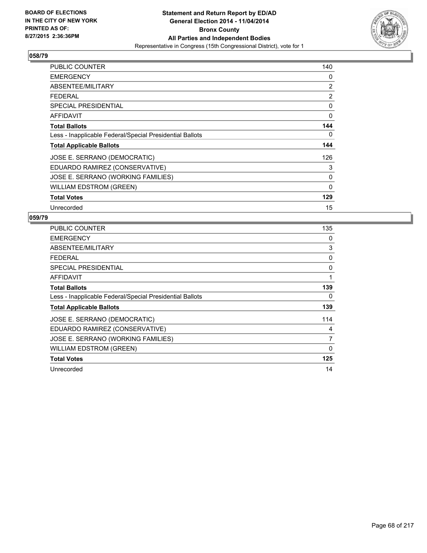

| <b>PUBLIC COUNTER</b>                                    | 140         |
|----------------------------------------------------------|-------------|
| <b>EMERGENCY</b>                                         | 0           |
| ABSENTEE/MILITARY                                        | 2           |
| <b>FEDERAL</b>                                           | 2           |
| <b>SPECIAL PRESIDENTIAL</b>                              | 0           |
| AFFIDAVIT                                                | 0           |
| <b>Total Ballots</b>                                     | 144         |
| Less - Inapplicable Federal/Special Presidential Ballots | 0           |
| <b>Total Applicable Ballots</b>                          | 144         |
| JOSE E. SERRANO (DEMOCRATIC)                             | 126         |
| EDUARDO RAMIREZ (CONSERVATIVE)                           | 3           |
| JOSE E. SERRANO (WORKING FAMILIES)                       | 0           |
| <b>WILLIAM EDSTROM (GREEN)</b>                           | $\mathbf 0$ |
| <b>Total Votes</b>                                       | 129         |
| Unrecorded                                               | 15          |

| <b>PUBLIC COUNTER</b>                                    | 135 |
|----------------------------------------------------------|-----|
| <b>EMERGENCY</b>                                         | 0   |
| ABSENTEE/MILITARY                                        | 3   |
| <b>FEDERAL</b>                                           | 0   |
| <b>SPECIAL PRESIDENTIAL</b>                              | 0   |
| <b>AFFIDAVIT</b>                                         | 1   |
| <b>Total Ballots</b>                                     | 139 |
| Less - Inapplicable Federal/Special Presidential Ballots | 0   |
| <b>Total Applicable Ballots</b>                          | 139 |
| JOSE E. SERRANO (DEMOCRATIC)                             | 114 |
| EDUARDO RAMIREZ (CONSERVATIVE)                           | 4   |
| JOSE E. SERRANO (WORKING FAMILIES)                       | 7   |
| <b>WILLIAM EDSTROM (GREEN)</b>                           | 0   |
| <b>Total Votes</b>                                       | 125 |
| Unrecorded                                               | 14  |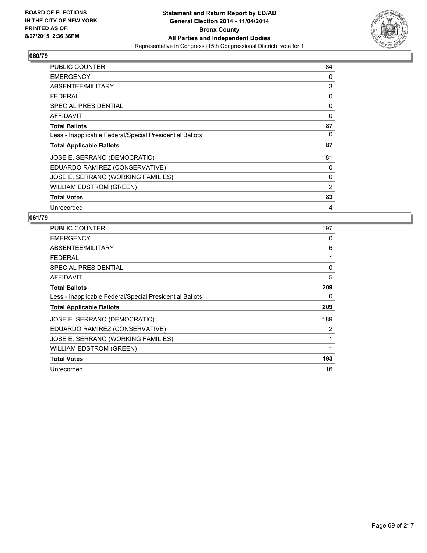

| <b>PUBLIC COUNTER</b>                                    | 84 |
|----------------------------------------------------------|----|
| <b>EMERGENCY</b>                                         | 0  |
| ABSENTEE/MILITARY                                        | 3  |
| <b>FEDERAL</b>                                           | 0  |
| SPECIAL PRESIDENTIAL                                     | 0  |
| <b>AFFIDAVIT</b>                                         | 0  |
| <b>Total Ballots</b>                                     | 87 |
| Less - Inapplicable Federal/Special Presidential Ballots | 0  |
| <b>Total Applicable Ballots</b>                          | 87 |
| JOSE E. SERRANO (DEMOCRATIC)                             | 81 |
| EDUARDO RAMIREZ (CONSERVATIVE)                           | 0  |
| JOSE E. SERRANO (WORKING FAMILIES)                       | 0  |
| <b>WILLIAM EDSTROM (GREEN)</b>                           | 2  |
| <b>Total Votes</b>                                       | 83 |
| Unrecorded                                               | 4  |

| PUBLIC COUNTER                                           | 197 |
|----------------------------------------------------------|-----|
| <b>EMERGENCY</b>                                         | 0   |
| ABSENTEE/MILITARY                                        | 6   |
| <b>FEDERAL</b>                                           | 1   |
| <b>SPECIAL PRESIDENTIAL</b>                              | 0   |
| AFFIDAVIT                                                | 5   |
| <b>Total Ballots</b>                                     | 209 |
| Less - Inapplicable Federal/Special Presidential Ballots | 0   |
| <b>Total Applicable Ballots</b>                          | 209 |
| JOSE E. SERRANO (DEMOCRATIC)                             | 189 |
| EDUARDO RAMIREZ (CONSERVATIVE)                           | 2   |
| JOSE E. SERRANO (WORKING FAMILIES)                       | 1   |
| WILLIAM EDSTROM (GREEN)                                  | 1   |
| <b>Total Votes</b>                                       | 193 |
| Unrecorded                                               | 16  |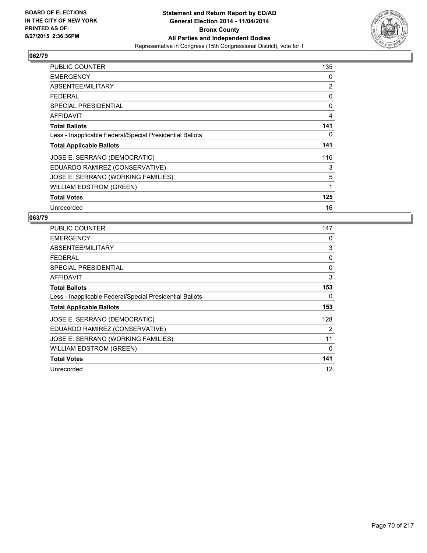

| <b>PUBLIC COUNTER</b>                                    | 135 |
|----------------------------------------------------------|-----|
| <b>EMERGENCY</b>                                         | 0   |
| ABSENTEE/MILITARY                                        | 2   |
| <b>FEDERAL</b>                                           | 0   |
| <b>SPECIAL PRESIDENTIAL</b>                              | 0   |
| AFFIDAVIT                                                | 4   |
| <b>Total Ballots</b>                                     | 141 |
| Less - Inapplicable Federal/Special Presidential Ballots | 0   |
| <b>Total Applicable Ballots</b>                          | 141 |
| JOSE E. SERRANO (DEMOCRATIC)                             | 116 |
| EDUARDO RAMIREZ (CONSERVATIVE)                           | 3   |
| JOSE E. SERRANO (WORKING FAMILIES)                       | 5   |
| WILLIAM EDSTROM (GREEN)                                  | 1   |
| <b>Total Votes</b>                                       | 125 |
| Unrecorded                                               | 16  |

| <b>PUBLIC COUNTER</b>                                    | 147 |
|----------------------------------------------------------|-----|
| <b>EMERGENCY</b>                                         | 0   |
| ABSENTEE/MILITARY                                        | 3   |
| <b>FEDERAL</b>                                           | 0   |
| <b>SPECIAL PRESIDENTIAL</b>                              | 0   |
| AFFIDAVIT                                                | 3   |
| <b>Total Ballots</b>                                     | 153 |
| Less - Inapplicable Federal/Special Presidential Ballots | 0   |
| <b>Total Applicable Ballots</b>                          | 153 |
| JOSE E. SERRANO (DEMOCRATIC)                             | 128 |
| EDUARDO RAMIREZ (CONSERVATIVE)                           | 2   |
| JOSE E. SERRANO (WORKING FAMILIES)                       | 11  |
| WILLIAM EDSTROM (GREEN)                                  | 0   |
| <b>Total Votes</b>                                       | 141 |
| Unrecorded                                               | 12  |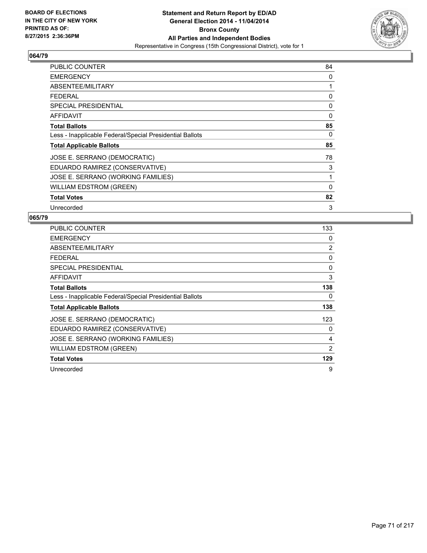

| <b>PUBLIC COUNTER</b>                                    | 84 |
|----------------------------------------------------------|----|
| <b>EMERGENCY</b>                                         | 0  |
| ABSENTEE/MILITARY                                        | 1  |
| <b>FEDERAL</b>                                           | 0  |
| <b>SPECIAL PRESIDENTIAL</b>                              | 0  |
| <b>AFFIDAVIT</b>                                         | 0  |
| <b>Total Ballots</b>                                     | 85 |
| Less - Inapplicable Federal/Special Presidential Ballots | 0  |
| <b>Total Applicable Ballots</b>                          | 85 |
| JOSE E. SERRANO (DEMOCRATIC)                             | 78 |
| EDUARDO RAMIREZ (CONSERVATIVE)                           | 3  |
| JOSE E. SERRANO (WORKING FAMILIES)                       | 1  |
| <b>WILLIAM EDSTROM (GREEN)</b>                           | 0  |
| <b>Total Votes</b>                                       | 82 |
| Unrecorded                                               | 3  |

| PUBLIC COUNTER                                           | 133 |
|----------------------------------------------------------|-----|
| <b>EMERGENCY</b>                                         | 0   |
| ABSENTEE/MILITARY                                        | 2   |
| <b>FEDERAL</b>                                           | 0   |
| <b>SPECIAL PRESIDENTIAL</b>                              | 0   |
| AFFIDAVIT                                                | 3   |
| <b>Total Ballots</b>                                     | 138 |
| Less - Inapplicable Federal/Special Presidential Ballots | 0   |
| <b>Total Applicable Ballots</b>                          | 138 |
| JOSE E. SERRANO (DEMOCRATIC)                             | 123 |
| EDUARDO RAMIREZ (CONSERVATIVE)                           | 0   |
| JOSE E. SERRANO (WORKING FAMILIES)                       | 4   |
| WILLIAM EDSTROM (GREEN)                                  | 2   |
| <b>Total Votes</b>                                       | 129 |
| Unrecorded                                               | 9   |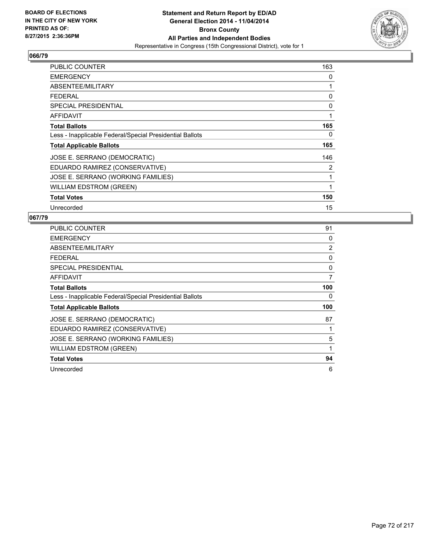

| <b>PUBLIC COUNTER</b>                                    | 163 |
|----------------------------------------------------------|-----|
| <b>EMERGENCY</b>                                         | 0   |
| ABSENTEE/MILITARY                                        | 1   |
| <b>FEDERAL</b>                                           | 0   |
| <b>SPECIAL PRESIDENTIAL</b>                              | 0   |
| AFFIDAVIT                                                | 1   |
| <b>Total Ballots</b>                                     | 165 |
| Less - Inapplicable Federal/Special Presidential Ballots | 0   |
| <b>Total Applicable Ballots</b>                          | 165 |
| JOSE E. SERRANO (DEMOCRATIC)                             | 146 |
| EDUARDO RAMIREZ (CONSERVATIVE)                           | 2   |
| JOSE E. SERRANO (WORKING FAMILIES)                       | 1   |
| <b>WILLIAM EDSTROM (GREEN)</b>                           | 1   |
| <b>Total Votes</b>                                       | 150 |
| Unrecorded                                               | 15  |

| PUBLIC COUNTER                                           | 91  |
|----------------------------------------------------------|-----|
| <b>EMERGENCY</b>                                         | 0   |
| ABSENTEE/MILITARY                                        | 2   |
| <b>FEDERAL</b>                                           | 0   |
| <b>SPECIAL PRESIDENTIAL</b>                              | 0   |
| AFFIDAVIT                                                | 7   |
| <b>Total Ballots</b>                                     | 100 |
| Less - Inapplicable Federal/Special Presidential Ballots | 0   |
| <b>Total Applicable Ballots</b>                          | 100 |
| JOSE E. SERRANO (DEMOCRATIC)                             | 87  |
| EDUARDO RAMIREZ (CONSERVATIVE)                           |     |
| JOSE E. SERRANO (WORKING FAMILIES)                       | 5   |
| WILLIAM EDSTROM (GREEN)                                  |     |
| <b>Total Votes</b>                                       | 94  |
| Unrecorded                                               | 6   |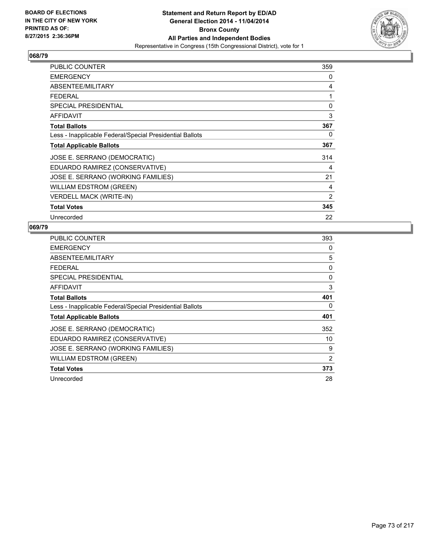

| PUBLIC COUNTER                                           | 359            |
|----------------------------------------------------------|----------------|
| <b>EMERGENCY</b>                                         | 0              |
| ABSENTEE/MILITARY                                        | 4              |
| <b>FEDERAL</b>                                           | 1              |
| <b>SPECIAL PRESIDENTIAL</b>                              | 0              |
| <b>AFFIDAVIT</b>                                         | 3              |
| <b>Total Ballots</b>                                     | 367            |
| Less - Inapplicable Federal/Special Presidential Ballots | 0              |
| <b>Total Applicable Ballots</b>                          | 367            |
| JOSE E. SERRANO (DEMOCRATIC)                             | 314            |
| EDUARDO RAMIREZ (CONSERVATIVE)                           | 4              |
| JOSE E. SERRANO (WORKING FAMILIES)                       | 21             |
| <b>WILLIAM EDSTROM (GREEN)</b>                           | 4              |
| <b>VERDELL MACK (WRITE-IN)</b>                           | $\overline{2}$ |
| <b>Total Votes</b>                                       | 345            |
| Unrecorded                                               | 22             |

| <b>PUBLIC COUNTER</b>                                    | 393 |
|----------------------------------------------------------|-----|
| <b>EMERGENCY</b>                                         | 0   |
| ABSENTEE/MILITARY                                        | 5   |
| <b>FEDERAL</b>                                           | 0   |
| <b>SPECIAL PRESIDENTIAL</b>                              | 0   |
| <b>AFFIDAVIT</b>                                         | 3   |
| <b>Total Ballots</b>                                     | 401 |
| Less - Inapplicable Federal/Special Presidential Ballots | 0   |
| <b>Total Applicable Ballots</b>                          | 401 |
| JOSE E. SERRANO (DEMOCRATIC)                             | 352 |
| EDUARDO RAMIREZ (CONSERVATIVE)                           | 10  |
| JOSE E. SERRANO (WORKING FAMILIES)                       | 9   |
| <b>WILLIAM EDSTROM (GREEN)</b>                           | 2   |
| <b>Total Votes</b>                                       | 373 |
| Unrecorded                                               | 28  |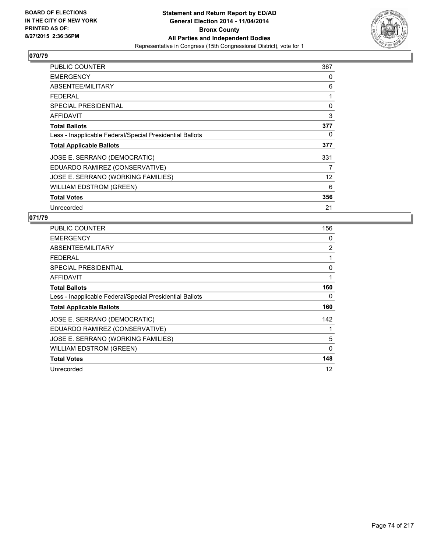

| PUBLIC COUNTER                                           | 367               |
|----------------------------------------------------------|-------------------|
| <b>EMERGENCY</b>                                         | 0                 |
| ABSENTEE/MILITARY                                        | 6                 |
| <b>FEDERAL</b>                                           | 1                 |
| SPECIAL PRESIDENTIAL                                     | 0                 |
| AFFIDAVIT                                                | 3                 |
| <b>Total Ballots</b>                                     | 377               |
| Less - Inapplicable Federal/Special Presidential Ballots | 0                 |
| <b>Total Applicable Ballots</b>                          | 377               |
| JOSE E. SERRANO (DEMOCRATIC)                             | 331               |
| EDUARDO RAMIREZ (CONSERVATIVE)                           | 7                 |
| JOSE E. SERRANO (WORKING FAMILIES)                       | $12 \overline{ }$ |
| <b>WILLIAM EDSTROM (GREEN)</b>                           | 6                 |
| <b>Total Votes</b>                                       | 356               |
| Unrecorded                                               | 21                |

| <b>PUBLIC COUNTER</b>                                    | 156      |
|----------------------------------------------------------|----------|
| <b>EMERGENCY</b>                                         | 0        |
| ABSENTEE/MILITARY                                        | 2        |
| <b>FEDERAL</b>                                           | 1        |
| <b>SPECIAL PRESIDENTIAL</b>                              | 0        |
| AFFIDAVIT                                                | 1        |
| <b>Total Ballots</b>                                     | 160      |
| Less - Inapplicable Federal/Special Presidential Ballots | 0        |
| <b>Total Applicable Ballots</b>                          | 160      |
| JOSE E. SERRANO (DEMOCRATIC)                             | 142      |
| EDUARDO RAMIREZ (CONSERVATIVE)                           | 1        |
| JOSE E. SERRANO (WORKING FAMILIES)                       | 5        |
| <b>WILLIAM EDSTROM (GREEN)</b>                           | $\Omega$ |
| <b>Total Votes</b>                                       | 148      |
| Unrecorded                                               | 12       |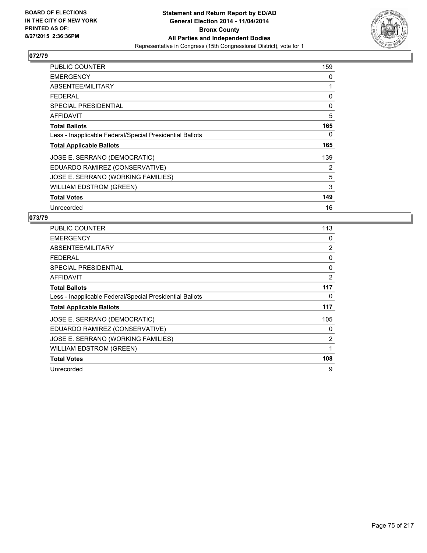

| <b>PUBLIC COUNTER</b>                                    | 159 |
|----------------------------------------------------------|-----|
| <b>EMERGENCY</b>                                         | 0   |
| ABSENTEE/MILITARY                                        | 1   |
| <b>FEDERAL</b>                                           | 0   |
| <b>SPECIAL PRESIDENTIAL</b>                              | 0   |
| AFFIDAVIT                                                | 5   |
| <b>Total Ballots</b>                                     | 165 |
| Less - Inapplicable Federal/Special Presidential Ballots | 0   |
| <b>Total Applicable Ballots</b>                          | 165 |
| JOSE E. SERRANO (DEMOCRATIC)                             | 139 |
| EDUARDO RAMIREZ (CONSERVATIVE)                           | 2   |
| JOSE E. SERRANO (WORKING FAMILIES)                       | 5   |
| <b>WILLIAM EDSTROM (GREEN)</b>                           | 3   |
| <b>Total Votes</b>                                       | 149 |
| Unrecorded                                               | 16  |

| PUBLIC COUNTER                                           | 113 |
|----------------------------------------------------------|-----|
| <b>EMERGENCY</b>                                         | 0   |
| ABSENTEE/MILITARY                                        | 2   |
| <b>FEDERAL</b>                                           | 0   |
| SPECIAL PRESIDENTIAL                                     | 0   |
| <b>AFFIDAVIT</b>                                         | 2   |
| <b>Total Ballots</b>                                     | 117 |
| Less - Inapplicable Federal/Special Presidential Ballots | 0   |
| <b>Total Applicable Ballots</b>                          | 117 |
| JOSE E. SERRANO (DEMOCRATIC)                             | 105 |
| EDUARDO RAMIREZ (CONSERVATIVE)                           | 0   |
| JOSE E. SERRANO (WORKING FAMILIES)                       | 2   |
| <b>WILLIAM EDSTROM (GREEN)</b>                           | 1   |
| <b>Total Votes</b>                                       | 108 |
| Unrecorded                                               | 9   |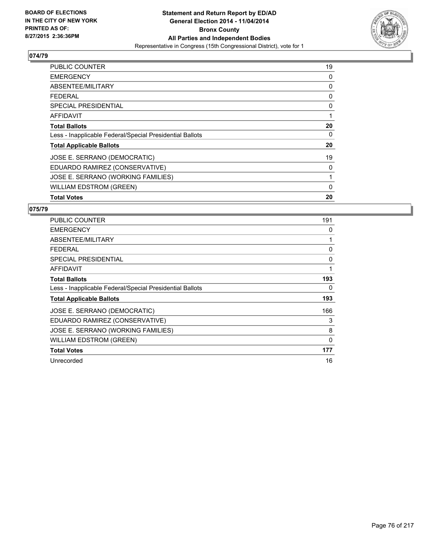

| <b>PUBLIC COUNTER</b>                                    | 19 |
|----------------------------------------------------------|----|
| <b>EMERGENCY</b>                                         | 0  |
| ABSENTEE/MILITARY                                        | 0  |
| <b>FEDERAL</b>                                           | 0  |
| <b>SPECIAL PRESIDENTIAL</b>                              | 0  |
| AFFIDAVIT                                                | 1  |
| <b>Total Ballots</b>                                     | 20 |
| Less - Inapplicable Federal/Special Presidential Ballots | 0  |
| <b>Total Applicable Ballots</b>                          | 20 |
| JOSE E. SERRANO (DEMOCRATIC)                             | 19 |
| EDUARDO RAMIREZ (CONSERVATIVE)                           | 0  |
| JOSE E. SERRANO (WORKING FAMILIES)                       | 1  |
| <b>WILLIAM EDSTROM (GREEN)</b>                           | 0  |
| <b>Total Votes</b>                                       | 20 |

| <b>PUBLIC COUNTER</b>                                    | 191 |
|----------------------------------------------------------|-----|
| <b>EMERGENCY</b>                                         | 0   |
| ABSENTEE/MILITARY                                        | 1   |
| <b>FEDERAL</b>                                           | 0   |
| SPECIAL PRESIDENTIAL                                     | 0   |
| <b>AFFIDAVIT</b>                                         | 1   |
| <b>Total Ballots</b>                                     | 193 |
| Less - Inapplicable Federal/Special Presidential Ballots | 0   |
| <b>Total Applicable Ballots</b>                          | 193 |
| JOSE E. SERRANO (DEMOCRATIC)                             | 166 |
| EDUARDO RAMIREZ (CONSERVATIVE)                           | 3   |
| JOSE E. SERRANO (WORKING FAMILIES)                       | 8   |
| <b>WILLIAM EDSTROM (GREEN)</b>                           | 0   |
| <b>Total Votes</b>                                       | 177 |
| Unrecorded                                               | 16  |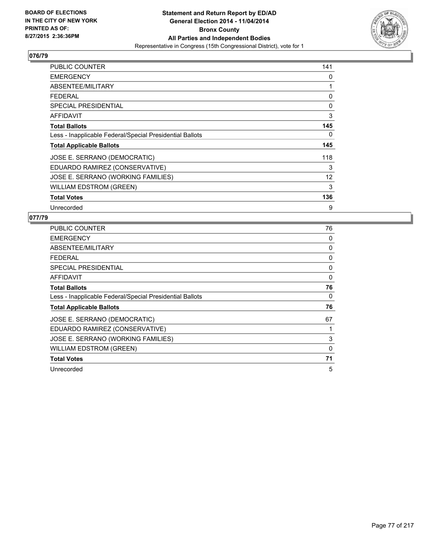

| PUBLIC COUNTER                                           | 141 |
|----------------------------------------------------------|-----|
| <b>EMERGENCY</b>                                         | 0   |
| ABSENTEE/MILITARY                                        | 1   |
| <b>FEDERAL</b>                                           | 0   |
| <b>SPECIAL PRESIDENTIAL</b>                              | 0   |
| <b>AFFIDAVIT</b>                                         | 3   |
| <b>Total Ballots</b>                                     | 145 |
| Less - Inapplicable Federal/Special Presidential Ballots | 0   |
| <b>Total Applicable Ballots</b>                          | 145 |
| JOSE E. SERRANO (DEMOCRATIC)                             | 118 |
| EDUARDO RAMIREZ (CONSERVATIVE)                           | 3   |
| JOSE E. SERRANO (WORKING FAMILIES)                       | 12  |
| WILLIAM EDSTROM (GREEN)                                  | 3   |
| <b>Total Votes</b>                                       | 136 |
| Unrecorded                                               | 9   |

| <b>PUBLIC COUNTER</b>                                    | 76       |
|----------------------------------------------------------|----------|
| <b>EMERGENCY</b>                                         | 0        |
| ABSENTEE/MILITARY                                        | 0        |
| <b>FEDERAL</b>                                           | 0        |
| <b>SPECIAL PRESIDENTIAL</b>                              | 0        |
| AFFIDAVIT                                                | 0        |
| <b>Total Ballots</b>                                     | 76       |
| Less - Inapplicable Federal/Special Presidential Ballots | 0        |
| <b>Total Applicable Ballots</b>                          | 76       |
| JOSE E. SERRANO (DEMOCRATIC)                             | 67       |
| EDUARDO RAMIREZ (CONSERVATIVE)                           | 1        |
| JOSE E. SERRANO (WORKING FAMILIES)                       | 3        |
| <b>WILLIAM EDSTROM (GREEN)</b>                           | $\Omega$ |
| <b>Total Votes</b>                                       | 71       |
| Unrecorded                                               | 5        |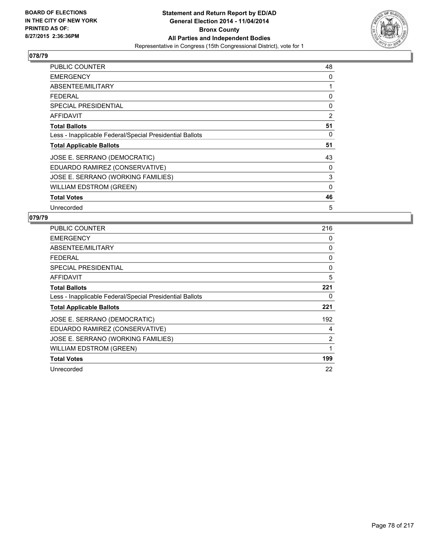

| <b>PUBLIC COUNTER</b>                                    | 48           |
|----------------------------------------------------------|--------------|
| <b>EMERGENCY</b>                                         | 0            |
| ABSENTEE/MILITARY                                        | 1            |
| <b>FEDERAL</b>                                           | 0            |
| <b>SPECIAL PRESIDENTIAL</b>                              | 0            |
| AFFIDAVIT                                                | 2            |
| <b>Total Ballots</b>                                     | 51           |
| Less - Inapplicable Federal/Special Presidential Ballots | 0            |
| <b>Total Applicable Ballots</b>                          | 51           |
| JOSE E. SERRANO (DEMOCRATIC)                             | 43           |
| EDUARDO RAMIREZ (CONSERVATIVE)                           | 0            |
| JOSE E. SERRANO (WORKING FAMILIES)                       | 3            |
| <b>WILLIAM EDSTROM (GREEN)</b>                           | $\mathbf{0}$ |
| <b>Total Votes</b>                                       | 46           |
| Unrecorded                                               | 5            |

| PUBLIC COUNTER                                           | 216 |
|----------------------------------------------------------|-----|
| <b>EMERGENCY</b>                                         | 0   |
| ABSENTEE/MILITARY                                        | 0   |
| <b>FEDERAL</b>                                           | 0   |
| <b>SPECIAL PRESIDENTIAL</b>                              | 0   |
| AFFIDAVIT                                                | 5   |
| <b>Total Ballots</b>                                     | 221 |
| Less - Inapplicable Federal/Special Presidential Ballots | 0   |
| <b>Total Applicable Ballots</b>                          | 221 |
| JOSE E. SERRANO (DEMOCRATIC)                             | 192 |
| EDUARDO RAMIREZ (CONSERVATIVE)                           | 4   |
| JOSE E. SERRANO (WORKING FAMILIES)                       | 2   |
| <b>WILLIAM EDSTROM (GREEN)</b>                           | 1   |
| <b>Total Votes</b>                                       | 199 |
| Unrecorded                                               | 22  |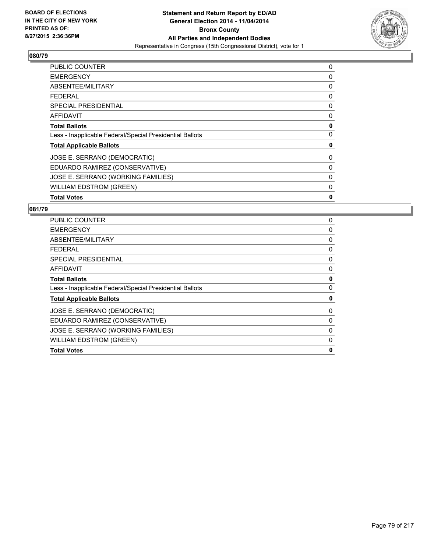

| <b>PUBLIC COUNTER</b>                                    | 0 |
|----------------------------------------------------------|---|
| <b>EMERGENCY</b>                                         | 0 |
| ABSENTEE/MILITARY                                        | 0 |
| FFDFRAI                                                  | 0 |
| <b>SPECIAL PRESIDENTIAL</b>                              | 0 |
| <b>AFFIDAVIT</b>                                         | 0 |
| <b>Total Ballots</b>                                     | 0 |
| Less - Inapplicable Federal/Special Presidential Ballots | 0 |
| <b>Total Applicable Ballots</b>                          | 0 |
| JOSE E. SERRANO (DEMOCRATIC)                             | 0 |
| EDUARDO RAMIREZ (CONSERVATIVE)                           | 0 |
| JOSE E. SERRANO (WORKING FAMILIES)                       | 0 |
| <b>WILLIAM EDSTROM (GREEN)</b>                           | 0 |
| <b>Total Votes</b>                                       | 0 |

| <b>PUBLIC COUNTER</b>                                    | 0 |
|----------------------------------------------------------|---|
| <b>EMERGENCY</b>                                         | 0 |
| ABSENTEE/MILITARY                                        | 0 |
| <b>FEDERAL</b>                                           | 0 |
| <b>SPECIAL PRESIDENTIAL</b>                              | 0 |
| <b>AFFIDAVIT</b>                                         | 0 |
| <b>Total Ballots</b>                                     | 0 |
| Less - Inapplicable Federal/Special Presidential Ballots | 0 |
| <b>Total Applicable Ballots</b>                          | 0 |
| JOSE E. SERRANO (DEMOCRATIC)                             | 0 |
| EDUARDO RAMIREZ (CONSERVATIVE)                           | 0 |
| JOSE E. SERRANO (WORKING FAMILIES)                       | 0 |
| <b>WILLIAM EDSTROM (GREEN)</b>                           | 0 |
| <b>Total Votes</b>                                       | 0 |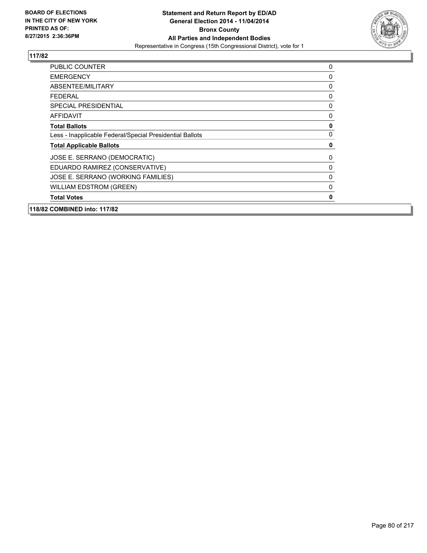

| <b>PUBLIC COUNTER</b>                                    | 0 |
|----------------------------------------------------------|---|
| <b>EMERGENCY</b>                                         | 0 |
| ABSENTEE/MILITARY                                        | 0 |
| FEDERAL                                                  | 0 |
| <b>SPECIAL PRESIDENTIAL</b>                              | 0 |
| <b>AFFIDAVIT</b>                                         | 0 |
| <b>Total Ballots</b>                                     | 0 |
| Less - Inapplicable Federal/Special Presidential Ballots | 0 |
| <b>Total Applicable Ballots</b>                          | 0 |
| JOSE E. SERRANO (DEMOCRATIC)                             | 0 |
| EDUARDO RAMIREZ (CONSERVATIVE)                           | 0 |
| JOSE E. SERRANO (WORKING FAMILIES)                       | 0 |
| <b>WILLIAM EDSTROM (GREEN)</b>                           | 0 |
| <b>Total Votes</b>                                       | 0 |
| 118/82 COMBINED into: 117/82                             |   |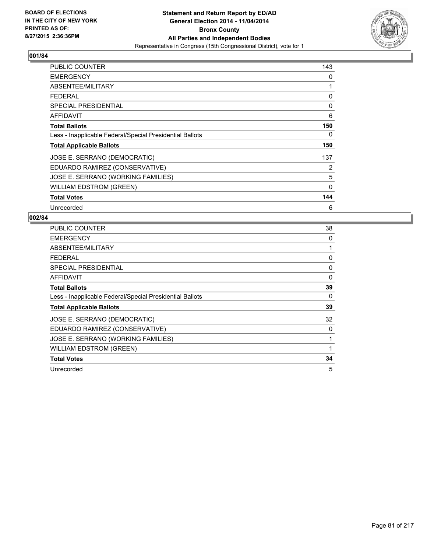

| <b>PUBLIC COUNTER</b>                                    | 143 |
|----------------------------------------------------------|-----|
| <b>EMERGENCY</b>                                         | 0   |
| ABSENTEE/MILITARY                                        | 1   |
| <b>FEDERAL</b>                                           | 0   |
| <b>SPECIAL PRESIDENTIAL</b>                              | 0   |
| AFFIDAVIT                                                | 6   |
| <b>Total Ballots</b>                                     | 150 |
| Less - Inapplicable Federal/Special Presidential Ballots | 0   |
| <b>Total Applicable Ballots</b>                          | 150 |
| JOSE E. SERRANO (DEMOCRATIC)                             | 137 |
| EDUARDO RAMIREZ (CONSERVATIVE)                           | 2   |
| JOSE E. SERRANO (WORKING FAMILIES)                       | 5   |
| <b>WILLIAM EDSTROM (GREEN)</b>                           | 0   |
| <b>Total Votes</b>                                       | 144 |
| Unrecorded                                               | 6   |

| PUBLIC COUNTER                                           | 38 |
|----------------------------------------------------------|----|
| <b>EMERGENCY</b>                                         | 0  |
| ABSENTEE/MILITARY                                        | 1  |
| <b>FEDERAL</b>                                           | 0  |
| <b>SPECIAL PRESIDENTIAL</b>                              | 0  |
| AFFIDAVIT                                                | 0  |
| <b>Total Ballots</b>                                     | 39 |
| Less - Inapplicable Federal/Special Presidential Ballots | 0  |
| <b>Total Applicable Ballots</b>                          | 39 |
| JOSE E. SERRANO (DEMOCRATIC)                             | 32 |
| EDUARDO RAMIREZ (CONSERVATIVE)                           | 0  |
| JOSE E. SERRANO (WORKING FAMILIES)                       | 1  |
| WILLIAM EDSTROM (GREEN)                                  |    |
| <b>Total Votes</b>                                       | 34 |
| Unrecorded                                               | 5  |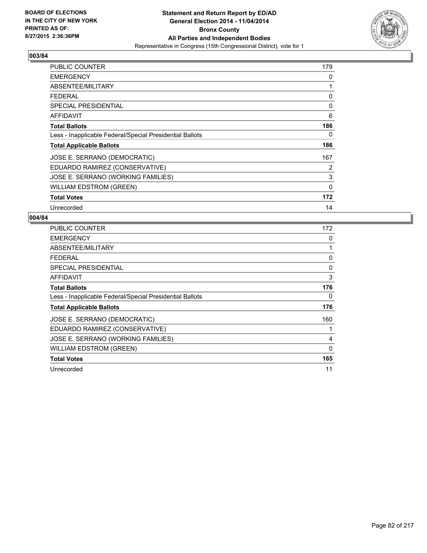

| <b>PUBLIC COUNTER</b>                                    | 179          |
|----------------------------------------------------------|--------------|
| <b>EMERGENCY</b>                                         | 0            |
| ABSENTEE/MILITARY                                        | 1            |
| <b>FEDERAL</b>                                           | 0            |
| <b>SPECIAL PRESIDENTIAL</b>                              | 0            |
| AFFIDAVIT                                                | 6            |
| <b>Total Ballots</b>                                     | 186          |
| Less - Inapplicable Federal/Special Presidential Ballots | 0            |
| <b>Total Applicable Ballots</b>                          | 186          |
| JOSE E. SERRANO (DEMOCRATIC)                             | 167          |
| EDUARDO RAMIREZ (CONSERVATIVE)                           | 2            |
| JOSE E. SERRANO (WORKING FAMILIES)                       | 3            |
| <b>WILLIAM EDSTROM (GREEN)</b>                           | $\mathbf{0}$ |
| <b>Total Votes</b>                                       | 172          |
| Unrecorded                                               | 14           |

| <b>PUBLIC COUNTER</b>                                    | 172          |
|----------------------------------------------------------|--------------|
| <b>EMERGENCY</b>                                         | 0            |
| ABSENTEE/MILITARY                                        | 1            |
| FEDERAL                                                  | 0            |
| <b>SPECIAL PRESIDENTIAL</b>                              | 0            |
| AFFIDAVIT                                                | 3            |
| <b>Total Ballots</b>                                     | 176          |
| Less - Inapplicable Federal/Special Presidential Ballots | 0            |
| <b>Total Applicable Ballots</b>                          | 176          |
| JOSE E. SERRANO (DEMOCRATIC)                             | 160          |
| EDUARDO RAMIREZ (CONSERVATIVE)                           |              |
| JOSE E. SERRANO (WORKING FAMILIES)                       | 4            |
| <b>WILLIAM EDSTROM (GREEN)</b>                           | $\mathbf{0}$ |
| <b>Total Votes</b>                                       | 165          |
| Unrecorded                                               | 11           |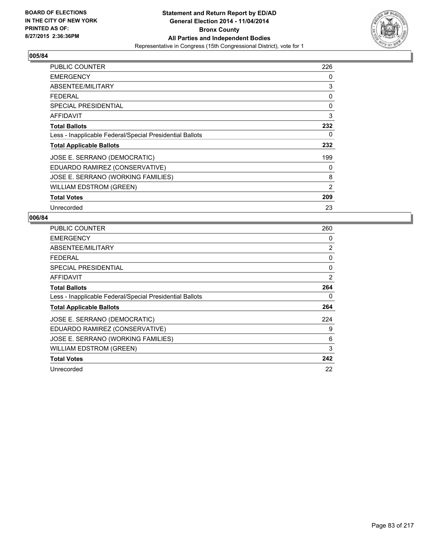

| <b>PUBLIC COUNTER</b>                                    | 226 |
|----------------------------------------------------------|-----|
| <b>EMERGENCY</b>                                         | 0   |
| ABSENTEE/MILITARY                                        | 3   |
| <b>FEDERAL</b>                                           | 0   |
| <b>SPECIAL PRESIDENTIAL</b>                              | 0   |
| AFFIDAVIT                                                | 3   |
| <b>Total Ballots</b>                                     | 232 |
| Less - Inapplicable Federal/Special Presidential Ballots | 0   |
| <b>Total Applicable Ballots</b>                          | 232 |
| JOSE E. SERRANO (DEMOCRATIC)                             | 199 |
| EDUARDO RAMIREZ (CONSERVATIVE)                           | 0   |
| JOSE E. SERRANO (WORKING FAMILIES)                       | 8   |
| <b>WILLIAM EDSTROM (GREEN)</b>                           | 2   |
| <b>Total Votes</b>                                       | 209 |
| Unrecorded                                               | 23  |

| <b>PUBLIC COUNTER</b>                                    | 260 |
|----------------------------------------------------------|-----|
| <b>EMERGENCY</b>                                         | 0   |
| ABSENTEE/MILITARY                                        | 2   |
| <b>FEDERAL</b>                                           | 0   |
| SPECIAL PRESIDENTIAL                                     | 0   |
| AFFIDAVIT                                                | 2   |
| <b>Total Ballots</b>                                     | 264 |
| Less - Inapplicable Federal/Special Presidential Ballots | 0   |
| <b>Total Applicable Ballots</b>                          | 264 |
| JOSE E. SERRANO (DEMOCRATIC)                             | 224 |
| EDUARDO RAMIREZ (CONSERVATIVE)                           | 9   |
| JOSE E. SERRANO (WORKING FAMILIES)                       | 6   |
| <b>WILLIAM EDSTROM (GREEN)</b>                           | 3   |
| <b>Total Votes</b>                                       | 242 |
| Unrecorded                                               | 22  |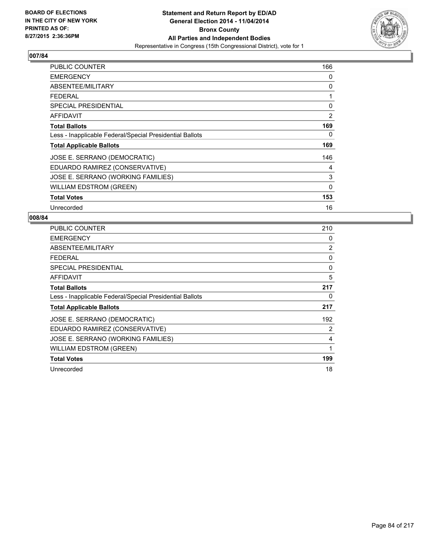

| <b>PUBLIC COUNTER</b>                                    | 166          |
|----------------------------------------------------------|--------------|
| <b>EMERGENCY</b>                                         | 0            |
| ABSENTEE/MILITARY                                        | 0            |
| <b>FEDERAL</b>                                           | 1            |
| <b>SPECIAL PRESIDENTIAL</b>                              | 0            |
| AFFIDAVIT                                                | 2            |
| <b>Total Ballots</b>                                     | 169          |
| Less - Inapplicable Federal/Special Presidential Ballots | 0            |
| <b>Total Applicable Ballots</b>                          | 169          |
| JOSE E. SERRANO (DEMOCRATIC)                             | 146          |
| EDUARDO RAMIREZ (CONSERVATIVE)                           | 4            |
| JOSE E. SERRANO (WORKING FAMILIES)                       | 3            |
| <b>WILLIAM EDSTROM (GREEN)</b>                           | $\mathbf{0}$ |
| <b>Total Votes</b>                                       | 153          |
| Unrecorded                                               | 16           |

| PUBLIC COUNTER                                           | 210 |
|----------------------------------------------------------|-----|
| <b>EMERGENCY</b>                                         | 0   |
| ABSENTEE/MILITARY                                        | 2   |
| FEDERAL                                                  | 0   |
| SPECIAL PRESIDENTIAL                                     | 0   |
| AFFIDAVIT                                                | 5   |
| <b>Total Ballots</b>                                     | 217 |
| Less - Inapplicable Federal/Special Presidential Ballots | 0   |
| <b>Total Applicable Ballots</b>                          | 217 |
| JOSE E. SERRANO (DEMOCRATIC)                             | 192 |
| EDUARDO RAMIREZ (CONSERVATIVE)                           | 2   |
| JOSE E. SERRANO (WORKING FAMILIES)                       | 4   |
| WILLIAM EDSTROM (GREEN)                                  | 1   |
| <b>Total Votes</b>                                       | 199 |
| Unrecorded                                               | 18  |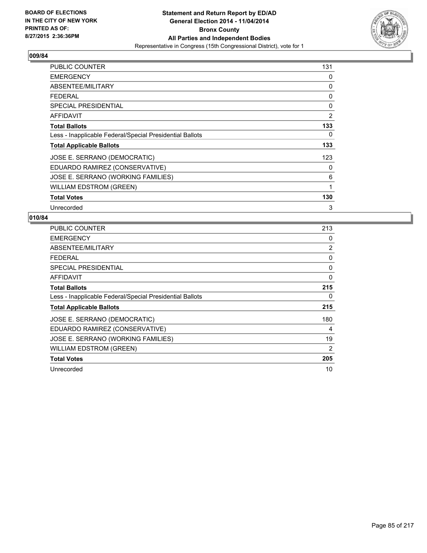

| PUBLIC COUNTER                                           | 131 |
|----------------------------------------------------------|-----|
| <b>EMERGENCY</b>                                         | 0   |
| ABSENTEE/MILITARY                                        | 0   |
| <b>FEDERAL</b>                                           | 0   |
| <b>SPECIAL PRESIDENTIAL</b>                              | 0   |
| AFFIDAVIT                                                | 2   |
| <b>Total Ballots</b>                                     | 133 |
| Less - Inapplicable Federal/Special Presidential Ballots | 0   |
| <b>Total Applicable Ballots</b>                          | 133 |
| JOSE E. SERRANO (DEMOCRATIC)                             | 123 |
| EDUARDO RAMIREZ (CONSERVATIVE)                           | 0   |
| JOSE E. SERRANO (WORKING FAMILIES)                       | 6   |
| <b>WILLIAM EDSTROM (GREEN)</b>                           | 1   |
| <b>Total Votes</b>                                       | 130 |
| Unrecorded                                               | 3   |

| <b>PUBLIC COUNTER</b>                                    | 213 |
|----------------------------------------------------------|-----|
| <b>EMERGENCY</b>                                         | 0   |
| ABSENTEE/MILITARY                                        | 2   |
| FEDERAL                                                  | 0   |
| SPECIAL PRESIDENTIAL                                     | 0   |
| <b>AFFIDAVIT</b>                                         | 0   |
| <b>Total Ballots</b>                                     | 215 |
| Less - Inapplicable Federal/Special Presidential Ballots | 0   |
| <b>Total Applicable Ballots</b>                          | 215 |
| JOSE E. SERRANO (DEMOCRATIC)                             | 180 |
| EDUARDO RAMIREZ (CONSERVATIVE)                           | 4   |
| JOSE E. SERRANO (WORKING FAMILIES)                       | 19  |
| <b>WILLIAM EDSTROM (GREEN)</b>                           | 2   |
| <b>Total Votes</b>                                       | 205 |
| Unrecorded                                               | 10  |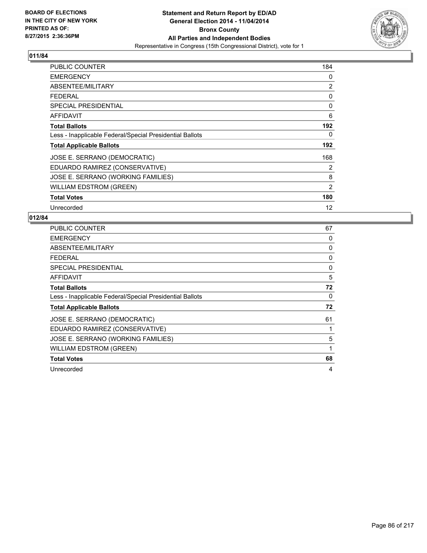

| PUBLIC COUNTER                                           | 184               |
|----------------------------------------------------------|-------------------|
| <b>EMERGENCY</b>                                         | 0                 |
| ABSENTEE/MILITARY                                        | 2                 |
| <b>FEDERAL</b>                                           | 0                 |
| <b>SPECIAL PRESIDENTIAL</b>                              | 0                 |
| <b>AFFIDAVIT</b>                                         | 6                 |
| <b>Total Ballots</b>                                     | 192               |
| Less - Inapplicable Federal/Special Presidential Ballots | 0                 |
| <b>Total Applicable Ballots</b>                          | 192               |
| JOSE E. SERRANO (DEMOCRATIC)                             | 168               |
| EDUARDO RAMIREZ (CONSERVATIVE)                           | 2                 |
| JOSE E. SERRANO (WORKING FAMILIES)                       | 8                 |
| <b>WILLIAM EDSTROM (GREEN)</b>                           | $\overline{2}$    |
| <b>Total Votes</b>                                       | 180               |
| Unrecorded                                               | $12 \overline{ }$ |

| PUBLIC COUNTER                                           | 67 |
|----------------------------------------------------------|----|
| <b>EMERGENCY</b>                                         | 0  |
| ABSENTEE/MILITARY                                        | 0  |
| <b>FEDERAL</b>                                           | 0  |
| <b>SPECIAL PRESIDENTIAL</b>                              | 0  |
| AFFIDAVIT                                                | 5  |
| <b>Total Ballots</b>                                     | 72 |
| Less - Inapplicable Federal/Special Presidential Ballots | 0  |
| <b>Total Applicable Ballots</b>                          | 72 |
| JOSE E. SERRANO (DEMOCRATIC)                             | 61 |
| EDUARDO RAMIREZ (CONSERVATIVE)                           | 1  |
| JOSE E. SERRANO (WORKING FAMILIES)                       | 5  |
| WILLIAM EDSTROM (GREEN)                                  | 1  |
| <b>Total Votes</b>                                       | 68 |
| Unrecorded                                               | 4  |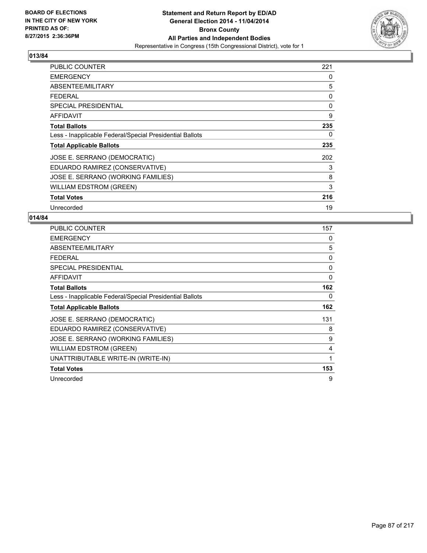

| <b>PUBLIC COUNTER</b>                                    | 221 |
|----------------------------------------------------------|-----|
| <b>EMERGENCY</b>                                         | 0   |
| ABSENTEE/MILITARY                                        | 5   |
| <b>FEDERAL</b>                                           | 0   |
| <b>SPECIAL PRESIDENTIAL</b>                              | 0   |
| AFFIDAVIT                                                | 9   |
| <b>Total Ballots</b>                                     | 235 |
| Less - Inapplicable Federal/Special Presidential Ballots | 0   |
| <b>Total Applicable Ballots</b>                          | 235 |
| JOSE E. SERRANO (DEMOCRATIC)                             | 202 |
| EDUARDO RAMIREZ (CONSERVATIVE)                           | 3   |
| JOSE E. SERRANO (WORKING FAMILIES)                       | 8   |
| <b>WILLIAM EDSTROM (GREEN)</b>                           | 3   |
| <b>Total Votes</b>                                       | 216 |
| Unrecorded                                               | 19  |

| <b>PUBLIC COUNTER</b>                                    | 157 |
|----------------------------------------------------------|-----|
| <b>EMERGENCY</b>                                         | 0   |
| ABSENTEE/MILITARY                                        | 5   |
| <b>FEDERAL</b>                                           | 0   |
| <b>SPECIAL PRESIDENTIAL</b>                              | 0   |
| <b>AFFIDAVIT</b>                                         | 0   |
| <b>Total Ballots</b>                                     | 162 |
| Less - Inapplicable Federal/Special Presidential Ballots | 0   |
| <b>Total Applicable Ballots</b>                          | 162 |
| JOSE E. SERRANO (DEMOCRATIC)                             | 131 |
| EDUARDO RAMIREZ (CONSERVATIVE)                           | 8   |
| JOSE E. SERRANO (WORKING FAMILIES)                       | 9   |
| <b>WILLIAM EDSTROM (GREEN)</b>                           | 4   |
| UNATTRIBUTABLE WRITE-IN (WRITE-IN)                       | 1   |
| <b>Total Votes</b>                                       | 153 |
| Unrecorded                                               | 9   |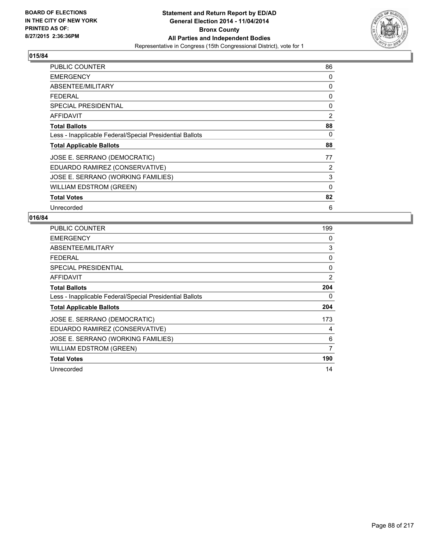

| <b>PUBLIC COUNTER</b>                                    | 86 |
|----------------------------------------------------------|----|
| <b>EMERGENCY</b>                                         | 0  |
| ABSENTEE/MILITARY                                        | 0  |
| <b>FEDERAL</b>                                           | 0  |
| <b>SPECIAL PRESIDENTIAL</b>                              | 0  |
| AFFIDAVIT                                                | 2  |
| <b>Total Ballots</b>                                     | 88 |
| Less - Inapplicable Federal/Special Presidential Ballots | 0  |
| <b>Total Applicable Ballots</b>                          | 88 |
| JOSE E. SERRANO (DEMOCRATIC)                             | 77 |
| EDUARDO RAMIREZ (CONSERVATIVE)                           | 2  |
| JOSE E. SERRANO (WORKING FAMILIES)                       | 3  |
| <b>WILLIAM EDSTROM (GREEN)</b>                           | 0  |
| <b>Total Votes</b>                                       | 82 |
| Unrecorded                                               | 6  |

| PUBLIC COUNTER                                           | 199 |
|----------------------------------------------------------|-----|
| <b>EMERGENCY</b>                                         | 0   |
| ABSENTEE/MILITARY                                        | 3   |
| FEDERAL                                                  | 0   |
| SPECIAL PRESIDENTIAL                                     | 0   |
| AFFIDAVIT                                                | 2   |
| <b>Total Ballots</b>                                     | 204 |
| Less - Inapplicable Federal/Special Presidential Ballots | 0   |
| <b>Total Applicable Ballots</b>                          | 204 |
| JOSE E. SERRANO (DEMOCRATIC)                             | 173 |
| EDUARDO RAMIREZ (CONSERVATIVE)                           | 4   |
| JOSE E. SERRANO (WORKING FAMILIES)                       | 6   |
| <b>WILLIAM EDSTROM (GREEN)</b>                           | 7   |
| <b>Total Votes</b>                                       | 190 |
| Unrecorded                                               | 14  |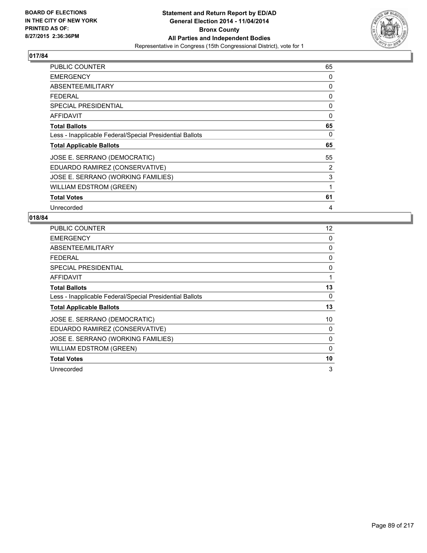

| <b>PUBLIC COUNTER</b>                                    | 65 |
|----------------------------------------------------------|----|
| <b>EMERGENCY</b>                                         | 0  |
| ABSENTEE/MILITARY                                        | 0  |
| <b>FEDERAL</b>                                           | 0  |
| <b>SPECIAL PRESIDENTIAL</b>                              | 0  |
| AFFIDAVIT                                                | 0  |
| <b>Total Ballots</b>                                     | 65 |
| Less - Inapplicable Federal/Special Presidential Ballots | 0  |
| <b>Total Applicable Ballots</b>                          | 65 |
| JOSE E. SERRANO (DEMOCRATIC)                             | 55 |
| EDUARDO RAMIREZ (CONSERVATIVE)                           | 2  |
| JOSE E. SERRANO (WORKING FAMILIES)                       | 3  |
| <b>WILLIAM EDSTROM (GREEN)</b>                           | 1  |
| <b>Total Votes</b>                                       | 61 |
| Unrecorded                                               | 4  |

| <b>PUBLIC COUNTER</b>                                    | 12 |
|----------------------------------------------------------|----|
| <b>EMERGENCY</b>                                         | 0  |
| ABSENTEE/MILITARY                                        | 0  |
| <b>FEDERAL</b>                                           | 0  |
| <b>SPECIAL PRESIDENTIAL</b>                              | 0  |
| <b>AFFIDAVIT</b>                                         | 1  |
| <b>Total Ballots</b>                                     | 13 |
| Less - Inapplicable Federal/Special Presidential Ballots | 0  |
| <b>Total Applicable Ballots</b>                          | 13 |
| JOSE E. SERRANO (DEMOCRATIC)                             | 10 |
| EDUARDO RAMIREZ (CONSERVATIVE)                           | 0  |
| JOSE E. SERRANO (WORKING FAMILIES)                       | 0  |
| <b>WILLIAM EDSTROM (GREEN)</b>                           | 0  |
| <b>Total Votes</b>                                       | 10 |
| Unrecorded                                               | 3  |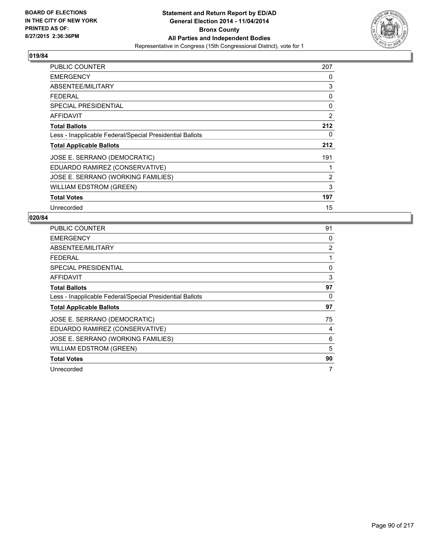

| PUBLIC COUNTER                                           | 207            |
|----------------------------------------------------------|----------------|
| <b>EMERGENCY</b>                                         | 0              |
| ABSENTEE/MILITARY                                        | 3              |
| <b>FEDERAL</b>                                           | 0              |
| <b>SPECIAL PRESIDENTIAL</b>                              | 0              |
| AFFIDAVIT                                                | 2              |
| <b>Total Ballots</b>                                     | 212            |
| Less - Inapplicable Federal/Special Presidential Ballots | 0              |
| <b>Total Applicable Ballots</b>                          | 212            |
| JOSE E. SERRANO (DEMOCRATIC)                             | 191            |
| EDUARDO RAMIREZ (CONSERVATIVE)                           | 1              |
| JOSE E. SERRANO (WORKING FAMILIES)                       | $\overline{2}$ |
| <b>WILLIAM EDSTROM (GREEN)</b>                           | 3              |
| <b>Total Votes</b>                                       | 197            |
| Unrecorded                                               | 15             |

| PUBLIC COUNTER                                           | 91 |
|----------------------------------------------------------|----|
| <b>EMERGENCY</b>                                         | 0  |
| ABSENTEE/MILITARY                                        | 2  |
| <b>FEDERAL</b>                                           | 1  |
| <b>SPECIAL PRESIDENTIAL</b>                              | 0  |
| AFFIDAVIT                                                | 3  |
| <b>Total Ballots</b>                                     | 97 |
| Less - Inapplicable Federal/Special Presidential Ballots | 0  |
| <b>Total Applicable Ballots</b>                          | 97 |
| JOSE E. SERRANO (DEMOCRATIC)                             | 75 |
| EDUARDO RAMIREZ (CONSERVATIVE)                           | 4  |
| JOSE E. SERRANO (WORKING FAMILIES)                       | 6  |
| WILLIAM EDSTROM (GREEN)                                  | 5  |
| <b>Total Votes</b>                                       | 90 |
| Unrecorded                                               | 7  |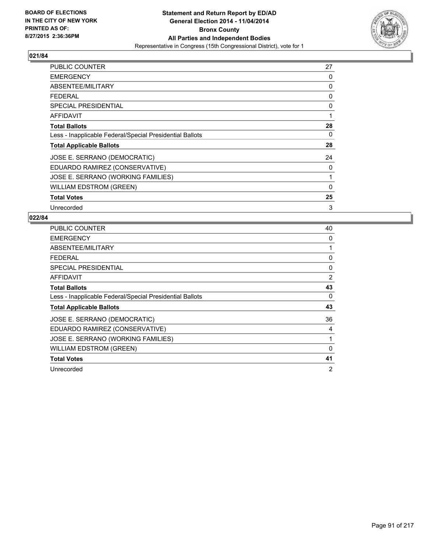

| <b>PUBLIC COUNTER</b>                                    | 27 |
|----------------------------------------------------------|----|
| <b>EMERGENCY</b>                                         | 0  |
| ABSENTEE/MILITARY                                        | 0  |
| <b>FEDERAL</b>                                           | 0  |
| <b>SPECIAL PRESIDENTIAL</b>                              | 0  |
| <b>AFFIDAVIT</b>                                         | 1  |
| <b>Total Ballots</b>                                     | 28 |
| Less - Inapplicable Federal/Special Presidential Ballots | 0  |
| <b>Total Applicable Ballots</b>                          | 28 |
| JOSE E. SERRANO (DEMOCRATIC)                             | 24 |
| EDUARDO RAMIREZ (CONSERVATIVE)                           | 0  |
| JOSE E. SERRANO (WORKING FAMILIES)                       | 1  |
| WILLIAM EDSTROM (GREEN)                                  | 0  |
| <b>Total Votes</b>                                       | 25 |
| Unrecorded                                               | 3  |

| <b>PUBLIC COUNTER</b>                                    | 40 |
|----------------------------------------------------------|----|
| <b>EMERGENCY</b>                                         | 0  |
| ABSENTEE/MILITARY                                        | 1  |
| <b>FEDERAL</b>                                           | 0  |
| <b>SPECIAL PRESIDENTIAL</b>                              | 0  |
| AFFIDAVIT                                                | 2  |
| <b>Total Ballots</b>                                     | 43 |
| Less - Inapplicable Federal/Special Presidential Ballots | 0  |
| <b>Total Applicable Ballots</b>                          | 43 |
| JOSE E. SERRANO (DEMOCRATIC)                             | 36 |
| EDUARDO RAMIREZ (CONSERVATIVE)                           | 4  |
| JOSE E. SERRANO (WORKING FAMILIES)                       | 1  |
| <b>WILLIAM EDSTROM (GREEN)</b>                           | 0  |
| <b>Total Votes</b>                                       | 41 |
| Unrecorded                                               | 2  |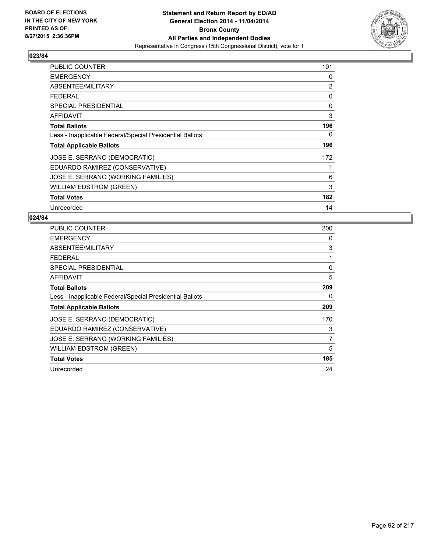

| PUBLIC COUNTER                                           | 191 |
|----------------------------------------------------------|-----|
| <b>EMERGENCY</b>                                         | 0   |
| ABSENTEE/MILITARY                                        | 2   |
| <b>FEDERAL</b>                                           | 0   |
| <b>SPECIAL PRESIDENTIAL</b>                              | 0   |
| <b>AFFIDAVIT</b>                                         | 3   |
| <b>Total Ballots</b>                                     | 196 |
| Less - Inapplicable Federal/Special Presidential Ballots | 0   |
| <b>Total Applicable Ballots</b>                          | 196 |
| JOSE E. SERRANO (DEMOCRATIC)                             | 172 |
| EDUARDO RAMIREZ (CONSERVATIVE)                           | 1   |
| JOSE E. SERRANO (WORKING FAMILIES)                       | 6   |
| <b>WILLIAM EDSTROM (GREEN)</b>                           | 3   |
| <b>Total Votes</b>                                       | 182 |
| Unrecorded                                               | 14  |

| <b>PUBLIC COUNTER</b>                                    | 200 |
|----------------------------------------------------------|-----|
| <b>EMERGENCY</b>                                         | 0   |
| ABSENTEE/MILITARY                                        | 3   |
| <b>FEDERAL</b>                                           | 1   |
| SPECIAL PRESIDENTIAL                                     | 0   |
| <b>AFFIDAVIT</b>                                         | 5   |
| <b>Total Ballots</b>                                     | 209 |
| Less - Inapplicable Federal/Special Presidential Ballots | 0   |
| <b>Total Applicable Ballots</b>                          | 209 |
| JOSE E. SERRANO (DEMOCRATIC)                             | 170 |
| EDUARDO RAMIREZ (CONSERVATIVE)                           | 3   |
| JOSE E. SERRANO (WORKING FAMILIES)                       | 7   |
| WILLIAM EDSTROM (GREEN)                                  | 5   |
| <b>Total Votes</b>                                       | 185 |
| Unrecorded                                               | 24  |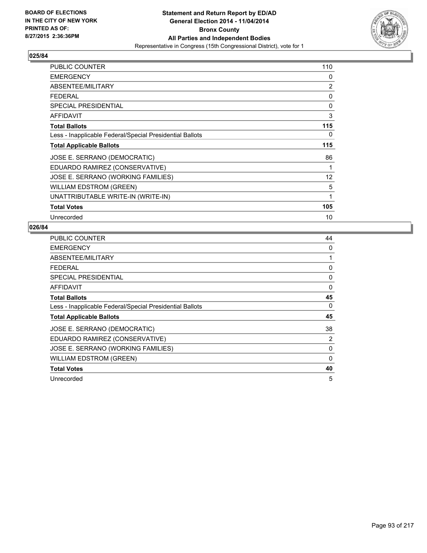

| <b>PUBLIC COUNTER</b>                                    | 110               |
|----------------------------------------------------------|-------------------|
| <b>EMERGENCY</b>                                         | 0                 |
| ABSENTEE/MILITARY                                        | $\overline{2}$    |
| <b>FEDERAL</b>                                           | 0                 |
| <b>SPECIAL PRESIDENTIAL</b>                              | 0                 |
| <b>AFFIDAVIT</b>                                         | 3                 |
| <b>Total Ballots</b>                                     | 115               |
| Less - Inapplicable Federal/Special Presidential Ballots | 0                 |
| <b>Total Applicable Ballots</b>                          | 115               |
| JOSE E. SERRANO (DEMOCRATIC)                             | 86                |
| EDUARDO RAMIREZ (CONSERVATIVE)                           | 1                 |
| JOSE E. SERRANO (WORKING FAMILIES)                       | $12 \overline{ }$ |
|                                                          |                   |
| <b>WILLIAM EDSTROM (GREEN)</b>                           | 5                 |
| UNATTRIBUTABLE WRITE-IN (WRITE-IN)                       | 1                 |
| <b>Total Votes</b>                                       | 105               |

| PUBLIC COUNTER                                           | 44       |
|----------------------------------------------------------|----------|
| <b>EMERGENCY</b>                                         | 0        |
| ABSENTEE/MILITARY                                        | 1        |
| <b>FEDERAL</b>                                           | 0        |
| <b>SPECIAL PRESIDENTIAL</b>                              | 0        |
| AFFIDAVIT                                                | $\Omega$ |
| <b>Total Ballots</b>                                     | 45       |
| Less - Inapplicable Federal/Special Presidential Ballots | 0        |
| <b>Total Applicable Ballots</b>                          | 45       |
| JOSE E. SERRANO (DEMOCRATIC)                             | 38       |
| EDUARDO RAMIREZ (CONSERVATIVE)                           | 2        |
| JOSE E. SERRANO (WORKING FAMILIES)                       | 0        |
| <b>WILLIAM EDSTROM (GREEN)</b>                           | $\Omega$ |
| <b>Total Votes</b>                                       | 40       |
| Unrecorded                                               | 5        |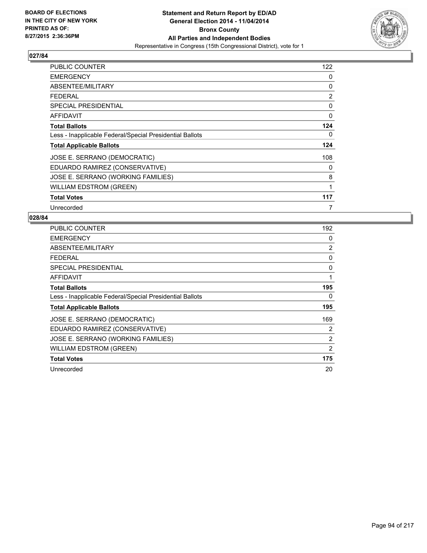

| PUBLIC COUNTER                                           | 122 |
|----------------------------------------------------------|-----|
| <b>EMERGENCY</b>                                         | 0   |
| ABSENTEE/MILITARY                                        | 0   |
| <b>FEDERAL</b>                                           | 2   |
| <b>SPECIAL PRESIDENTIAL</b>                              | 0   |
| AFFIDAVIT                                                | 0   |
| <b>Total Ballots</b>                                     | 124 |
| Less - Inapplicable Federal/Special Presidential Ballots | 0   |
| <b>Total Applicable Ballots</b>                          | 124 |
| JOSE E. SERRANO (DEMOCRATIC)                             | 108 |
| EDUARDO RAMIREZ (CONSERVATIVE)                           | 0   |
| JOSE E. SERRANO (WORKING FAMILIES)                       | 8   |
| WILLIAM EDSTROM (GREEN)                                  | 1   |
| <b>Total Votes</b>                                       | 117 |
| Unrecorded                                               | 7   |

| <b>PUBLIC COUNTER</b>                                    | 192 |
|----------------------------------------------------------|-----|
| <b>EMERGENCY</b>                                         | 0   |
| ABSENTEE/MILITARY                                        | 2   |
| <b>FEDERAL</b>                                           | 0   |
| SPECIAL PRESIDENTIAL                                     | 0   |
| <b>AFFIDAVIT</b>                                         | 1   |
| <b>Total Ballots</b>                                     | 195 |
| Less - Inapplicable Federal/Special Presidential Ballots | 0   |
| <b>Total Applicable Ballots</b>                          | 195 |
| JOSE E. SERRANO (DEMOCRATIC)                             | 169 |
| EDUARDO RAMIREZ (CONSERVATIVE)                           | 2   |
| JOSE E. SERRANO (WORKING FAMILIES)                       | 2   |
| <b>WILLIAM EDSTROM (GREEN)</b>                           | 2   |
| <b>Total Votes</b>                                       | 175 |
| Unrecorded                                               | 20  |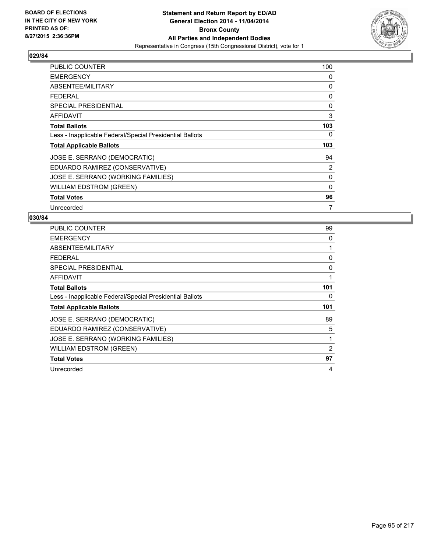

| PUBLIC COUNTER                                           | 100 |
|----------------------------------------------------------|-----|
| <b>EMERGENCY</b>                                         | 0   |
| ABSENTEE/MILITARY                                        | 0   |
| <b>FEDERAL</b>                                           | 0   |
| <b>SPECIAL PRESIDENTIAL</b>                              | 0   |
| <b>AFFIDAVIT</b>                                         | 3   |
| <b>Total Ballots</b>                                     | 103 |
| Less - Inapplicable Federal/Special Presidential Ballots | 0   |
| <b>Total Applicable Ballots</b>                          | 103 |
| JOSE E. SERRANO (DEMOCRATIC)                             | 94  |
| EDUARDO RAMIREZ (CONSERVATIVE)                           | 2   |
| JOSE E. SERRANO (WORKING FAMILIES)                       | 0   |
| <b>WILLIAM EDSTROM (GREEN)</b>                           | 0   |
| <b>Total Votes</b>                                       | 96  |
| Unrecorded                                               | 7   |

| PUBLIC COUNTER                                           | 99  |
|----------------------------------------------------------|-----|
| <b>EMERGENCY</b>                                         | 0   |
| ABSENTEE/MILITARY                                        | 1   |
| <b>FEDERAL</b>                                           | 0   |
| <b>SPECIAL PRESIDENTIAL</b>                              | 0   |
| AFFIDAVIT                                                | 1   |
| <b>Total Ballots</b>                                     | 101 |
| Less - Inapplicable Federal/Special Presidential Ballots | 0   |
| <b>Total Applicable Ballots</b>                          | 101 |
| JOSE E. SERRANO (DEMOCRATIC)                             | 89  |
| EDUARDO RAMIREZ (CONSERVATIVE)                           | 5   |
| JOSE E. SERRANO (WORKING FAMILIES)                       | 1   |
| <b>WILLIAM EDSTROM (GREEN)</b>                           | 2   |
| <b>Total Votes</b>                                       | 97  |
| Unrecorded                                               | 4   |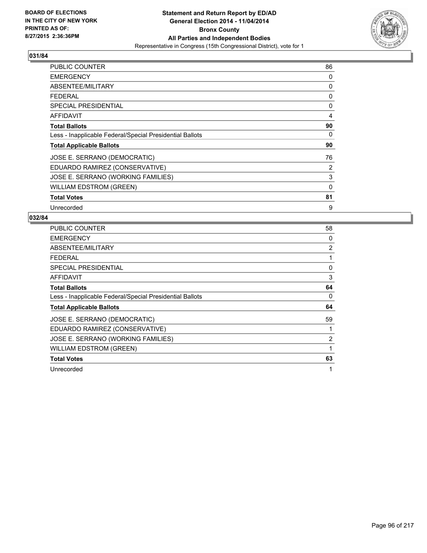

| <b>PUBLIC COUNTER</b>                                    | 86       |
|----------------------------------------------------------|----------|
| <b>EMERGENCY</b>                                         | 0        |
| ABSENTEE/MILITARY                                        | 0        |
| <b>FEDERAL</b>                                           | 0        |
| <b>SPECIAL PRESIDENTIAL</b>                              | 0        |
| AFFIDAVIT                                                | 4        |
| <b>Total Ballots</b>                                     | 90       |
| Less - Inapplicable Federal/Special Presidential Ballots | 0        |
| <b>Total Applicable Ballots</b>                          | 90       |
| JOSE E. SERRANO (DEMOCRATIC)                             | 76       |
| EDUARDO RAMIREZ (CONSERVATIVE)                           | 2        |
| JOSE E. SERRANO (WORKING FAMILIES)                       | 3        |
| WILLIAM EDSTROM (GREEN)                                  | $\Omega$ |
| <b>Total Votes</b>                                       | 81       |
| Unrecorded                                               | 9        |

| <b>PUBLIC COUNTER</b>                                    | 58 |
|----------------------------------------------------------|----|
| <b>EMERGENCY</b>                                         | 0  |
| ABSENTEE/MILITARY                                        | 2  |
| <b>FEDERAL</b>                                           | 1  |
| <b>SPECIAL PRESIDENTIAL</b>                              | 0  |
| AFFIDAVIT                                                | 3  |
| <b>Total Ballots</b>                                     | 64 |
| Less - Inapplicable Federal/Special Presidential Ballots | 0  |
| <b>Total Applicable Ballots</b>                          | 64 |
| JOSE E. SERRANO (DEMOCRATIC)                             | 59 |
| EDUARDO RAMIREZ (CONSERVATIVE)                           | 1  |
| JOSE E. SERRANO (WORKING FAMILIES)                       | 2  |
| <b>WILLIAM EDSTROM (GREEN)</b>                           | 1  |
| <b>Total Votes</b>                                       | 63 |
| Unrecorded                                               | 1  |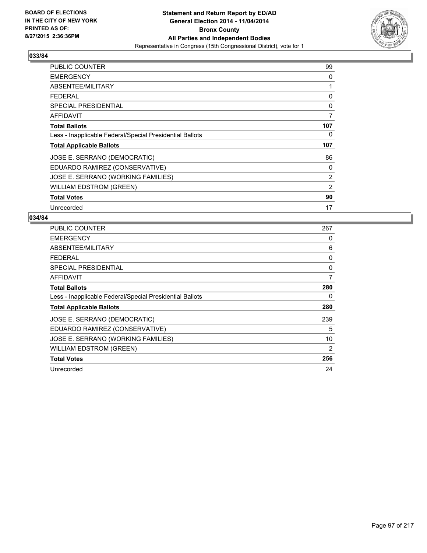

| <b>PUBLIC COUNTER</b>                                    | 99             |
|----------------------------------------------------------|----------------|
| <b>EMERGENCY</b>                                         | 0              |
| ABSENTEE/MILITARY                                        | 1              |
| <b>FEDERAL</b>                                           | 0              |
| SPECIAL PRESIDENTIAL                                     | 0              |
| <b>AFFIDAVIT</b>                                         | $\overline{7}$ |
| <b>Total Ballots</b>                                     | 107            |
| Less - Inapplicable Federal/Special Presidential Ballots | 0              |
| <b>Total Applicable Ballots</b>                          | 107            |
| JOSE E. SERRANO (DEMOCRATIC)                             | 86             |
| EDUARDO RAMIREZ (CONSERVATIVE)                           | 0              |
| JOSE E. SERRANO (WORKING FAMILIES)                       | 2              |
| <b>WILLIAM EDSTROM (GREEN)</b>                           | 2              |
| <b>Total Votes</b>                                       | 90             |
| Unrecorded                                               | 17             |

| <b>PUBLIC COUNTER</b>                                    | 267 |
|----------------------------------------------------------|-----|
| <b>EMERGENCY</b>                                         | 0   |
| ABSENTEE/MILITARY                                        | 6   |
| <b>FEDERAL</b>                                           | 0   |
| SPECIAL PRESIDENTIAL                                     | 0   |
| <b>AFFIDAVIT</b>                                         | 7   |
| <b>Total Ballots</b>                                     | 280 |
| Less - Inapplicable Federal/Special Presidential Ballots | 0   |
| <b>Total Applicable Ballots</b>                          | 280 |
| JOSE E. SERRANO (DEMOCRATIC)                             | 239 |
| EDUARDO RAMIREZ (CONSERVATIVE)                           | 5   |
| JOSE E. SERRANO (WORKING FAMILIES)                       | 10  |
| WILLIAM EDSTROM (GREEN)                                  | 2   |
| <b>Total Votes</b>                                       | 256 |
| Unrecorded                                               | 24  |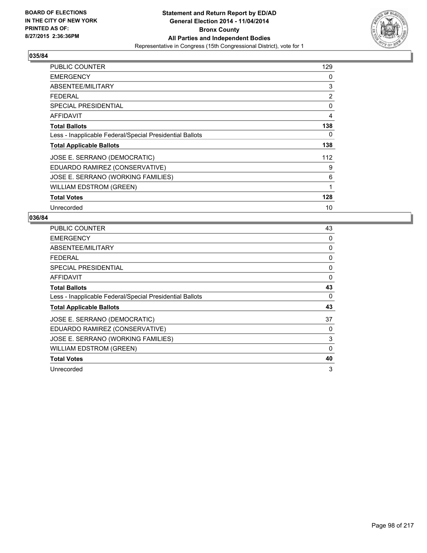

| PUBLIC COUNTER                                           | 129            |
|----------------------------------------------------------|----------------|
| <b>EMERGENCY</b>                                         | 0              |
| ABSENTEE/MILITARY                                        | 3              |
| <b>FEDERAL</b>                                           | $\overline{2}$ |
| SPECIAL PRESIDENTIAL                                     | 0              |
| AFFIDAVIT                                                | 4              |
| <b>Total Ballots</b>                                     | 138            |
| Less - Inapplicable Federal/Special Presidential Ballots | 0              |
| <b>Total Applicable Ballots</b>                          | 138            |
| JOSE E. SERRANO (DEMOCRATIC)                             | 112            |
| EDUARDO RAMIREZ (CONSERVATIVE)                           | 9              |
| JOSE E. SERRANO (WORKING FAMILIES)                       | 6              |
| <b>WILLIAM EDSTROM (GREEN)</b>                           | 1              |
| <b>Total Votes</b>                                       | 128            |
| Unrecorded                                               | 10             |

| PUBLIC COUNTER                                           | 43 |
|----------------------------------------------------------|----|
| <b>EMERGENCY</b>                                         | 0  |
| ABSENTEE/MILITARY                                        | 0  |
| <b>FEDERAL</b>                                           | 0  |
| <b>SPECIAL PRESIDENTIAL</b>                              | 0  |
| AFFIDAVIT                                                | 0  |
| <b>Total Ballots</b>                                     | 43 |
| Less - Inapplicable Federal/Special Presidential Ballots | 0  |
| <b>Total Applicable Ballots</b>                          | 43 |
| JOSE E. SERRANO (DEMOCRATIC)                             | 37 |
| EDUARDO RAMIREZ (CONSERVATIVE)                           | 0  |
| JOSE E. SERRANO (WORKING FAMILIES)                       | 3  |
| <b>WILLIAM EDSTROM (GREEN)</b>                           | 0  |
| <b>Total Votes</b>                                       | 40 |
| Unrecorded                                               | 3  |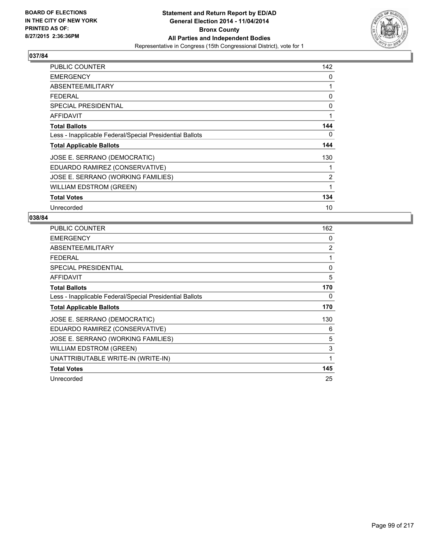

| <b>PUBLIC COUNTER</b>                                    | 142            |
|----------------------------------------------------------|----------------|
| <b>EMERGENCY</b>                                         | 0              |
| ABSENTEE/MILITARY                                        | 1              |
| <b>FEDERAL</b>                                           | 0              |
| <b>SPECIAL PRESIDENTIAL</b>                              | 0              |
| AFFIDAVIT                                                | 1              |
| <b>Total Ballots</b>                                     | 144            |
| Less - Inapplicable Federal/Special Presidential Ballots | 0              |
| <b>Total Applicable Ballots</b>                          | 144            |
| JOSE E. SERRANO (DEMOCRATIC)                             | 130            |
| EDUARDO RAMIREZ (CONSERVATIVE)                           | 1              |
| JOSE E. SERRANO (WORKING FAMILIES)                       | $\overline{2}$ |
| WILLIAM EDSTROM (GREEN)                                  | 1              |
| <b>Total Votes</b>                                       | 134            |
| Unrecorded                                               | 10             |

| <b>PUBLIC COUNTER</b>                                    | 162            |
|----------------------------------------------------------|----------------|
| <b>EMERGENCY</b>                                         | 0              |
| ABSENTEE/MILITARY                                        | $\overline{2}$ |
| <b>FEDERAL</b>                                           | 1              |
| <b>SPECIAL PRESIDENTIAL</b>                              | 0              |
| <b>AFFIDAVIT</b>                                         | 5              |
| <b>Total Ballots</b>                                     | 170            |
| Less - Inapplicable Federal/Special Presidential Ballots | 0              |
| <b>Total Applicable Ballots</b>                          | 170            |
| JOSE E. SERRANO (DEMOCRATIC)                             | 130            |
| EDUARDO RAMIREZ (CONSERVATIVE)                           | 6              |
| JOSE E. SERRANO (WORKING FAMILIES)                       | 5              |
| <b>WILLIAM EDSTROM (GREEN)</b>                           | 3              |
| UNATTRIBUTABLE WRITE-IN (WRITE-IN)                       | 1              |
| <b>Total Votes</b>                                       | 145            |
| Unrecorded                                               | 25             |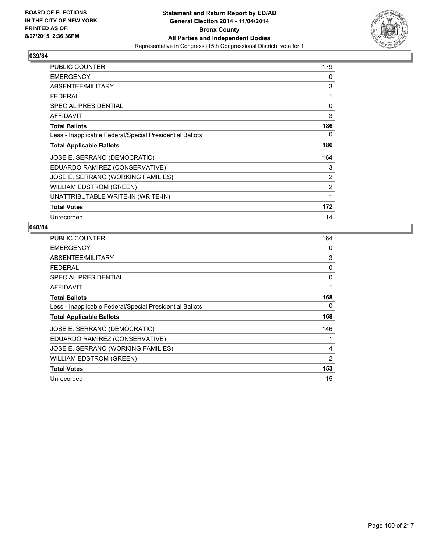

| PUBLIC COUNTER                                           | 179            |
|----------------------------------------------------------|----------------|
| <b>EMERGENCY</b>                                         | 0              |
| ABSENTEE/MILITARY                                        | 3              |
| <b>FEDERAL</b>                                           | 1              |
| <b>SPECIAL PRESIDENTIAL</b>                              | 0              |
| <b>AFFIDAVIT</b>                                         | 3              |
| <b>Total Ballots</b>                                     | 186            |
| Less - Inapplicable Federal/Special Presidential Ballots | 0              |
| <b>Total Applicable Ballots</b>                          | 186            |
| JOSE E. SERRANO (DEMOCRATIC)                             | 164            |
| EDUARDO RAMIREZ (CONSERVATIVE)                           | 3              |
| JOSE E. SERRANO (WORKING FAMILIES)                       | $\overline{2}$ |
| <b>WILLIAM EDSTROM (GREEN)</b>                           | 2              |
| UNATTRIBUTABLE WRITE-IN (WRITE-IN)                       | 1              |
| <b>Total Votes</b>                                       | 172            |
| Unrecorded                                               | 14             |

| <b>PUBLIC COUNTER</b>                                    | 164 |
|----------------------------------------------------------|-----|
| <b>EMERGENCY</b>                                         | 0   |
| ABSENTEE/MILITARY                                        | 3   |
| <b>FEDERAL</b>                                           | 0   |
| <b>SPECIAL PRESIDENTIAL</b>                              | 0   |
| <b>AFFIDAVIT</b>                                         | 1   |
| <b>Total Ballots</b>                                     | 168 |
| Less - Inapplicable Federal/Special Presidential Ballots | 0   |
| <b>Total Applicable Ballots</b>                          | 168 |
| JOSE E. SERRANO (DEMOCRATIC)                             | 146 |
| EDUARDO RAMIREZ (CONSERVATIVE)                           | 1   |
| JOSE E. SERRANO (WORKING FAMILIES)                       | 4   |
| <b>WILLIAM EDSTROM (GREEN)</b>                           | 2   |
| <b>Total Votes</b>                                       | 153 |
| Unrecorded                                               | 15  |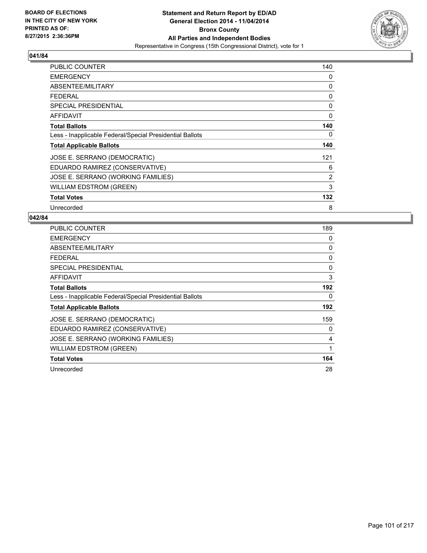

| <b>PUBLIC COUNTER</b>                                    | 140            |
|----------------------------------------------------------|----------------|
| <b>EMERGENCY</b>                                         | 0              |
| ABSENTEE/MILITARY                                        | 0              |
| <b>FEDERAL</b>                                           | 0              |
| <b>SPECIAL PRESIDENTIAL</b>                              | 0              |
| AFFIDAVIT                                                | 0              |
| <b>Total Ballots</b>                                     | 140            |
| Less - Inapplicable Federal/Special Presidential Ballots | 0              |
| <b>Total Applicable Ballots</b>                          | 140            |
| JOSE E. SERRANO (DEMOCRATIC)                             | 121            |
| EDUARDO RAMIREZ (CONSERVATIVE)                           | 6              |
| JOSE E. SERRANO (WORKING FAMILIES)                       | $\overline{2}$ |
| WILLIAM EDSTROM (GREEN)                                  | 3              |
| <b>Total Votes</b>                                       | 132            |
| Unrecorded                                               | 8              |

| <b>PUBLIC COUNTER</b>                                    | 189 |
|----------------------------------------------------------|-----|
| <b>EMERGENCY</b>                                         | 0   |
| ABSENTEE/MILITARY                                        | 0   |
| <b>FEDERAL</b>                                           | 0   |
| SPECIAL PRESIDENTIAL                                     | 0   |
| <b>AFFIDAVIT</b>                                         | 3   |
| <b>Total Ballots</b>                                     | 192 |
| Less - Inapplicable Federal/Special Presidential Ballots | 0   |
| <b>Total Applicable Ballots</b>                          | 192 |
| JOSE E. SERRANO (DEMOCRATIC)                             | 159 |
| EDUARDO RAMIREZ (CONSERVATIVE)                           | 0   |
| JOSE E. SERRANO (WORKING FAMILIES)                       | 4   |
| <b>WILLIAM EDSTROM (GREEN)</b>                           | 1   |
| <b>Total Votes</b>                                       | 164 |
| Unrecorded                                               | 28  |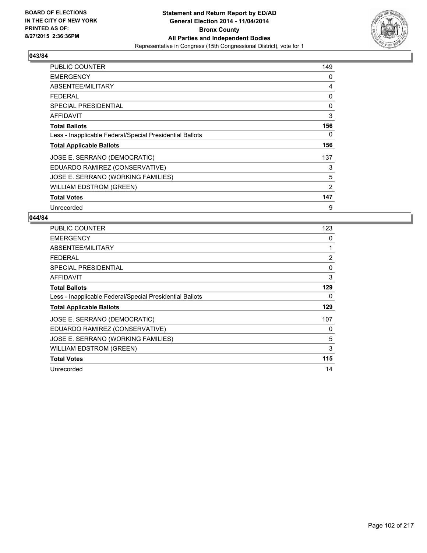

| PUBLIC COUNTER                                           | 149 |
|----------------------------------------------------------|-----|
| <b>EMERGENCY</b>                                         | 0   |
| ABSENTEE/MILITARY                                        | 4   |
| <b>FEDERAL</b>                                           | 0   |
| <b>SPECIAL PRESIDENTIAL</b>                              | 0   |
| <b>AFFIDAVIT</b>                                         | 3   |
| <b>Total Ballots</b>                                     | 156 |
| Less - Inapplicable Federal/Special Presidential Ballots | 0   |
| <b>Total Applicable Ballots</b>                          | 156 |
| JOSE E. SERRANO (DEMOCRATIC)                             | 137 |
| EDUARDO RAMIREZ (CONSERVATIVE)                           | 3   |
| JOSE E. SERRANO (WORKING FAMILIES)                       | 5   |
| <b>WILLIAM EDSTROM (GREEN)</b>                           | 2   |
| <b>Total Votes</b>                                       | 147 |
| Unrecorded                                               | 9   |

| <b>PUBLIC COUNTER</b>                                    | 123 |
|----------------------------------------------------------|-----|
| <b>EMERGENCY</b>                                         | 0   |
| ABSENTEE/MILITARY                                        | 1   |
| <b>FEDERAL</b>                                           | 2   |
| <b>SPECIAL PRESIDENTIAL</b>                              | 0   |
| <b>AFFIDAVIT</b>                                         | 3   |
| <b>Total Ballots</b>                                     | 129 |
| Less - Inapplicable Federal/Special Presidential Ballots | 0   |
| <b>Total Applicable Ballots</b>                          | 129 |
| JOSE E. SERRANO (DEMOCRATIC)                             | 107 |
| EDUARDO RAMIREZ (CONSERVATIVE)                           | 0   |
| JOSE E. SERRANO (WORKING FAMILIES)                       | 5   |
| <b>WILLIAM EDSTROM (GREEN)</b>                           | 3   |
| <b>Total Votes</b>                                       | 115 |
| Unrecorded                                               | 14  |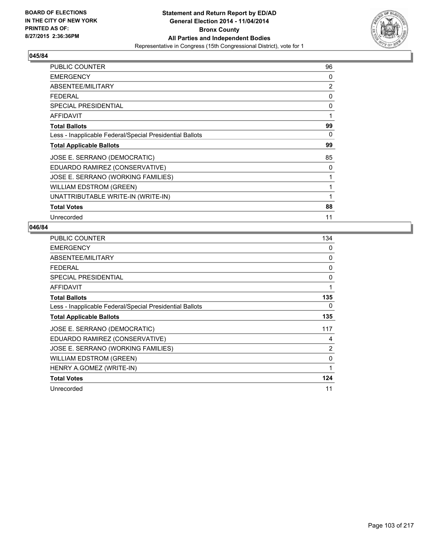

| PUBLIC COUNTER                                           | 96 |
|----------------------------------------------------------|----|
| <b>EMERGENCY</b>                                         | 0  |
| ABSENTEE/MILITARY                                        | 2  |
| <b>FEDERAL</b>                                           | 0  |
| <b>SPECIAL PRESIDENTIAL</b>                              | 0  |
| <b>AFFIDAVIT</b>                                         | 1  |
| <b>Total Ballots</b>                                     | 99 |
| Less - Inapplicable Federal/Special Presidential Ballots | 0  |
| <b>Total Applicable Ballots</b>                          | 99 |
| JOSE E. SERRANO (DEMOCRATIC)                             | 85 |
| EDUARDO RAMIREZ (CONSERVATIVE)                           | 0  |
| JOSE E. SERRANO (WORKING FAMILIES)                       | 1  |
| <b>WILLIAM EDSTROM (GREEN)</b>                           | 1  |
| UNATTRIBUTABLE WRITE-IN (WRITE-IN)                       | 1  |
| <b>Total Votes</b>                                       | 88 |
| Unrecorded                                               | 11 |

| PUBLIC COUNTER                                           | 134            |
|----------------------------------------------------------|----------------|
| <b>EMERGENCY</b>                                         | 0              |
| ABSENTEE/MILITARY                                        | 0              |
| <b>FEDERAL</b>                                           | 0              |
| <b>SPECIAL PRESIDENTIAL</b>                              | 0              |
| <b>AFFIDAVIT</b>                                         | 1              |
| <b>Total Ballots</b>                                     | 135            |
| Less - Inapplicable Federal/Special Presidential Ballots | 0              |
| <b>Total Applicable Ballots</b>                          | 135            |
| JOSE E. SERRANO (DEMOCRATIC)                             | 117            |
| EDUARDO RAMIREZ (CONSERVATIVE)                           | 4              |
| JOSE E. SERRANO (WORKING FAMILIES)                       | $\overline{2}$ |
| <b>WILLIAM EDSTROM (GREEN)</b>                           | 0              |
| HENRY A.GOMEZ (WRITE-IN)                                 | 1              |
| <b>Total Votes</b>                                       | 124            |
| Unrecorded                                               | 11             |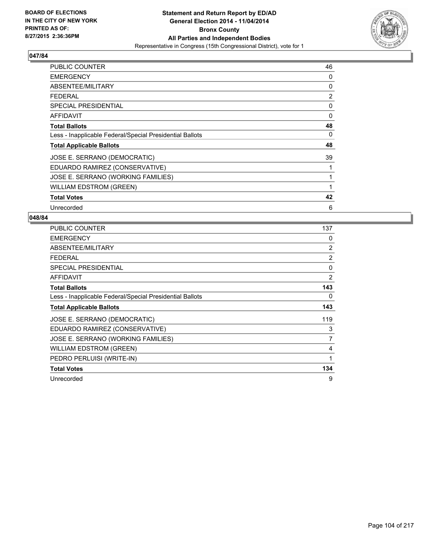

| <b>PUBLIC COUNTER</b>                                    | 46 |
|----------------------------------------------------------|----|
| <b>EMERGENCY</b>                                         | 0  |
| ABSENTEE/MILITARY                                        | 0  |
| <b>FEDERAL</b>                                           | 2  |
| SPECIAL PRESIDENTIAL                                     | 0  |
| AFFIDAVIT                                                | 0  |
| <b>Total Ballots</b>                                     | 48 |
| Less - Inapplicable Federal/Special Presidential Ballots | 0  |
| <b>Total Applicable Ballots</b>                          | 48 |
| JOSE E. SERRANO (DEMOCRATIC)                             | 39 |
| EDUARDO RAMIREZ (CONSERVATIVE)                           | 1  |
| JOSE E. SERRANO (WORKING FAMILIES)                       | 1  |
| WILLIAM EDSTROM (GREEN)                                  | 1  |
| <b>Total Votes</b>                                       | 42 |
| Unrecorded                                               | 6  |

| PUBLIC COUNTER                                           | 137            |
|----------------------------------------------------------|----------------|
| <b>EMERGENCY</b>                                         | 0              |
| ABSENTEE/MILITARY                                        | 2              |
| <b>FEDERAL</b>                                           | 2              |
| <b>SPECIAL PRESIDENTIAL</b>                              | 0              |
| <b>AFFIDAVIT</b>                                         | 2              |
| <b>Total Ballots</b>                                     | 143            |
| Less - Inapplicable Federal/Special Presidential Ballots | 0              |
| <b>Total Applicable Ballots</b>                          | 143            |
| JOSE E. SERRANO (DEMOCRATIC)                             | 119            |
| EDUARDO RAMIREZ (CONSERVATIVE)                           | 3              |
| JOSE E. SERRANO (WORKING FAMILIES)                       | $\overline{7}$ |
| <b>WILLIAM EDSTROM (GREEN)</b>                           | 4              |
| PEDRO PERLUISI (WRITE-IN)                                | 1              |
| <b>Total Votes</b>                                       | 134            |
| Unrecorded                                               | 9              |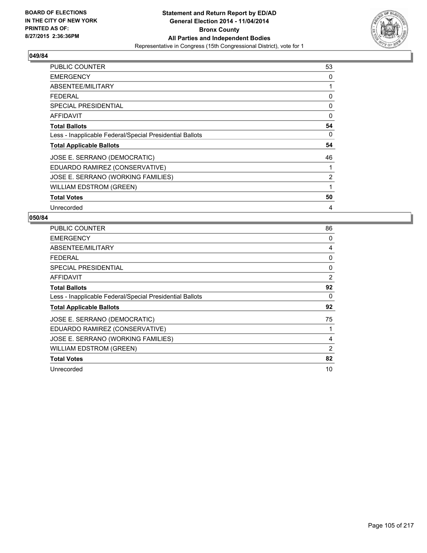

| <b>PUBLIC COUNTER</b>                                    | 53 |
|----------------------------------------------------------|----|
| <b>EMERGENCY</b>                                         | 0  |
| ABSENTEE/MILITARY                                        | 1  |
| <b>FEDERAL</b>                                           | 0  |
| <b>SPECIAL PRESIDENTIAL</b>                              | 0  |
| AFFIDAVIT                                                | 0  |
| <b>Total Ballots</b>                                     | 54 |
| Less - Inapplicable Federal/Special Presidential Ballots | 0  |
| <b>Total Applicable Ballots</b>                          | 54 |
| JOSE E. SERRANO (DEMOCRATIC)                             | 46 |
| EDUARDO RAMIREZ (CONSERVATIVE)                           |    |
| JOSE E. SERRANO (WORKING FAMILIES)                       | 2  |
| <b>WILLIAM EDSTROM (GREEN)</b>                           | 1  |
| <b>Total Votes</b>                                       | 50 |
| Unrecorded                                               | 4  |

| PUBLIC COUNTER                                           | 86 |
|----------------------------------------------------------|----|
| <b>EMERGENCY</b>                                         | 0  |
| ABSENTEE/MILITARY                                        | 4  |
| <b>FEDERAL</b>                                           | 0  |
| <b>SPECIAL PRESIDENTIAL</b>                              | 0  |
| AFFIDAVIT                                                | 2  |
| <b>Total Ballots</b>                                     | 92 |
| Less - Inapplicable Federal/Special Presidential Ballots | 0  |
| <b>Total Applicable Ballots</b>                          | 92 |
| JOSE E. SERRANO (DEMOCRATIC)                             | 75 |
| EDUARDO RAMIREZ (CONSERVATIVE)                           | 1  |
| JOSE E. SERRANO (WORKING FAMILIES)                       | 4  |
| WILLIAM EDSTROM (GREEN)                                  | 2  |
| <b>Total Votes</b>                                       | 82 |
| Unrecorded                                               | 10 |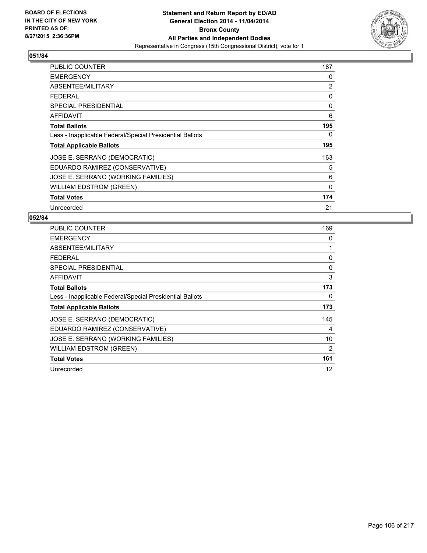

| PUBLIC COUNTER                                           | 187 |
|----------------------------------------------------------|-----|
| <b>EMERGENCY</b>                                         | 0   |
| ABSENTEE/MILITARY                                        | 2   |
| <b>FEDERAL</b>                                           | 0   |
| <b>SPECIAL PRESIDENTIAL</b>                              | 0   |
| AFFIDAVIT                                                | 6   |
| <b>Total Ballots</b>                                     | 195 |
| Less - Inapplicable Federal/Special Presidential Ballots | 0   |
| <b>Total Applicable Ballots</b>                          | 195 |
| JOSE E. SERRANO (DEMOCRATIC)                             | 163 |
| EDUARDO RAMIREZ (CONSERVATIVE)                           | 5   |
| JOSE E. SERRANO (WORKING FAMILIES)                       | 6   |
| <b>WILLIAM EDSTROM (GREEN)</b>                           | 0   |
| <b>Total Votes</b>                                       | 174 |
| Unrecorded                                               | 21  |

| <b>PUBLIC COUNTER</b>                                    | 169 |
|----------------------------------------------------------|-----|
| <b>EMERGENCY</b>                                         | 0   |
| ABSENTEE/MILITARY                                        | 1   |
| <b>FEDERAL</b>                                           | 0   |
| <b>SPECIAL PRESIDENTIAL</b>                              | 0   |
| AFFIDAVIT                                                | 3   |
| <b>Total Ballots</b>                                     | 173 |
| Less - Inapplicable Federal/Special Presidential Ballots | 0   |
| <b>Total Applicable Ballots</b>                          | 173 |
| JOSE E. SERRANO (DEMOCRATIC)                             | 145 |
| EDUARDO RAMIREZ (CONSERVATIVE)                           | 4   |
| JOSE E. SERRANO (WORKING FAMILIES)                       | 10  |
| WILLIAM EDSTROM (GREEN)                                  | 2   |
| <b>Total Votes</b>                                       | 161 |
| Unrecorded                                               | 12  |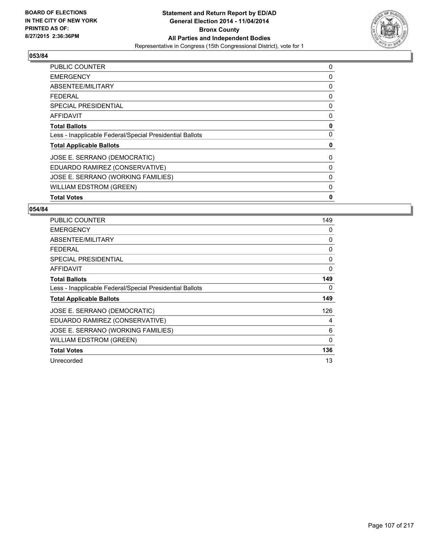

| <b>PUBLIC COUNTER</b>                                    | 0 |
|----------------------------------------------------------|---|
| <b>EMERGENCY</b>                                         | 0 |
| ABSENTEE/MILITARY                                        | 0 |
| <b>FEDERAL</b>                                           | 0 |
| <b>SPECIAL PRESIDENTIAL</b>                              | 0 |
| <b>AFFIDAVIT</b>                                         | 0 |
| <b>Total Ballots</b>                                     | 0 |
| Less - Inapplicable Federal/Special Presidential Ballots | 0 |
| <b>Total Applicable Ballots</b>                          | 0 |
| JOSE E. SERRANO (DEMOCRATIC)                             | 0 |
| EDUARDO RAMIREZ (CONSERVATIVE)                           | 0 |
| JOSE E. SERRANO (WORKING FAMILIES)                       | 0 |
| <b>WILLIAM EDSTROM (GREEN)</b>                           | 0 |
| <b>Total Votes</b>                                       | 0 |

| <b>PUBLIC COUNTER</b>                                    | 149          |
|----------------------------------------------------------|--------------|
| <b>EMERGENCY</b>                                         | 0            |
| ABSENTEE/MILITARY                                        | 0            |
| <b>FEDERAL</b>                                           | 0            |
| SPECIAL PRESIDENTIAL                                     | 0            |
| <b>AFFIDAVIT</b>                                         | 0            |
| <b>Total Ballots</b>                                     | 149          |
| Less - Inapplicable Federal/Special Presidential Ballots | 0            |
| <b>Total Applicable Ballots</b>                          | 149          |
| JOSE E. SERRANO (DEMOCRATIC)                             | 126          |
| EDUARDO RAMIREZ (CONSERVATIVE)                           | 4            |
| JOSE E. SERRANO (WORKING FAMILIES)                       | 6            |
| <b>WILLIAM EDSTROM (GREEN)</b>                           | $\mathbf{0}$ |
| <b>Total Votes</b>                                       | 136          |
| Unrecorded                                               | 13           |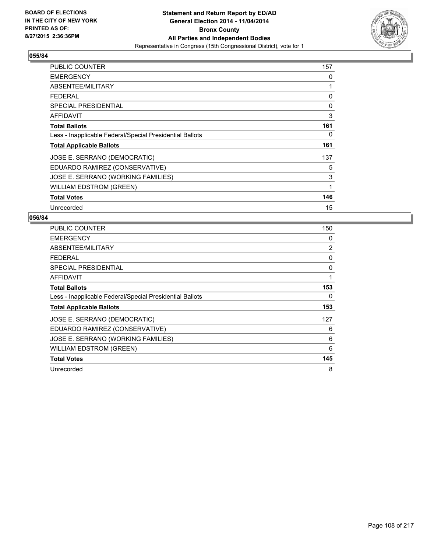

| <b>PUBLIC COUNTER</b>                                    | 157 |
|----------------------------------------------------------|-----|
| <b>EMERGENCY</b>                                         | 0   |
| ABSENTEE/MILITARY                                        | 1   |
| <b>FEDERAL</b>                                           | 0   |
| <b>SPECIAL PRESIDENTIAL</b>                              | 0   |
| AFFIDAVIT                                                | 3   |
| <b>Total Ballots</b>                                     | 161 |
| Less - Inapplicable Federal/Special Presidential Ballots | 0   |
| <b>Total Applicable Ballots</b>                          | 161 |
| JOSE E. SERRANO (DEMOCRATIC)                             | 137 |
| EDUARDO RAMIREZ (CONSERVATIVE)                           | 5   |
| JOSE E. SERRANO (WORKING FAMILIES)                       | 3   |
| WILLIAM EDSTROM (GREEN)                                  | 1   |
| <b>Total Votes</b>                                       | 146 |
| Unrecorded                                               | 15  |

| <b>PUBLIC COUNTER</b>                                    | 150 |
|----------------------------------------------------------|-----|
| <b>EMERGENCY</b>                                         | 0   |
| ABSENTEE/MILITARY                                        | 2   |
| <b>FEDERAL</b>                                           | 0   |
| <b>SPECIAL PRESIDENTIAL</b>                              | 0   |
| AFFIDAVIT                                                | 1   |
| <b>Total Ballots</b>                                     | 153 |
| Less - Inapplicable Federal/Special Presidential Ballots | 0   |
| <b>Total Applicable Ballots</b>                          | 153 |
| JOSE E. SERRANO (DEMOCRATIC)                             | 127 |
| EDUARDO RAMIREZ (CONSERVATIVE)                           | 6   |
| JOSE E. SERRANO (WORKING FAMILIES)                       | 6   |
| WILLIAM EDSTROM (GREEN)                                  | 6   |
| <b>Total Votes</b>                                       | 145 |
| Unrecorded                                               | 8   |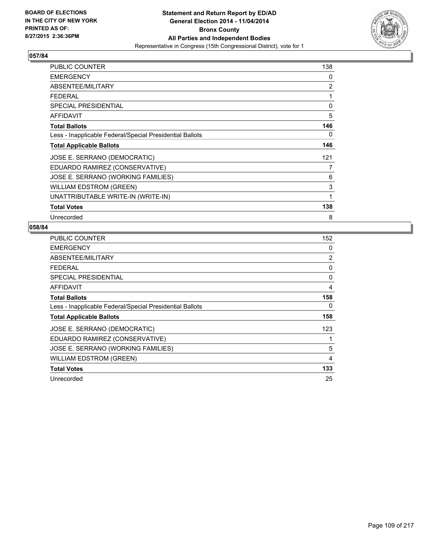

| PUBLIC COUNTER                                           | 138            |
|----------------------------------------------------------|----------------|
| <b>EMERGENCY</b>                                         | 0              |
| ABSENTEE/MILITARY                                        | $\overline{2}$ |
| <b>FEDERAL</b>                                           | 1              |
| <b>SPECIAL PRESIDENTIAL</b>                              | 0              |
| <b>AFFIDAVIT</b>                                         | 5              |
| <b>Total Ballots</b>                                     | 146            |
| Less - Inapplicable Federal/Special Presidential Ballots | 0              |
| <b>Total Applicable Ballots</b>                          | 146            |
| JOSE E. SERRANO (DEMOCRATIC)                             | 121            |
| EDUARDO RAMIREZ (CONSERVATIVE)                           | $\overline{7}$ |
| JOSE E. SERRANO (WORKING FAMILIES)                       | 6              |
| <b>WILLIAM EDSTROM (GREEN)</b>                           | 3              |
| UNATTRIBUTABLE WRITE-IN (WRITE-IN)                       | 1              |
| <b>Total Votes</b>                                       | 138            |
| Unrecorded                                               | 8              |

| PUBLIC COUNTER                                           | 152            |
|----------------------------------------------------------|----------------|
| <b>EMERGENCY</b>                                         | 0              |
| ABSENTEE/MILITARY                                        | $\overline{2}$ |
| <b>FEDERAL</b>                                           | 0              |
| <b>SPECIAL PRESIDENTIAL</b>                              | 0              |
| <b>AFFIDAVIT</b>                                         | 4              |
| <b>Total Ballots</b>                                     | 158            |
| Less - Inapplicable Federal/Special Presidential Ballots | 0              |
| <b>Total Applicable Ballots</b>                          | 158            |
| JOSE E. SERRANO (DEMOCRATIC)                             | 123            |
| EDUARDO RAMIREZ (CONSERVATIVE)                           |                |
| JOSE E. SERRANO (WORKING FAMILIES)                       | 5              |
| <b>WILLIAM EDSTROM (GREEN)</b>                           | 4              |
| <b>Total Votes</b>                                       | 133            |
| Unrecorded                                               | 25             |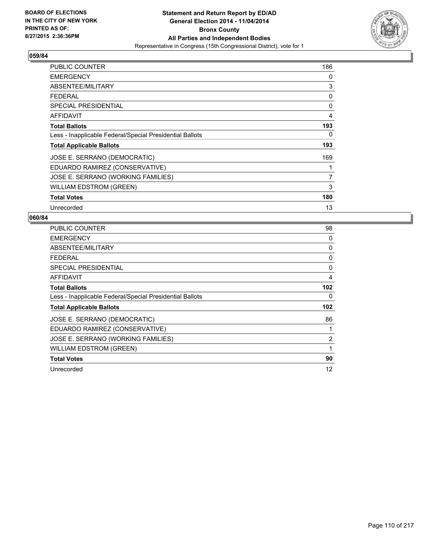

| <b>PUBLIC COUNTER</b>                                    | 186            |
|----------------------------------------------------------|----------------|
| <b>EMERGENCY</b>                                         | 0              |
| ABSENTEE/MILITARY                                        | 3              |
| <b>FEDERAL</b>                                           | 0              |
| <b>SPECIAL PRESIDENTIAL</b>                              | 0              |
| AFFIDAVIT                                                | 4              |
| <b>Total Ballots</b>                                     | 193            |
| Less - Inapplicable Federal/Special Presidential Ballots | 0              |
| <b>Total Applicable Ballots</b>                          | 193            |
| JOSE E. SERRANO (DEMOCRATIC)                             | 169            |
| EDUARDO RAMIREZ (CONSERVATIVE)                           | 1              |
| JOSE E. SERRANO (WORKING FAMILIES)                       | $\overline{7}$ |
| <b>WILLIAM EDSTROM (GREEN)</b>                           | 3              |
| <b>Total Votes</b>                                       | 180            |
| Unrecorded                                               | 13             |

| PUBLIC COUNTER                                           | 98  |
|----------------------------------------------------------|-----|
| <b>EMERGENCY</b>                                         | 0   |
| ABSENTEE/MILITARY                                        | 0   |
| <b>FEDERAL</b>                                           | 0   |
| <b>SPECIAL PRESIDENTIAL</b>                              | 0   |
| AFFIDAVIT                                                | 4   |
| <b>Total Ballots</b>                                     | 102 |
| Less - Inapplicable Federal/Special Presidential Ballots | 0   |
| <b>Total Applicable Ballots</b>                          | 102 |
| JOSE E. SERRANO (DEMOCRATIC)                             | 86  |
| EDUARDO RAMIREZ (CONSERVATIVE)                           | 1   |
| JOSE E. SERRANO (WORKING FAMILIES)                       | 2   |
| <b>WILLIAM EDSTROM (GREEN)</b>                           | 1   |
| <b>Total Votes</b>                                       | 90  |
| Unrecorded                                               | 12  |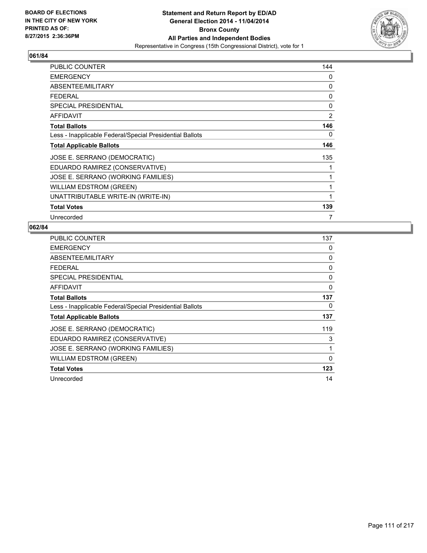

| PUBLIC COUNTER                                           | 144            |
|----------------------------------------------------------|----------------|
| <b>EMERGENCY</b>                                         | 0              |
| ABSENTEE/MILITARY                                        | 0              |
| <b>FEDERAL</b>                                           | 0              |
| <b>SPECIAL PRESIDENTIAL</b>                              | 0              |
| <b>AFFIDAVIT</b>                                         | $\overline{2}$ |
| <b>Total Ballots</b>                                     | 146            |
| Less - Inapplicable Federal/Special Presidential Ballots | 0              |
| <b>Total Applicable Ballots</b>                          | 146            |
| JOSE E. SERRANO (DEMOCRATIC)                             | 135            |
| EDUARDO RAMIREZ (CONSERVATIVE)                           | 1              |
| JOSE E. SERRANO (WORKING FAMILIES)                       | 1              |
| <b>WILLIAM EDSTROM (GREEN)</b>                           | 1              |
| UNATTRIBUTABLE WRITE-IN (WRITE-IN)                       | 1              |
| <b>Total Votes</b>                                       | 139            |
| Unrecorded                                               | 7              |

| PUBLIC COUNTER                                           | 137      |
|----------------------------------------------------------|----------|
| <b>EMERGENCY</b>                                         | 0        |
| ABSENTEE/MILITARY                                        | 0        |
| <b>FEDERAL</b>                                           | 0        |
| <b>SPECIAL PRESIDENTIAL</b>                              | 0        |
| AFFIDAVIT                                                | $\Omega$ |
| <b>Total Ballots</b>                                     | 137      |
| Less - Inapplicable Federal/Special Presidential Ballots | 0        |
| <b>Total Applicable Ballots</b>                          | 137      |
| JOSE E. SERRANO (DEMOCRATIC)                             | 119      |
| EDUARDO RAMIREZ (CONSERVATIVE)                           | 3        |
| JOSE E. SERRANO (WORKING FAMILIES)                       | 1        |
| <b>WILLIAM EDSTROM (GREEN)</b>                           | $\Omega$ |
| <b>Total Votes</b>                                       | 123      |
| Unrecorded                                               | 14       |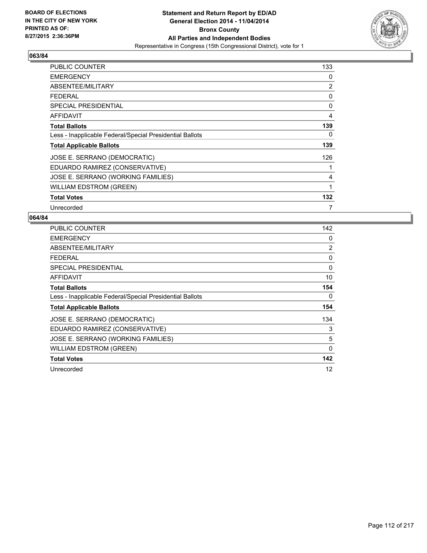

| PUBLIC COUNTER                                           | 133 |
|----------------------------------------------------------|-----|
| <b>EMERGENCY</b>                                         | 0   |
| ABSENTEE/MILITARY                                        | 2   |
| <b>FEDERAL</b>                                           | 0   |
| <b>SPECIAL PRESIDENTIAL</b>                              | 0   |
| AFFIDAVIT                                                | 4   |
| <b>Total Ballots</b>                                     | 139 |
| Less - Inapplicable Federal/Special Presidential Ballots | 0   |
| <b>Total Applicable Ballots</b>                          | 139 |
| JOSE E. SERRANO (DEMOCRATIC)                             | 126 |
| EDUARDO RAMIREZ (CONSERVATIVE)                           | 1   |
| JOSE E. SERRANO (WORKING FAMILIES)                       | 4   |
| <b>WILLIAM EDSTROM (GREEN)</b>                           | 1   |
| <b>Total Votes</b>                                       | 132 |
| Unrecorded                                               | 7   |

| <b>PUBLIC COUNTER</b>                                    | 142            |
|----------------------------------------------------------|----------------|
| <b>EMERGENCY</b>                                         | 0              |
| ABSENTEE/MILITARY                                        | $\overline{2}$ |
| <b>FEDERAL</b>                                           | 0              |
| SPECIAL PRESIDENTIAL                                     | 0              |
| <b>AFFIDAVIT</b>                                         | 10             |
| <b>Total Ballots</b>                                     | 154            |
| Less - Inapplicable Federal/Special Presidential Ballots | 0              |
| <b>Total Applicable Ballots</b>                          | 154            |
| JOSE E. SERRANO (DEMOCRATIC)                             | 134            |
| EDUARDO RAMIREZ (CONSERVATIVE)                           | 3              |
| JOSE E. SERRANO (WORKING FAMILIES)                       | 5              |
| <b>WILLIAM EDSTROM (GREEN)</b>                           | $\mathbf 0$    |
| <b>Total Votes</b>                                       | 142            |
| Unrecorded                                               | 12             |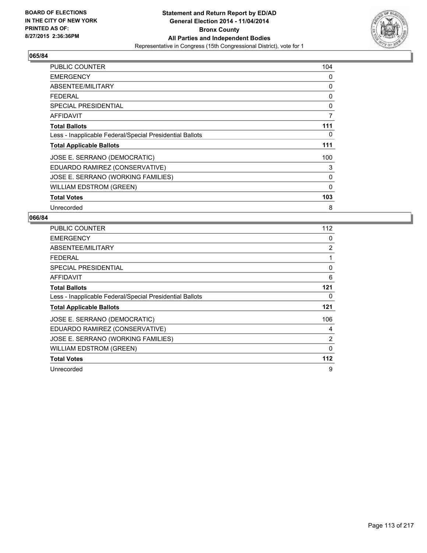

| <b>PUBLIC COUNTER</b>                                    | 104         |
|----------------------------------------------------------|-------------|
| <b>EMERGENCY</b>                                         | 0           |
| ABSENTEE/MILITARY                                        | 0           |
| <b>FEDERAL</b>                                           | 0           |
| <b>SPECIAL PRESIDENTIAL</b>                              | 0           |
| AFFIDAVIT                                                | 7           |
| <b>Total Ballots</b>                                     | 111         |
| Less - Inapplicable Federal/Special Presidential Ballots | 0           |
| <b>Total Applicable Ballots</b>                          | 111         |
| JOSE E. SERRANO (DEMOCRATIC)                             | 100         |
| EDUARDO RAMIREZ (CONSERVATIVE)                           | 3           |
| JOSE E. SERRANO (WORKING FAMILIES)                       | 0           |
| <b>WILLIAM EDSTROM (GREEN)</b>                           | $\mathbf 0$ |
| <b>Total Votes</b>                                       | 103         |
| Unrecorded                                               | 8           |

| <b>PUBLIC COUNTER</b>                                    | 112 |
|----------------------------------------------------------|-----|
| <b>EMERGENCY</b>                                         | 0   |
| ABSENTEE/MILITARY                                        | 2   |
| <b>FEDERAL</b>                                           | 1   |
| <b>SPECIAL PRESIDENTIAL</b>                              | 0   |
| <b>AFFIDAVIT</b>                                         | 6   |
| <b>Total Ballots</b>                                     | 121 |
| Less - Inapplicable Federal/Special Presidential Ballots | 0   |
| <b>Total Applicable Ballots</b>                          | 121 |
| JOSE E. SERRANO (DEMOCRATIC)                             | 106 |
| EDUARDO RAMIREZ (CONSERVATIVE)                           | 4   |
| JOSE E. SERRANO (WORKING FAMILIES)                       | 2   |
| <b>WILLIAM EDSTROM (GREEN)</b>                           | 0   |
| <b>Total Votes</b>                                       | 112 |
| Unrecorded                                               | 9   |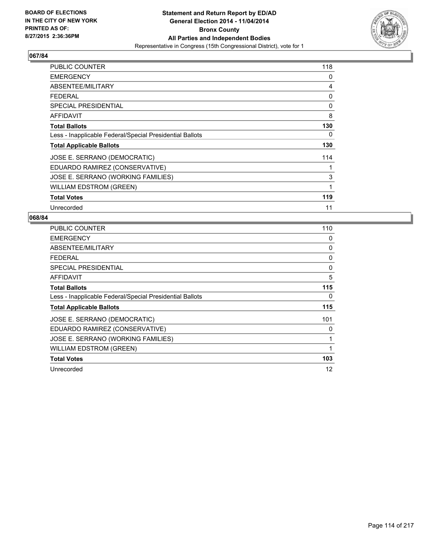

| <b>PUBLIC COUNTER</b>                                    | 118 |
|----------------------------------------------------------|-----|
| <b>EMERGENCY</b>                                         | 0   |
| ABSENTEE/MILITARY                                        | 4   |
| <b>FEDERAL</b>                                           | 0   |
| <b>SPECIAL PRESIDENTIAL</b>                              | 0   |
| AFFIDAVIT                                                | 8   |
| <b>Total Ballots</b>                                     | 130 |
| Less - Inapplicable Federal/Special Presidential Ballots | 0   |
| <b>Total Applicable Ballots</b>                          | 130 |
| JOSE E. SERRANO (DEMOCRATIC)                             | 114 |
| EDUARDO RAMIREZ (CONSERVATIVE)                           | 1   |
| JOSE E. SERRANO (WORKING FAMILIES)                       | 3   |
| <b>WILLIAM EDSTROM (GREEN)</b>                           | 1   |
| <b>Total Votes</b>                                       | 119 |
| Unrecorded                                               | 11  |

| <b>PUBLIC COUNTER</b>                                    | 110 |
|----------------------------------------------------------|-----|
| <b>EMERGENCY</b>                                         | 0   |
| ABSENTEE/MILITARY                                        | 0   |
| <b>FEDERAL</b>                                           | 0   |
| <b>SPECIAL PRESIDENTIAL</b>                              | 0   |
| AFFIDAVIT                                                | 5   |
| <b>Total Ballots</b>                                     | 115 |
| Less - Inapplicable Federal/Special Presidential Ballots | 0   |
| <b>Total Applicable Ballots</b>                          | 115 |
| JOSE E. SERRANO (DEMOCRATIC)                             | 101 |
| EDUARDO RAMIREZ (CONSERVATIVE)                           | 0   |
| JOSE E. SERRANO (WORKING FAMILIES)                       | 1   |
| WILLIAM EDSTROM (GREEN)                                  | 1   |
| <b>Total Votes</b>                                       | 103 |
| Unrecorded                                               | 12  |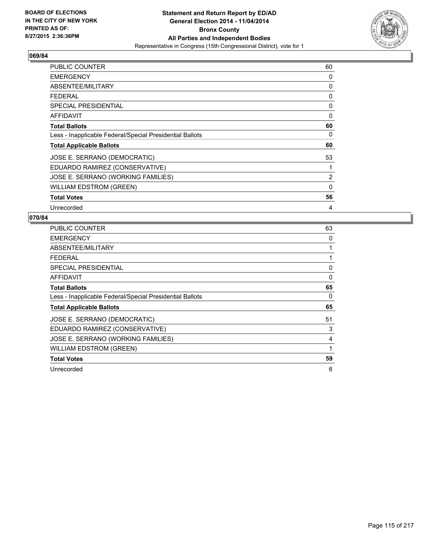

| <b>PUBLIC COUNTER</b>                                    | 60 |
|----------------------------------------------------------|----|
| <b>EMERGENCY</b>                                         | 0  |
| ABSENTEE/MILITARY                                        | 0  |
| <b>FEDERAL</b>                                           | 0  |
| <b>SPECIAL PRESIDENTIAL</b>                              | 0  |
| AFFIDAVIT                                                | 0  |
| <b>Total Ballots</b>                                     | 60 |
| Less - Inapplicable Federal/Special Presidential Ballots | 0  |
| <b>Total Applicable Ballots</b>                          | 60 |
| JOSE E. SERRANO (DEMOCRATIC)                             | 53 |
| EDUARDO RAMIREZ (CONSERVATIVE)                           |    |
| JOSE E. SERRANO (WORKING FAMILIES)                       | 2  |
| <b>WILLIAM EDSTROM (GREEN)</b>                           | 0  |
| <b>Total Votes</b>                                       | 56 |
| Unrecorded                                               | 4  |

| PUBLIC COUNTER                                           | 63 |
|----------------------------------------------------------|----|
| <b>EMERGENCY</b>                                         | 0  |
| ABSENTEE/MILITARY                                        | 1  |
| <b>FEDERAL</b>                                           | 1  |
| <b>SPECIAL PRESIDENTIAL</b>                              | 0  |
| AFFIDAVIT                                                | 0  |
| <b>Total Ballots</b>                                     | 65 |
| Less - Inapplicable Federal/Special Presidential Ballots | 0  |
| <b>Total Applicable Ballots</b>                          | 65 |
| JOSE E. SERRANO (DEMOCRATIC)                             | 51 |
| EDUARDO RAMIREZ (CONSERVATIVE)                           | 3  |
| JOSE E. SERRANO (WORKING FAMILIES)                       | 4  |
| WILLIAM EDSTROM (GREEN)                                  | 1  |
| <b>Total Votes</b>                                       | 59 |
| Unrecorded                                               | 6  |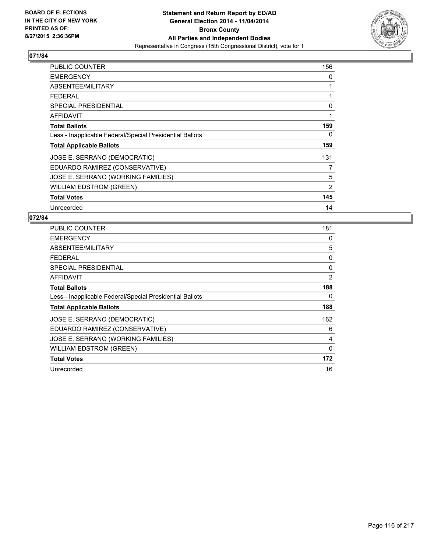

| PUBLIC COUNTER                                           | 156 |
|----------------------------------------------------------|-----|
| <b>EMERGENCY</b>                                         | 0   |
| ABSENTEE/MILITARY                                        | 1   |
| <b>FEDERAL</b>                                           | 1   |
| SPECIAL PRESIDENTIAL                                     | 0   |
| AFFIDAVIT                                                | 1   |
| <b>Total Ballots</b>                                     | 159 |
| Less - Inapplicable Federal/Special Presidential Ballots | 0   |
| <b>Total Applicable Ballots</b>                          | 159 |
| JOSE E. SERRANO (DEMOCRATIC)                             | 131 |
| EDUARDO RAMIREZ (CONSERVATIVE)                           | 7   |
| JOSE E. SERRANO (WORKING FAMILIES)                       | 5   |
| <b>WILLIAM EDSTROM (GREEN)</b>                           | 2   |
| <b>Total Votes</b>                                       | 145 |
| Unrecorded                                               | 14  |

| PUBLIC COUNTER                                           | 181      |
|----------------------------------------------------------|----------|
| <b>EMERGENCY</b>                                         | 0        |
| ABSENTEE/MILITARY                                        | 5        |
| <b>FEDERAL</b>                                           | 0        |
| <b>SPECIAL PRESIDENTIAL</b>                              | 0        |
| AFFIDAVIT                                                | 2        |
| <b>Total Ballots</b>                                     | 188      |
| Less - Inapplicable Federal/Special Presidential Ballots | 0        |
| <b>Total Applicable Ballots</b>                          | 188      |
| JOSE E. SERRANO (DEMOCRATIC)                             | 162      |
| EDUARDO RAMIREZ (CONSERVATIVE)                           | 6        |
| JOSE E. SERRANO (WORKING FAMILIES)                       | 4        |
| WILLIAM EDSTROM (GREEN)                                  | $\Omega$ |
| <b>Total Votes</b>                                       | 172      |
| Unrecorded                                               | 16       |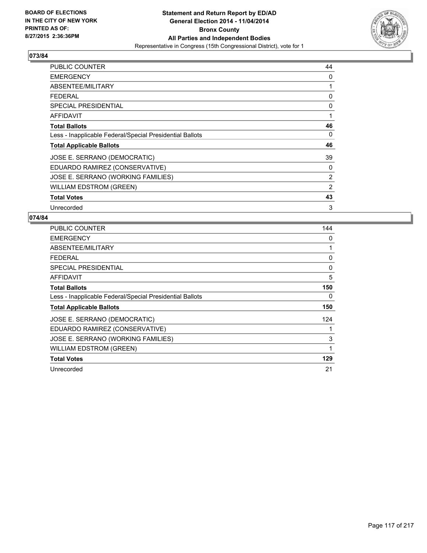

| <b>PUBLIC COUNTER</b>                                    | 44 |
|----------------------------------------------------------|----|
| <b>EMERGENCY</b>                                         | 0  |
| ABSENTEE/MILITARY                                        | 1  |
| <b>FEDERAL</b>                                           | 0  |
| <b>SPECIAL PRESIDENTIAL</b>                              | 0  |
| <b>AFFIDAVIT</b>                                         | 1  |
| <b>Total Ballots</b>                                     | 46 |
| Less - Inapplicable Federal/Special Presidential Ballots | 0  |
| <b>Total Applicable Ballots</b>                          | 46 |
| JOSE E. SERRANO (DEMOCRATIC)                             | 39 |
| EDUARDO RAMIREZ (CONSERVATIVE)                           | 0  |
| JOSE E. SERRANO (WORKING FAMILIES)                       | 2  |
| WILLIAM EDSTROM (GREEN)                                  | 2  |
| <b>Total Votes</b>                                       | 43 |
| Unrecorded                                               | 3  |

| <b>PUBLIC COUNTER</b>                                    | 144 |
|----------------------------------------------------------|-----|
| <b>EMERGENCY</b>                                         | 0   |
| ABSENTEE/MILITARY                                        | 1   |
| <b>FEDERAL</b>                                           | 0   |
| <b>SPECIAL PRESIDENTIAL</b>                              | 0   |
| AFFIDAVIT                                                | 5   |
| <b>Total Ballots</b>                                     | 150 |
| Less - Inapplicable Federal/Special Presidential Ballots | 0   |
| <b>Total Applicable Ballots</b>                          | 150 |
| JOSE E. SERRANO (DEMOCRATIC)                             | 124 |
| EDUARDO RAMIREZ (CONSERVATIVE)                           | 1   |
| JOSE E. SERRANO (WORKING FAMILIES)                       | 3   |
| WILLIAM EDSTROM (GREEN)                                  | 1   |
| <b>Total Votes</b>                                       | 129 |
| Unrecorded                                               | 21  |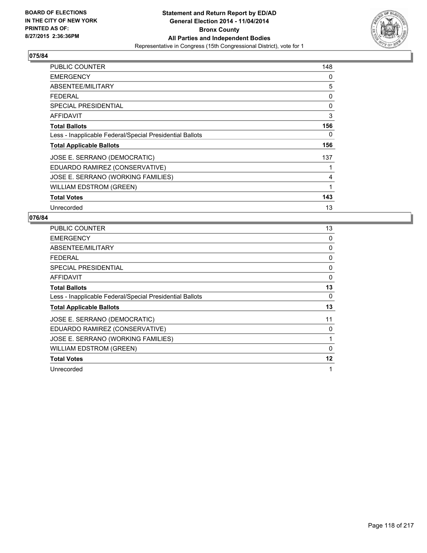

| PUBLIC COUNTER                                           | 148 |
|----------------------------------------------------------|-----|
| <b>EMERGENCY</b>                                         | 0   |
| ABSENTEE/MILITARY                                        | 5   |
| <b>FEDERAL</b>                                           | 0   |
| <b>SPECIAL PRESIDENTIAL</b>                              | 0   |
| <b>AFFIDAVIT</b>                                         | 3   |
| <b>Total Ballots</b>                                     | 156 |
| Less - Inapplicable Federal/Special Presidential Ballots | 0   |
| <b>Total Applicable Ballots</b>                          | 156 |
| JOSE E. SERRANO (DEMOCRATIC)                             | 137 |
| EDUARDO RAMIREZ (CONSERVATIVE)                           | 1   |
| JOSE E. SERRANO (WORKING FAMILIES)                       | 4   |
| <b>WILLIAM EDSTROM (GREEN)</b>                           | 1   |
| <b>Total Votes</b>                                       | 143 |
| Unrecorded                                               | 13  |

| <b>PUBLIC COUNTER</b>                                    | 13       |
|----------------------------------------------------------|----------|
| <b>EMERGENCY</b>                                         | 0        |
| ABSENTEE/MILITARY                                        | 0        |
| <b>FEDERAL</b>                                           | 0        |
| <b>SPECIAL PRESIDENTIAL</b>                              | 0        |
| AFFIDAVIT                                                | 0        |
| <b>Total Ballots</b>                                     | 13       |
| Less - Inapplicable Federal/Special Presidential Ballots | 0        |
| <b>Total Applicable Ballots</b>                          | 13       |
| JOSE E. SERRANO (DEMOCRATIC)                             | 11       |
| EDUARDO RAMIREZ (CONSERVATIVE)                           | 0        |
| JOSE E. SERRANO (WORKING FAMILIES)                       | 1        |
| WILLIAM EDSTROM (GREEN)                                  | $\Omega$ |
| <b>Total Votes</b>                                       | 12       |
| Unrecorded                                               | 1        |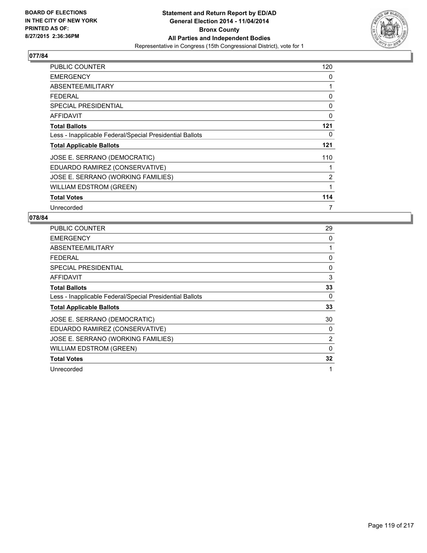

| PUBLIC COUNTER                                           | 120            |
|----------------------------------------------------------|----------------|
| <b>EMERGENCY</b>                                         | 0              |
| ABSENTEE/MILITARY                                        | 1              |
| <b>FEDERAL</b>                                           | 0              |
| <b>SPECIAL PRESIDENTIAL</b>                              | 0              |
| AFFIDAVIT                                                | 0              |
| <b>Total Ballots</b>                                     | 121            |
| Less - Inapplicable Federal/Special Presidential Ballots | 0              |
| <b>Total Applicable Ballots</b>                          | 121            |
| JOSE E. SERRANO (DEMOCRATIC)                             | 110            |
| EDUARDO RAMIREZ (CONSERVATIVE)                           |                |
| JOSE E. SERRANO (WORKING FAMILIES)                       | $\overline{2}$ |
| <b>WILLIAM EDSTROM (GREEN)</b>                           | 1              |
| <b>Total Votes</b>                                       | 114            |
| Unrecorded                                               | 7              |

| <b>PUBLIC COUNTER</b>                                    | 29 |
|----------------------------------------------------------|----|
| <b>EMERGENCY</b>                                         | 0  |
| ABSENTEE/MILITARY                                        | 1  |
| <b>FEDERAL</b>                                           | 0  |
| SPECIAL PRESIDENTIAL                                     | 0  |
| AFFIDAVIT                                                | 3  |
| <b>Total Ballots</b>                                     | 33 |
| Less - Inapplicable Federal/Special Presidential Ballots | 0  |
| <b>Total Applicable Ballots</b>                          | 33 |
| JOSE E. SERRANO (DEMOCRATIC)                             | 30 |
| EDUARDO RAMIREZ (CONSERVATIVE)                           | 0  |
| JOSE E. SERRANO (WORKING FAMILIES)                       | 2  |
| <b>WILLIAM EDSTROM (GREEN)</b>                           | 0  |
| <b>Total Votes</b>                                       | 32 |
| Unrecorded                                               | 1  |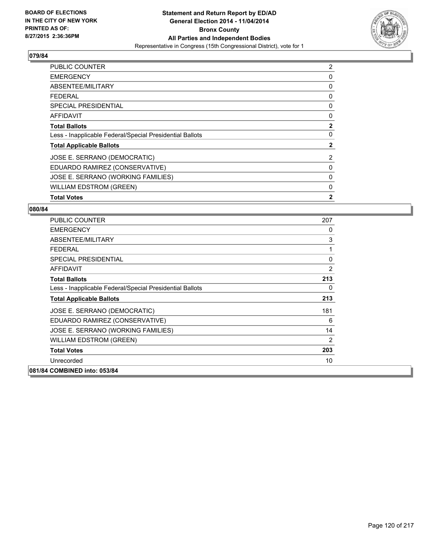

| <b>PUBLIC COUNTER</b>                                    | 2            |
|----------------------------------------------------------|--------------|
| <b>EMERGENCY</b>                                         | 0            |
| ABSENTEE/MILITARY                                        | 0            |
| <b>FEDERAL</b>                                           | 0            |
| SPECIAL PRESIDENTIAL                                     | 0            |
| <b>AFFIDAVIT</b>                                         | 0            |
| <b>Total Ballots</b>                                     | $\mathbf{2}$ |
| Less - Inapplicable Federal/Special Presidential Ballots | 0            |
| <b>Total Applicable Ballots</b>                          | $\mathbf{2}$ |
| JOSE E. SERRANO (DEMOCRATIC)                             | 2            |
| EDUARDO RAMIREZ (CONSERVATIVE)                           | 0            |
| JOSE E. SERRANO (WORKING FAMILIES)                       | 0            |
| <b>WILLIAM EDSTROM (GREEN)</b>                           | 0            |
| <b>Total Votes</b>                                       | $\mathbf{2}$ |

| <b>PUBLIC COUNTER</b>                                    | 207            |
|----------------------------------------------------------|----------------|
| <b>EMERGENCY</b>                                         | 0              |
| ABSENTEE/MILITARY                                        | 3              |
| <b>FEDERAL</b>                                           | 1              |
| <b>SPECIAL PRESIDENTIAL</b>                              | 0              |
| <b>AFFIDAVIT</b>                                         | $\overline{2}$ |
| <b>Total Ballots</b>                                     | 213            |
| Less - Inapplicable Federal/Special Presidential Ballots | 0              |
| <b>Total Applicable Ballots</b>                          | 213            |
| JOSE E. SERRANO (DEMOCRATIC)                             | 181            |
| EDUARDO RAMIREZ (CONSERVATIVE)                           | 6              |
| JOSE E. SERRANO (WORKING FAMILIES)                       | 14             |
| WILLIAM EDSTROM (GREEN)                                  | $\overline{2}$ |
| <b>Total Votes</b>                                       | 203            |
| Unrecorded                                               | 10             |
| 081/84 COMBINED into: 053/84                             |                |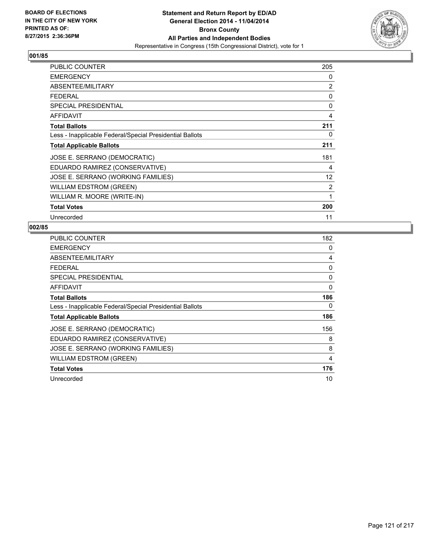

| <b>PUBLIC COUNTER</b>                                    | 205               |
|----------------------------------------------------------|-------------------|
| <b>EMERGENCY</b>                                         | 0                 |
| ABSENTEE/MILITARY                                        | $\overline{2}$    |
| <b>FEDERAL</b>                                           | 0                 |
| <b>SPECIAL PRESIDENTIAL</b>                              | 0                 |
| <b>AFFIDAVIT</b>                                         | 4                 |
| <b>Total Ballots</b>                                     | 211               |
| Less - Inapplicable Federal/Special Presidential Ballots | 0                 |
| <b>Total Applicable Ballots</b>                          | 211               |
| JOSE E. SERRANO (DEMOCRATIC)                             | 181               |
| EDUARDO RAMIREZ (CONSERVATIVE)                           | 4                 |
| JOSE E. SERRANO (WORKING FAMILIES)                       | $12 \overline{ }$ |
| <b>WILLIAM EDSTROM (GREEN)</b>                           | 2                 |
| WILLIAM R. MOORE (WRITE-IN)                              | 1                 |
| <b>Total Votes</b>                                       | 200               |
| Unrecorded                                               | 11                |

| PUBLIC COUNTER                                           | 182      |
|----------------------------------------------------------|----------|
| <b>EMERGENCY</b>                                         | 0        |
| ABSENTEE/MILITARY                                        | 4        |
| <b>FEDERAL</b>                                           | 0        |
| <b>SPECIAL PRESIDENTIAL</b>                              | 0        |
| <b>AFFIDAVIT</b>                                         | $\Omega$ |
| <b>Total Ballots</b>                                     | 186      |
| Less - Inapplicable Federal/Special Presidential Ballots | 0        |
| <b>Total Applicable Ballots</b>                          | 186      |
| JOSE E. SERRANO (DEMOCRATIC)                             | 156      |
| EDUARDO RAMIREZ (CONSERVATIVE)                           | 8        |
| JOSE E. SERRANO (WORKING FAMILIES)                       | 8        |
| <b>WILLIAM EDSTROM (GREEN)</b>                           | 4        |
| <b>Total Votes</b>                                       | 176      |
| Unrecorded                                               | 10       |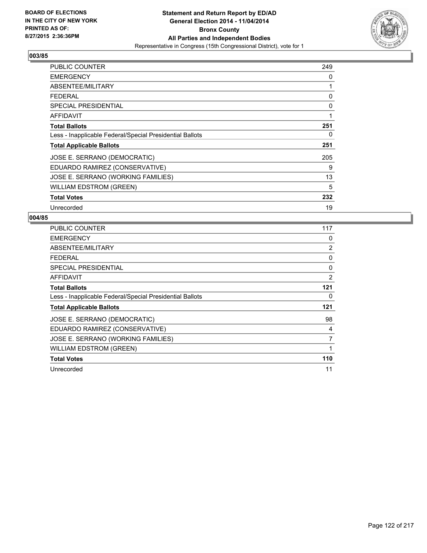

| PUBLIC COUNTER                                           | 249 |
|----------------------------------------------------------|-----|
| <b>EMERGENCY</b>                                         | 0   |
| ABSENTEE/MILITARY                                        | 1   |
| <b>FEDERAL</b>                                           | 0   |
| <b>SPECIAL PRESIDENTIAL</b>                              | 0   |
| AFFIDAVIT                                                | 1   |
| <b>Total Ballots</b>                                     | 251 |
| Less - Inapplicable Federal/Special Presidential Ballots | 0   |
| <b>Total Applicable Ballots</b>                          | 251 |
| JOSE E. SERRANO (DEMOCRATIC)                             | 205 |
| EDUARDO RAMIREZ (CONSERVATIVE)                           | 9   |
| JOSE E. SERRANO (WORKING FAMILIES)                       | 13  |
| <b>WILLIAM EDSTROM (GREEN)</b>                           | 5   |
| <b>Total Votes</b>                                       | 232 |
| Unrecorded                                               | 19  |

| <b>PUBLIC COUNTER</b>                                    | 117 |
|----------------------------------------------------------|-----|
| <b>EMERGENCY</b>                                         | 0   |
| ABSENTEE/MILITARY                                        | 2   |
| <b>FEDERAL</b>                                           | 0   |
| <b>SPECIAL PRESIDENTIAL</b>                              | 0   |
| AFFIDAVIT                                                | 2   |
| <b>Total Ballots</b>                                     | 121 |
| Less - Inapplicable Federal/Special Presidential Ballots | 0   |
| <b>Total Applicable Ballots</b>                          | 121 |
| JOSE E. SERRANO (DEMOCRATIC)                             | 98  |
| EDUARDO RAMIREZ (CONSERVATIVE)                           | 4   |
| JOSE E. SERRANO (WORKING FAMILIES)                       | 7   |
| WILLIAM EDSTROM (GREEN)                                  | 1   |
| <b>Total Votes</b>                                       | 110 |
| Unrecorded                                               | 11  |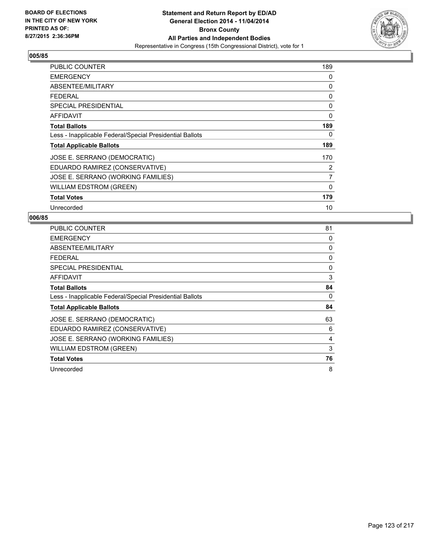

| <b>PUBLIC COUNTER</b>                                    | 189            |
|----------------------------------------------------------|----------------|
| <b>EMERGENCY</b>                                         | 0              |
| ABSENTEE/MILITARY                                        | 0              |
| <b>FEDERAL</b>                                           | 0              |
| <b>SPECIAL PRESIDENTIAL</b>                              | 0              |
| AFFIDAVIT                                                | 0              |
| <b>Total Ballots</b>                                     | 189            |
| Less - Inapplicable Federal/Special Presidential Ballots | 0              |
| <b>Total Applicable Ballots</b>                          | 189            |
| JOSE E. SERRANO (DEMOCRATIC)                             | 170            |
| EDUARDO RAMIREZ (CONSERVATIVE)                           | 2              |
| JOSE E. SERRANO (WORKING FAMILIES)                       | $\overline{7}$ |
| <b>WILLIAM EDSTROM (GREEN)</b>                           | $\mathbf{0}$   |
| <b>Total Votes</b>                                       | 179            |
| Unrecorded                                               | 10             |

| PUBLIC COUNTER                                           | 81 |
|----------------------------------------------------------|----|
| <b>EMERGENCY</b>                                         | 0  |
| ABSENTEE/MILITARY                                        | 0  |
| <b>FEDERAL</b>                                           | 0  |
| <b>SPECIAL PRESIDENTIAL</b>                              | 0  |
| AFFIDAVIT                                                | 3  |
| <b>Total Ballots</b>                                     | 84 |
| Less - Inapplicable Federal/Special Presidential Ballots | 0  |
| <b>Total Applicable Ballots</b>                          | 84 |
| JOSE E. SERRANO (DEMOCRATIC)                             | 63 |
| EDUARDO RAMIREZ (CONSERVATIVE)                           | 6  |
| JOSE E. SERRANO (WORKING FAMILIES)                       | 4  |
| WILLIAM EDSTROM (GREEN)                                  | 3  |
| <b>Total Votes</b>                                       | 76 |
| Unrecorded                                               | 8  |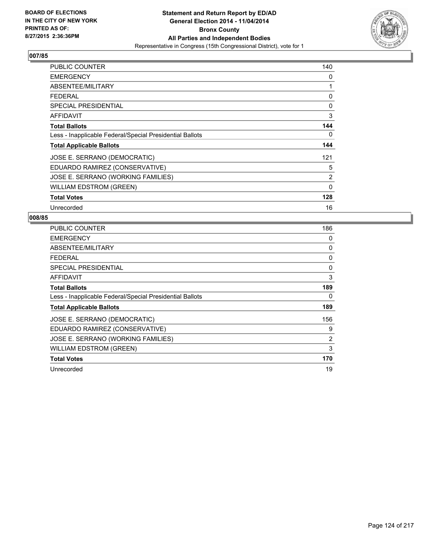

| <b>PUBLIC COUNTER</b>                                    | 140            |
|----------------------------------------------------------|----------------|
| <b>EMERGENCY</b>                                         | 0              |
| ABSENTEE/MILITARY                                        | 1              |
| <b>FEDERAL</b>                                           | 0              |
| <b>SPECIAL PRESIDENTIAL</b>                              | 0              |
| AFFIDAVIT                                                | 3              |
| <b>Total Ballots</b>                                     | 144            |
| Less - Inapplicable Federal/Special Presidential Ballots | 0              |
| <b>Total Applicable Ballots</b>                          | 144            |
| JOSE E. SERRANO (DEMOCRATIC)                             | 121            |
| EDUARDO RAMIREZ (CONSERVATIVE)                           | 5              |
| JOSE E. SERRANO (WORKING FAMILIES)                       | $\overline{2}$ |
| <b>WILLIAM EDSTROM (GREEN)</b>                           | $\mathbf{0}$   |
| <b>Total Votes</b>                                       | 128            |
| Unrecorded                                               | 16             |

| PUBLIC COUNTER                                           | 186 |
|----------------------------------------------------------|-----|
| <b>EMERGENCY</b>                                         | 0   |
| ABSENTEE/MILITARY                                        | 0   |
| <b>FEDERAL</b>                                           | 0   |
| <b>SPECIAL PRESIDENTIAL</b>                              | 0   |
| AFFIDAVIT                                                | 3   |
| <b>Total Ballots</b>                                     | 189 |
| Less - Inapplicable Federal/Special Presidential Ballots | 0   |
| <b>Total Applicable Ballots</b>                          | 189 |
| JOSE E. SERRANO (DEMOCRATIC)                             | 156 |
| EDUARDO RAMIREZ (CONSERVATIVE)                           | 9   |
| JOSE E. SERRANO (WORKING FAMILIES)                       | 2   |
| WILLIAM EDSTROM (GREEN)                                  | 3   |
| <b>Total Votes</b>                                       | 170 |
| Unrecorded                                               | 19  |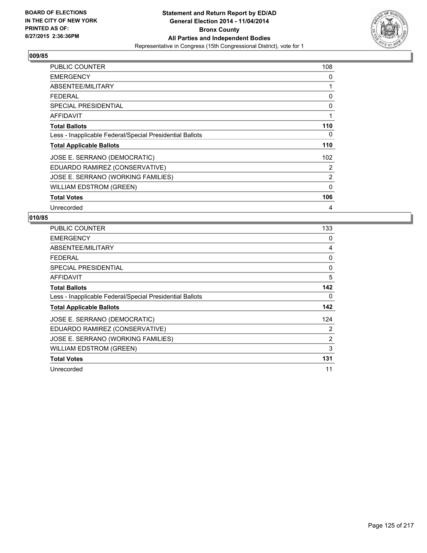

| PUBLIC COUNTER                                           | 108         |
|----------------------------------------------------------|-------------|
| <b>EMERGENCY</b>                                         | 0           |
| ABSENTEE/MILITARY                                        | 1           |
| <b>FEDERAL</b>                                           | 0           |
| <b>SPECIAL PRESIDENTIAL</b>                              | 0           |
| AFFIDAVIT                                                | 1           |
| <b>Total Ballots</b>                                     | 110         |
| Less - Inapplicable Federal/Special Presidential Ballots | 0           |
| <b>Total Applicable Ballots</b>                          | 110         |
| JOSE E. SERRANO (DEMOCRATIC)                             | 102         |
| EDUARDO RAMIREZ (CONSERVATIVE)                           | 2           |
| JOSE E. SERRANO (WORKING FAMILIES)                       | 2           |
| <b>WILLIAM EDSTROM (GREEN)</b>                           | $\mathbf 0$ |
| <b>Total Votes</b>                                       | 106         |
| Unrecorded                                               | 4           |

| <b>PUBLIC COUNTER</b>                                    | 133      |
|----------------------------------------------------------|----------|
| <b>EMERGENCY</b>                                         | 0        |
| ABSENTEE/MILITARY                                        | 4        |
| <b>FEDERAL</b>                                           | 0        |
| SPECIAL PRESIDENTIAL                                     | $\Omega$ |
| <b>AFFIDAVIT</b>                                         | 5        |
| <b>Total Ballots</b>                                     | 142      |
| Less - Inapplicable Federal/Special Presidential Ballots | 0        |
| <b>Total Applicable Ballots</b>                          | 142      |
| JOSE E. SERRANO (DEMOCRATIC)                             | 124      |
| EDUARDO RAMIREZ (CONSERVATIVE)                           | 2        |
| JOSE E. SERRANO (WORKING FAMILIES)                       | 2        |
| <b>WILLIAM EDSTROM (GREEN)</b>                           | 3        |
| <b>Total Votes</b>                                       | 131      |
| Unrecorded                                               | 11       |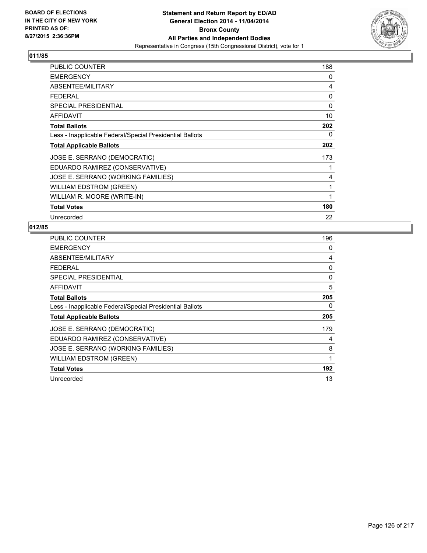

| PUBLIC COUNTER                                           | 188 |
|----------------------------------------------------------|-----|
| <b>EMERGENCY</b>                                         | 0   |
| ABSENTEE/MILITARY                                        | 4   |
| <b>FEDERAL</b>                                           | 0   |
| <b>SPECIAL PRESIDENTIAL</b>                              | 0   |
| <b>AFFIDAVIT</b>                                         | 10  |
| <b>Total Ballots</b>                                     | 202 |
| Less - Inapplicable Federal/Special Presidential Ballots | 0   |
| <b>Total Applicable Ballots</b>                          | 202 |
| JOSE E. SERRANO (DEMOCRATIC)                             | 173 |
| EDUARDO RAMIREZ (CONSERVATIVE)                           | 1   |
| JOSE E. SERRANO (WORKING FAMILIES)                       | 4   |
| WILLIAM EDSTROM (GREEN)                                  | 1   |
| WILLIAM R. MOORE (WRITE-IN)                              | 1   |
| <b>Total Votes</b>                                       | 180 |
| Unrecorded                                               | 22  |

| PUBLIC COUNTER                                           | 196 |
|----------------------------------------------------------|-----|
| <b>EMERGENCY</b>                                         | 0   |
| ABSENTEE/MILITARY                                        | 4   |
| <b>FEDERAL</b>                                           | 0   |
| <b>SPECIAL PRESIDENTIAL</b>                              | 0   |
| <b>AFFIDAVIT</b>                                         | 5   |
| <b>Total Ballots</b>                                     | 205 |
| Less - Inapplicable Federal/Special Presidential Ballots | 0   |
| <b>Total Applicable Ballots</b>                          | 205 |
| JOSE E. SERRANO (DEMOCRATIC)                             | 179 |
| EDUARDO RAMIREZ (CONSERVATIVE)                           | 4   |
| JOSE E. SERRANO (WORKING FAMILIES)                       | 8   |
| <b>WILLIAM EDSTROM (GREEN)</b>                           | 1   |
| <b>Total Votes</b>                                       | 192 |
| Unrecorded                                               | 13  |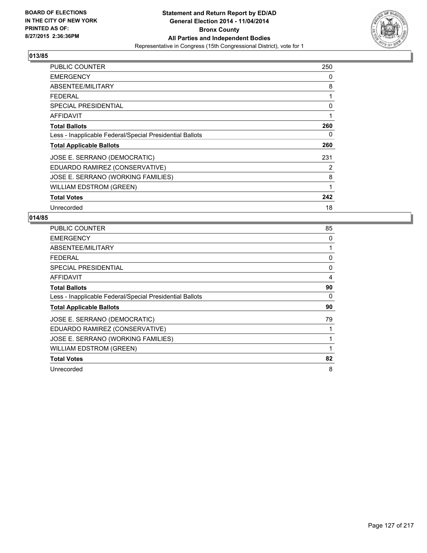

| <b>PUBLIC COUNTER</b>                                    | 250 |
|----------------------------------------------------------|-----|
| <b>EMERGENCY</b>                                         | 0   |
| ABSENTEE/MILITARY                                        | 8   |
| <b>FEDERAL</b>                                           | 1   |
| <b>SPECIAL PRESIDENTIAL</b>                              | 0   |
| AFFIDAVIT                                                | 1   |
| <b>Total Ballots</b>                                     | 260 |
| Less - Inapplicable Federal/Special Presidential Ballots | 0   |
| <b>Total Applicable Ballots</b>                          | 260 |
| JOSE E. SERRANO (DEMOCRATIC)                             | 231 |
| EDUARDO RAMIREZ (CONSERVATIVE)                           | 2   |
| JOSE E. SERRANO (WORKING FAMILIES)                       | 8   |
| <b>WILLIAM EDSTROM (GREEN)</b>                           | 1   |
| <b>Total Votes</b>                                       | 242 |
| Unrecorded                                               | 18  |

| <b>PUBLIC COUNTER</b>                                    | 85 |
|----------------------------------------------------------|----|
| <b>EMERGENCY</b>                                         | 0  |
| ABSENTEE/MILITARY                                        |    |
| <b>FEDERAL</b>                                           | 0  |
| SPECIAL PRESIDENTIAL                                     | 0  |
| <b>AFFIDAVIT</b>                                         | 4  |
| <b>Total Ballots</b>                                     | 90 |
| Less - Inapplicable Federal/Special Presidential Ballots | 0  |
| <b>Total Applicable Ballots</b>                          | 90 |
| JOSE E. SERRANO (DEMOCRATIC)                             | 79 |
| EDUARDO RAMIREZ (CONSERVATIVE)                           |    |
| JOSE E. SERRANO (WORKING FAMILIES)                       |    |
| <b>WILLIAM EDSTROM (GREEN)</b>                           |    |
| <b>Total Votes</b>                                       | 82 |
| Unrecorded                                               | 8  |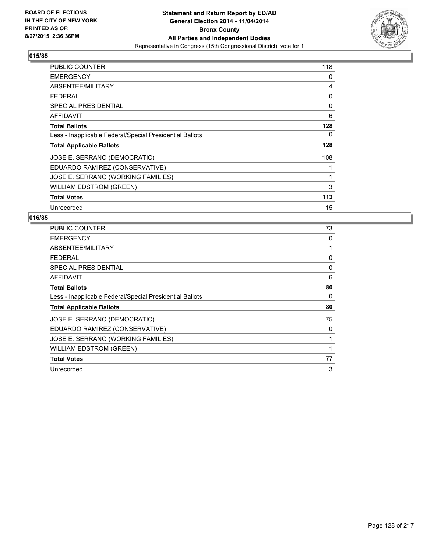

| <b>PUBLIC COUNTER</b>                                    | 118 |
|----------------------------------------------------------|-----|
| <b>EMERGENCY</b>                                         | 0   |
| ABSENTEE/MILITARY                                        | 4   |
| <b>FEDERAL</b>                                           | 0   |
| <b>SPECIAL PRESIDENTIAL</b>                              | 0   |
| AFFIDAVIT                                                | 6   |
| <b>Total Ballots</b>                                     | 128 |
| Less - Inapplicable Federal/Special Presidential Ballots | 0   |
| <b>Total Applicable Ballots</b>                          | 128 |
| JOSE E. SERRANO (DEMOCRATIC)                             | 108 |
| EDUARDO RAMIREZ (CONSERVATIVE)                           | 1   |
| JOSE E. SERRANO (WORKING FAMILIES)                       | 1   |
| WILLIAM EDSTROM (GREEN)                                  | 3   |
| <b>Total Votes</b>                                       | 113 |
| Unrecorded                                               | 15  |

| <b>PUBLIC COUNTER</b>                                    | 73 |
|----------------------------------------------------------|----|
| <b>EMERGENCY</b>                                         | 0  |
| ABSENTEE/MILITARY                                        |    |
| <b>FEDERAL</b>                                           | 0  |
| SPECIAL PRESIDENTIAL                                     | 0  |
| <b>AFFIDAVIT</b>                                         | 6  |
| <b>Total Ballots</b>                                     | 80 |
| Less - Inapplicable Federal/Special Presidential Ballots | 0  |
| <b>Total Applicable Ballots</b>                          | 80 |
| JOSE E. SERRANO (DEMOCRATIC)                             | 75 |
| EDUARDO RAMIREZ (CONSERVATIVE)                           | 0  |
| JOSE E. SERRANO (WORKING FAMILIES)                       |    |
| <b>WILLIAM EDSTROM (GREEN)</b>                           |    |
| <b>Total Votes</b>                                       | 77 |
| Unrecorded                                               | 3  |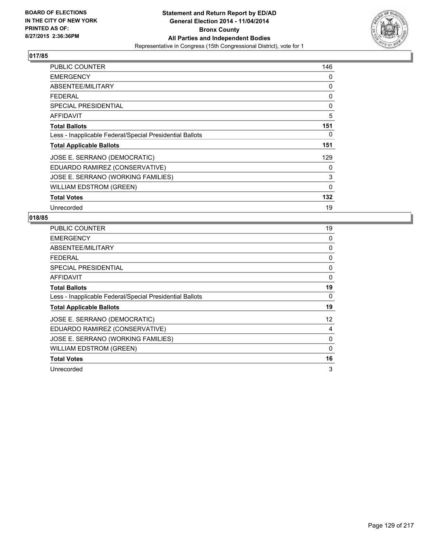

| <b>PUBLIC COUNTER</b>                                    | 146         |
|----------------------------------------------------------|-------------|
| <b>EMERGENCY</b>                                         | 0           |
| ABSENTEE/MILITARY                                        | 0           |
| <b>FEDERAL</b>                                           | 0           |
| <b>SPECIAL PRESIDENTIAL</b>                              | 0           |
| AFFIDAVIT                                                | 5           |
| <b>Total Ballots</b>                                     | 151         |
| Less - Inapplicable Federal/Special Presidential Ballots | 0           |
| <b>Total Applicable Ballots</b>                          | 151         |
| JOSE E. SERRANO (DEMOCRATIC)                             | 129         |
| EDUARDO RAMIREZ (CONSERVATIVE)                           | 0           |
| JOSE E. SERRANO (WORKING FAMILIES)                       | 3           |
| WILLIAM EDSTROM (GREEN)                                  | $\mathbf 0$ |
| <b>Total Votes</b>                                       | 132         |
| Unrecorded                                               | 19          |

| <b>PUBLIC COUNTER</b>                                    | 19 |
|----------------------------------------------------------|----|
| <b>EMERGENCY</b>                                         | 0  |
| ABSENTEE/MILITARY                                        | 0  |
| <b>FEDERAL</b>                                           | 0  |
| SPECIAL PRESIDENTIAL                                     | 0  |
| <b>AFFIDAVIT</b>                                         | 0  |
| <b>Total Ballots</b>                                     | 19 |
| Less - Inapplicable Federal/Special Presidential Ballots | 0  |
| <b>Total Applicable Ballots</b>                          | 19 |
| JOSE E. SERRANO (DEMOCRATIC)                             | 12 |
| EDUARDO RAMIREZ (CONSERVATIVE)                           | 4  |
| JOSE E. SERRANO (WORKING FAMILIES)                       | 0  |
| <b>WILLIAM EDSTROM (GREEN)</b>                           | 0  |
| <b>Total Votes</b>                                       | 16 |
| Unrecorded                                               | 3  |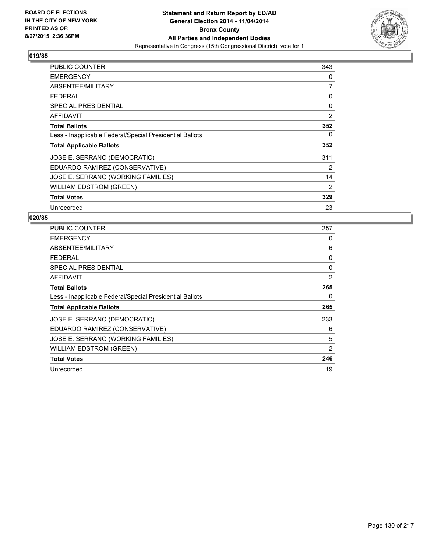

| PUBLIC COUNTER                                           | 343 |
|----------------------------------------------------------|-----|
| <b>EMERGENCY</b>                                         | 0   |
| ABSENTEE/MILITARY                                        | 7   |
| <b>FEDERAL</b>                                           | 0   |
| <b>SPECIAL PRESIDENTIAL</b>                              | 0   |
| AFFIDAVIT                                                | 2   |
| <b>Total Ballots</b>                                     | 352 |
| Less - Inapplicable Federal/Special Presidential Ballots | 0   |
| <b>Total Applicable Ballots</b>                          | 352 |
| JOSE E. SERRANO (DEMOCRATIC)                             | 311 |
| EDUARDO RAMIREZ (CONSERVATIVE)                           | 2   |
| JOSE E. SERRANO (WORKING FAMILIES)                       | 14  |
| <b>WILLIAM EDSTROM (GREEN)</b>                           | 2   |
| <b>Total Votes</b>                                       | 329 |
| Unrecorded                                               | 23  |

| PUBLIC COUNTER                                           | 257 |
|----------------------------------------------------------|-----|
| <b>EMERGENCY</b>                                         | 0   |
| ABSENTEE/MILITARY                                        | 6   |
| FEDERAL                                                  | 0   |
| <b>SPECIAL PRESIDENTIAL</b>                              | 0   |
| AFFIDAVIT                                                | 2   |
| <b>Total Ballots</b>                                     | 265 |
| Less - Inapplicable Federal/Special Presidential Ballots | 0   |
| <b>Total Applicable Ballots</b>                          | 265 |
| JOSE E. SERRANO (DEMOCRATIC)                             | 233 |
| EDUARDO RAMIREZ (CONSERVATIVE)                           | 6   |
| JOSE E. SERRANO (WORKING FAMILIES)                       | 5   |
| WILLIAM EDSTROM (GREEN)                                  | 2   |
| <b>Total Votes</b>                                       | 246 |
| Unrecorded                                               | 19  |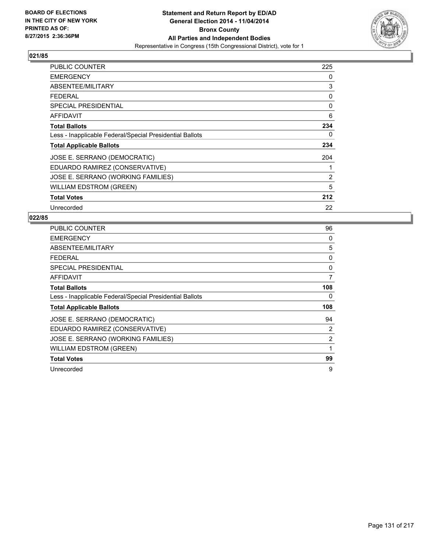

| <b>PUBLIC COUNTER</b>                                    | 225            |
|----------------------------------------------------------|----------------|
| <b>EMERGENCY</b>                                         | 0              |
| ABSENTEE/MILITARY                                        | 3              |
| <b>FEDERAL</b>                                           | 0              |
| <b>SPECIAL PRESIDENTIAL</b>                              | 0              |
| AFFIDAVIT                                                | 6              |
| <b>Total Ballots</b>                                     | 234            |
| Less - Inapplicable Federal/Special Presidential Ballots | 0              |
| <b>Total Applicable Ballots</b>                          | 234            |
| JOSE E. SERRANO (DEMOCRATIC)                             | 204            |
| EDUARDO RAMIREZ (CONSERVATIVE)                           | 1              |
| JOSE E. SERRANO (WORKING FAMILIES)                       | $\overline{2}$ |
| <b>WILLIAM EDSTROM (GREEN)</b>                           | 5              |
| <b>Total Votes</b>                                       | 212            |
| Unrecorded                                               | 22             |

| <b>PUBLIC COUNTER</b>                                    | 96  |
|----------------------------------------------------------|-----|
| <b>EMERGENCY</b>                                         | 0   |
| ABSENTEE/MILITARY                                        | 5   |
| <b>FEDERAL</b>                                           | 0   |
| SPECIAL PRESIDENTIAL                                     | 0   |
| AFFIDAVIT                                                | 7   |
| <b>Total Ballots</b>                                     | 108 |
| Less - Inapplicable Federal/Special Presidential Ballots | 0   |
| <b>Total Applicable Ballots</b>                          | 108 |
| JOSE E. SERRANO (DEMOCRATIC)                             | 94  |
| EDUARDO RAMIREZ (CONSERVATIVE)                           | 2   |
| JOSE E. SERRANO (WORKING FAMILIES)                       | 2   |
| <b>WILLIAM EDSTROM (GREEN)</b>                           | 1   |
| <b>Total Votes</b>                                       | 99  |
| Unrecorded                                               | 9   |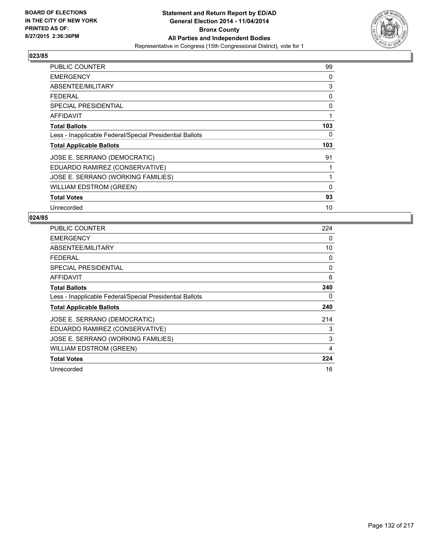

| PUBLIC COUNTER                                           | 99  |
|----------------------------------------------------------|-----|
| <b>EMERGENCY</b>                                         | 0   |
| ABSENTEE/MILITARY                                        | 3   |
| <b>FEDERAL</b>                                           | 0   |
| <b>SPECIAL PRESIDENTIAL</b>                              | 0   |
| AFFIDAVIT                                                | 1   |
| <b>Total Ballots</b>                                     | 103 |
| Less - Inapplicable Federal/Special Presidential Ballots | 0   |
| <b>Total Applicable Ballots</b>                          | 103 |
| JOSE E. SERRANO (DEMOCRATIC)                             | 91  |
| EDUARDO RAMIREZ (CONSERVATIVE)                           | 1   |
| JOSE E. SERRANO (WORKING FAMILIES)                       | 1   |
| <b>WILLIAM EDSTROM (GREEN)</b>                           | 0   |
| <b>Total Votes</b>                                       | 93  |
| Unrecorded                                               | 10  |

| <b>PUBLIC COUNTER</b>                                    | 224 |
|----------------------------------------------------------|-----|
| <b>EMERGENCY</b>                                         | 0   |
| ABSENTEE/MILITARY                                        | 10  |
| FEDERAL                                                  | 0   |
| SPECIAL PRESIDENTIAL                                     | 0   |
| AFFIDAVIT                                                | 6   |
| <b>Total Ballots</b>                                     | 240 |
| Less - Inapplicable Federal/Special Presidential Ballots | 0   |
| <b>Total Applicable Ballots</b>                          | 240 |
| JOSE E. SERRANO (DEMOCRATIC)                             | 214 |
| EDUARDO RAMIREZ (CONSERVATIVE)                           | 3   |
| JOSE E. SERRANO (WORKING FAMILIES)                       | 3   |
| WILLIAM EDSTROM (GREEN)                                  | 4   |
| <b>Total Votes</b>                                       | 224 |
| Unrecorded                                               | 16  |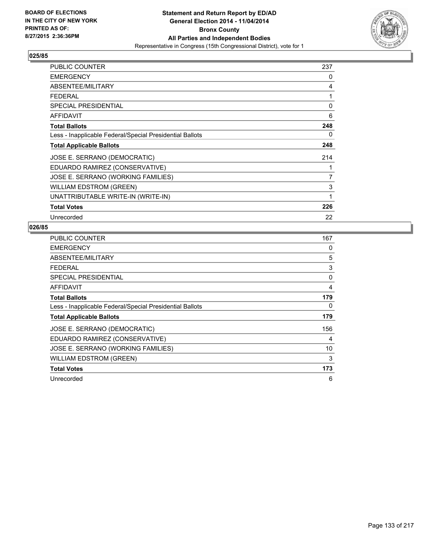

| <b>PUBLIC COUNTER</b>                                    | 237 |
|----------------------------------------------------------|-----|
| <b>EMERGENCY</b>                                         | 0   |
| ABSENTEE/MILITARY                                        | 4   |
| <b>FEDERAL</b>                                           | 1   |
| <b>SPECIAL PRESIDENTIAL</b>                              | 0   |
| <b>AFFIDAVIT</b>                                         | 6   |
| <b>Total Ballots</b>                                     | 248 |
| Less - Inapplicable Federal/Special Presidential Ballots | 0   |
| <b>Total Applicable Ballots</b>                          | 248 |
| JOSE E. SERRANO (DEMOCRATIC)                             | 214 |
| EDUARDO RAMIREZ (CONSERVATIVE)                           |     |
| JOSE E. SERRANO (WORKING FAMILIES)                       | 7   |
| <b>WILLIAM EDSTROM (GREEN)</b>                           | 3   |
| UNATTRIBUTABLE WRITE-IN (WRITE-IN)                       | 1   |
| <b>Total Votes</b>                                       | 226 |
| Unrecorded                                               | 22  |

| <b>PUBLIC COUNTER</b>                                    | 167 |
|----------------------------------------------------------|-----|
| <b>EMERGENCY</b>                                         | 0   |
| ABSENTEE/MILITARY                                        | 5   |
| <b>FEDERAL</b>                                           | 3   |
| <b>SPECIAL PRESIDENTIAL</b>                              | 0   |
| <b>AFFIDAVIT</b>                                         | 4   |
| <b>Total Ballots</b>                                     | 179 |
| Less - Inapplicable Federal/Special Presidential Ballots | 0   |
| <b>Total Applicable Ballots</b>                          | 179 |
| JOSE E. SERRANO (DEMOCRATIC)                             | 156 |
| EDUARDO RAMIREZ (CONSERVATIVE)                           | 4   |
| JOSE E. SERRANO (WORKING FAMILIES)                       | 10  |
| WILLIAM EDSTROM (GREEN)                                  | 3   |
| <b>Total Votes</b>                                       | 173 |
| Unrecorded                                               | 6   |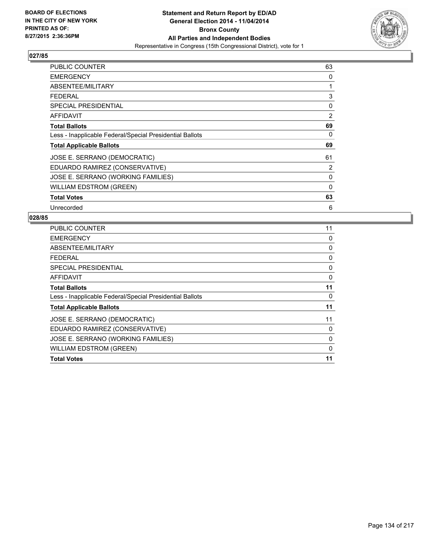

| PUBLIC COUNTER                                           | 63             |
|----------------------------------------------------------|----------------|
| <b>EMERGENCY</b>                                         | 0              |
| ABSENTEE/MILITARY                                        | 1              |
| <b>FEDERAL</b>                                           | 3              |
| SPECIAL PRESIDENTIAL                                     | 0              |
| <b>AFFIDAVIT</b>                                         | $\overline{2}$ |
| <b>Total Ballots</b>                                     | 69             |
| Less - Inapplicable Federal/Special Presidential Ballots | 0              |
| <b>Total Applicable Ballots</b>                          | 69             |
| JOSE E. SERRANO (DEMOCRATIC)                             | 61             |
| EDUARDO RAMIREZ (CONSERVATIVE)                           | 2              |
| JOSE E. SERRANO (WORKING FAMILIES)                       | 0              |
| <b>WILLIAM EDSTROM (GREEN)</b>                           | $\mathbf 0$    |
| <b>Total Votes</b>                                       | 63             |
| Unrecorded                                               | 6              |

| <b>PUBLIC COUNTER</b>                                    | 11 |
|----------------------------------------------------------|----|
| <b>EMERGENCY</b>                                         | 0  |
| ABSENTEE/MILITARY                                        | 0  |
| <b>FEDERAL</b>                                           | 0  |
| SPECIAL PRESIDENTIAL                                     | 0  |
| <b>AFFIDAVIT</b>                                         | 0  |
| <b>Total Ballots</b>                                     | 11 |
| Less - Inapplicable Federal/Special Presidential Ballots | 0  |
| <b>Total Applicable Ballots</b>                          | 11 |
| JOSE E. SERRANO (DEMOCRATIC)                             | 11 |
| EDUARDO RAMIREZ (CONSERVATIVE)                           | 0  |
| JOSE E. SERRANO (WORKING FAMILIES)                       | 0  |
| <b>WILLIAM EDSTROM (GREEN)</b>                           | 0  |
| <b>Total Votes</b>                                       | 11 |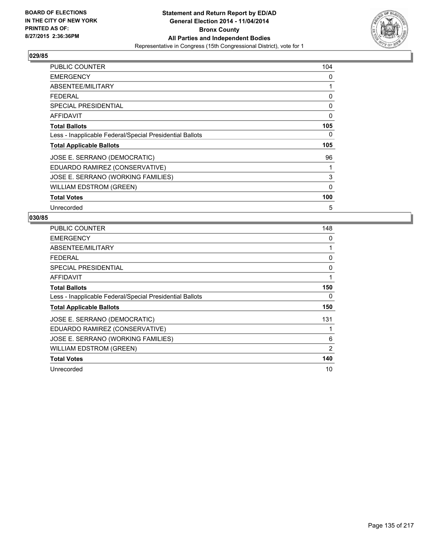

| PUBLIC COUNTER                                           | 104 |
|----------------------------------------------------------|-----|
| <b>EMERGENCY</b>                                         | 0   |
| ABSENTEE/MILITARY                                        | 1   |
| <b>FEDERAL</b>                                           | 0   |
| <b>SPECIAL PRESIDENTIAL</b>                              | 0   |
| <b>AFFIDAVIT</b>                                         | 0   |
| <b>Total Ballots</b>                                     | 105 |
| Less - Inapplicable Federal/Special Presidential Ballots | 0   |
| <b>Total Applicable Ballots</b>                          | 105 |
| JOSE E. SERRANO (DEMOCRATIC)                             | 96  |
| EDUARDO RAMIREZ (CONSERVATIVE)                           | 1   |
| JOSE E. SERRANO (WORKING FAMILIES)                       | 3   |
| <b>WILLIAM EDSTROM (GREEN)</b>                           | 0   |
| <b>Total Votes</b>                                       | 100 |
| Unrecorded                                               | 5   |

| <b>PUBLIC COUNTER</b>                                    | 148 |
|----------------------------------------------------------|-----|
| <b>EMERGENCY</b>                                         | 0   |
| ABSENTEE/MILITARY                                        | 1   |
| FEDERAL                                                  | 0   |
| SPECIAL PRESIDENTIAL                                     | 0   |
| AFFIDAVIT                                                | 1   |
| <b>Total Ballots</b>                                     | 150 |
| Less - Inapplicable Federal/Special Presidential Ballots | 0   |
| <b>Total Applicable Ballots</b>                          | 150 |
| JOSE E. SERRANO (DEMOCRATIC)                             | 131 |
| EDUARDO RAMIREZ (CONSERVATIVE)                           |     |
| JOSE E. SERRANO (WORKING FAMILIES)                       | 6   |
| <b>WILLIAM EDSTROM (GREEN)</b>                           | 2   |
| <b>Total Votes</b>                                       | 140 |
| Unrecorded                                               | 10  |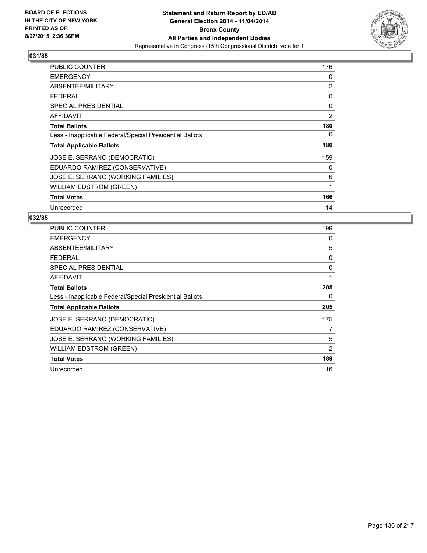

| PUBLIC COUNTER                                           | 176 |
|----------------------------------------------------------|-----|
| <b>EMERGENCY</b>                                         | 0   |
| ABSENTEE/MILITARY                                        | 2   |
| <b>FEDERAL</b>                                           | 0   |
| <b>SPECIAL PRESIDENTIAL</b>                              | 0   |
| AFFIDAVIT                                                | 2   |
| <b>Total Ballots</b>                                     | 180 |
| Less - Inapplicable Federal/Special Presidential Ballots | 0   |
| <b>Total Applicable Ballots</b>                          | 180 |
| JOSE E. SERRANO (DEMOCRATIC)                             | 159 |
| EDUARDO RAMIREZ (CONSERVATIVE)                           | 0   |
| JOSE E. SERRANO (WORKING FAMILIES)                       | 6   |
| <b>WILLIAM EDSTROM (GREEN)</b>                           | 1   |
| <b>Total Votes</b>                                       | 166 |
| Unrecorded                                               | 14  |

| PUBLIC COUNTER                                           | 199 |
|----------------------------------------------------------|-----|
| <b>EMERGENCY</b>                                         | 0   |
| ABSENTEE/MILITARY                                        | 5   |
| <b>FEDERAL</b>                                           | 0   |
| <b>SPECIAL PRESIDENTIAL</b>                              | 0   |
| AFFIDAVIT                                                | 1   |
| <b>Total Ballots</b>                                     | 205 |
| Less - Inapplicable Federal/Special Presidential Ballots | 0   |
| <b>Total Applicable Ballots</b>                          | 205 |
| JOSE E. SERRANO (DEMOCRATIC)                             | 175 |
| EDUARDO RAMIREZ (CONSERVATIVE)                           | 7   |
| JOSE E. SERRANO (WORKING FAMILIES)                       | 5   |
| WILLIAM EDSTROM (GREEN)                                  | 2   |
| <b>Total Votes</b>                                       | 189 |
| Unrecorded                                               | 16  |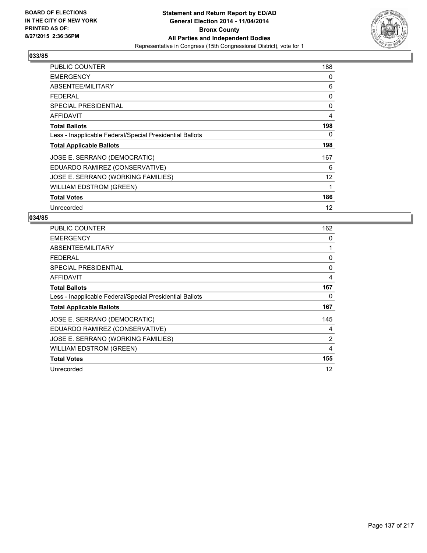

| <b>PUBLIC COUNTER</b>                                    | 188               |
|----------------------------------------------------------|-------------------|
| <b>EMERGENCY</b>                                         | 0                 |
| ABSENTEE/MILITARY                                        | 6                 |
| <b>FEDERAL</b>                                           | 0                 |
| <b>SPECIAL PRESIDENTIAL</b>                              | 0                 |
| AFFIDAVIT                                                | 4                 |
| <b>Total Ballots</b>                                     | 198               |
| Less - Inapplicable Federal/Special Presidential Ballots | 0                 |
| <b>Total Applicable Ballots</b>                          | 198               |
| JOSE E. SERRANO (DEMOCRATIC)                             | 167               |
| EDUARDO RAMIREZ (CONSERVATIVE)                           | 6                 |
| JOSE E. SERRANO (WORKING FAMILIES)                       | $12 \overline{ }$ |
| WILLIAM EDSTROM (GREEN)                                  | 1                 |
| <b>Total Votes</b>                                       | 186               |
| Unrecorded                                               | 12                |

| <b>PUBLIC COUNTER</b>                                    | 162 |
|----------------------------------------------------------|-----|
| <b>EMERGENCY</b>                                         | 0   |
| ABSENTEE/MILITARY                                        | 1   |
| <b>FEDERAL</b>                                           | 0   |
| <b>SPECIAL PRESIDENTIAL</b>                              | 0   |
| AFFIDAVIT                                                | 4   |
| <b>Total Ballots</b>                                     | 167 |
| Less - Inapplicable Federal/Special Presidential Ballots | 0   |
| <b>Total Applicable Ballots</b>                          | 167 |
| JOSE E. SERRANO (DEMOCRATIC)                             | 145 |
| EDUARDO RAMIREZ (CONSERVATIVE)                           | 4   |
| JOSE E. SERRANO (WORKING FAMILIES)                       | 2   |
| WILLIAM EDSTROM (GREEN)                                  | 4   |
| <b>Total Votes</b>                                       | 155 |
| Unrecorded                                               | 12  |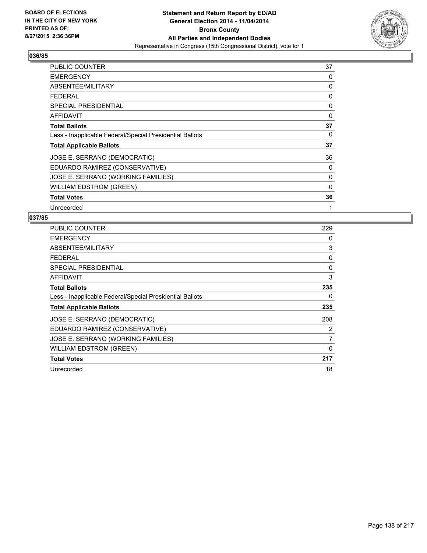

| PUBLIC COUNTER                                           | 37 |
|----------------------------------------------------------|----|
| <b>EMERGENCY</b>                                         | 0  |
| ABSENTEE/MILITARY                                        | 0  |
| <b>FEDERAL</b>                                           | 0  |
| <b>SPECIAL PRESIDENTIAL</b>                              | 0  |
| AFFIDAVIT                                                | 0  |
| <b>Total Ballots</b>                                     | 37 |
| Less - Inapplicable Federal/Special Presidential Ballots | 0  |
| <b>Total Applicable Ballots</b>                          | 37 |
| JOSE E. SERRANO (DEMOCRATIC)                             | 36 |
| EDUARDO RAMIREZ (CONSERVATIVE)                           | 0  |
| JOSE E. SERRANO (WORKING FAMILIES)                       | 0  |
| WILLIAM EDSTROM (GREEN)                                  | 0  |
| <b>Total Votes</b>                                       | 36 |
| Unrecorded                                               | 1  |

| <b>PUBLIC COUNTER</b>                                    | 229 |
|----------------------------------------------------------|-----|
| <b>EMERGENCY</b>                                         | 0   |
| ABSENTEE/MILITARY                                        | 3   |
| <b>FEDERAL</b>                                           | 0   |
| SPECIAL PRESIDENTIAL                                     | 0   |
| AFFIDAVIT                                                | 3   |
| <b>Total Ballots</b>                                     | 235 |
| Less - Inapplicable Federal/Special Presidential Ballots | 0   |
| <b>Total Applicable Ballots</b>                          | 235 |
| JOSE E. SERRANO (DEMOCRATIC)                             | 208 |
| EDUARDO RAMIREZ (CONSERVATIVE)                           | 2   |
| JOSE E. SERRANO (WORKING FAMILIES)                       | 7   |
| <b>WILLIAM EDSTROM (GREEN)</b>                           | 0   |
| <b>Total Votes</b>                                       | 217 |
| Unrecorded                                               | 18  |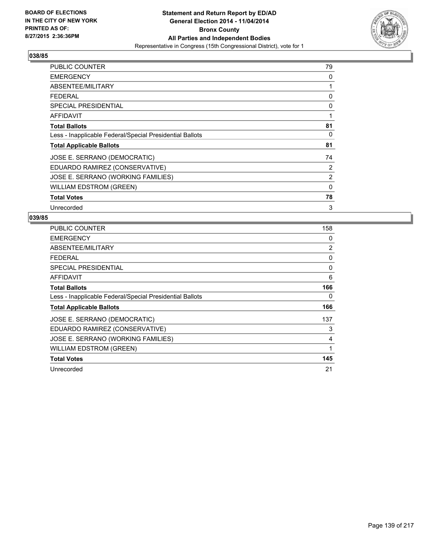

| <b>PUBLIC COUNTER</b>                                    | 79 |
|----------------------------------------------------------|----|
| <b>EMERGENCY</b>                                         | 0  |
| ABSENTEE/MILITARY                                        | 1  |
| <b>FEDERAL</b>                                           | 0  |
| SPECIAL PRESIDENTIAL                                     | 0  |
| <b>AFFIDAVIT</b>                                         | 1  |
| <b>Total Ballots</b>                                     | 81 |
| Less - Inapplicable Federal/Special Presidential Ballots | 0  |
| <b>Total Applicable Ballots</b>                          | 81 |
| JOSE E. SERRANO (DEMOCRATIC)                             | 74 |
| EDUARDO RAMIREZ (CONSERVATIVE)                           | 2  |
| JOSE E. SERRANO (WORKING FAMILIES)                       | 2  |
| <b>WILLIAM EDSTROM (GREEN)</b>                           | 0  |
| <b>Total Votes</b>                                       | 78 |
| Unrecorded                                               | 3  |

| PUBLIC COUNTER                                           | 158 |
|----------------------------------------------------------|-----|
| <b>EMERGENCY</b>                                         | 0   |
| ABSENTEE/MILITARY                                        | 2   |
| <b>FEDERAL</b>                                           | 0   |
| <b>SPECIAL PRESIDENTIAL</b>                              | 0   |
| AFFIDAVIT                                                | 6   |
| <b>Total Ballots</b>                                     | 166 |
| Less - Inapplicable Federal/Special Presidential Ballots | 0   |
| <b>Total Applicable Ballots</b>                          | 166 |
| JOSE E. SERRANO (DEMOCRATIC)                             | 137 |
| EDUARDO RAMIREZ (CONSERVATIVE)                           | 3   |
| JOSE E. SERRANO (WORKING FAMILIES)                       | 4   |
| WILLIAM EDSTROM (GREEN)                                  | 1   |
| <b>Total Votes</b>                                       | 145 |
| Unrecorded                                               | 21  |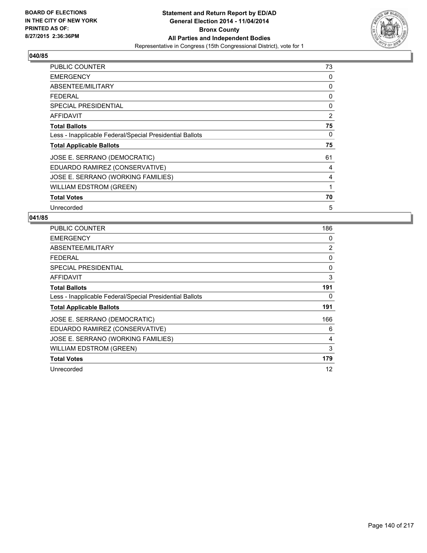

| <b>PUBLIC COUNTER</b>                                    | 73 |
|----------------------------------------------------------|----|
| <b>EMERGENCY</b>                                         | 0  |
| ABSENTEE/MILITARY                                        | 0  |
| <b>FEDERAL</b>                                           | 0  |
| <b>SPECIAL PRESIDENTIAL</b>                              | 0  |
| AFFIDAVIT                                                | 2  |
| <b>Total Ballots</b>                                     | 75 |
| Less - Inapplicable Federal/Special Presidential Ballots | 0  |
| <b>Total Applicable Ballots</b>                          | 75 |
| JOSE E. SERRANO (DEMOCRATIC)                             | 61 |
| EDUARDO RAMIREZ (CONSERVATIVE)                           | 4  |
| JOSE E. SERRANO (WORKING FAMILIES)                       | 4  |
| WILLIAM EDSTROM (GREEN)                                  | 1  |
| <b>Total Votes</b>                                       | 70 |
| Unrecorded                                               | 5  |

| <b>PUBLIC COUNTER</b>                                    | 186 |
|----------------------------------------------------------|-----|
| <b>EMERGENCY</b>                                         | 0   |
| ABSENTEE/MILITARY                                        | 2   |
| <b>FEDERAL</b>                                           | 0   |
| <b>SPECIAL PRESIDENTIAL</b>                              | 0   |
| AFFIDAVIT                                                | 3   |
| <b>Total Ballots</b>                                     | 191 |
| Less - Inapplicable Federal/Special Presidential Ballots | 0   |
| <b>Total Applicable Ballots</b>                          | 191 |
| JOSE E. SERRANO (DEMOCRATIC)                             | 166 |
| EDUARDO RAMIREZ (CONSERVATIVE)                           | 6   |
| JOSE E. SERRANO (WORKING FAMILIES)                       | 4   |
| WILLIAM EDSTROM (GREEN)                                  | 3   |
| <b>Total Votes</b>                                       | 179 |
| Unrecorded                                               | 12  |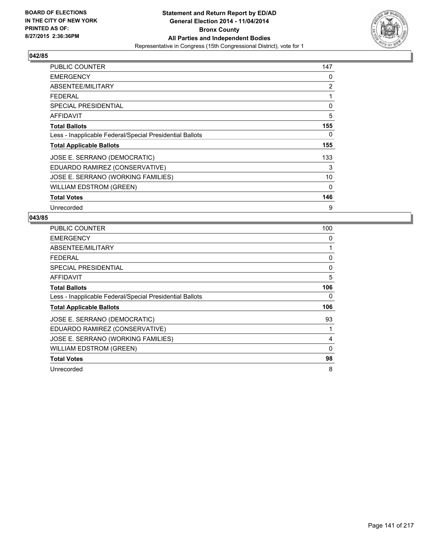

| PUBLIC COUNTER                                           | 147 |
|----------------------------------------------------------|-----|
| <b>EMERGENCY</b>                                         | 0   |
| ABSENTEE/MILITARY                                        | 2   |
| <b>FEDERAL</b>                                           | 1   |
| <b>SPECIAL PRESIDENTIAL</b>                              | 0   |
| AFFIDAVIT                                                | 5   |
| <b>Total Ballots</b>                                     | 155 |
| Less - Inapplicable Federal/Special Presidential Ballots | 0   |
| <b>Total Applicable Ballots</b>                          | 155 |
| JOSE E. SERRANO (DEMOCRATIC)                             | 133 |
| EDUARDO RAMIREZ (CONSERVATIVE)                           | 3   |
| JOSE E. SERRANO (WORKING FAMILIES)                       | 10  |
| <b>WILLIAM EDSTROM (GREEN)</b>                           | 0   |
| <b>Total Votes</b>                                       | 146 |
| Unrecorded                                               | 9   |

| <b>PUBLIC COUNTER</b>                                    | 100         |
|----------------------------------------------------------|-------------|
| <b>EMERGENCY</b>                                         | 0           |
| ABSENTEE/MILITARY                                        | 1           |
| <b>FEDERAL</b>                                           | 0           |
| SPECIAL PRESIDENTIAL                                     | 0           |
| AFFIDAVIT                                                | 5           |
| <b>Total Ballots</b>                                     | 106         |
| Less - Inapplicable Federal/Special Presidential Ballots | 0           |
| <b>Total Applicable Ballots</b>                          | 106         |
| JOSE E. SERRANO (DEMOCRATIC)                             | 93          |
| EDUARDO RAMIREZ (CONSERVATIVE)                           | 1           |
| JOSE E. SERRANO (WORKING FAMILIES)                       | 4           |
| <b>WILLIAM EDSTROM (GREEN)</b>                           | $\mathbf 0$ |
| <b>Total Votes</b>                                       | 98          |
| Unrecorded                                               | 8           |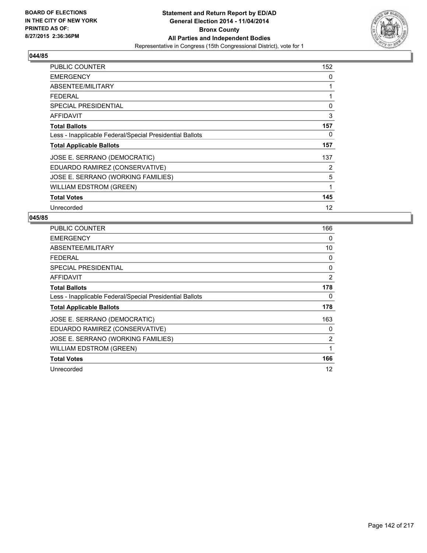

| PUBLIC COUNTER                                           | 152 |
|----------------------------------------------------------|-----|
| <b>EMERGENCY</b>                                         | 0   |
| ABSENTEE/MILITARY                                        | 1   |
| <b>FEDERAL</b>                                           | 1   |
| <b>SPECIAL PRESIDENTIAL</b>                              | 0   |
| AFFIDAVIT                                                | 3   |
| <b>Total Ballots</b>                                     | 157 |
| Less - Inapplicable Federal/Special Presidential Ballots | 0   |
| <b>Total Applicable Ballots</b>                          | 157 |
| JOSE E. SERRANO (DEMOCRATIC)                             | 137 |
| EDUARDO RAMIREZ (CONSERVATIVE)                           | 2   |
| JOSE E. SERRANO (WORKING FAMILIES)                       | 5   |
| <b>WILLIAM EDSTROM (GREEN)</b>                           | 1   |
| <b>Total Votes</b>                                       | 145 |
| Unrecorded                                               | 12  |

| PUBLIC COUNTER                                           | 166 |
|----------------------------------------------------------|-----|
| <b>EMERGENCY</b>                                         | 0   |
| ABSENTEE/MILITARY                                        | 10  |
| FEDERAL                                                  | 0   |
| <b>SPECIAL PRESIDENTIAL</b>                              | 0   |
| AFFIDAVIT                                                | 2   |
| <b>Total Ballots</b>                                     | 178 |
| Less - Inapplicable Federal/Special Presidential Ballots | 0   |
| <b>Total Applicable Ballots</b>                          | 178 |
| JOSE E. SERRANO (DEMOCRATIC)                             | 163 |
| EDUARDO RAMIREZ (CONSERVATIVE)                           | 0   |
| JOSE E. SERRANO (WORKING FAMILIES)                       | 2   |
| WILLIAM EDSTROM (GREEN)                                  | 1   |
| <b>Total Votes</b>                                       | 166 |
| Unrecorded                                               | 12  |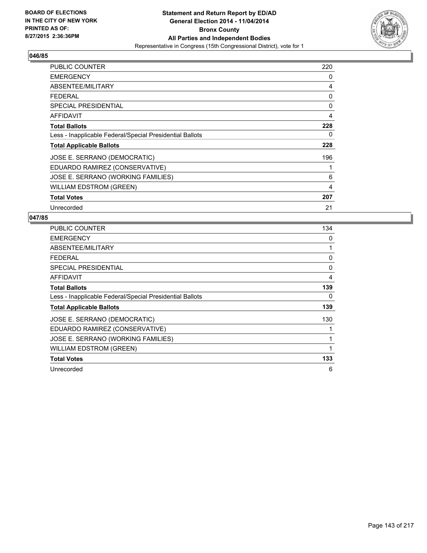

| <b>PUBLIC COUNTER</b>                                    | 220 |
|----------------------------------------------------------|-----|
| <b>EMERGENCY</b>                                         | 0   |
| ABSENTEE/MILITARY                                        | 4   |
| <b>FEDERAL</b>                                           | 0   |
| <b>SPECIAL PRESIDENTIAL</b>                              | 0   |
| <b>AFFIDAVIT</b>                                         | 4   |
| <b>Total Ballots</b>                                     | 228 |
| Less - Inapplicable Federal/Special Presidential Ballots | 0   |
| <b>Total Applicable Ballots</b>                          | 228 |
| JOSE E. SERRANO (DEMOCRATIC)                             | 196 |
| EDUARDO RAMIREZ (CONSERVATIVE)                           |     |
| JOSE E. SERRANO (WORKING FAMILIES)                       | 6   |
| <b>WILLIAM EDSTROM (GREEN)</b>                           | 4   |
| <b>Total Votes</b>                                       | 207 |
| Unrecorded                                               | 21  |

| <b>PUBLIC COUNTER</b>                                    | 134 |
|----------------------------------------------------------|-----|
| <b>EMERGENCY</b>                                         | 0   |
| ABSENTEE/MILITARY                                        | 1   |
| <b>FEDERAL</b>                                           | 0   |
| <b>SPECIAL PRESIDENTIAL</b>                              | 0   |
| AFFIDAVIT                                                | 4   |
| <b>Total Ballots</b>                                     | 139 |
| Less - Inapplicable Federal/Special Presidential Ballots | 0   |
| <b>Total Applicable Ballots</b>                          | 139 |
| JOSE E. SERRANO (DEMOCRATIC)                             | 130 |
| EDUARDO RAMIREZ (CONSERVATIVE)                           |     |
| JOSE E. SERRANO (WORKING FAMILIES)                       | 1   |
| WILLIAM EDSTROM (GREEN)                                  | 1   |
| <b>Total Votes</b>                                       | 133 |
| Unrecorded                                               | 6   |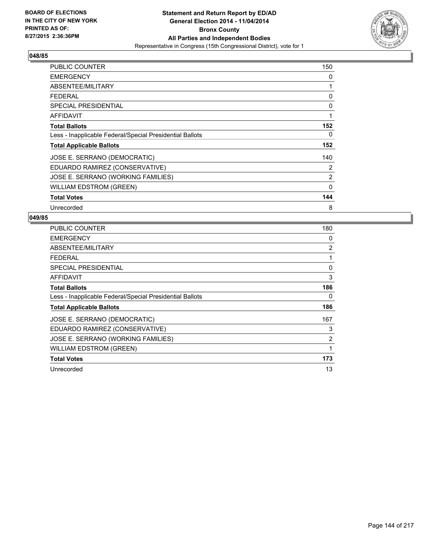

| PUBLIC COUNTER                                           | 150         |
|----------------------------------------------------------|-------------|
| <b>EMERGENCY</b>                                         | 0           |
| ABSENTEE/MILITARY                                        | 1           |
| FEDERAL                                                  | 0           |
| <b>SPECIAL PRESIDENTIAL</b>                              | 0           |
| AFFIDAVIT                                                | 1           |
| <b>Total Ballots</b>                                     | 152         |
| Less - Inapplicable Federal/Special Presidential Ballots | 0           |
| <b>Total Applicable Ballots</b>                          | 152         |
| JOSE E. SERRANO (DEMOCRATIC)                             | 140         |
| EDUARDO RAMIREZ (CONSERVATIVE)                           | 2           |
| JOSE E. SERRANO (WORKING FAMILIES)                       | 2           |
| <b>WILLIAM EDSTROM (GREEN)</b>                           | $\mathbf 0$ |
| <b>Total Votes</b>                                       | 144         |
| Unrecorded                                               | 8           |

| <b>PUBLIC COUNTER</b>                                    | 180 |
|----------------------------------------------------------|-----|
| <b>EMERGENCY</b>                                         | 0   |
| ABSENTEE/MILITARY                                        | 2   |
| <b>FEDERAL</b>                                           | 1   |
| <b>SPECIAL PRESIDENTIAL</b>                              | 0   |
| AFFIDAVIT                                                | 3   |
| <b>Total Ballots</b>                                     | 186 |
| Less - Inapplicable Federal/Special Presidential Ballots | 0   |
| <b>Total Applicable Ballots</b>                          | 186 |
| JOSE E. SERRANO (DEMOCRATIC)                             | 167 |
| EDUARDO RAMIREZ (CONSERVATIVE)                           | 3   |
| JOSE E. SERRANO (WORKING FAMILIES)                       | 2   |
| WILLIAM EDSTROM (GREEN)                                  | 1   |
| <b>Total Votes</b>                                       | 173 |
| Unrecorded                                               | 13  |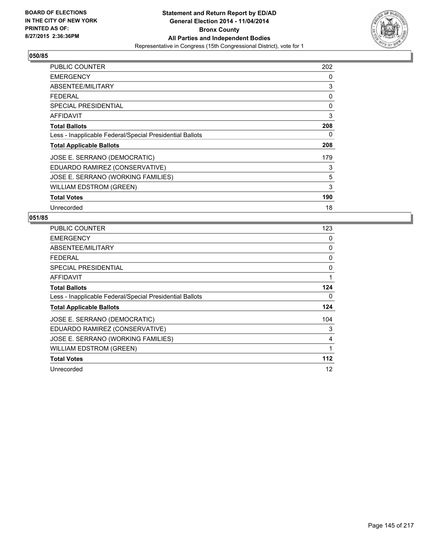

| <b>PUBLIC COUNTER</b>                                    | 202 |
|----------------------------------------------------------|-----|
| <b>EMERGENCY</b>                                         | 0   |
| ABSENTEE/MILITARY                                        | 3   |
| <b>FEDERAL</b>                                           | 0   |
| <b>SPECIAL PRESIDENTIAL</b>                              | 0   |
| AFFIDAVIT                                                | 3   |
| <b>Total Ballots</b>                                     | 208 |
| Less - Inapplicable Federal/Special Presidential Ballots | 0   |
| <b>Total Applicable Ballots</b>                          | 208 |
| JOSE E. SERRANO (DEMOCRATIC)                             | 179 |
| EDUARDO RAMIREZ (CONSERVATIVE)                           | 3   |
| JOSE E. SERRANO (WORKING FAMILIES)                       | 5   |
| <b>WILLIAM EDSTROM (GREEN)</b>                           | 3   |
| <b>Total Votes</b>                                       | 190 |
| Unrecorded                                               | 18  |

| <b>PUBLIC COUNTER</b>                                    | 123 |
|----------------------------------------------------------|-----|
| <b>EMERGENCY</b>                                         | 0   |
| ABSENTEE/MILITARY                                        | 0   |
| <b>FEDERAL</b>                                           | 0   |
| SPECIAL PRESIDENTIAL                                     | 0   |
| <b>AFFIDAVIT</b>                                         | 1   |
| <b>Total Ballots</b>                                     | 124 |
| Less - Inapplicable Federal/Special Presidential Ballots | 0   |
| <b>Total Applicable Ballots</b>                          | 124 |
| JOSE E. SERRANO (DEMOCRATIC)                             | 104 |
| EDUARDO RAMIREZ (CONSERVATIVE)                           | 3   |
| JOSE E. SERRANO (WORKING FAMILIES)                       | 4   |
| WILLIAM EDSTROM (GREEN)                                  | 1   |
| <b>Total Votes</b>                                       | 112 |
| Unrecorded                                               | 12  |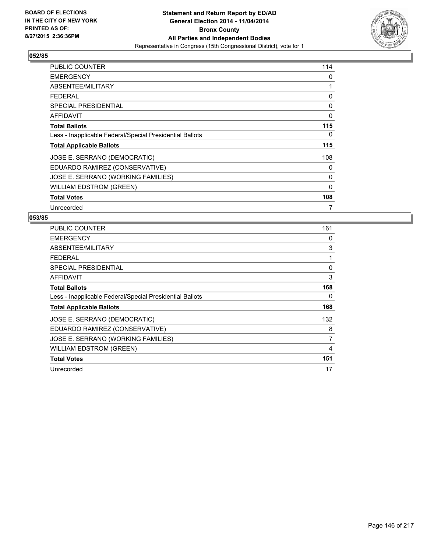

| <b>PUBLIC COUNTER</b>                                    | 114          |
|----------------------------------------------------------|--------------|
| <b>EMERGENCY</b>                                         | 0            |
| ABSENTEE/MILITARY                                        | 1            |
| <b>FEDERAL</b>                                           | 0            |
| <b>SPECIAL PRESIDENTIAL</b>                              | 0            |
| <b>AFFIDAVIT</b>                                         | 0            |
| <b>Total Ballots</b>                                     | 115          |
| Less - Inapplicable Federal/Special Presidential Ballots | 0            |
| <b>Total Applicable Ballots</b>                          | 115          |
| JOSE E. SERRANO (DEMOCRATIC)                             | 108          |
| EDUARDO RAMIREZ (CONSERVATIVE)                           | 0            |
| JOSE E. SERRANO (WORKING FAMILIES)                       | 0            |
| <b>WILLIAM EDSTROM (GREEN)</b>                           | $\mathbf{0}$ |
| <b>Total Votes</b>                                       | 108          |
| Unrecorded                                               | 7            |

| <b>PUBLIC COUNTER</b>                                    | 161 |
|----------------------------------------------------------|-----|
| <b>EMERGENCY</b>                                         | 0   |
| ABSENTEE/MILITARY                                        | 3   |
| <b>FEDERAL</b>                                           | 1   |
| SPECIAL PRESIDENTIAL                                     | 0   |
| <b>AFFIDAVIT</b>                                         | 3   |
| <b>Total Ballots</b>                                     | 168 |
| Less - Inapplicable Federal/Special Presidential Ballots | 0   |
| <b>Total Applicable Ballots</b>                          | 168 |
| JOSE E. SERRANO (DEMOCRATIC)                             | 132 |
| EDUARDO RAMIREZ (CONSERVATIVE)                           | 8   |
| JOSE E. SERRANO (WORKING FAMILIES)                       | 7   |
| <b>WILLIAM EDSTROM (GREEN)</b>                           | 4   |
| <b>Total Votes</b>                                       | 151 |
| Unrecorded                                               | 17  |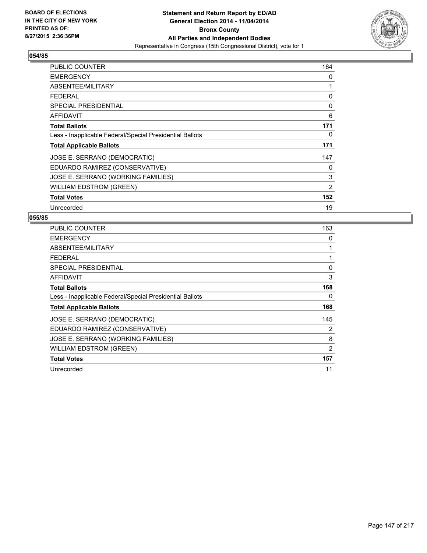

| PUBLIC COUNTER                                           | 164 |
|----------------------------------------------------------|-----|
| <b>EMERGENCY</b>                                         | 0   |
| ABSENTEE/MILITARY                                        | 1   |
| <b>FEDERAL</b>                                           | 0   |
| SPECIAL PRESIDENTIAL                                     | 0   |
| AFFIDAVIT                                                | 6   |
| <b>Total Ballots</b>                                     | 171 |
| Less - Inapplicable Federal/Special Presidential Ballots | 0   |
| <b>Total Applicable Ballots</b>                          | 171 |
| JOSE E. SERRANO (DEMOCRATIC)                             | 147 |
| EDUARDO RAMIREZ (CONSERVATIVE)                           | 0   |
| JOSE E. SERRANO (WORKING FAMILIES)                       | 3   |
| <b>WILLIAM EDSTROM (GREEN)</b>                           | 2   |
| <b>Total Votes</b>                                       | 152 |
| Unrecorded                                               | 19  |

| PUBLIC COUNTER                                           | 163 |
|----------------------------------------------------------|-----|
| <b>EMERGENCY</b>                                         | 0   |
| ABSENTEE/MILITARY                                        | 1   |
| <b>FEDERAL</b>                                           | 1   |
| <b>SPECIAL PRESIDENTIAL</b>                              | 0   |
| AFFIDAVIT                                                | 3   |
| <b>Total Ballots</b>                                     | 168 |
| Less - Inapplicable Federal/Special Presidential Ballots | 0   |
| <b>Total Applicable Ballots</b>                          | 168 |
| JOSE E. SERRANO (DEMOCRATIC)                             | 145 |
| EDUARDO RAMIREZ (CONSERVATIVE)                           | 2   |
| JOSE E. SERRANO (WORKING FAMILIES)                       | 8   |
| WILLIAM EDSTROM (GREEN)                                  | 2   |
| <b>Total Votes</b>                                       | 157 |
| Unrecorded                                               | 11  |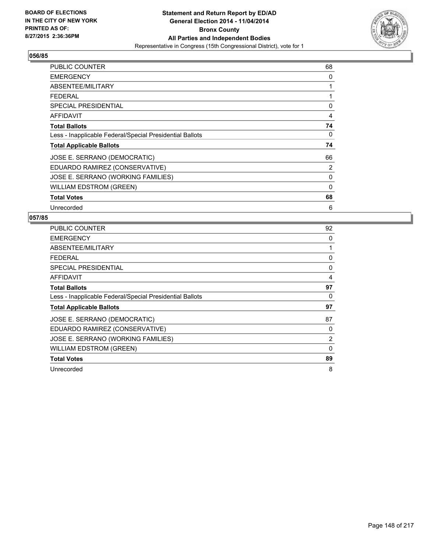

| <b>PUBLIC COUNTER</b>                                    | 68 |
|----------------------------------------------------------|----|
| <b>EMERGENCY</b>                                         | 0  |
| ABSENTEE/MILITARY                                        | 1  |
| <b>FEDERAL</b>                                           | 1  |
| <b>SPECIAL PRESIDENTIAL</b>                              | 0  |
| AFFIDAVIT                                                | 4  |
| <b>Total Ballots</b>                                     | 74 |
| Less - Inapplicable Federal/Special Presidential Ballots | 0  |
| <b>Total Applicable Ballots</b>                          | 74 |
| JOSE E. SERRANO (DEMOCRATIC)                             | 66 |
| EDUARDO RAMIREZ (CONSERVATIVE)                           | 2  |
| JOSE E. SERRANO (WORKING FAMILIES)                       | 0  |
| <b>WILLIAM EDSTROM (GREEN)</b>                           | 0  |
| <b>Total Votes</b>                                       | 68 |
| Unrecorded                                               | 6  |

| PUBLIC COUNTER                                           | 92       |
|----------------------------------------------------------|----------|
| <b>EMERGENCY</b>                                         | 0        |
| ABSENTEE/MILITARY                                        | 1        |
| <b>FEDERAL</b>                                           | 0        |
| <b>SPECIAL PRESIDENTIAL</b>                              | 0        |
| AFFIDAVIT                                                | 4        |
| <b>Total Ballots</b>                                     | 97       |
| Less - Inapplicable Federal/Special Presidential Ballots | 0        |
| <b>Total Applicable Ballots</b>                          | 97       |
| JOSE E. SERRANO (DEMOCRATIC)                             | 87       |
| EDUARDO RAMIREZ (CONSERVATIVE)                           | 0        |
| JOSE E. SERRANO (WORKING FAMILIES)                       | 2        |
| WILLIAM EDSTROM (GREEN)                                  | $\Omega$ |
| <b>Total Votes</b>                                       | 89       |
| Unrecorded                                               | 8        |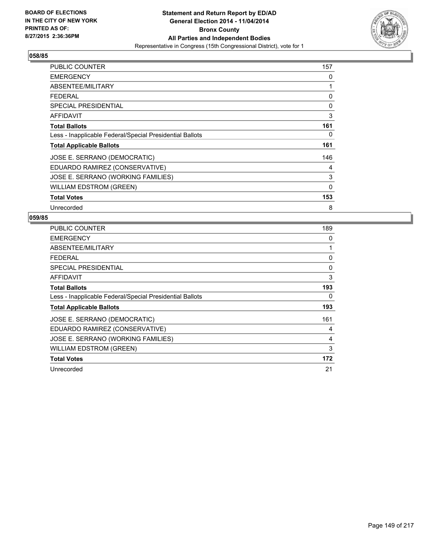

| <b>PUBLIC COUNTER</b>                                    | 157          |
|----------------------------------------------------------|--------------|
| <b>EMERGENCY</b>                                         | 0            |
| ABSENTEE/MILITARY                                        | 1            |
| <b>FEDERAL</b>                                           | 0            |
| <b>SPECIAL PRESIDENTIAL</b>                              | 0            |
| AFFIDAVIT                                                | 3            |
| <b>Total Ballots</b>                                     | 161          |
| Less - Inapplicable Federal/Special Presidential Ballots | 0            |
| <b>Total Applicable Ballots</b>                          | 161          |
| JOSE E. SERRANO (DEMOCRATIC)                             | 146          |
| EDUARDO RAMIREZ (CONSERVATIVE)                           | 4            |
| JOSE E. SERRANO (WORKING FAMILIES)                       | 3            |
| WILLIAM EDSTROM (GREEN)                                  | $\mathbf{0}$ |
| <b>Total Votes</b>                                       | 153          |
| Unrecorded                                               | 8            |

| <b>PUBLIC COUNTER</b>                                    | 189 |
|----------------------------------------------------------|-----|
| <b>EMERGENCY</b>                                         | 0   |
| ABSENTEE/MILITARY                                        | 1   |
| <b>FEDERAL</b>                                           | 0   |
| SPECIAL PRESIDENTIAL                                     | 0   |
| <b>AFFIDAVIT</b>                                         | 3   |
| <b>Total Ballots</b>                                     | 193 |
| Less - Inapplicable Federal/Special Presidential Ballots | 0   |
| <b>Total Applicable Ballots</b>                          | 193 |
| JOSE E. SERRANO (DEMOCRATIC)                             | 161 |
| EDUARDO RAMIREZ (CONSERVATIVE)                           | 4   |
| JOSE E. SERRANO (WORKING FAMILIES)                       | 4   |
| WILLIAM EDSTROM (GREEN)                                  | 3   |
| <b>Total Votes</b>                                       | 172 |
| Unrecorded                                               | 21  |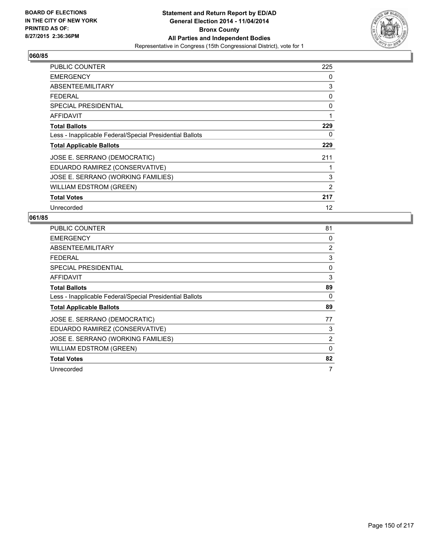

| <b>PUBLIC COUNTER</b>                                    | 225 |
|----------------------------------------------------------|-----|
| <b>EMERGENCY</b>                                         | 0   |
| ABSENTEE/MILITARY                                        | 3   |
| <b>FEDERAL</b>                                           | 0   |
| <b>SPECIAL PRESIDENTIAL</b>                              | 0   |
| AFFIDAVIT                                                | 1   |
| <b>Total Ballots</b>                                     | 229 |
| Less - Inapplicable Federal/Special Presidential Ballots | 0   |
| <b>Total Applicable Ballots</b>                          | 229 |
| JOSE E. SERRANO (DEMOCRATIC)                             | 211 |
| EDUARDO RAMIREZ (CONSERVATIVE)                           |     |
| JOSE E. SERRANO (WORKING FAMILIES)                       | 3   |
| <b>WILLIAM EDSTROM (GREEN)</b>                           | 2   |
| <b>Total Votes</b>                                       | 217 |
| Unrecorded                                               | 12  |

| PUBLIC COUNTER                                           | 81       |
|----------------------------------------------------------|----------|
| <b>EMERGENCY</b>                                         | 0        |
| ABSENTEE/MILITARY                                        | 2        |
| <b>FEDERAL</b>                                           | 3        |
| <b>SPECIAL PRESIDENTIAL</b>                              | 0        |
| AFFIDAVIT                                                | 3        |
| <b>Total Ballots</b>                                     | 89       |
| Less - Inapplicable Federal/Special Presidential Ballots | 0        |
| <b>Total Applicable Ballots</b>                          | 89       |
| JOSE E. SERRANO (DEMOCRATIC)                             | 77       |
| EDUARDO RAMIREZ (CONSERVATIVE)                           | 3        |
| JOSE E. SERRANO (WORKING FAMILIES)                       | 2        |
| <b>WILLIAM EDSTROM (GREEN)</b>                           | $\Omega$ |
| <b>Total Votes</b>                                       | 82       |
| Unrecorded                                               | 7        |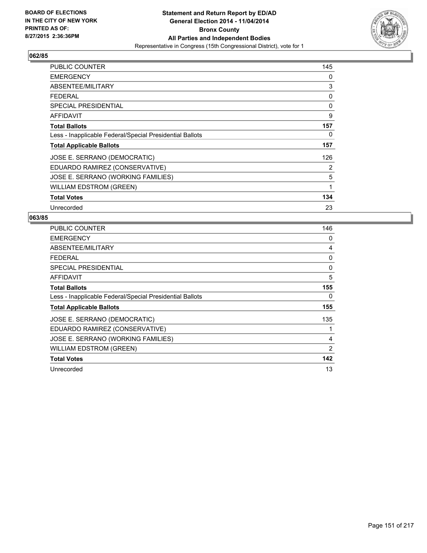

| <b>PUBLIC COUNTER</b>                                    | 145 |
|----------------------------------------------------------|-----|
| <b>EMERGENCY</b>                                         | 0   |
| ABSENTEE/MILITARY                                        | 3   |
| <b>FEDERAL</b>                                           | 0   |
| <b>SPECIAL PRESIDENTIAL</b>                              | 0   |
| AFFIDAVIT                                                | 9   |
| <b>Total Ballots</b>                                     | 157 |
| Less - Inapplicable Federal/Special Presidential Ballots | 0   |
| <b>Total Applicable Ballots</b>                          | 157 |
| JOSE E. SERRANO (DEMOCRATIC)                             | 126 |
| EDUARDO RAMIREZ (CONSERVATIVE)                           | 2   |
| JOSE E. SERRANO (WORKING FAMILIES)                       | 5   |
| <b>WILLIAM EDSTROM (GREEN)</b>                           | 1   |
| <b>Total Votes</b>                                       | 134 |
| Unrecorded                                               | 23  |

| PUBLIC COUNTER                                           | 146 |
|----------------------------------------------------------|-----|
| <b>EMERGENCY</b>                                         | 0   |
| ABSENTEE/MILITARY                                        | 4   |
| <b>FEDERAL</b>                                           | 0   |
| <b>SPECIAL PRESIDENTIAL</b>                              | 0   |
| AFFIDAVIT                                                | 5   |
| <b>Total Ballots</b>                                     | 155 |
| Less - Inapplicable Federal/Special Presidential Ballots | 0   |
| <b>Total Applicable Ballots</b>                          | 155 |
| JOSE E. SERRANO (DEMOCRATIC)                             | 135 |
| EDUARDO RAMIREZ (CONSERVATIVE)                           | 1   |
| JOSE E. SERRANO (WORKING FAMILIES)                       | 4   |
| <b>WILLIAM EDSTROM (GREEN)</b>                           | 2   |
| <b>Total Votes</b>                                       | 142 |
| Unrecorded                                               | 13  |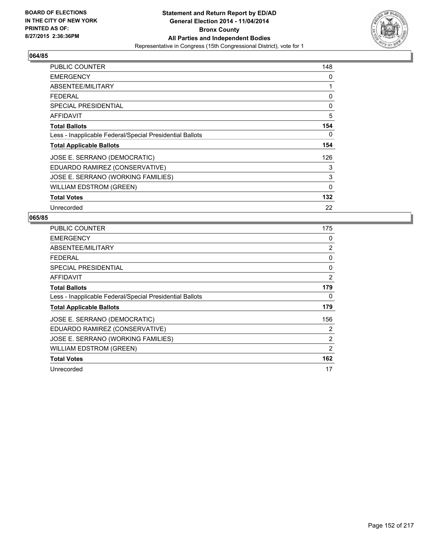

| <b>PUBLIC COUNTER</b>                                    | 148 |
|----------------------------------------------------------|-----|
| <b>EMERGENCY</b>                                         | 0   |
| ABSENTEE/MILITARY                                        | 1   |
| <b>FEDERAL</b>                                           | 0   |
| <b>SPECIAL PRESIDENTIAL</b>                              | 0   |
| <b>AFFIDAVIT</b>                                         | 5   |
| <b>Total Ballots</b>                                     | 154 |
| Less - Inapplicable Federal/Special Presidential Ballots | 0   |
| <b>Total Applicable Ballots</b>                          | 154 |
| JOSE E. SERRANO (DEMOCRATIC)                             | 126 |
| EDUARDO RAMIREZ (CONSERVATIVE)                           | 3   |
| JOSE E. SERRANO (WORKING FAMILIES)                       | 3   |
| <b>WILLIAM EDSTROM (GREEN)</b>                           | 0   |
| <b>Total Votes</b>                                       | 132 |
| Unrecorded                                               | 22  |

| PUBLIC COUNTER                                           | 175 |
|----------------------------------------------------------|-----|
| <b>EMERGENCY</b>                                         | 0   |
| ABSENTEE/MILITARY                                        | 2   |
| FEDERAL                                                  | 0   |
| <b>SPECIAL PRESIDENTIAL</b>                              | 0   |
| AFFIDAVIT                                                | 2   |
| <b>Total Ballots</b>                                     | 179 |
| Less - Inapplicable Federal/Special Presidential Ballots | 0   |
| <b>Total Applicable Ballots</b>                          | 179 |
| JOSE E. SERRANO (DEMOCRATIC)                             | 156 |
| EDUARDO RAMIREZ (CONSERVATIVE)                           | 2   |
| JOSE E. SERRANO (WORKING FAMILIES)                       | 2   |
| WILLIAM EDSTROM (GREEN)                                  | 2   |
| <b>Total Votes</b>                                       | 162 |
| Unrecorded                                               | 17  |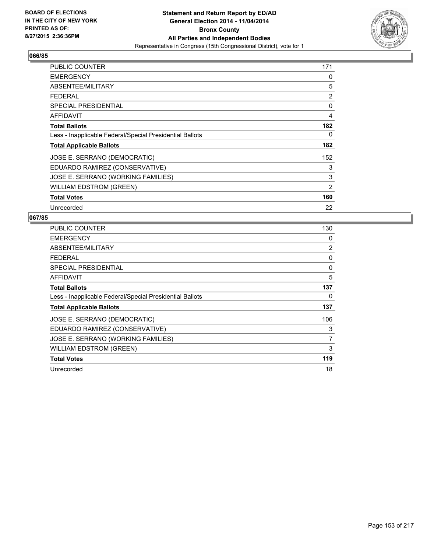

| PUBLIC COUNTER                                           | 171 |
|----------------------------------------------------------|-----|
| <b>EMERGENCY</b>                                         | 0   |
| ABSENTEE/MILITARY                                        | 5   |
| FEDERAL                                                  | 2   |
| <b>SPECIAL PRESIDENTIAL</b>                              | 0   |
| <b>AFFIDAVIT</b>                                         | 4   |
| <b>Total Ballots</b>                                     | 182 |
| Less - Inapplicable Federal/Special Presidential Ballots | 0   |
| <b>Total Applicable Ballots</b>                          | 182 |
| JOSE E. SERRANO (DEMOCRATIC)                             | 152 |
| EDUARDO RAMIREZ (CONSERVATIVE)                           | 3   |
| JOSE E. SERRANO (WORKING FAMILIES)                       | 3   |
| <b>WILLIAM EDSTROM (GREEN)</b>                           | 2   |
| <b>Total Votes</b>                                       | 160 |
| Unrecorded                                               | 22  |

| PUBLIC COUNTER                                           | 130 |
|----------------------------------------------------------|-----|
| <b>EMERGENCY</b>                                         | 0   |
| ABSENTEE/MILITARY                                        | 2   |
| <b>FEDERAL</b>                                           | 0   |
| <b>SPECIAL PRESIDENTIAL</b>                              | 0   |
| AFFIDAVIT                                                | 5   |
| <b>Total Ballots</b>                                     | 137 |
| Less - Inapplicable Federal/Special Presidential Ballots | 0   |
| <b>Total Applicable Ballots</b>                          | 137 |
| JOSE E. SERRANO (DEMOCRATIC)                             | 106 |
| EDUARDO RAMIREZ (CONSERVATIVE)                           | 3   |
| JOSE E. SERRANO (WORKING FAMILIES)                       | 7   |
| <b>WILLIAM EDSTROM (GREEN)</b>                           | 3   |
| <b>Total Votes</b>                                       | 119 |
| Unrecorded                                               | 18  |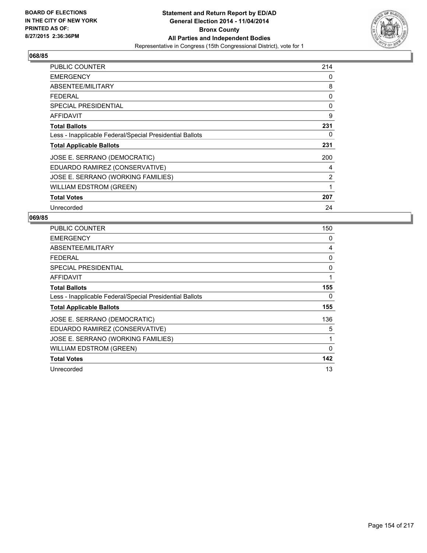

| <b>PUBLIC COUNTER</b>                                    | 214            |
|----------------------------------------------------------|----------------|
| <b>EMERGENCY</b>                                         | 0              |
| ABSENTEE/MILITARY                                        | 8              |
| <b>FEDERAL</b>                                           | 0              |
| <b>SPECIAL PRESIDENTIAL</b>                              | 0              |
| AFFIDAVIT                                                | 9              |
| <b>Total Ballots</b>                                     | 231            |
| Less - Inapplicable Federal/Special Presidential Ballots | 0              |
| <b>Total Applicable Ballots</b>                          | 231            |
| JOSE E. SERRANO (DEMOCRATIC)                             | 200            |
| EDUARDO RAMIREZ (CONSERVATIVE)                           | 4              |
| JOSE E. SERRANO (WORKING FAMILIES)                       | $\overline{2}$ |
| <b>WILLIAM EDSTROM (GREEN)</b>                           | 1              |
| <b>Total Votes</b>                                       | 207            |
| Unrecorded                                               | 24             |

| <b>PUBLIC COUNTER</b>                                    | 150      |
|----------------------------------------------------------|----------|
| <b>EMERGENCY</b>                                         | 0        |
| ABSENTEE/MILITARY                                        | 4        |
| <b>FEDERAL</b>                                           | 0        |
| <b>SPECIAL PRESIDENTIAL</b>                              | 0        |
| AFFIDAVIT                                                | 1        |
| <b>Total Ballots</b>                                     | 155      |
| Less - Inapplicable Federal/Special Presidential Ballots | 0        |
| <b>Total Applicable Ballots</b>                          | 155      |
| JOSE E. SERRANO (DEMOCRATIC)                             | 136      |
| EDUARDO RAMIREZ (CONSERVATIVE)                           | 5        |
| JOSE E. SERRANO (WORKING FAMILIES)                       | 1        |
| WILLIAM EDSTROM (GREEN)                                  | $\Omega$ |
| <b>Total Votes</b>                                       | 142      |
| Unrecorded                                               | 13       |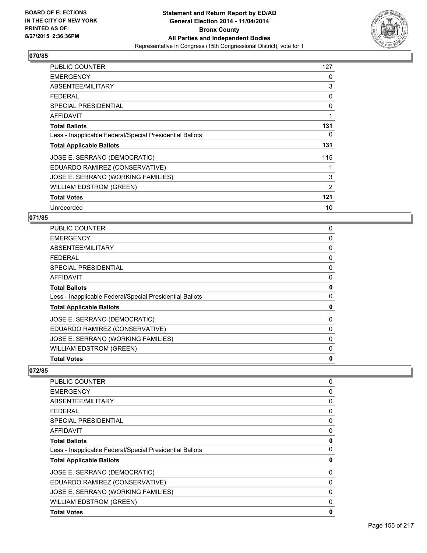

| <b>PUBLIC COUNTER</b>                                    | 127 |
|----------------------------------------------------------|-----|
| <b>EMERGENCY</b>                                         | 0   |
| ABSENTEE/MILITARY                                        | 3   |
| <b>FEDERAL</b>                                           | 0   |
| <b>SPECIAL PRESIDENTIAL</b>                              | 0   |
| AFFIDAVIT                                                | 1   |
| <b>Total Ballots</b>                                     | 131 |
| Less - Inapplicable Federal/Special Presidential Ballots | 0   |
| <b>Total Applicable Ballots</b>                          | 131 |
| JOSE E. SERRANO (DEMOCRATIC)                             | 115 |
| EDUARDO RAMIREZ (CONSERVATIVE)                           | 1   |
| JOSE E. SERRANO (WORKING FAMILIES)                       | 3   |
| <b>WILLIAM EDSTROM (GREEN)</b>                           | 2   |
| <b>Total Votes</b>                                       | 121 |
| Unrecorded                                               | 10  |

### **071/85**

| <b>PUBLIC COUNTER</b>                                    | 0 |
|----------------------------------------------------------|---|
| <b>EMERGENCY</b>                                         | 0 |
| ABSENTEE/MILITARY                                        | 0 |
| <b>FEDERAL</b>                                           | 0 |
| <b>SPECIAL PRESIDENTIAL</b>                              | 0 |
| <b>AFFIDAVIT</b>                                         | 0 |
| <b>Total Ballots</b>                                     | 0 |
| Less - Inapplicable Federal/Special Presidential Ballots | 0 |
| <b>Total Applicable Ballots</b>                          | 0 |
| JOSE E. SERRANO (DEMOCRATIC)                             | 0 |
| EDUARDO RAMIREZ (CONSERVATIVE)                           | 0 |
| JOSE E. SERRANO (WORKING FAMILIES)                       | 0 |
| <b>WILLIAM EDSTROM (GREEN)</b>                           | 0 |
| <b>Total Votes</b>                                       | 0 |

| <b>PUBLIC COUNTER</b>                                    | 0 |
|----------------------------------------------------------|---|
| <b>EMERGENCY</b>                                         | 0 |
| ABSENTEE/MILITARY                                        | 0 |
| <b>FEDERAL</b>                                           | 0 |
| <b>SPECIAL PRESIDENTIAL</b>                              | 0 |
| AFFIDAVIT                                                | 0 |
| <b>Total Ballots</b>                                     | 0 |
| Less - Inapplicable Federal/Special Presidential Ballots | 0 |
| <b>Total Applicable Ballots</b>                          | 0 |
| JOSE E. SERRANO (DEMOCRATIC)                             | 0 |
| EDUARDO RAMIREZ (CONSERVATIVE)                           | 0 |
| JOSE E. SERRANO (WORKING FAMILIES)                       | 0 |
| <b>WILLIAM EDSTROM (GREEN)</b>                           | 0 |
| <b>Total Votes</b>                                       | 0 |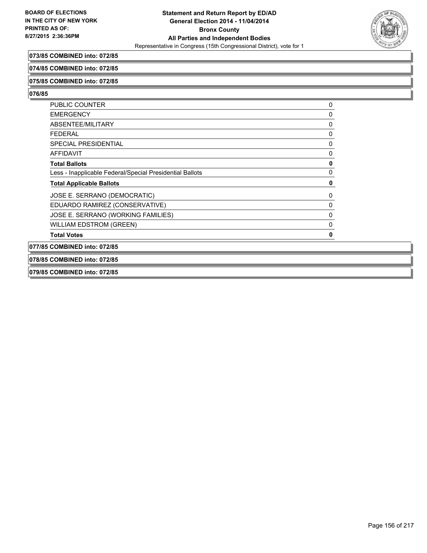

# **073/85 COMBINED into: 072/85**

#### **074/85 COMBINED into: 072/85**

#### **075/85 COMBINED into: 072/85**

#### **076/85**

| <b>PUBLIC COUNTER</b>                                    | 0 |
|----------------------------------------------------------|---|
| <b>EMERGENCY</b>                                         | 0 |
| ABSENTEE/MILITARY                                        | 0 |
| <b>FEDERAL</b>                                           | 0 |
| <b>SPECIAL PRESIDENTIAL</b>                              | 0 |
| <b>AFFIDAVIT</b>                                         | 0 |
| <b>Total Ballots</b>                                     | 0 |
| Less - Inapplicable Federal/Special Presidential Ballots | 0 |
| <b>Total Applicable Ballots</b>                          | 0 |
| JOSE E. SERRANO (DEMOCRATIC)                             | 0 |
| EDUARDO RAMIREZ (CONSERVATIVE)                           | 0 |
| JOSE E. SERRANO (WORKING FAMILIES)                       | 0 |
| <b>WILLIAM EDSTROM (GREEN)</b>                           | 0 |
| <b>Total Votes</b>                                       | 0 |
| 077/85 COMBINED into: 072/85                             |   |

**078/85 COMBINED into: 072/85**

**079/85 COMBINED into: 072/85**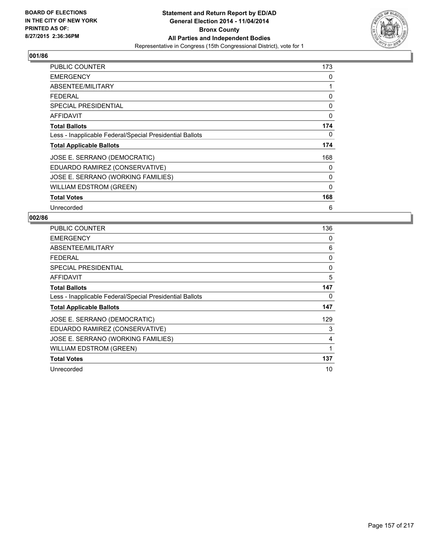

| <b>PUBLIC COUNTER</b>                                    | 173      |
|----------------------------------------------------------|----------|
| <b>EMERGENCY</b>                                         | 0        |
| ABSENTEE/MILITARY                                        | 1        |
| FEDERAL                                                  | 0        |
| SPECIAL PRESIDENTIAL                                     | 0        |
| AFFIDAVIT                                                | 0        |
| <b>Total Ballots</b>                                     | 174      |
| Less - Inapplicable Federal/Special Presidential Ballots | 0        |
| <b>Total Applicable Ballots</b>                          | 174      |
| JOSE E. SERRANO (DEMOCRATIC)                             | 168      |
| EDUARDO RAMIREZ (CONSERVATIVE)                           | 0        |
| JOSE E. SERRANO (WORKING FAMILIES)                       | 0        |
| <b>WILLIAM EDSTROM (GREEN)</b>                           | $\Omega$ |
| <b>Total Votes</b>                                       | 168      |
| Unrecorded                                               | 6        |

| <b>PUBLIC COUNTER</b>                                    | 136 |
|----------------------------------------------------------|-----|
| <b>EMERGENCY</b>                                         | 0   |
| ABSENTEE/MILITARY                                        | 6   |
| <b>FEDERAL</b>                                           | 0   |
| <b>SPECIAL PRESIDENTIAL</b>                              | 0   |
| AFFIDAVIT                                                | 5   |
| <b>Total Ballots</b>                                     | 147 |
| Less - Inapplicable Federal/Special Presidential Ballots | 0   |
| <b>Total Applicable Ballots</b>                          | 147 |
| JOSE E. SERRANO (DEMOCRATIC)                             | 129 |
| EDUARDO RAMIREZ (CONSERVATIVE)                           | 3   |
| JOSE E. SERRANO (WORKING FAMILIES)                       | 4   |
| WILLIAM EDSTROM (GREEN)                                  | 1   |
| <b>Total Votes</b>                                       | 137 |
| Unrecorded                                               | 10  |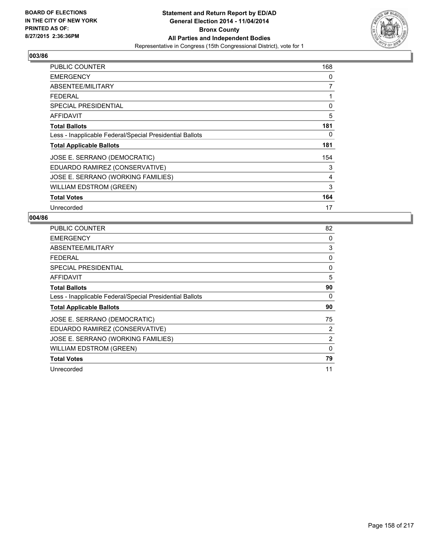

| PUBLIC COUNTER                                           | 168 |
|----------------------------------------------------------|-----|
| <b>EMERGENCY</b>                                         | 0   |
| ABSENTEE/MILITARY                                        | 7   |
| <b>FEDERAL</b>                                           | 1   |
| SPECIAL PRESIDENTIAL                                     | 0   |
| AFFIDAVIT                                                | 5   |
| <b>Total Ballots</b>                                     | 181 |
| Less - Inapplicable Federal/Special Presidential Ballots | 0   |
| <b>Total Applicable Ballots</b>                          | 181 |
| JOSE E. SERRANO (DEMOCRATIC)                             | 154 |
| EDUARDO RAMIREZ (CONSERVATIVE)                           | 3   |
| JOSE E. SERRANO (WORKING FAMILIES)                       | 4   |
| <b>WILLIAM EDSTROM (GREEN)</b>                           | 3   |
| <b>Total Votes</b>                                       | 164 |
| Unrecorded                                               | 17  |

| PUBLIC COUNTER                                           | 82           |
|----------------------------------------------------------|--------------|
| <b>EMERGENCY</b>                                         | 0            |
| ABSENTEE/MILITARY                                        | 3            |
| <b>FEDERAL</b>                                           | 0            |
| <b>SPECIAL PRESIDENTIAL</b>                              | 0            |
| AFFIDAVIT                                                | 5            |
| <b>Total Ballots</b>                                     | 90           |
| Less - Inapplicable Federal/Special Presidential Ballots | 0            |
| <b>Total Applicable Ballots</b>                          | 90           |
| JOSE E. SERRANO (DEMOCRATIC)                             | 75           |
| EDUARDO RAMIREZ (CONSERVATIVE)                           | 2            |
| JOSE E. SERRANO (WORKING FAMILIES)                       | 2            |
| WILLIAM EDSTROM (GREEN)                                  | $\mathbf{0}$ |
|                                                          |              |
| <b>Total Votes</b>                                       | 79           |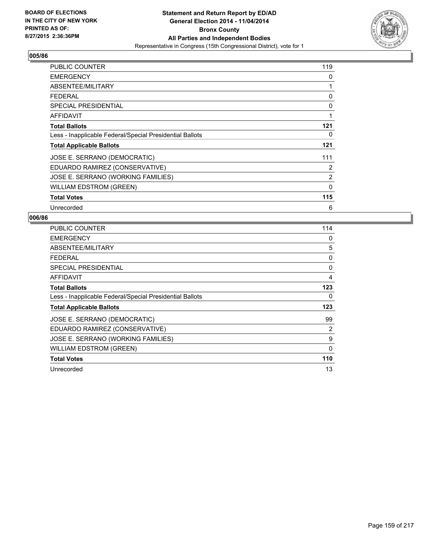

| PUBLIC COUNTER                                           | 119          |
|----------------------------------------------------------|--------------|
| <b>EMERGENCY</b>                                         | 0            |
| ABSENTEE/MILITARY                                        | 1            |
| <b>FEDERAL</b>                                           | 0            |
| SPECIAL PRESIDENTIAL                                     | 0            |
| <b>AFFIDAVIT</b>                                         | 1            |
| <b>Total Ballots</b>                                     | 121          |
| Less - Inapplicable Federal/Special Presidential Ballots | 0            |
| <b>Total Applicable Ballots</b>                          | 121          |
| JOSE E. SERRANO (DEMOCRATIC)                             | 111          |
| EDUARDO RAMIREZ (CONSERVATIVE)                           | 2            |
| JOSE E. SERRANO (WORKING FAMILIES)                       | 2            |
| <b>WILLIAM EDSTROM (GREEN)</b>                           | $\mathbf{0}$ |
| <b>Total Votes</b>                                       | 115          |
| Unrecorded                                               | 6            |

| <b>PUBLIC COUNTER</b>                                    | 114      |
|----------------------------------------------------------|----------|
| <b>EMERGENCY</b>                                         | 0        |
| ABSENTEE/MILITARY                                        | 5        |
| <b>FEDERAL</b>                                           | 0        |
| <b>SPECIAL PRESIDENTIAL</b>                              | 0        |
| AFFIDAVIT                                                | 4        |
| <b>Total Ballots</b>                                     | 123      |
| Less - Inapplicable Federal/Special Presidential Ballots | 0        |
| <b>Total Applicable Ballots</b>                          | 123      |
| JOSE E. SERRANO (DEMOCRATIC)                             | 99       |
| EDUARDO RAMIREZ (CONSERVATIVE)                           | 2        |
| JOSE E. SERRANO (WORKING FAMILIES)                       | 9        |
| <b>WILLIAM EDSTROM (GREEN)</b>                           | $\Omega$ |
| <b>Total Votes</b>                                       | 110      |
| Unrecorded                                               | 13       |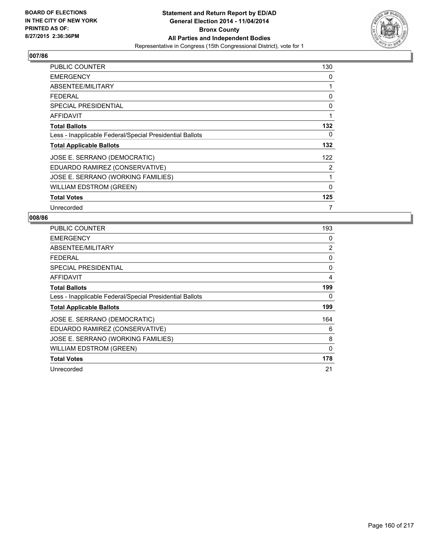

| PUBLIC COUNTER                                           | 130          |
|----------------------------------------------------------|--------------|
| <b>EMERGENCY</b>                                         | 0            |
| ABSENTEE/MILITARY                                        | 1            |
| <b>FEDERAL</b>                                           | 0            |
| <b>SPECIAL PRESIDENTIAL</b>                              | 0            |
| AFFIDAVIT                                                | 1            |
| <b>Total Ballots</b>                                     | 132          |
| Less - Inapplicable Federal/Special Presidential Ballots | 0            |
| <b>Total Applicable Ballots</b>                          | 132          |
| JOSE E. SERRANO (DEMOCRATIC)                             | 122          |
| EDUARDO RAMIREZ (CONSERVATIVE)                           | 2            |
| JOSE E. SERRANO (WORKING FAMILIES)                       | 1            |
| <b>WILLIAM EDSTROM (GREEN)</b>                           | $\mathbf{0}$ |
| <b>Total Votes</b>                                       | 125          |
| Unrecorded                                               | 7            |

| <b>PUBLIC COUNTER</b>                                    | 193 |
|----------------------------------------------------------|-----|
| <b>EMERGENCY</b>                                         | 0   |
| ABSENTEE/MILITARY                                        | 2   |
| <b>FEDERAL</b>                                           | 0   |
| SPECIAL PRESIDENTIAL                                     | 0   |
| <b>AFFIDAVIT</b>                                         | 4   |
| <b>Total Ballots</b>                                     | 199 |
| Less - Inapplicable Federal/Special Presidential Ballots | 0   |
| <b>Total Applicable Ballots</b>                          | 199 |
| JOSE E. SERRANO (DEMOCRATIC)                             | 164 |
| EDUARDO RAMIREZ (CONSERVATIVE)                           | 6   |
| JOSE E. SERRANO (WORKING FAMILIES)                       | 8   |
| WILLIAM EDSTROM (GREEN)                                  | 0   |
| <b>Total Votes</b>                                       | 178 |
| Unrecorded                                               | 21  |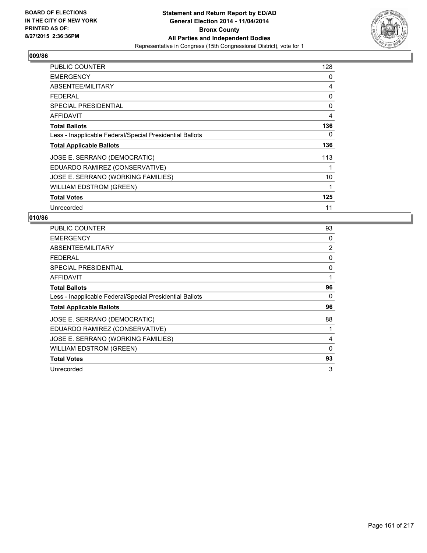

| PUBLIC COUNTER                                           | 128 |
|----------------------------------------------------------|-----|
| <b>EMERGENCY</b>                                         | 0   |
| ABSENTEE/MILITARY                                        | 4   |
| <b>FEDERAL</b>                                           | 0   |
| <b>SPECIAL PRESIDENTIAL</b>                              | 0   |
| <b>AFFIDAVIT</b>                                         | 4   |
| <b>Total Ballots</b>                                     | 136 |
| Less - Inapplicable Federal/Special Presidential Ballots | 0   |
| <b>Total Applicable Ballots</b>                          | 136 |
| JOSE E. SERRANO (DEMOCRATIC)                             | 113 |
| EDUARDO RAMIREZ (CONSERVATIVE)                           | 1   |
| JOSE E. SERRANO (WORKING FAMILIES)                       | 10  |
| <b>WILLIAM EDSTROM (GREEN)</b>                           | 1   |
| <b>Total Votes</b>                                       | 125 |
| Unrecorded                                               | 11  |

| <b>PUBLIC COUNTER</b>                                    | 93 |
|----------------------------------------------------------|----|
| <b>EMERGENCY</b>                                         | 0  |
| ABSENTEE/MILITARY                                        | 2  |
| FEDERAL                                                  | 0  |
| SPECIAL PRESIDENTIAL                                     | 0  |
| <b>AFFIDAVIT</b>                                         | 1  |
| <b>Total Ballots</b>                                     | 96 |
| Less - Inapplicable Federal/Special Presidential Ballots | 0  |
| <b>Total Applicable Ballots</b>                          | 96 |
| JOSE E. SERRANO (DEMOCRATIC)                             | 88 |
| EDUARDO RAMIREZ (CONSERVATIVE)                           | 1  |
| JOSE E. SERRANO (WORKING FAMILIES)                       | 4  |
| <b>WILLIAM EDSTROM (GREEN)</b>                           | 0  |
| <b>Total Votes</b>                                       | 93 |
| Unrecorded                                               | 3  |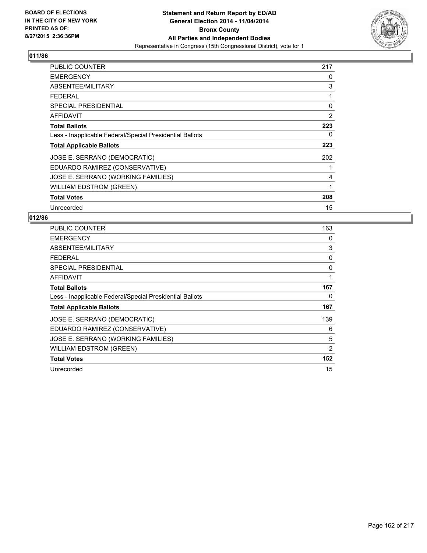

| <b>PUBLIC COUNTER</b>                                    | 217 |
|----------------------------------------------------------|-----|
| <b>EMERGENCY</b>                                         | 0   |
| ABSENTEE/MILITARY                                        | 3   |
| FEDERAL                                                  | 1   |
| SPECIAL PRESIDENTIAL                                     | 0   |
| AFFIDAVIT                                                | 2   |
| <b>Total Ballots</b>                                     | 223 |
| Less - Inapplicable Federal/Special Presidential Ballots | 0   |
| <b>Total Applicable Ballots</b>                          | 223 |
| JOSE E. SERRANO (DEMOCRATIC)                             | 202 |
| EDUARDO RAMIREZ (CONSERVATIVE)                           |     |
| JOSE E. SERRANO (WORKING FAMILIES)                       | 4   |
| <b>WILLIAM EDSTROM (GREEN)</b>                           | 1   |
| <b>Total Votes</b>                                       | 208 |
| Unrecorded                                               | 15  |

| PUBLIC COUNTER                                           | 163 |
|----------------------------------------------------------|-----|
| <b>EMERGENCY</b>                                         | 0   |
| ABSENTEE/MILITARY                                        | 3   |
| <b>FEDERAL</b>                                           | 0   |
| <b>SPECIAL PRESIDENTIAL</b>                              | 0   |
| AFFIDAVIT                                                | 1   |
| <b>Total Ballots</b>                                     | 167 |
| Less - Inapplicable Federal/Special Presidential Ballots | 0   |
| <b>Total Applicable Ballots</b>                          | 167 |
| JOSE E. SERRANO (DEMOCRATIC)                             | 139 |
| EDUARDO RAMIREZ (CONSERVATIVE)                           | 6   |
| JOSE E. SERRANO (WORKING FAMILIES)                       | 5   |
| WILLIAM EDSTROM (GREEN)                                  | 2   |
| <b>Total Votes</b>                                       | 152 |
| Unrecorded                                               | 15  |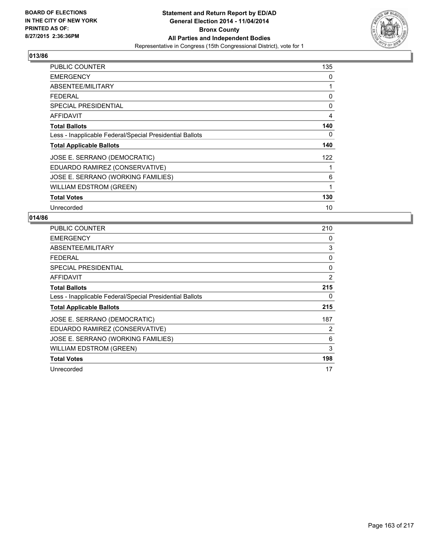

| <b>PUBLIC COUNTER</b>                                    | 135 |
|----------------------------------------------------------|-----|
| <b>EMERGENCY</b>                                         | 0   |
| ABSENTEE/MILITARY                                        | 1   |
| <b>FEDERAL</b>                                           | 0   |
| <b>SPECIAL PRESIDENTIAL</b>                              | 0   |
| AFFIDAVIT                                                | 4   |
| <b>Total Ballots</b>                                     | 140 |
| Less - Inapplicable Federal/Special Presidential Ballots | 0   |
| <b>Total Applicable Ballots</b>                          | 140 |
| JOSE E. SERRANO (DEMOCRATIC)                             | 122 |
| EDUARDO RAMIREZ (CONSERVATIVE)                           | 1   |
| JOSE E. SERRANO (WORKING FAMILIES)                       | 6   |
| WILLIAM EDSTROM (GREEN)                                  | 1   |
| <b>Total Votes</b>                                       | 130 |
| Unrecorded                                               | 10  |

| <b>PUBLIC COUNTER</b>                                    | 210 |
|----------------------------------------------------------|-----|
| <b>EMERGENCY</b>                                         | 0   |
| ABSENTEE/MILITARY                                        | 3   |
| FEDERAL                                                  | 0   |
| SPECIAL PRESIDENTIAL                                     | 0   |
| <b>AFFIDAVIT</b>                                         | 2   |
| <b>Total Ballots</b>                                     | 215 |
| Less - Inapplicable Federal/Special Presidential Ballots | 0   |
| <b>Total Applicable Ballots</b>                          | 215 |
| JOSE E. SERRANO (DEMOCRATIC)                             | 187 |
| EDUARDO RAMIREZ (CONSERVATIVE)                           | 2   |
| JOSE E. SERRANO (WORKING FAMILIES)                       | 6   |
| <b>WILLIAM EDSTROM (GREEN)</b>                           | 3   |
| <b>Total Votes</b>                                       | 198 |
| Unrecorded                                               | 17  |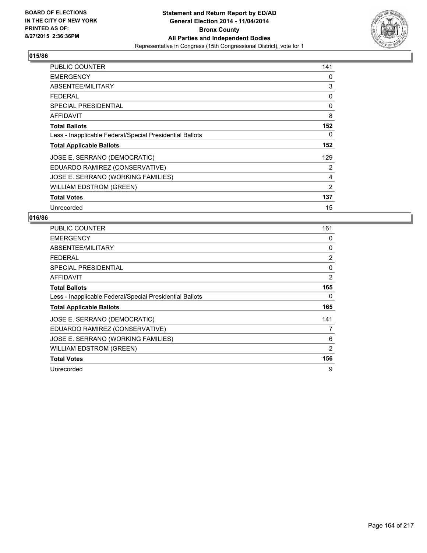

| <b>PUBLIC COUNTER</b>                                    | 141 |
|----------------------------------------------------------|-----|
| <b>EMERGENCY</b>                                         | 0   |
| ABSENTEE/MILITARY                                        | 3   |
| <b>FEDERAL</b>                                           | 0   |
| <b>SPECIAL PRESIDENTIAL</b>                              | 0   |
| AFFIDAVIT                                                | 8   |
| <b>Total Ballots</b>                                     | 152 |
| Less - Inapplicable Federal/Special Presidential Ballots | 0   |
| <b>Total Applicable Ballots</b>                          | 152 |
| JOSE E. SERRANO (DEMOCRATIC)                             | 129 |
| EDUARDO RAMIREZ (CONSERVATIVE)                           | 2   |
| JOSE E. SERRANO (WORKING FAMILIES)                       | 4   |
| WILLIAM EDSTROM (GREEN)                                  | 2   |
| <b>Total Votes</b>                                       | 137 |
| Unrecorded                                               | 15  |

| <b>PUBLIC COUNTER</b>                                    | 161 |
|----------------------------------------------------------|-----|
| <b>EMERGENCY</b>                                         | 0   |
| ABSENTEE/MILITARY                                        | 0   |
| FEDERAL                                                  | 2   |
| SPECIAL PRESIDENTIAL                                     | 0   |
| <b>AFFIDAVIT</b>                                         | 2   |
| <b>Total Ballots</b>                                     | 165 |
| Less - Inapplicable Federal/Special Presidential Ballots | 0   |
| <b>Total Applicable Ballots</b>                          | 165 |
| JOSE E. SERRANO (DEMOCRATIC)                             | 141 |
| EDUARDO RAMIREZ (CONSERVATIVE)                           | 7   |
| JOSE E. SERRANO (WORKING FAMILIES)                       | 6   |
| <b>WILLIAM EDSTROM (GREEN)</b>                           | 2   |
| <b>Total Votes</b>                                       | 156 |
| Unrecorded                                               | 9   |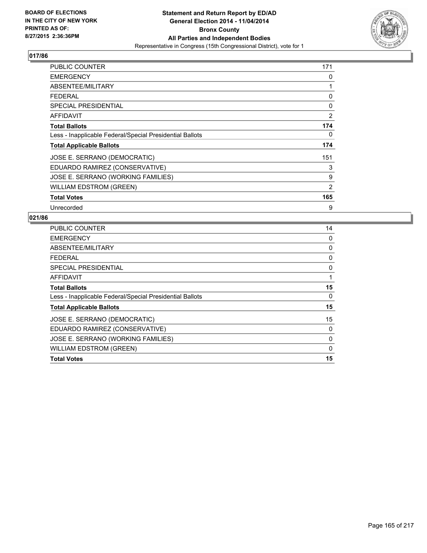

| <b>PUBLIC COUNTER</b>                                    | 171            |
|----------------------------------------------------------|----------------|
| <b>EMERGENCY</b>                                         | 0              |
| ABSENTEE/MILITARY                                        | 1              |
| FEDERAL                                                  | 0              |
| <b>SPECIAL PRESIDENTIAL</b>                              | 0              |
| AFFIDAVIT                                                | $\overline{2}$ |
| <b>Total Ballots</b>                                     | 174            |
| Less - Inapplicable Federal/Special Presidential Ballots | 0              |
| <b>Total Applicable Ballots</b>                          | 174            |
| JOSE E. SERRANO (DEMOCRATIC)                             | 151            |
| EDUARDO RAMIREZ (CONSERVATIVE)                           | 3              |
| JOSE E. SERRANO (WORKING FAMILIES)                       | 9              |
| <b>WILLIAM EDSTROM (GREEN)</b>                           | 2              |
| <b>Total Votes</b>                                       | 165            |
| Unrecorded                                               | 9              |

| <b>PUBLIC COUNTER</b>                                    | 14 |
|----------------------------------------------------------|----|
| <b>EMERGENCY</b>                                         | 0  |
| ABSENTEE/MILITARY                                        | 0  |
| <b>FEDERAL</b>                                           | 0  |
| SPECIAL PRESIDENTIAL                                     | 0  |
| <b>AFFIDAVIT</b>                                         | 1  |
| <b>Total Ballots</b>                                     | 15 |
| Less - Inapplicable Federal/Special Presidential Ballots | 0  |
| <b>Total Applicable Ballots</b>                          | 15 |
| JOSE E. SERRANO (DEMOCRATIC)                             | 15 |
| EDUARDO RAMIREZ (CONSERVATIVE)                           | 0  |
| JOSE E. SERRANO (WORKING FAMILIES)                       | 0  |
| <b>WILLIAM EDSTROM (GREEN)</b>                           | 0  |
| <b>Total Votes</b>                                       | 15 |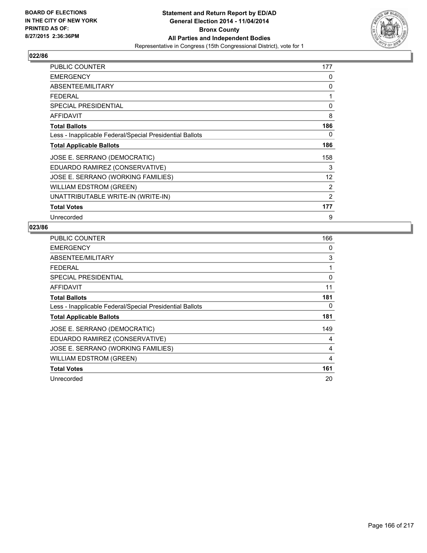

| <b>PUBLIC COUNTER</b>                                    | 177               |
|----------------------------------------------------------|-------------------|
| <b>EMERGENCY</b>                                         | 0                 |
| ABSENTEE/MILITARY                                        | 0                 |
| <b>FEDERAL</b>                                           | 1                 |
| <b>SPECIAL PRESIDENTIAL</b>                              | 0                 |
| <b>AFFIDAVIT</b>                                         | 8                 |
| <b>Total Ballots</b>                                     | 186               |
| Less - Inapplicable Federal/Special Presidential Ballots | 0                 |
| <b>Total Applicable Ballots</b>                          | 186               |
| JOSE E. SERRANO (DEMOCRATIC)                             | 158               |
| EDUARDO RAMIREZ (CONSERVATIVE)                           | 3                 |
| JOSE E. SERRANO (WORKING FAMILIES)                       | $12 \overline{ }$ |
| <b>WILLIAM EDSTROM (GREEN)</b>                           | 2                 |
| UNATTRIBUTABLE WRITE-IN (WRITE-IN)                       | $\overline{2}$    |
| <b>Total Votes</b>                                       | 177               |
| Unrecorded                                               | 9                 |

| PUBLIC COUNTER                                           | 166 |
|----------------------------------------------------------|-----|
| <b>EMERGENCY</b>                                         | 0   |
| ABSENTEE/MILITARY                                        | 3   |
| <b>FEDERAL</b>                                           | 1   |
| <b>SPECIAL PRESIDENTIAL</b>                              | 0   |
| AFFIDAVIT                                                | 11  |
| <b>Total Ballots</b>                                     | 181 |
| Less - Inapplicable Federal/Special Presidential Ballots | 0   |
| <b>Total Applicable Ballots</b>                          | 181 |
| JOSE E. SERRANO (DEMOCRATIC)                             | 149 |
| EDUARDO RAMIREZ (CONSERVATIVE)                           | 4   |
| JOSE E. SERRANO (WORKING FAMILIES)                       | 4   |
| <b>WILLIAM EDSTROM (GREEN)</b>                           | 4   |
| <b>Total Votes</b>                                       | 161 |
| Unrecorded                                               | 20  |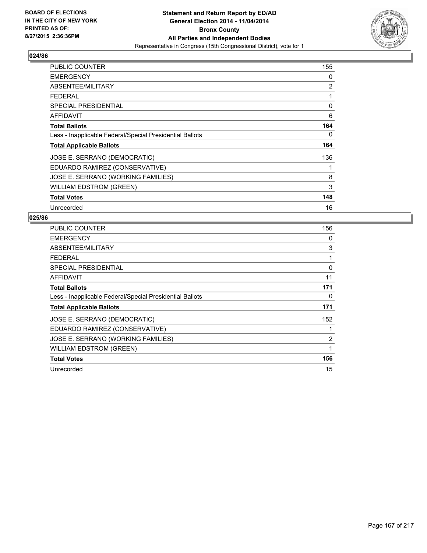

| PUBLIC COUNTER                                           | 155 |
|----------------------------------------------------------|-----|
| <b>EMERGENCY</b>                                         | 0   |
| ABSENTEE/MILITARY                                        | 2   |
| <b>FEDERAL</b>                                           | 1   |
| SPECIAL PRESIDENTIAL                                     | 0   |
| AFFIDAVIT                                                | 6   |
| <b>Total Ballots</b>                                     | 164 |
| Less - Inapplicable Federal/Special Presidential Ballots | 0   |
| <b>Total Applicable Ballots</b>                          | 164 |
| JOSE E. SERRANO (DEMOCRATIC)                             | 136 |
| EDUARDO RAMIREZ (CONSERVATIVE)                           | 1   |
| JOSE E. SERRANO (WORKING FAMILIES)                       | 8   |
| <b>WILLIAM EDSTROM (GREEN)</b>                           | 3   |
| <b>Total Votes</b>                                       | 148 |
| Unrecorded                                               | 16  |

| <b>PUBLIC COUNTER</b>                                    | 156 |
|----------------------------------------------------------|-----|
| <b>EMERGENCY</b>                                         | 0   |
| ABSENTEE/MILITARY                                        | 3   |
| FEDERAL                                                  | 1   |
| <b>SPECIAL PRESIDENTIAL</b>                              | 0   |
| AFFIDAVIT                                                | 11  |
| <b>Total Ballots</b>                                     | 171 |
| Less - Inapplicable Federal/Special Presidential Ballots | 0   |
| <b>Total Applicable Ballots</b>                          | 171 |
| JOSE E. SERRANO (DEMOCRATIC)                             | 152 |
| EDUARDO RAMIREZ (CONSERVATIVE)                           |     |
| JOSE E. SERRANO (WORKING FAMILIES)                       | 2   |
| WILLIAM EDSTROM (GREEN)                                  | 1   |
| <b>Total Votes</b>                                       | 156 |
| Unrecorded                                               | 15  |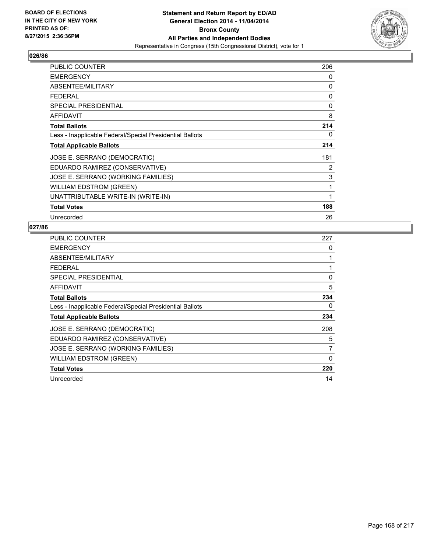

| <b>PUBLIC COUNTER</b>                                    | 206 |
|----------------------------------------------------------|-----|
| <b>EMERGENCY</b>                                         | 0   |
| ABSENTEE/MILITARY                                        | 0   |
| <b>FEDERAL</b>                                           | 0   |
| <b>SPECIAL PRESIDENTIAL</b>                              | 0   |
| <b>AFFIDAVIT</b>                                         | 8   |
| <b>Total Ballots</b>                                     | 214 |
| Less - Inapplicable Federal/Special Presidential Ballots | 0   |
| <b>Total Applicable Ballots</b>                          | 214 |
| JOSE E. SERRANO (DEMOCRATIC)                             | 181 |
| EDUARDO RAMIREZ (CONSERVATIVE)                           | 2   |
| JOSE E. SERRANO (WORKING FAMILIES)                       | 3   |
| <b>WILLIAM EDSTROM (GREEN)</b>                           | 1   |
| UNATTRIBUTABLE WRITE-IN (WRITE-IN)                       | 1   |
| <b>Total Votes</b>                                       | 188 |
| Unrecorded                                               | 26  |

| PUBLIC COUNTER                                           | 227      |
|----------------------------------------------------------|----------|
| <b>EMERGENCY</b>                                         | 0        |
| ABSENTEE/MILITARY                                        |          |
| <b>FEDERAL</b>                                           |          |
| <b>SPECIAL PRESIDENTIAL</b>                              | 0        |
| AFFIDAVIT                                                | 5        |
| <b>Total Ballots</b>                                     | 234      |
| Less - Inapplicable Federal/Special Presidential Ballots | 0        |
| <b>Total Applicable Ballots</b>                          | 234      |
| JOSE E. SERRANO (DEMOCRATIC)                             | 208      |
| EDUARDO RAMIREZ (CONSERVATIVE)                           | 5        |
| JOSE E. SERRANO (WORKING FAMILIES)                       | 7        |
| <b>WILLIAM EDSTROM (GREEN)</b>                           | $\Omega$ |
| <b>Total Votes</b>                                       | 220      |
| Unrecorded                                               | 14       |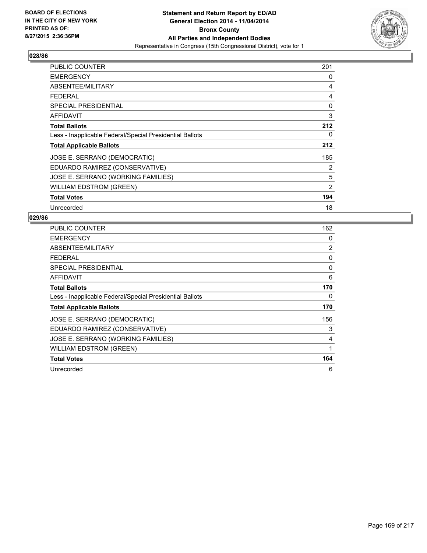

| PUBLIC COUNTER                                           | 201 |
|----------------------------------------------------------|-----|
| <b>EMERGENCY</b>                                         | 0   |
| ABSENTEE/MILITARY                                        | 4   |
| <b>FEDERAL</b>                                           | 4   |
| SPECIAL PRESIDENTIAL                                     | 0   |
| AFFIDAVIT                                                | 3   |
| <b>Total Ballots</b>                                     | 212 |
| Less - Inapplicable Federal/Special Presidential Ballots | 0   |
| <b>Total Applicable Ballots</b>                          | 212 |
| JOSE E. SERRANO (DEMOCRATIC)                             | 185 |
| EDUARDO RAMIREZ (CONSERVATIVE)                           | 2   |
| JOSE E. SERRANO (WORKING FAMILIES)                       | 5   |
| <b>WILLIAM EDSTROM (GREEN)</b>                           | 2   |
| <b>Total Votes</b>                                       | 194 |
| Unrecorded                                               | 18  |

| PUBLIC COUNTER                                           | 162 |
|----------------------------------------------------------|-----|
| <b>EMERGENCY</b>                                         | 0   |
| ABSENTEE/MILITARY                                        | 2   |
| FEDERAL                                                  | 0   |
| SPECIAL PRESIDENTIAL                                     | 0   |
| AFFIDAVIT                                                | 6   |
| <b>Total Ballots</b>                                     | 170 |
| Less - Inapplicable Federal/Special Presidential Ballots | 0   |
| <b>Total Applicable Ballots</b>                          | 170 |
| JOSE E. SERRANO (DEMOCRATIC)                             | 156 |
| EDUARDO RAMIREZ (CONSERVATIVE)                           | 3   |
| JOSE E. SERRANO (WORKING FAMILIES)                       | 4   |
| WILLIAM EDSTROM (GREEN)                                  | 1   |
| <b>Total Votes</b>                                       | 164 |
| Unrecorded                                               | 6   |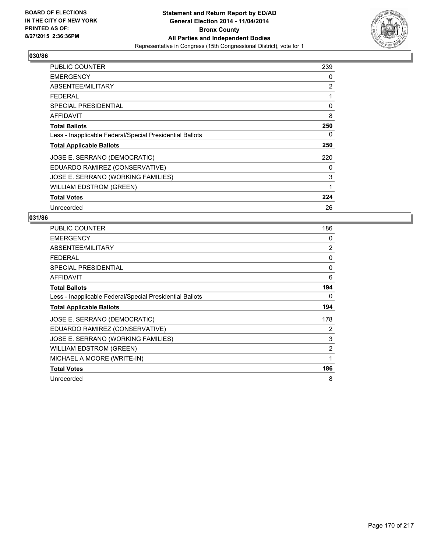

| PUBLIC COUNTER                                           | 239 |
|----------------------------------------------------------|-----|
| <b>EMERGENCY</b>                                         | 0   |
| ABSENTEE/MILITARY                                        | 2   |
| <b>FEDERAL</b>                                           | 1   |
| <b>SPECIAL PRESIDENTIAL</b>                              | 0   |
| AFFIDAVIT                                                | 8   |
| <b>Total Ballots</b>                                     | 250 |
| Less - Inapplicable Federal/Special Presidential Ballots | 0   |
| <b>Total Applicable Ballots</b>                          | 250 |
| JOSE E. SERRANO (DEMOCRATIC)                             | 220 |
| EDUARDO RAMIREZ (CONSERVATIVE)                           | 0   |
| JOSE E. SERRANO (WORKING FAMILIES)                       | 3   |
| <b>WILLIAM EDSTROM (GREEN)</b>                           | 1   |
| <b>Total Votes</b>                                       | 224 |
| Unrecorded                                               | 26  |

| <b>PUBLIC COUNTER</b>                                    | 186 |
|----------------------------------------------------------|-----|
| <b>EMERGENCY</b>                                         | 0   |
| ABSENTEE/MILITARY                                        | 2   |
| <b>FEDERAL</b>                                           | 0   |
| <b>SPECIAL PRESIDENTIAL</b>                              | 0   |
| <b>AFFIDAVIT</b>                                         | 6   |
| <b>Total Ballots</b>                                     | 194 |
| Less - Inapplicable Federal/Special Presidential Ballots | 0   |
| <b>Total Applicable Ballots</b>                          | 194 |
| JOSE E. SERRANO (DEMOCRATIC)                             | 178 |
| EDUARDO RAMIREZ (CONSERVATIVE)                           | 2   |
| JOSE E. SERRANO (WORKING FAMILIES)                       | 3   |
| <b>WILLIAM EDSTROM (GREEN)</b>                           | 2   |
| MICHAEL A MOORE (WRITE-IN)                               | 1   |
|                                                          |     |
| <b>Total Votes</b>                                       | 186 |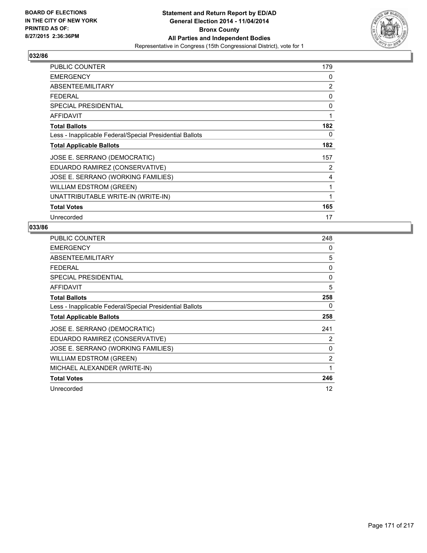

| <b>PUBLIC COUNTER</b>                                    | 179 |
|----------------------------------------------------------|-----|
| <b>EMERGENCY</b>                                         | 0   |
| ABSENTEE/MILITARY                                        | 2   |
| FEDERAL                                                  | 0   |
| SPECIAL PRESIDENTIAL                                     | 0   |
| AFFIDAVIT                                                | 1   |
| <b>Total Ballots</b>                                     | 182 |
| Less - Inapplicable Federal/Special Presidential Ballots | 0   |
| <b>Total Applicable Ballots</b>                          | 182 |
| JOSE E. SERRANO (DEMOCRATIC)                             | 157 |
| EDUARDO RAMIREZ (CONSERVATIVE)                           | 2   |
| JOSE E. SERRANO (WORKING FAMILIES)                       | 4   |
| <b>WILLIAM EDSTROM (GREEN)</b>                           | 1   |
| UNATTRIBUTABLE WRITE-IN (WRITE-IN)                       | 1   |
| <b>Total Votes</b>                                       | 165 |
| Unrecorded                                               | 17  |

| PUBLIC COUNTER                                           | 248            |
|----------------------------------------------------------|----------------|
| <b>EMERGENCY</b>                                         | 0              |
| ABSENTEE/MILITARY                                        | 5              |
| <b>FEDERAL</b>                                           | 0              |
| <b>SPECIAL PRESIDENTIAL</b>                              | 0              |
| AFFIDAVIT                                                | 5              |
| <b>Total Ballots</b>                                     | 258            |
| Less - Inapplicable Federal/Special Presidential Ballots | 0              |
| <b>Total Applicable Ballots</b>                          | 258            |
| JOSE E. SERRANO (DEMOCRATIC)                             | 241            |
| EDUARDO RAMIREZ (CONSERVATIVE)                           | 2              |
| JOSE E. SERRANO (WORKING FAMILIES)                       | 0              |
| <b>WILLIAM EDSTROM (GREEN)</b>                           | $\overline{2}$ |
| MICHAEL ALEXANDER (WRITE-IN)                             | 1              |
| <b>Total Votes</b>                                       | 246            |
| Unrecorded                                               | 12             |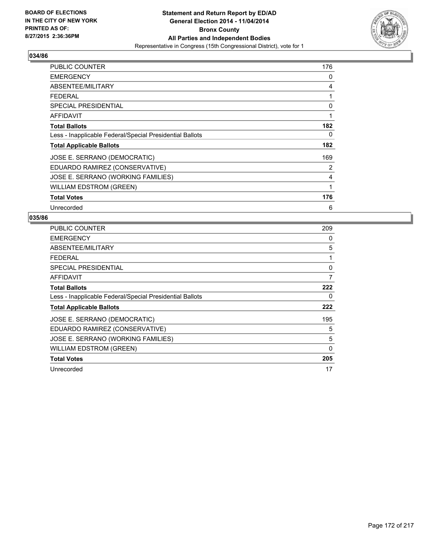

| PUBLIC COUNTER                                           | 176 |
|----------------------------------------------------------|-----|
| <b>EMERGENCY</b>                                         | 0   |
| ABSENTEE/MILITARY                                        | 4   |
| <b>FEDERAL</b>                                           | 1   |
| <b>SPECIAL PRESIDENTIAL</b>                              | 0   |
| AFFIDAVIT                                                | 1   |
| <b>Total Ballots</b>                                     | 182 |
| Less - Inapplicable Federal/Special Presidential Ballots | 0   |
| <b>Total Applicable Ballots</b>                          | 182 |
| JOSE E. SERRANO (DEMOCRATIC)                             | 169 |
| EDUARDO RAMIREZ (CONSERVATIVE)                           | 2   |
| JOSE E. SERRANO (WORKING FAMILIES)                       | 4   |
| <b>WILLIAM EDSTROM (GREEN)</b>                           | 1   |
| <b>Total Votes</b>                                       | 176 |
| Unrecorded                                               | 6   |

| <b>PUBLIC COUNTER</b>                                    | 209          |
|----------------------------------------------------------|--------------|
| <b>EMERGENCY</b>                                         | 0            |
| ABSENTEE/MILITARY                                        | 5            |
| FEDERAL                                                  | 1            |
| <b>SPECIAL PRESIDENTIAL</b>                              | 0            |
| AFFIDAVIT                                                | 7            |
| <b>Total Ballots</b>                                     | 222          |
| Less - Inapplicable Federal/Special Presidential Ballots | 0            |
| <b>Total Applicable Ballots</b>                          | 222          |
| JOSE E. SERRANO (DEMOCRATIC)                             | 195          |
| EDUARDO RAMIREZ (CONSERVATIVE)                           | 5            |
| JOSE E. SERRANO (WORKING FAMILIES)                       | 5            |
| WILLIAM EDSTROM (GREEN)                                  | $\mathbf{0}$ |
| <b>Total Votes</b>                                       | 205          |
| Unrecorded                                               | 17           |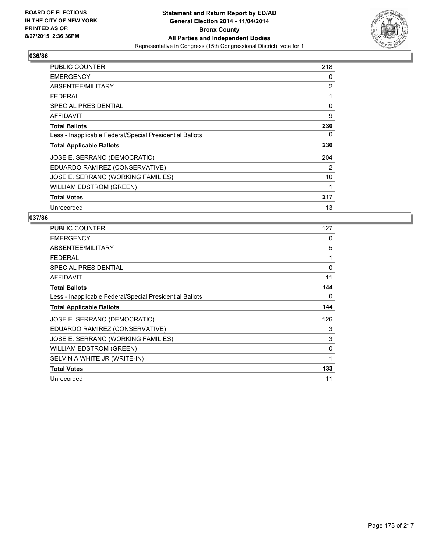

| PUBLIC COUNTER                                           | 218 |
|----------------------------------------------------------|-----|
| <b>EMERGENCY</b>                                         | 0   |
| ABSENTEE/MILITARY                                        | 2   |
| <b>FEDERAL</b>                                           | 1   |
| SPECIAL PRESIDENTIAL                                     | 0   |
| AFFIDAVIT                                                | 9   |
| <b>Total Ballots</b>                                     | 230 |
| Less - Inapplicable Federal/Special Presidential Ballots | 0   |
| <b>Total Applicable Ballots</b>                          | 230 |
| JOSE E. SERRANO (DEMOCRATIC)                             | 204 |
| EDUARDO RAMIREZ (CONSERVATIVE)                           | 2   |
| JOSE E. SERRANO (WORKING FAMILIES)                       | 10  |
| <b>WILLIAM EDSTROM (GREEN)</b>                           | 1   |
| <b>Total Votes</b>                                       | 217 |
| Unrecorded                                               | 13  |

| PUBLIC COUNTER                                           | 127 |
|----------------------------------------------------------|-----|
| <b>EMERGENCY</b>                                         | 0   |
| ABSENTEE/MILITARY                                        | 5   |
| <b>FEDERAL</b>                                           | 1   |
| <b>SPECIAL PRESIDENTIAL</b>                              | 0   |
| <b>AFFIDAVIT</b>                                         | 11  |
| <b>Total Ballots</b>                                     | 144 |
| Less - Inapplicable Federal/Special Presidential Ballots | 0   |
| <b>Total Applicable Ballots</b>                          | 144 |
| JOSE E. SERRANO (DEMOCRATIC)                             | 126 |
| EDUARDO RAMIREZ (CONSERVATIVE)                           | 3   |
| JOSE E. SERRANO (WORKING FAMILIES)                       | 3   |
| <b>WILLIAM EDSTROM (GREEN)</b>                           | 0   |
| SELVIN A WHITE JR (WRITE-IN)                             | 1   |
| <b>Total Votes</b>                                       | 133 |
| Unrecorded                                               | 11  |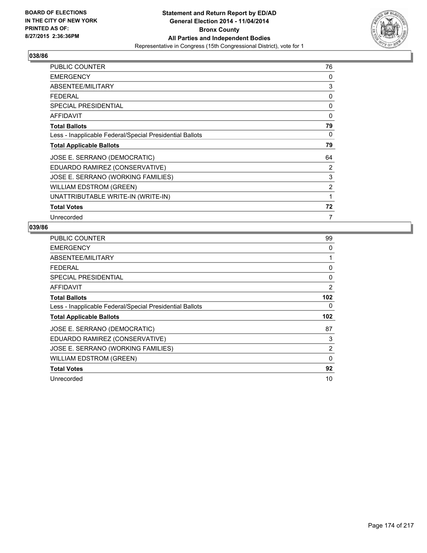

| PUBLIC COUNTER                                           | 76             |
|----------------------------------------------------------|----------------|
| <b>EMERGENCY</b>                                         | 0              |
| ABSENTEE/MILITARY                                        | 3              |
| <b>FEDERAL</b>                                           | 0              |
| <b>SPECIAL PRESIDENTIAL</b>                              | 0              |
| AFFIDAVIT                                                | 0              |
| <b>Total Ballots</b>                                     | 79             |
| Less - Inapplicable Federal/Special Presidential Ballots | 0              |
| <b>Total Applicable Ballots</b>                          | 79             |
| JOSE E. SERRANO (DEMOCRATIC)                             | 64             |
| EDUARDO RAMIREZ (CONSERVATIVE)                           | 2              |
| JOSE E. SERRANO (WORKING FAMILIES)                       | 3              |
| <b>WILLIAM EDSTROM (GREEN)</b>                           | $\overline{2}$ |
| UNATTRIBUTABLE WRITE-IN (WRITE-IN)                       | 1              |
| <b>Total Votes</b>                                       | 72             |
| Unrecorded                                               | 7              |

| PUBLIC COUNTER                                           | 99       |
|----------------------------------------------------------|----------|
| <b>EMERGENCY</b>                                         | 0        |
| ABSENTEE/MILITARY                                        | 1        |
| <b>FEDERAL</b>                                           | 0        |
| <b>SPECIAL PRESIDENTIAL</b>                              | 0        |
| <b>AFFIDAVIT</b>                                         | 2        |
| <b>Total Ballots</b>                                     | 102      |
| Less - Inapplicable Federal/Special Presidential Ballots | 0        |
| <b>Total Applicable Ballots</b>                          | 102      |
| JOSE E. SERRANO (DEMOCRATIC)                             | 87       |
| EDUARDO RAMIREZ (CONSERVATIVE)                           | 3        |
| JOSE E. SERRANO (WORKING FAMILIES)                       | 2        |
| <b>WILLIAM EDSTROM (GREEN)</b>                           | $\Omega$ |
| <b>Total Votes</b>                                       | 92       |
| Unrecorded                                               | 10       |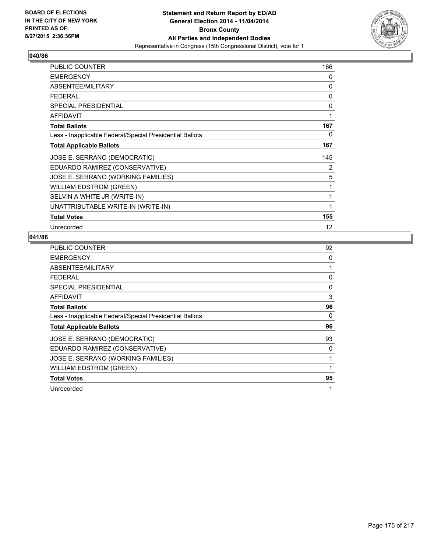

| PUBLIC COUNTER                                           | 166 |
|----------------------------------------------------------|-----|
| <b>EMERGENCY</b>                                         | 0   |
| ABSENTEE/MILITARY                                        | 0   |
| <b>FEDERAL</b>                                           | 0   |
| SPECIAL PRESIDENTIAL                                     | 0   |
| <b>AFFIDAVIT</b>                                         |     |
| <b>Total Ballots</b>                                     | 167 |
| Less - Inapplicable Federal/Special Presidential Ballots | 0   |
| <b>Total Applicable Ballots</b>                          | 167 |
| JOSE E. SERRANO (DEMOCRATIC)                             | 145 |
| EDUARDO RAMIREZ (CONSERVATIVE)                           | 2   |
| JOSE E. SERRANO (WORKING FAMILIES)                       | 5   |
| <b>WILLIAM EDSTROM (GREEN)</b>                           | 1   |
| SELVIN A WHITE JR (WRITE-IN)                             | 1   |
| UNATTRIBUTABLE WRITE-IN (WRITE-IN)                       |     |
| <b>Total Votes</b>                                       | 155 |
| Unrecorded                                               | 12  |

| <b>PUBLIC COUNTER</b>                                    | 92       |
|----------------------------------------------------------|----------|
| <b>EMERGENCY</b>                                         | 0        |
| ABSENTEE/MILITARY                                        | 1        |
| <b>FEDERAL</b>                                           | 0        |
| <b>SPECIAL PRESIDENTIAL</b>                              | $\Omega$ |
| <b>AFFIDAVIT</b>                                         | 3        |
| <b>Total Ballots</b>                                     | 96       |
| Less - Inapplicable Federal/Special Presidential Ballots | 0        |
| <b>Total Applicable Ballots</b>                          | 96       |
| JOSE E. SERRANO (DEMOCRATIC)                             | 93       |
| EDUARDO RAMIREZ (CONSERVATIVE)                           | 0        |
| JOSE E. SERRANO (WORKING FAMILIES)                       | 1        |
| <b>WILLIAM EDSTROM (GREEN)</b>                           | 1        |
| <b>Total Votes</b>                                       | 95       |
| Unrecorded                                               | 1        |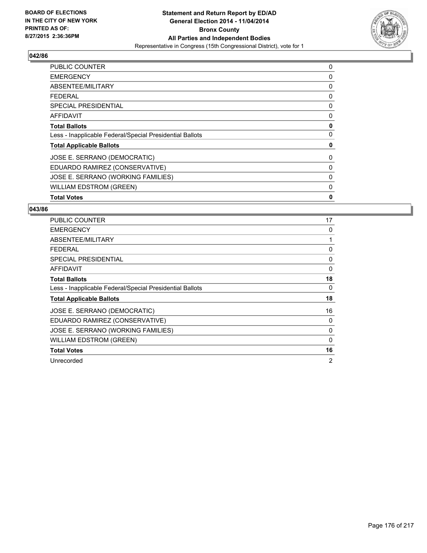

| <b>PUBLIC COUNTER</b>                                    | 0 |
|----------------------------------------------------------|---|
| <b>EMERGENCY</b>                                         | 0 |
| ABSENTEE/MILITARY                                        | 0 |
| <b>FEDERAL</b>                                           | 0 |
| SPECIAL PRESIDENTIAL                                     | 0 |
| <b>AFFIDAVIT</b>                                         | 0 |
| <b>Total Ballots</b>                                     | 0 |
| Less - Inapplicable Federal/Special Presidential Ballots | 0 |
| <b>Total Applicable Ballots</b>                          | 0 |
| JOSE E. SERRANO (DEMOCRATIC)                             | 0 |
| EDUARDO RAMIREZ (CONSERVATIVE)                           | 0 |
| JOSE E. SERRANO (WORKING FAMILIES)                       | 0 |
| <b>WILLIAM EDSTROM (GREEN)</b>                           | 0 |
| <b>Total Votes</b>                                       | 0 |

| <b>PUBLIC COUNTER</b>                                    | 17             |
|----------------------------------------------------------|----------------|
| <b>EMERGENCY</b>                                         | 0              |
| ABSENTEE/MILITARY                                        | 1              |
| <b>FEDERAL</b>                                           | 0              |
| <b>SPECIAL PRESIDENTIAL</b>                              | 0              |
| <b>AFFIDAVIT</b>                                         | 0              |
| <b>Total Ballots</b>                                     | 18             |
| Less - Inapplicable Federal/Special Presidential Ballots | 0              |
| <b>Total Applicable Ballots</b>                          | 18             |
| JOSE E. SERRANO (DEMOCRATIC)                             | 16             |
| EDUARDO RAMIREZ (CONSERVATIVE)                           | 0              |
| JOSE E. SERRANO (WORKING FAMILIES)                       | 0              |
| <b>WILLIAM EDSTROM (GREEN)</b>                           | 0              |
| <b>Total Votes</b>                                       | 16             |
| Unrecorded                                               | $\overline{2}$ |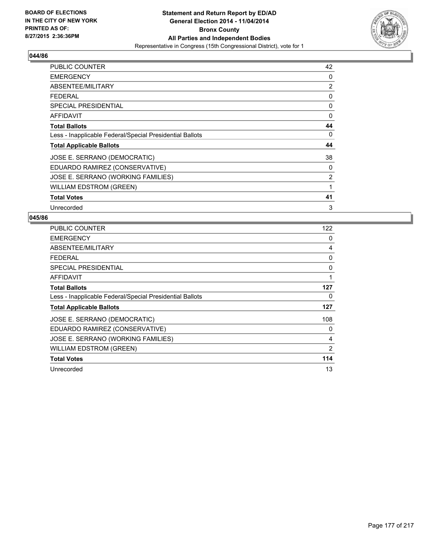

| <b>PUBLIC COUNTER</b>                                    | 42 |
|----------------------------------------------------------|----|
| <b>EMERGENCY</b>                                         | 0  |
| ABSENTEE/MILITARY                                        | 2  |
| <b>FEDERAL</b>                                           | 0  |
| <b>SPECIAL PRESIDENTIAL</b>                              | 0  |
| AFFIDAVIT                                                | 0  |
| <b>Total Ballots</b>                                     | 44 |
| Less - Inapplicable Federal/Special Presidential Ballots | 0  |
| <b>Total Applicable Ballots</b>                          | 44 |
| JOSE E. SERRANO (DEMOCRATIC)                             | 38 |
| EDUARDO RAMIREZ (CONSERVATIVE)                           | 0  |
| JOSE E. SERRANO (WORKING FAMILIES)                       | 2  |
| <b>WILLIAM EDSTROM (GREEN)</b>                           | 1  |
| <b>Total Votes</b>                                       | 41 |
| Unrecorded                                               | 3  |

| <b>PUBLIC COUNTER</b>                                    | 122 |
|----------------------------------------------------------|-----|
| <b>EMERGENCY</b>                                         | 0   |
| ABSENTEE/MILITARY                                        | 4   |
| <b>FEDERAL</b>                                           | 0   |
| SPECIAL PRESIDENTIAL                                     | 0   |
| <b>AFFIDAVIT</b>                                         | 1   |
| <b>Total Ballots</b>                                     | 127 |
| Less - Inapplicable Federal/Special Presidential Ballots | 0   |
| <b>Total Applicable Ballots</b>                          | 127 |
| JOSE E. SERRANO (DEMOCRATIC)                             | 108 |
| EDUARDO RAMIREZ (CONSERVATIVE)                           | 0   |
| JOSE E. SERRANO (WORKING FAMILIES)                       | 4   |
| <b>WILLIAM EDSTROM (GREEN)</b>                           | 2   |
| <b>Total Votes</b>                                       | 114 |
| Unrecorded                                               | 13  |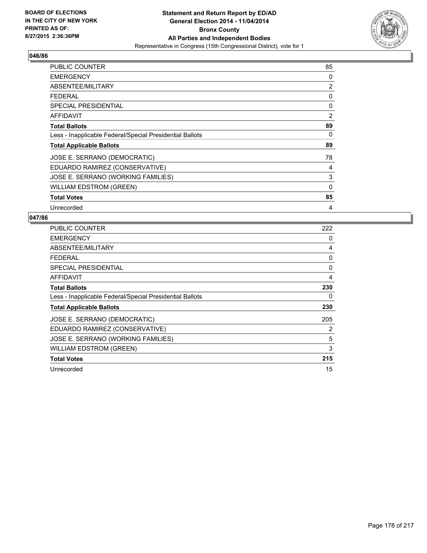

| <b>PUBLIC COUNTER</b>                                    | 85 |
|----------------------------------------------------------|----|
| <b>EMERGENCY</b>                                         | 0  |
| ABSENTEE/MILITARY                                        | 2  |
| <b>FEDERAL</b>                                           | 0  |
| <b>SPECIAL PRESIDENTIAL</b>                              | 0  |
| AFFIDAVIT                                                | 2  |
| <b>Total Ballots</b>                                     | 89 |
| Less - Inapplicable Federal/Special Presidential Ballots | 0  |
| <b>Total Applicable Ballots</b>                          | 89 |
| JOSE E. SERRANO (DEMOCRATIC)                             | 78 |
| EDUARDO RAMIREZ (CONSERVATIVE)                           | 4  |
| JOSE E. SERRANO (WORKING FAMILIES)                       | 3  |
| <b>WILLIAM EDSTROM (GREEN)</b>                           | 0  |
| <b>Total Votes</b>                                       | 85 |
| Unrecorded                                               | 4  |

| PUBLIC COUNTER                                           | 222 |
|----------------------------------------------------------|-----|
| <b>EMERGENCY</b>                                         | 0   |
| ABSENTEE/MILITARY                                        | 4   |
| <b>FEDERAL</b>                                           | 0   |
| <b>SPECIAL PRESIDENTIAL</b>                              | 0   |
| AFFIDAVIT                                                | 4   |
| <b>Total Ballots</b>                                     | 230 |
| Less - Inapplicable Federal/Special Presidential Ballots | 0   |
| <b>Total Applicable Ballots</b>                          | 230 |
| JOSE E. SERRANO (DEMOCRATIC)                             | 205 |
| EDUARDO RAMIREZ (CONSERVATIVE)                           | 2   |
| JOSE E. SERRANO (WORKING FAMILIES)                       | 5   |
| <b>WILLIAM EDSTROM (GREEN)</b>                           | 3   |
| <b>Total Votes</b>                                       | 215 |
| Unrecorded                                               | 15  |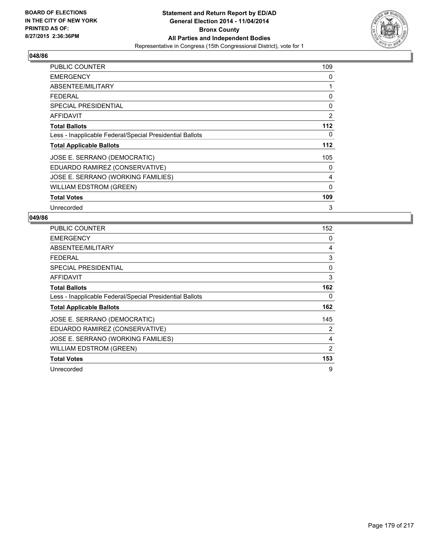

| PUBLIC COUNTER                                           | 109            |
|----------------------------------------------------------|----------------|
| <b>EMERGENCY</b>                                         | 0              |
| ABSENTEE/MILITARY                                        | 1              |
| <b>FEDERAL</b>                                           | 0              |
| <b>SPECIAL PRESIDENTIAL</b>                              | 0              |
| <b>AFFIDAVIT</b>                                         | $\overline{2}$ |
| <b>Total Ballots</b>                                     | 112            |
| Less - Inapplicable Federal/Special Presidential Ballots | 0              |
| <b>Total Applicable Ballots</b>                          | 112            |
| JOSE E. SERRANO (DEMOCRATIC)                             | 105            |
| EDUARDO RAMIREZ (CONSERVATIVE)                           | 0              |
| JOSE E. SERRANO (WORKING FAMILIES)                       | 4              |
| <b>WILLIAM EDSTROM (GREEN)</b>                           | $\mathbf{0}$   |
| <b>Total Votes</b>                                       | 109            |
| Unrecorded                                               | 3              |

| PUBLIC COUNTER                                           | 152 |
|----------------------------------------------------------|-----|
| <b>EMERGENCY</b>                                         | 0   |
| ABSENTEE/MILITARY                                        | 4   |
| <b>FEDERAL</b>                                           | 3   |
| <b>SPECIAL PRESIDENTIAL</b>                              | 0   |
| AFFIDAVIT                                                | 3   |
| <b>Total Ballots</b>                                     | 162 |
| Less - Inapplicable Federal/Special Presidential Ballots | 0   |
| <b>Total Applicable Ballots</b>                          | 162 |
| JOSE E. SERRANO (DEMOCRATIC)                             | 145 |
| EDUARDO RAMIREZ (CONSERVATIVE)                           | 2   |
| JOSE E. SERRANO (WORKING FAMILIES)                       | 4   |
| WILLIAM EDSTROM (GREEN)                                  | 2   |
| <b>Total Votes</b>                                       | 153 |
| Unrecorded                                               | 9   |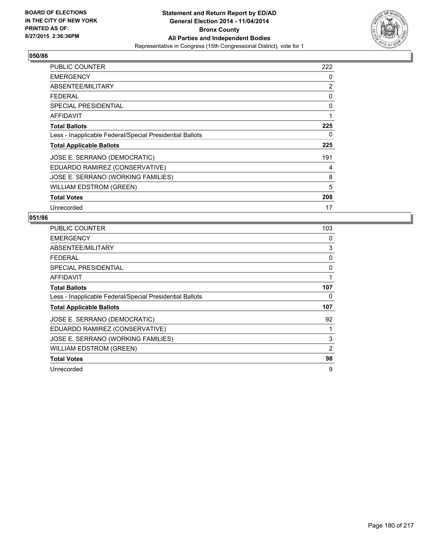

| <b>PUBLIC COUNTER</b>                                    | 222 |
|----------------------------------------------------------|-----|
| <b>EMERGENCY</b>                                         | 0   |
| ABSENTEE/MILITARY                                        | 2   |
| <b>FEDERAL</b>                                           | 0   |
| <b>SPECIAL PRESIDENTIAL</b>                              | 0   |
| AFFIDAVIT                                                | 1   |
| <b>Total Ballots</b>                                     | 225 |
| Less - Inapplicable Federal/Special Presidential Ballots | 0   |
| <b>Total Applicable Ballots</b>                          | 225 |
| JOSE E. SERRANO (DEMOCRATIC)                             | 191 |
| EDUARDO RAMIREZ (CONSERVATIVE)                           | 4   |
| JOSE E. SERRANO (WORKING FAMILIES)                       | 8   |
| <b>WILLIAM EDSTROM (GREEN)</b>                           | 5   |
| <b>Total Votes</b>                                       | 208 |
| Unrecorded                                               | 17  |

| PUBLIC COUNTER                                           | 103 |
|----------------------------------------------------------|-----|
| <b>EMERGENCY</b>                                         | 0   |
| ABSENTEE/MILITARY                                        | 3   |
| <b>FEDERAL</b>                                           | 0   |
| <b>SPECIAL PRESIDENTIAL</b>                              | 0   |
| AFFIDAVIT                                                | 1   |
| <b>Total Ballots</b>                                     | 107 |
| Less - Inapplicable Federal/Special Presidential Ballots | 0   |
| <b>Total Applicable Ballots</b>                          | 107 |
| JOSE E. SERRANO (DEMOCRATIC)                             | 92  |
| EDUARDO RAMIREZ (CONSERVATIVE)                           |     |
| JOSE E. SERRANO (WORKING FAMILIES)                       | 3   |
| WILLIAM EDSTROM (GREEN)                                  | 2   |
| <b>Total Votes</b>                                       | 98  |
| Unrecorded                                               | 9   |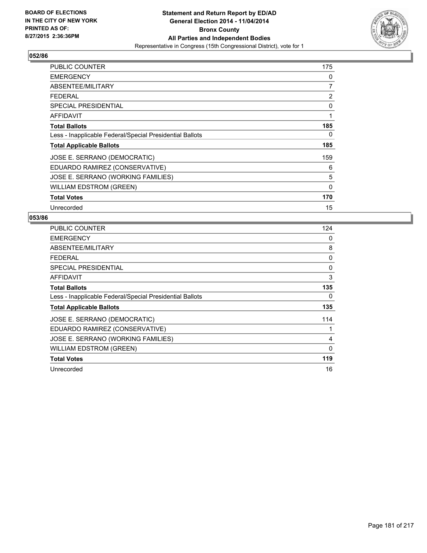

| <b>PUBLIC COUNTER</b>                                    | 175 |
|----------------------------------------------------------|-----|
| <b>EMERGENCY</b>                                         | 0   |
| ABSENTEE/MILITARY                                        | 7   |
| <b>FEDERAL</b>                                           | 2   |
| <b>SPECIAL PRESIDENTIAL</b>                              | 0   |
| AFFIDAVIT                                                | 1   |
| <b>Total Ballots</b>                                     | 185 |
| Less - Inapplicable Federal/Special Presidential Ballots | 0   |
| <b>Total Applicable Ballots</b>                          | 185 |
| JOSE E. SERRANO (DEMOCRATIC)                             | 159 |
| EDUARDO RAMIREZ (CONSERVATIVE)                           | 6   |
| JOSE E. SERRANO (WORKING FAMILIES)                       | 5   |
| <b>WILLIAM EDSTROM (GREEN)</b>                           | 0   |
| <b>Total Votes</b>                                       | 170 |
| Unrecorded                                               | 15  |

| <b>PUBLIC COUNTER</b>                                    | 124 |
|----------------------------------------------------------|-----|
| <b>EMERGENCY</b>                                         | 0   |
| ABSENTEE/MILITARY                                        | 8   |
| <b>FEDERAL</b>                                           | 0   |
| <b>SPECIAL PRESIDENTIAL</b>                              | 0   |
| AFFIDAVIT                                                | 3   |
| <b>Total Ballots</b>                                     | 135 |
| Less - Inapplicable Federal/Special Presidential Ballots | 0   |
| <b>Total Applicable Ballots</b>                          | 135 |
| JOSE E. SERRANO (DEMOCRATIC)                             | 114 |
| EDUARDO RAMIREZ (CONSERVATIVE)                           | 1   |
| JOSE E. SERRANO (WORKING FAMILIES)                       | 4   |
| WILLIAM EDSTROM (GREEN)                                  | 0   |
| <b>Total Votes</b>                                       | 119 |
| Unrecorded                                               | 16  |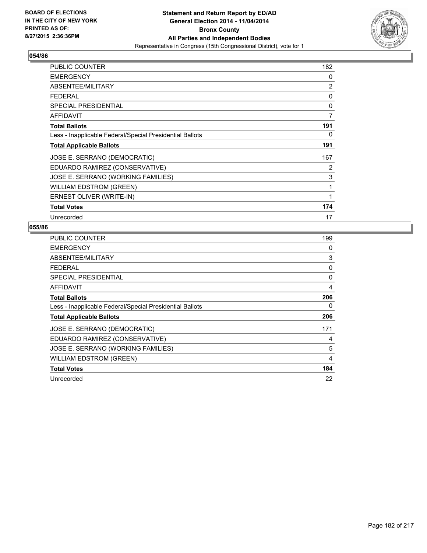

| PUBLIC COUNTER                                           | 182 |
|----------------------------------------------------------|-----|
| <b>EMERGENCY</b>                                         | 0   |
| ABSENTEE/MILITARY                                        | 2   |
| FEDERAL                                                  | 0   |
| <b>SPECIAL PRESIDENTIAL</b>                              | 0   |
| AFFIDAVIT                                                | 7   |
| <b>Total Ballots</b>                                     | 191 |
| Less - Inapplicable Federal/Special Presidential Ballots | 0   |
| <b>Total Applicable Ballots</b>                          | 191 |
| JOSE E. SERRANO (DEMOCRATIC)                             | 167 |
| EDUARDO RAMIREZ (CONSERVATIVE)                           | 2   |
| JOSE E. SERRANO (WORKING FAMILIES)                       | 3   |
| <b>WILLIAM EDSTROM (GREEN)</b>                           | 1   |
| ERNEST OLIVER (WRITE-IN)                                 | 1   |
| <b>Total Votes</b>                                       | 174 |
| Unrecorded                                               | 17  |

| <b>PUBLIC COUNTER</b>                                    | 199 |
|----------------------------------------------------------|-----|
| <b>EMERGENCY</b>                                         | 0   |
| ABSENTEE/MILITARY                                        | 3   |
| <b>FEDERAL</b>                                           | 0   |
| <b>SPECIAL PRESIDENTIAL</b>                              | 0   |
| <b>AFFIDAVIT</b>                                         | 4   |
| <b>Total Ballots</b>                                     | 206 |
| Less - Inapplicable Federal/Special Presidential Ballots | 0   |
| <b>Total Applicable Ballots</b>                          | 206 |
| JOSE E. SERRANO (DEMOCRATIC)                             | 171 |
| EDUARDO RAMIREZ (CONSERVATIVE)                           | 4   |
| JOSE E. SERRANO (WORKING FAMILIES)                       | 5   |
| <b>WILLIAM EDSTROM (GREEN)</b>                           | 4   |
| <b>Total Votes</b>                                       | 184 |
| Unrecorded                                               | 22  |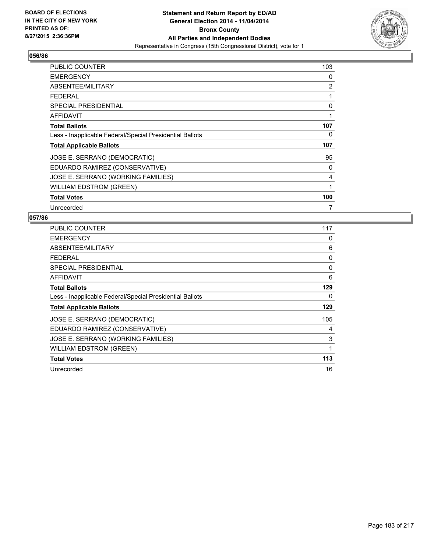

| PUBLIC COUNTER                                           | 103 |
|----------------------------------------------------------|-----|
| <b>EMERGENCY</b>                                         | 0   |
| ABSENTEE/MILITARY                                        | 2   |
| <b>FEDERAL</b>                                           | 1   |
| <b>SPECIAL PRESIDENTIAL</b>                              | 0   |
| AFFIDAVIT                                                | 1   |
| <b>Total Ballots</b>                                     | 107 |
| Less - Inapplicable Federal/Special Presidential Ballots | 0   |
| <b>Total Applicable Ballots</b>                          | 107 |
| JOSE E. SERRANO (DEMOCRATIC)                             | 95  |
| EDUARDO RAMIREZ (CONSERVATIVE)                           | 0   |
| JOSE E. SERRANO (WORKING FAMILIES)                       | 4   |
| <b>WILLIAM EDSTROM (GREEN)</b>                           | 1   |
| <b>Total Votes</b>                                       | 100 |
| Unrecorded                                               | 7   |

| <b>PUBLIC COUNTER</b>                                    | 117 |
|----------------------------------------------------------|-----|
| <b>EMERGENCY</b>                                         | 0   |
| ABSENTEE/MILITARY                                        | 6   |
| <b>FEDERAL</b>                                           | 0   |
| <b>SPECIAL PRESIDENTIAL</b>                              | 0   |
| AFFIDAVIT                                                | 6   |
| <b>Total Ballots</b>                                     | 129 |
| Less - Inapplicable Federal/Special Presidential Ballots | 0   |
| <b>Total Applicable Ballots</b>                          | 129 |
| JOSE E. SERRANO (DEMOCRATIC)                             | 105 |
| EDUARDO RAMIREZ (CONSERVATIVE)                           | 4   |
| JOSE E. SERRANO (WORKING FAMILIES)                       | 3   |
| WILLIAM EDSTROM (GREEN)                                  | 1   |
| <b>Total Votes</b>                                       | 113 |
| Unrecorded                                               | 16  |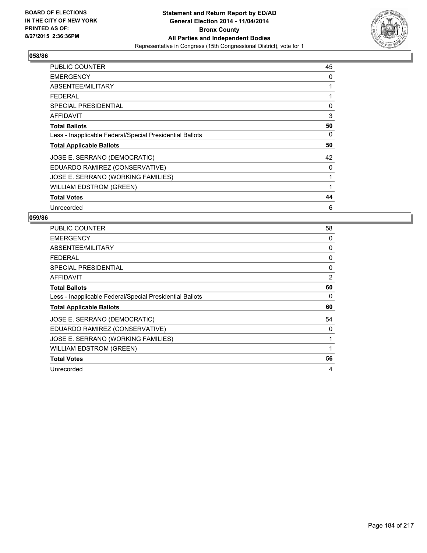

| <b>PUBLIC COUNTER</b>                                    | 45 |
|----------------------------------------------------------|----|
| <b>EMERGENCY</b>                                         | 0  |
| ABSENTEE/MILITARY                                        | 1  |
| <b>FEDERAL</b>                                           | 1  |
| <b>SPECIAL PRESIDENTIAL</b>                              | 0  |
| AFFIDAVIT                                                | 3  |
| <b>Total Ballots</b>                                     | 50 |
| Less - Inapplicable Federal/Special Presidential Ballots | 0  |
| <b>Total Applicable Ballots</b>                          | 50 |
| JOSE E. SERRANO (DEMOCRATIC)                             | 42 |
| EDUARDO RAMIREZ (CONSERVATIVE)                           | 0  |
| JOSE E. SERRANO (WORKING FAMILIES)                       | 1  |
| <b>WILLIAM EDSTROM (GREEN)</b>                           | 1  |
| <b>Total Votes</b>                                       | 44 |
| Unrecorded                                               | 6  |

| PUBLIC COUNTER                                           | 58 |
|----------------------------------------------------------|----|
| <b>EMERGENCY</b>                                         | 0  |
| ABSENTEE/MILITARY                                        | 0  |
| <b>FEDERAL</b>                                           | 0  |
| <b>SPECIAL PRESIDENTIAL</b>                              | 0  |
| AFFIDAVIT                                                | 2  |
| <b>Total Ballots</b>                                     | 60 |
| Less - Inapplicable Federal/Special Presidential Ballots | 0  |
| <b>Total Applicable Ballots</b>                          | 60 |
| JOSE E. SERRANO (DEMOCRATIC)                             | 54 |
| EDUARDO RAMIREZ (CONSERVATIVE)                           | 0  |
| JOSE E. SERRANO (WORKING FAMILIES)                       | 1  |
| <b>WILLIAM EDSTROM (GREEN)</b>                           | 1  |
| <b>Total Votes</b>                                       | 56 |
|                                                          |    |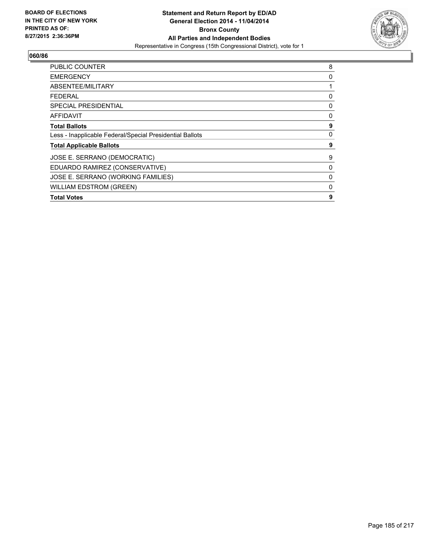

| <b>PUBLIC COUNTER</b>                                    | 8 |
|----------------------------------------------------------|---|
| <b>EMERGENCY</b>                                         | 0 |
| ABSENTEE/MILITARY                                        |   |
| FEDERAL                                                  | 0 |
| SPECIAL PRESIDENTIAL                                     | 0 |
| <b>AFFIDAVIT</b>                                         | 0 |
| <b>Total Ballots</b>                                     | 9 |
| Less - Inapplicable Federal/Special Presidential Ballots | 0 |
| <b>Total Applicable Ballots</b>                          | 9 |
| JOSE E. SERRANO (DEMOCRATIC)                             | 9 |
| EDUARDO RAMIREZ (CONSERVATIVE)                           | 0 |
| JOSE E. SERRANO (WORKING FAMILIES)                       | 0 |
| <b>WILLIAM EDSTROM (GREEN)</b>                           | 0 |
| <b>Total Votes</b>                                       | 9 |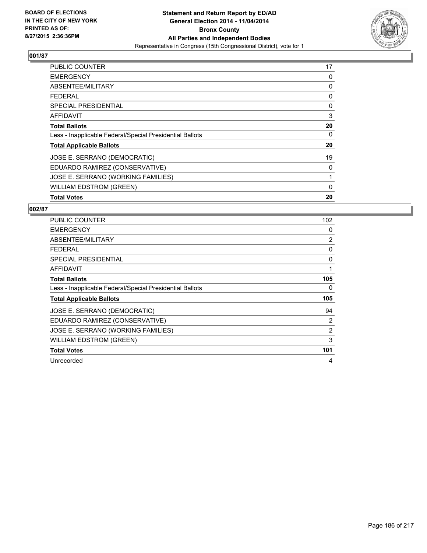

| <b>PUBLIC COUNTER</b>                                    | 17 |
|----------------------------------------------------------|----|
| <b>EMERGENCY</b>                                         | 0  |
| ABSENTEE/MILITARY                                        | 0  |
| <b>FEDERAL</b>                                           | 0  |
| <b>SPECIAL PRESIDENTIAL</b>                              | 0  |
| AFFIDAVIT                                                | 3  |
| <b>Total Ballots</b>                                     | 20 |
| Less - Inapplicable Federal/Special Presidential Ballots | 0  |
| <b>Total Applicable Ballots</b>                          | 20 |
| JOSE E. SERRANO (DEMOCRATIC)                             | 19 |
| EDUARDO RAMIREZ (CONSERVATIVE)                           | 0  |
| JOSE E. SERRANO (WORKING FAMILIES)                       | 1  |
| <b>WILLIAM EDSTROM (GREEN)</b>                           | 0  |
| <b>Total Votes</b>                                       | 20 |

| <b>PUBLIC COUNTER</b>                                    | 102            |
|----------------------------------------------------------|----------------|
| <b>EMERGENCY</b>                                         | 0              |
| ABSENTEE/MILITARY                                        | 2              |
| <b>FEDERAL</b>                                           | 0              |
| <b>SPECIAL PRESIDENTIAL</b>                              | 0              |
| <b>AFFIDAVIT</b>                                         | 1              |
| <b>Total Ballots</b>                                     | 105            |
| Less - Inapplicable Federal/Special Presidential Ballots | 0              |
| <b>Total Applicable Ballots</b>                          | 105            |
| JOSE E. SERRANO (DEMOCRATIC)                             | 94             |
| EDUARDO RAMIREZ (CONSERVATIVE)                           | $\overline{2}$ |
| JOSE E. SERRANO (WORKING FAMILIES)                       | $\overline{2}$ |
| <b>WILLIAM EDSTROM (GREEN)</b>                           | 3              |
| <b>Total Votes</b>                                       | 101            |
|                                                          |                |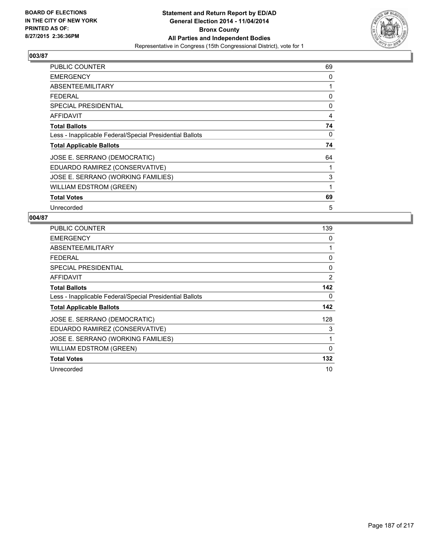

| PUBLIC COUNTER                                           | 69 |
|----------------------------------------------------------|----|
| <b>EMERGENCY</b>                                         | 0  |
| ABSENTEE/MILITARY                                        | 1  |
| <b>FEDERAL</b>                                           | 0  |
| <b>SPECIAL PRESIDENTIAL</b>                              | 0  |
| <b>AFFIDAVIT</b>                                         | 4  |
| <b>Total Ballots</b>                                     | 74 |
| Less - Inapplicable Federal/Special Presidential Ballots | 0  |
| <b>Total Applicable Ballots</b>                          | 74 |
| JOSE E. SERRANO (DEMOCRATIC)                             | 64 |
| EDUARDO RAMIREZ (CONSERVATIVE)                           | 1  |
| JOSE E. SERRANO (WORKING FAMILIES)                       | 3  |
| WILLIAM EDSTROM (GREEN)                                  | 1  |
| <b>Total Votes</b>                                       | 69 |
| Unrecorded                                               | 5  |

| <b>PUBLIC COUNTER</b>                                    | 139      |
|----------------------------------------------------------|----------|
| <b>EMERGENCY</b>                                         | 0        |
| ABSENTEE/MILITARY                                        | 1        |
| <b>FEDERAL</b>                                           | 0        |
| <b>SPECIAL PRESIDENTIAL</b>                              | 0        |
| AFFIDAVIT                                                | 2        |
| <b>Total Ballots</b>                                     | 142      |
| Less - Inapplicable Federal/Special Presidential Ballots | 0        |
| <b>Total Applicable Ballots</b>                          | 142      |
| JOSE E. SERRANO (DEMOCRATIC)                             | 128      |
| EDUARDO RAMIREZ (CONSERVATIVE)                           | 3        |
| JOSE E. SERRANO (WORKING FAMILIES)                       | 1        |
| <b>WILLIAM EDSTROM (GREEN)</b>                           | $\Omega$ |
| <b>Total Votes</b>                                       | 132      |
| Unrecorded                                               | 10       |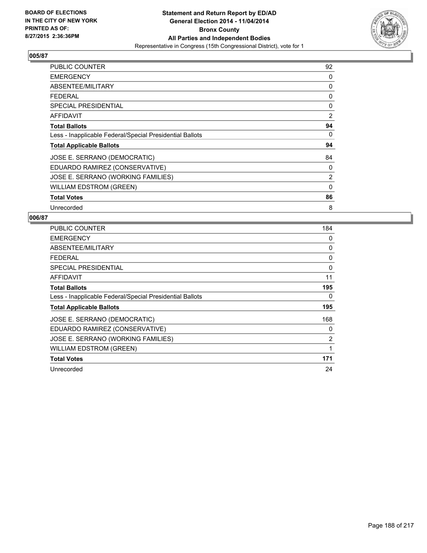

| <b>PUBLIC COUNTER</b>                                    | 92 |
|----------------------------------------------------------|----|
| <b>EMERGENCY</b>                                         | 0  |
| ABSENTEE/MILITARY                                        | 0  |
| <b>FEDERAL</b>                                           | 0  |
| <b>SPECIAL PRESIDENTIAL</b>                              | 0  |
| AFFIDAVIT                                                | 2  |
| <b>Total Ballots</b>                                     | 94 |
| Less - Inapplicable Federal/Special Presidential Ballots | 0  |
| <b>Total Applicable Ballots</b>                          | 94 |
| JOSE E. SERRANO (DEMOCRATIC)                             | 84 |
| EDUARDO RAMIREZ (CONSERVATIVE)                           | 0  |
| JOSE E. SERRANO (WORKING FAMILIES)                       | 2  |
| <b>WILLIAM EDSTROM (GREEN)</b>                           | 0  |
| <b>Total Votes</b>                                       | 86 |
| Unrecorded                                               | 8  |

| <b>PUBLIC COUNTER</b>                                    | 184 |
|----------------------------------------------------------|-----|
| <b>EMERGENCY</b>                                         | 0   |
| ABSENTEE/MILITARY                                        | 0   |
| <b>FEDERAL</b>                                           | 0   |
| <b>SPECIAL PRESIDENTIAL</b>                              | 0   |
| AFFIDAVIT                                                | 11  |
| <b>Total Ballots</b>                                     | 195 |
| Less - Inapplicable Federal/Special Presidential Ballots | 0   |
| <b>Total Applicable Ballots</b>                          | 195 |
| JOSE E. SERRANO (DEMOCRATIC)                             | 168 |
| EDUARDO RAMIREZ (CONSERVATIVE)                           | 0   |
| JOSE E. SERRANO (WORKING FAMILIES)                       | 2   |
| WILLIAM EDSTROM (GREEN)                                  | 1   |
| <b>Total Votes</b>                                       | 171 |
| Unrecorded                                               | 24  |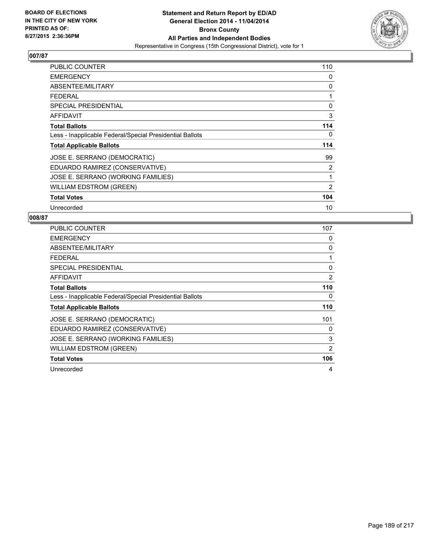

| PUBLIC COUNTER                                           | 110 |
|----------------------------------------------------------|-----|
| <b>EMERGENCY</b>                                         | 0   |
| ABSENTEE/MILITARY                                        | 0   |
| <b>FEDERAL</b>                                           | 1   |
| SPECIAL PRESIDENTIAL                                     | 0   |
| AFFIDAVIT                                                | 3   |
| <b>Total Ballots</b>                                     | 114 |
| Less - Inapplicable Federal/Special Presidential Ballots | 0   |
| <b>Total Applicable Ballots</b>                          | 114 |
| JOSE E. SERRANO (DEMOCRATIC)                             | 99  |
| EDUARDO RAMIREZ (CONSERVATIVE)                           | 2   |
| JOSE E. SERRANO (WORKING FAMILIES)                       | 1   |
| <b>WILLIAM EDSTROM (GREEN)</b>                           | 2   |
| <b>Total Votes</b>                                       | 104 |
| Unrecorded                                               | 10  |

| <b>PUBLIC COUNTER</b>                                    | 107 |
|----------------------------------------------------------|-----|
| <b>EMERGENCY</b>                                         | 0   |
| ABSENTEE/MILITARY                                        | 0   |
| FEDERAL                                                  | 1   |
| <b>SPECIAL PRESIDENTIAL</b>                              | 0   |
| AFFIDAVIT                                                | 2   |
| <b>Total Ballots</b>                                     | 110 |
| Less - Inapplicable Federal/Special Presidential Ballots | 0   |
| <b>Total Applicable Ballots</b>                          | 110 |
| JOSE E. SERRANO (DEMOCRATIC)                             | 101 |
| EDUARDO RAMIREZ (CONSERVATIVE)                           | 0   |
| JOSE E. SERRANO (WORKING FAMILIES)                       | 3   |
| WILLIAM EDSTROM (GREEN)                                  | 2   |
| <b>Total Votes</b>                                       | 106 |
| Unrecorded                                               | 4   |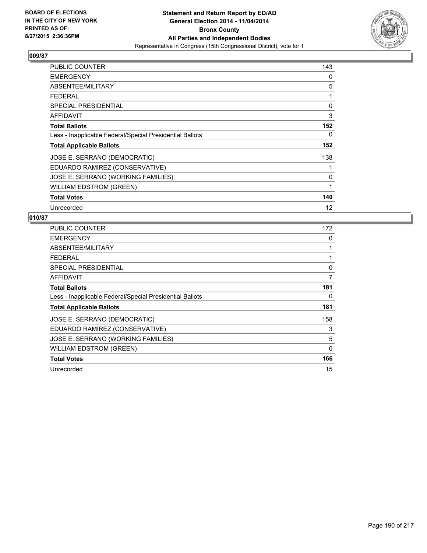

| PUBLIC COUNTER                                           | 143 |
|----------------------------------------------------------|-----|
| <b>EMERGENCY</b>                                         | 0   |
| ABSENTEE/MILITARY                                        | 5   |
| <b>FEDERAL</b>                                           | 1   |
| SPECIAL PRESIDENTIAL                                     | 0   |
| AFFIDAVIT                                                | 3   |
| <b>Total Ballots</b>                                     | 152 |
| Less - Inapplicable Federal/Special Presidential Ballots | 0   |
| <b>Total Applicable Ballots</b>                          | 152 |
| JOSE E. SERRANO (DEMOCRATIC)                             | 138 |
| EDUARDO RAMIREZ (CONSERVATIVE)                           |     |
| JOSE E. SERRANO (WORKING FAMILIES)                       | 0   |
| <b>WILLIAM EDSTROM (GREEN)</b>                           | 1   |
| <b>Total Votes</b>                                       | 140 |
| Unrecorded                                               | 12  |

| <b>PUBLIC COUNTER</b>                                    | 172 |
|----------------------------------------------------------|-----|
| <b>EMERGENCY</b>                                         | 0   |
| ABSENTEE/MILITARY                                        | 1   |
| <b>FEDERAL</b>                                           | 1   |
| SPECIAL PRESIDENTIAL                                     | 0   |
| AFFIDAVIT                                                | 7   |
| <b>Total Ballots</b>                                     | 181 |
| Less - Inapplicable Federal/Special Presidential Ballots | 0   |
| <b>Total Applicable Ballots</b>                          | 181 |
| JOSE E. SERRANO (DEMOCRATIC)                             | 158 |
| EDUARDO RAMIREZ (CONSERVATIVE)                           | 3   |
| JOSE E. SERRANO (WORKING FAMILIES)                       | 5   |
| <b>WILLIAM EDSTROM (GREEN)</b>                           | 0   |
| <b>Total Votes</b>                                       | 166 |
| Unrecorded                                               | 15  |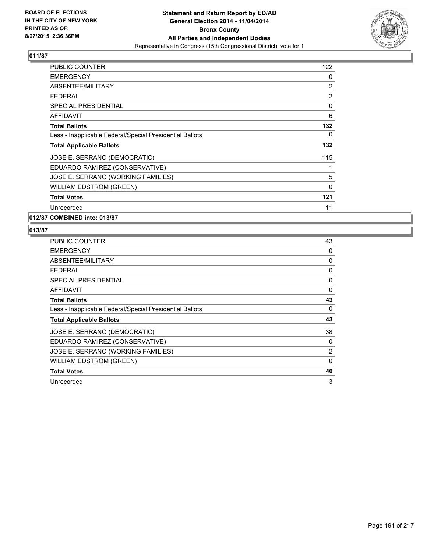

| PUBLIC COUNTER                                           | 122 |
|----------------------------------------------------------|-----|
| <b>EMERGENCY</b>                                         | 0   |
| ABSENTEE/MILITARY                                        | 2   |
| FEDERAL                                                  | 2   |
| <b>SPECIAL PRESIDENTIAL</b>                              | 0   |
| <b>AFFIDAVIT</b>                                         | 6   |
| <b>Total Ballots</b>                                     | 132 |
| Less - Inapplicable Federal/Special Presidential Ballots | 0   |
| <b>Total Applicable Ballots</b>                          | 132 |
| JOSE E. SERRANO (DEMOCRATIC)                             | 115 |
| EDUARDO RAMIREZ (CONSERVATIVE)                           | 1   |
| JOSE E. SERRANO (WORKING FAMILIES)                       | 5   |
| <b>WILLIAM EDSTROM (GREEN)</b>                           | 0   |
| <b>Total Votes</b>                                       | 121 |
| Unrecorded                                               | 11  |

**012/87 COMBINED into: 013/87**

| <b>PUBLIC COUNTER</b>                                    | 43             |
|----------------------------------------------------------|----------------|
| <b>EMERGENCY</b>                                         | 0              |
| ABSENTEE/MILITARY                                        | 0              |
| <b>FEDERAL</b>                                           | 0              |
| <b>SPECIAL PRESIDENTIAL</b>                              | 0              |
| <b>AFFIDAVIT</b>                                         | 0              |
| <b>Total Ballots</b>                                     | 43             |
| Less - Inapplicable Federal/Special Presidential Ballots | 0              |
| <b>Total Applicable Ballots</b>                          | 43             |
| JOSE E. SERRANO (DEMOCRATIC)                             | 38             |
| EDUARDO RAMIREZ (CONSERVATIVE)                           | 0              |
| JOSE E. SERRANO (WORKING FAMILIES)                       | $\overline{2}$ |
| <b>WILLIAM EDSTROM (GREEN)</b>                           | $\Omega$       |
| <b>Total Votes</b>                                       | 40             |
| Unrecorded                                               | 3              |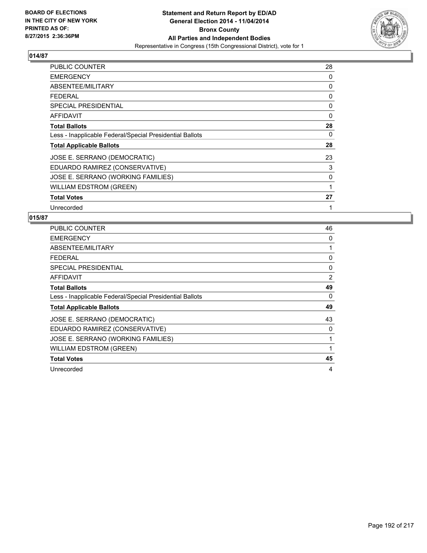

| PUBLIC COUNTER                                           | 28 |
|----------------------------------------------------------|----|
| <b>EMERGENCY</b>                                         | 0  |
| ABSENTEE/MILITARY                                        | 0  |
| <b>FEDERAL</b>                                           | 0  |
| <b>SPECIAL PRESIDENTIAL</b>                              | 0  |
| AFFIDAVIT                                                | 0  |
| <b>Total Ballots</b>                                     | 28 |
| Less - Inapplicable Federal/Special Presidential Ballots | 0  |
| <b>Total Applicable Ballots</b>                          | 28 |
| JOSE E. SERRANO (DEMOCRATIC)                             | 23 |
| EDUARDO RAMIREZ (CONSERVATIVE)                           | 3  |
| JOSE E. SERRANO (WORKING FAMILIES)                       | 0  |
| WILLIAM EDSTROM (GREEN)                                  | 1  |
| <b>Total Votes</b>                                       | 27 |
| Unrecorded                                               | 1  |

| <b>PUBLIC COUNTER</b>                                    | 46 |
|----------------------------------------------------------|----|
| <b>EMERGENCY</b>                                         | 0  |
| ABSENTEE/MILITARY                                        | 1  |
| <b>FEDERAL</b>                                           | 0  |
| SPECIAL PRESIDENTIAL                                     | 0  |
| <b>AFFIDAVIT</b>                                         | 2  |
| <b>Total Ballots</b>                                     | 49 |
| Less - Inapplicable Federal/Special Presidential Ballots | 0  |
| <b>Total Applicable Ballots</b>                          | 49 |
| JOSE E. SERRANO (DEMOCRATIC)                             | 43 |
| EDUARDO RAMIREZ (CONSERVATIVE)                           | 0  |
| JOSE E. SERRANO (WORKING FAMILIES)                       | 1  |
| <b>WILLIAM EDSTROM (GREEN)</b>                           | 1  |
| <b>Total Votes</b>                                       | 45 |
| Unrecorded                                               | 4  |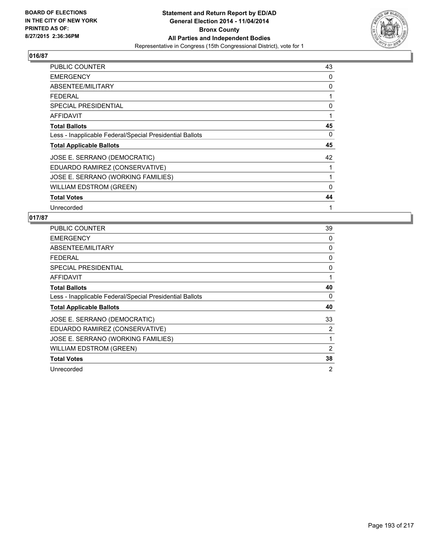

| PUBLIC COUNTER                                           | 43 |
|----------------------------------------------------------|----|
| <b>EMERGENCY</b>                                         | 0  |
| ABSENTEE/MILITARY                                        | 0  |
| <b>FEDERAL</b>                                           | 1  |
| <b>SPECIAL PRESIDENTIAL</b>                              | 0  |
| AFFIDAVIT                                                | 1  |
| <b>Total Ballots</b>                                     | 45 |
| Less - Inapplicable Federal/Special Presidential Ballots | 0  |
| <b>Total Applicable Ballots</b>                          | 45 |
| JOSE E. SERRANO (DEMOCRATIC)                             | 42 |
| EDUARDO RAMIREZ (CONSERVATIVE)                           | 1  |
| JOSE E. SERRANO (WORKING FAMILIES)                       | 1  |
| WILLIAM EDSTROM (GREEN)                                  | 0  |
| <b>Total Votes</b>                                       | 44 |
| Unrecorded                                               | 1  |

| <b>PUBLIC COUNTER</b>                                    | 39 |
|----------------------------------------------------------|----|
| <b>EMERGENCY</b>                                         | 0  |
| ABSENTEE/MILITARY                                        | 0  |
| <b>FEDERAL</b>                                           | 0  |
| SPECIAL PRESIDENTIAL                                     | 0  |
| <b>AFFIDAVIT</b>                                         | 1  |
| <b>Total Ballots</b>                                     | 40 |
| Less - Inapplicable Federal/Special Presidential Ballots | 0  |
| <b>Total Applicable Ballots</b>                          | 40 |
| JOSE E. SERRANO (DEMOCRATIC)                             | 33 |
| EDUARDO RAMIREZ (CONSERVATIVE)                           | 2  |
| JOSE E. SERRANO (WORKING FAMILIES)                       | 1  |
| <b>WILLIAM EDSTROM (GREEN)</b>                           | 2  |
| <b>Total Votes</b>                                       | 38 |
| Unrecorded                                               | 2  |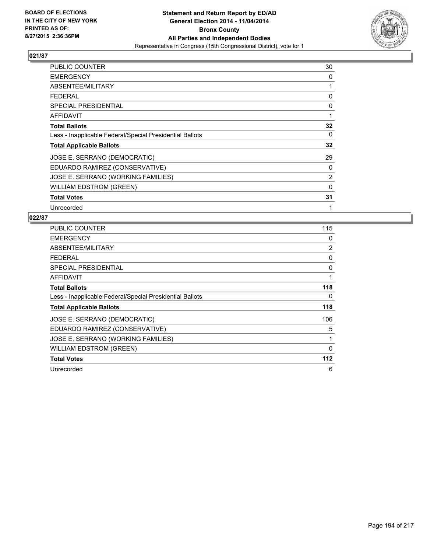

| PUBLIC COUNTER                                           | 30 |
|----------------------------------------------------------|----|
| <b>EMERGENCY</b>                                         | 0  |
| ABSENTEE/MILITARY                                        | 1  |
| <b>FEDERAL</b>                                           | 0  |
| <b>SPECIAL PRESIDENTIAL</b>                              | 0  |
| <b>AFFIDAVIT</b>                                         | 1  |
| <b>Total Ballots</b>                                     | 32 |
| Less - Inapplicable Federal/Special Presidential Ballots | 0  |
| <b>Total Applicable Ballots</b>                          | 32 |
| JOSE E. SERRANO (DEMOCRATIC)                             | 29 |
| EDUARDO RAMIREZ (CONSERVATIVE)                           | 0  |
| JOSE E. SERRANO (WORKING FAMILIES)                       | 2  |
| WILLIAM EDSTROM (GREEN)                                  | 0  |
| <b>Total Votes</b>                                       | 31 |
| Unrecorded                                               | 1  |

| <b>PUBLIC COUNTER</b>                                    | 115 |
|----------------------------------------------------------|-----|
| <b>EMERGENCY</b>                                         | 0   |
| ABSENTEE/MILITARY                                        | 2   |
| <b>FEDERAL</b>                                           | 0   |
| SPECIAL PRESIDENTIAL                                     | 0   |
| AFFIDAVIT                                                | 1   |
| <b>Total Ballots</b>                                     | 118 |
| Less - Inapplicable Federal/Special Presidential Ballots | 0   |
| <b>Total Applicable Ballots</b>                          | 118 |
| JOSE E. SERRANO (DEMOCRATIC)                             | 106 |
| EDUARDO RAMIREZ (CONSERVATIVE)                           | 5   |
| JOSE E. SERRANO (WORKING FAMILIES)                       | 1   |
| <b>WILLIAM EDSTROM (GREEN)</b>                           | 0   |
| <b>Total Votes</b>                                       | 112 |
| Unrecorded                                               | 6   |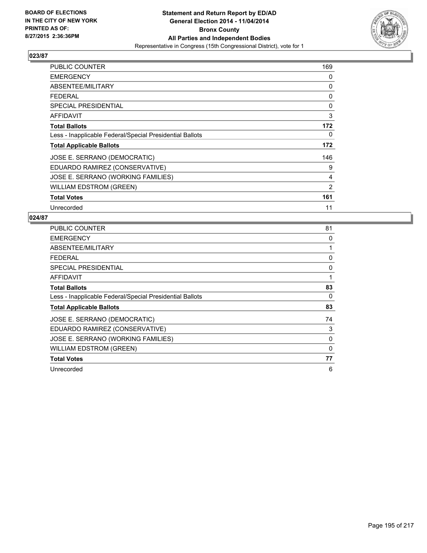

| PUBLIC COUNTER                                           | 169 |
|----------------------------------------------------------|-----|
| <b>EMERGENCY</b>                                         | 0   |
| ABSENTEE/MILITARY                                        | 0   |
| <b>FEDERAL</b>                                           | 0   |
| <b>SPECIAL PRESIDENTIAL</b>                              | 0   |
| <b>AFFIDAVIT</b>                                         | 3   |
| <b>Total Ballots</b>                                     | 172 |
| Less - Inapplicable Federal/Special Presidential Ballots | 0   |
| <b>Total Applicable Ballots</b>                          | 172 |
| JOSE E. SERRANO (DEMOCRATIC)                             | 146 |
| EDUARDO RAMIREZ (CONSERVATIVE)                           | 9   |
| JOSE E. SERRANO (WORKING FAMILIES)                       | 4   |
| <b>WILLIAM EDSTROM (GREEN)</b>                           | 2   |
| <b>Total Votes</b>                                       | 161 |
| Unrecorded                                               | 11  |

| PUBLIC COUNTER                                           | 81 |
|----------------------------------------------------------|----|
| <b>EMERGENCY</b>                                         | 0  |
| ABSENTEE/MILITARY                                        | 1  |
| <b>FEDERAL</b>                                           | 0  |
| <b>SPECIAL PRESIDENTIAL</b>                              | 0  |
| AFFIDAVIT                                                | 1  |
| <b>Total Ballots</b>                                     | 83 |
| Less - Inapplicable Federal/Special Presidential Ballots | 0  |
| <b>Total Applicable Ballots</b>                          | 83 |
| JOSE E. SERRANO (DEMOCRATIC)                             | 74 |
| EDUARDO RAMIREZ (CONSERVATIVE)                           | 3  |
| JOSE E. SERRANO (WORKING FAMILIES)                       | 0  |
| WILLIAM EDSTROM (GREEN)                                  | 0  |
| <b>Total Votes</b>                                       | 77 |
| Unrecorded                                               | 6  |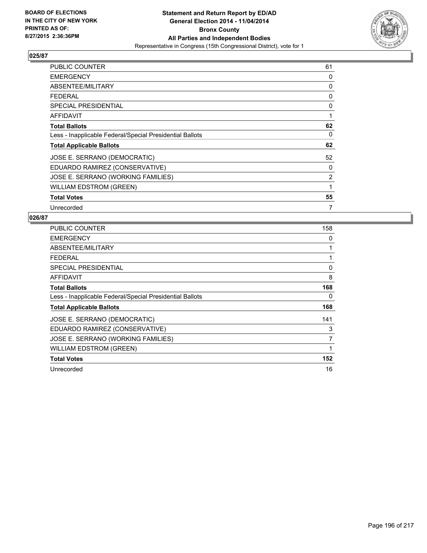

| <b>PUBLIC COUNTER</b>                                    | 61 |
|----------------------------------------------------------|----|
| <b>EMERGENCY</b>                                         | 0  |
| ABSENTEE/MILITARY                                        | 0  |
| FEDERAL                                                  | 0  |
| <b>SPECIAL PRESIDENTIAL</b>                              | 0  |
| <b>AFFIDAVIT</b>                                         | 1  |
| <b>Total Ballots</b>                                     | 62 |
| Less - Inapplicable Federal/Special Presidential Ballots | 0  |
| <b>Total Applicable Ballots</b>                          | 62 |
| JOSE E. SERRANO (DEMOCRATIC)                             | 52 |
| EDUARDO RAMIREZ (CONSERVATIVE)                           | 0  |
| JOSE E. SERRANO (WORKING FAMILIES)                       | 2  |
| <b>WILLIAM EDSTROM (GREEN)</b>                           | 1  |
| <b>Total Votes</b>                                       | 55 |
| Unrecorded                                               | 7  |

| <b>PUBLIC COUNTER</b>                                    | 158 |
|----------------------------------------------------------|-----|
| <b>EMERGENCY</b>                                         | 0   |
| ABSENTEE/MILITARY                                        | 1   |
| <b>FEDERAL</b>                                           |     |
| <b>SPECIAL PRESIDENTIAL</b>                              | 0   |
| AFFIDAVIT                                                | 8   |
| <b>Total Ballots</b>                                     | 168 |
| Less - Inapplicable Federal/Special Presidential Ballots | 0   |
| <b>Total Applicable Ballots</b>                          | 168 |
| JOSE E. SERRANO (DEMOCRATIC)                             | 141 |
| EDUARDO RAMIREZ (CONSERVATIVE)                           | 3   |
| JOSE E. SERRANO (WORKING FAMILIES)                       | 7   |
| WILLIAM EDSTROM (GREEN)                                  | 1   |
| <b>Total Votes</b>                                       | 152 |
| Unrecorded                                               | 16  |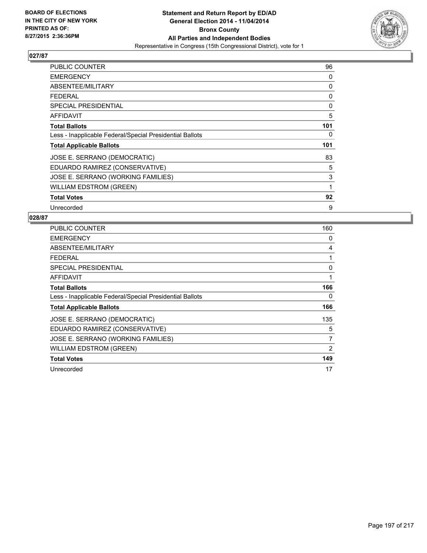

| PUBLIC COUNTER                                           | 96  |
|----------------------------------------------------------|-----|
| <b>EMERGENCY</b>                                         | 0   |
| ABSENTEE/MILITARY                                        | 0   |
| <b>FEDERAL</b>                                           | 0   |
| <b>SPECIAL PRESIDENTIAL</b>                              | 0   |
| AFFIDAVIT                                                | 5   |
| <b>Total Ballots</b>                                     | 101 |
| Less - Inapplicable Federal/Special Presidential Ballots | 0   |
| <b>Total Applicable Ballots</b>                          | 101 |
| JOSE E. SERRANO (DEMOCRATIC)                             | 83  |
| EDUARDO RAMIREZ (CONSERVATIVE)                           | 5   |
| JOSE E. SERRANO (WORKING FAMILIES)                       | 3   |
| WILLIAM EDSTROM (GREEN)                                  | 1   |
| <b>Total Votes</b>                                       | 92  |
| Unrecorded                                               | 9   |

| PUBLIC COUNTER                                           | 160 |
|----------------------------------------------------------|-----|
| <b>EMERGENCY</b>                                         | 0   |
| ABSENTEE/MILITARY                                        | 4   |
| <b>FEDERAL</b>                                           | 1   |
| <b>SPECIAL PRESIDENTIAL</b>                              | 0   |
| AFFIDAVIT                                                | 1   |
| <b>Total Ballots</b>                                     | 166 |
| Less - Inapplicable Federal/Special Presidential Ballots | 0   |
| <b>Total Applicable Ballots</b>                          | 166 |
| JOSE E. SERRANO (DEMOCRATIC)                             | 135 |
| EDUARDO RAMIREZ (CONSERVATIVE)                           | 5   |
| JOSE E. SERRANO (WORKING FAMILIES)                       | 7   |
| WILLIAM EDSTROM (GREEN)                                  | 2   |
| <b>Total Votes</b>                                       | 149 |
| Unrecorded                                               | 17  |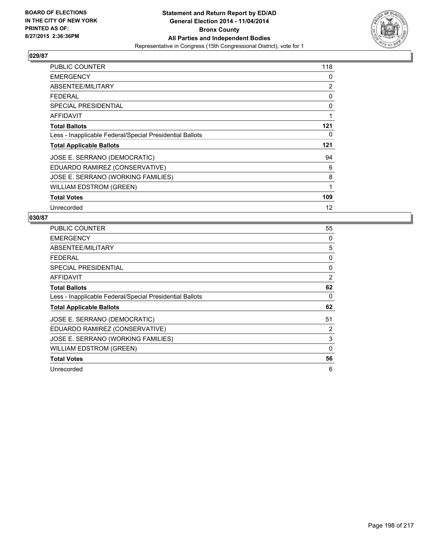

| <b>PUBLIC COUNTER</b>                                    | 118 |
|----------------------------------------------------------|-----|
| <b>EMERGENCY</b>                                         | 0   |
| ABSENTEE/MILITARY                                        | 2   |
| <b>FEDERAL</b>                                           | 0   |
| <b>SPECIAL PRESIDENTIAL</b>                              | 0   |
| <b>AFFIDAVIT</b>                                         | 1   |
| <b>Total Ballots</b>                                     | 121 |
| Less - Inapplicable Federal/Special Presidential Ballots | 0   |
| <b>Total Applicable Ballots</b>                          | 121 |
| JOSE E. SERRANO (DEMOCRATIC)                             | 94  |
| EDUARDO RAMIREZ (CONSERVATIVE)                           | 6   |
| JOSE E. SERRANO (WORKING FAMILIES)                       | 8   |
| WILLIAM EDSTROM (GREEN)                                  | 1   |
| <b>Total Votes</b>                                       | 109 |
| Unrecorded                                               | 12  |

| PUBLIC COUNTER                                           | 55           |
|----------------------------------------------------------|--------------|
| <b>EMERGENCY</b>                                         | 0            |
| ABSENTEE/MILITARY                                        | 5            |
| <b>FEDERAL</b>                                           | 0            |
| SPECIAL PRESIDENTIAL                                     | 0            |
| AFFIDAVIT                                                | 2            |
| <b>Total Ballots</b>                                     | 62           |
| Less - Inapplicable Federal/Special Presidential Ballots | 0            |
| <b>Total Applicable Ballots</b>                          | 62           |
| JOSE E. SERRANO (DEMOCRATIC)                             | 51           |
| EDUARDO RAMIREZ (CONSERVATIVE)                           | 2            |
| JOSE E. SERRANO (WORKING FAMILIES)                       | 3            |
| <b>WILLIAM EDSTROM (GREEN)</b>                           | $\mathbf{0}$ |
| <b>Total Votes</b>                                       | 56           |
| Unrecorded                                               | 6            |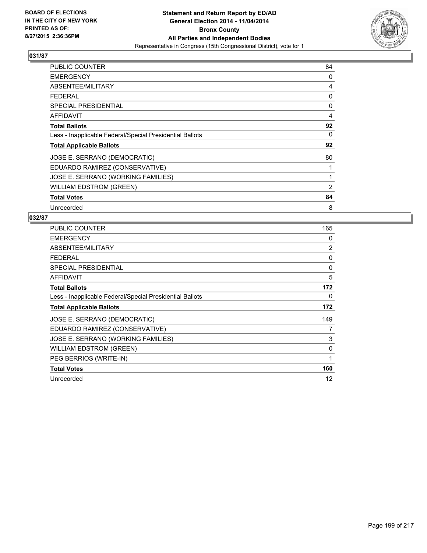

| PUBLIC COUNTER                                           | 84 |
|----------------------------------------------------------|----|
| <b>EMERGENCY</b>                                         | 0  |
| ABSENTEE/MILITARY                                        | 4  |
| <b>FEDERAL</b>                                           | 0  |
| <b>SPECIAL PRESIDENTIAL</b>                              | 0  |
| AFFIDAVIT                                                | 4  |
| <b>Total Ballots</b>                                     | 92 |
| Less - Inapplicable Federal/Special Presidential Ballots | 0  |
| <b>Total Applicable Ballots</b>                          | 92 |
| JOSE E. SERRANO (DEMOCRATIC)                             | 80 |
| EDUARDO RAMIREZ (CONSERVATIVE)                           | 1  |
| JOSE E. SERRANO (WORKING FAMILIES)                       | 1  |
| <b>WILLIAM EDSTROM (GREEN)</b>                           | 2  |
| <b>Total Votes</b>                                       | 84 |
| Unrecorded                                               | 8  |

| <b>PUBLIC COUNTER</b>                                    | 165 |
|----------------------------------------------------------|-----|
| <b>EMERGENCY</b>                                         | 0   |
| ABSENTEE/MILITARY                                        | 2   |
| <b>FEDERAL</b>                                           | 0   |
| SPECIAL PRESIDENTIAL                                     | 0   |
| <b>AFFIDAVIT</b>                                         | 5   |
| <b>Total Ballots</b>                                     | 172 |
| Less - Inapplicable Federal/Special Presidential Ballots | 0   |
| <b>Total Applicable Ballots</b>                          | 172 |
| JOSE E. SERRANO (DEMOCRATIC)                             | 149 |
| EDUARDO RAMIREZ (CONSERVATIVE)                           | 7   |
| JOSE E. SERRANO (WORKING FAMILIES)                       | 3   |
| <b>WILLIAM EDSTROM (GREEN)</b>                           | 0   |
| PEG BERRIOS (WRITE-IN)                                   | 1   |
| <b>Total Votes</b>                                       | 160 |
| Unrecorded                                               | 12  |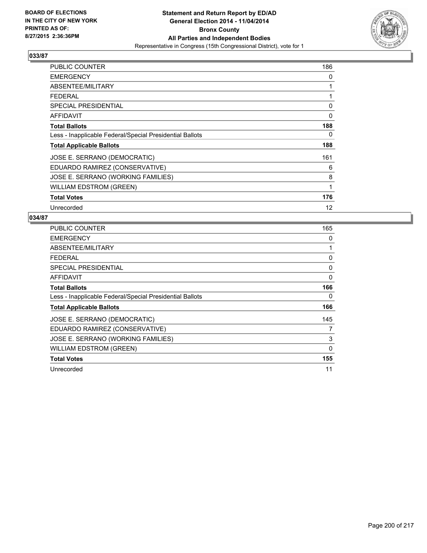

| <b>PUBLIC COUNTER</b>                                    | 186 |
|----------------------------------------------------------|-----|
| <b>EMERGENCY</b>                                         | 0   |
| ABSENTEE/MILITARY                                        | 1   |
| <b>FEDERAL</b>                                           | 1   |
| <b>SPECIAL PRESIDENTIAL</b>                              | 0   |
| AFFIDAVIT                                                | 0   |
| <b>Total Ballots</b>                                     | 188 |
| Less - Inapplicable Federal/Special Presidential Ballots | 0   |
| <b>Total Applicable Ballots</b>                          | 188 |
| JOSE E. SERRANO (DEMOCRATIC)                             | 161 |
| EDUARDO RAMIREZ (CONSERVATIVE)                           | 6   |
| JOSE E. SERRANO (WORKING FAMILIES)                       | 8   |
| <b>WILLIAM EDSTROM (GREEN)</b>                           | 1   |
| <b>Total Votes</b>                                       | 176 |
| Unrecorded                                               | 12  |

| PUBLIC COUNTER                                           | 165          |
|----------------------------------------------------------|--------------|
| <b>EMERGENCY</b>                                         | 0            |
| ABSENTEE/MILITARY                                        | 1            |
| <b>FEDERAL</b>                                           | 0            |
| <b>SPECIAL PRESIDENTIAL</b>                              | 0            |
| AFFIDAVIT                                                | 0            |
| <b>Total Ballots</b>                                     | 166          |
| Less - Inapplicable Federal/Special Presidential Ballots | 0            |
| <b>Total Applicable Ballots</b>                          | 166          |
| JOSE E. SERRANO (DEMOCRATIC)                             | 145          |
| EDUARDO RAMIREZ (CONSERVATIVE)                           | 7            |
| JOSE E. SERRANO (WORKING FAMILIES)                       | 3            |
| WILLIAM EDSTROM (GREEN)                                  | $\mathbf{0}$ |
| <b>Total Votes</b>                                       | 155          |
| Unrecorded                                               | 11           |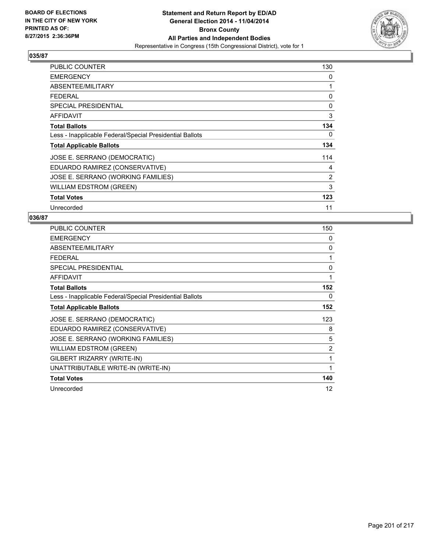

| <b>PUBLIC COUNTER</b>                                    | 130 |
|----------------------------------------------------------|-----|
| <b>EMERGENCY</b>                                         | 0   |
| ABSENTEE/MILITARY                                        | 1   |
| <b>FEDERAL</b>                                           | 0   |
| <b>SPECIAL PRESIDENTIAL</b>                              | 0   |
| <b>AFFIDAVIT</b>                                         | 3   |
| <b>Total Ballots</b>                                     | 134 |
| Less - Inapplicable Federal/Special Presidential Ballots | 0   |
| <b>Total Applicable Ballots</b>                          | 134 |
| JOSE E. SERRANO (DEMOCRATIC)                             | 114 |
| EDUARDO RAMIREZ (CONSERVATIVE)                           | 4   |
| JOSE E. SERRANO (WORKING FAMILIES)                       | 2   |
| <b>WILLIAM EDSTROM (GREEN)</b>                           | 3   |
| <b>Total Votes</b>                                       | 123 |
| Unrecorded                                               | 11  |

| <b>PUBLIC COUNTER</b>                                    | 150 |
|----------------------------------------------------------|-----|
| <b>EMERGENCY</b>                                         | 0   |
| ABSENTEE/MILITARY                                        | 0   |
| <b>FEDERAL</b>                                           | 1   |
| SPECIAL PRESIDENTIAL                                     | 0   |
| <b>AFFIDAVIT</b>                                         | 1   |
| <b>Total Ballots</b>                                     | 152 |
| Less - Inapplicable Federal/Special Presidential Ballots | 0   |
| <b>Total Applicable Ballots</b>                          | 152 |
| JOSE E. SERRANO (DEMOCRATIC)                             | 123 |
| EDUARDO RAMIREZ (CONSERVATIVE)                           | 8   |
| JOSE E. SERRANO (WORKING FAMILIES)                       | 5   |
| <b>WILLIAM EDSTROM (GREEN)</b>                           | 2   |
| GILBERT IRIZARRY (WRITE-IN)                              | 1   |
| UNATTRIBUTABLE WRITE-IN (WRITE-IN)                       | 1   |
| <b>Total Votes</b>                                       | 140 |
| Unrecorded                                               | 12  |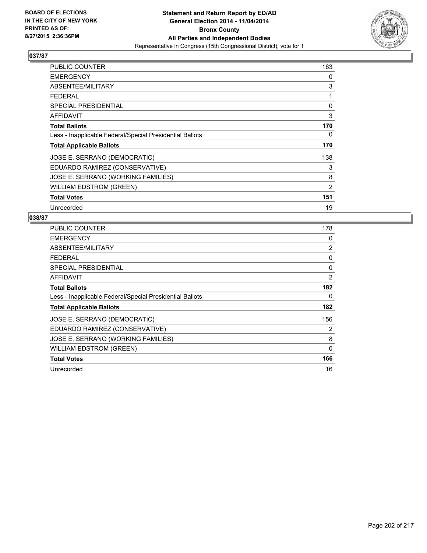

| <b>PUBLIC COUNTER</b>                                    | 163 |
|----------------------------------------------------------|-----|
| <b>EMERGENCY</b>                                         | 0   |
| ABSENTEE/MILITARY                                        | 3   |
| <b>FEDERAL</b>                                           | 1   |
| SPECIAL PRESIDENTIAL                                     | 0   |
| AFFIDAVIT                                                | 3   |
| <b>Total Ballots</b>                                     | 170 |
| Less - Inapplicable Federal/Special Presidential Ballots | 0   |
| <b>Total Applicable Ballots</b>                          | 170 |
| JOSE E. SERRANO (DEMOCRATIC)                             | 138 |
| EDUARDO RAMIREZ (CONSERVATIVE)                           | 3   |
| JOSE E. SERRANO (WORKING FAMILIES)                       | 8   |
| WILLIAM EDSTROM (GREEN)                                  | 2   |
| <b>Total Votes</b>                                       | 151 |
| Unrecorded                                               | 19  |

| PUBLIC COUNTER                                           | 178          |
|----------------------------------------------------------|--------------|
| <b>EMERGENCY</b>                                         | 0            |
| ABSENTEE/MILITARY                                        | 2            |
| <b>FEDERAL</b>                                           | 0            |
| <b>SPECIAL PRESIDENTIAL</b>                              | 0            |
| AFFIDAVIT                                                | 2            |
| <b>Total Ballots</b>                                     | 182          |
| Less - Inapplicable Federal/Special Presidential Ballots | 0            |
| <b>Total Applicable Ballots</b>                          | 182          |
| JOSE E. SERRANO (DEMOCRATIC)                             | 156          |
| EDUARDO RAMIREZ (CONSERVATIVE)                           | 2            |
| JOSE E. SERRANO (WORKING FAMILIES)                       | 8            |
| WILLIAM EDSTROM (GREEN)                                  | $\mathbf{0}$ |
| <b>Total Votes</b>                                       | 166          |
| Unrecorded                                               | 16           |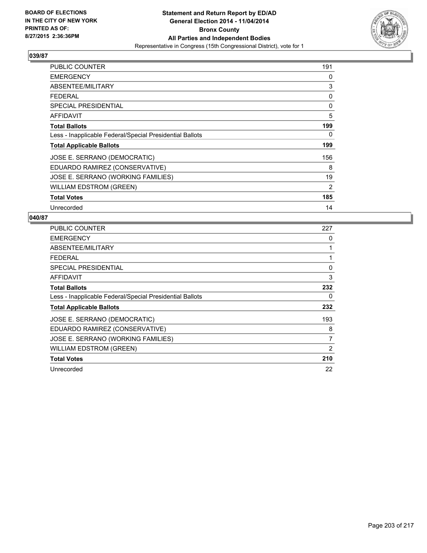

| <b>PUBLIC COUNTER</b>                                    | 191 |
|----------------------------------------------------------|-----|
| <b>EMERGENCY</b>                                         | 0   |
| ABSENTEE/MILITARY                                        | 3   |
| <b>FEDERAL</b>                                           | 0   |
| <b>SPECIAL PRESIDENTIAL</b>                              | 0   |
| AFFIDAVIT                                                | 5   |
| <b>Total Ballots</b>                                     | 199 |
| Less - Inapplicable Federal/Special Presidential Ballots | 0   |
| <b>Total Applicable Ballots</b>                          | 199 |
| JOSE E. SERRANO (DEMOCRATIC)                             | 156 |
| EDUARDO RAMIREZ (CONSERVATIVE)                           | 8   |
| JOSE E. SERRANO (WORKING FAMILIES)                       | 19  |
| <b>WILLIAM EDSTROM (GREEN)</b>                           | 2   |
| <b>Total Votes</b>                                       | 185 |
| Unrecorded                                               | 14  |

| <b>PUBLIC COUNTER</b>                                    | 227 |
|----------------------------------------------------------|-----|
| <b>EMERGENCY</b>                                         | 0   |
| ABSENTEE/MILITARY                                        | 1   |
| <b>FEDERAL</b>                                           | 1   |
| SPECIAL PRESIDENTIAL                                     | 0   |
| <b>AFFIDAVIT</b>                                         | 3   |
| <b>Total Ballots</b>                                     | 232 |
| Less - Inapplicable Federal/Special Presidential Ballots | 0   |
| <b>Total Applicable Ballots</b>                          | 232 |
| JOSE E. SERRANO (DEMOCRATIC)                             | 193 |
| EDUARDO RAMIREZ (CONSERVATIVE)                           | 8   |
| JOSE E. SERRANO (WORKING FAMILIES)                       | 7   |
| <b>WILLIAM EDSTROM (GREEN)</b>                           | 2   |
| <b>Total Votes</b>                                       | 210 |
| Unrecorded                                               | 22  |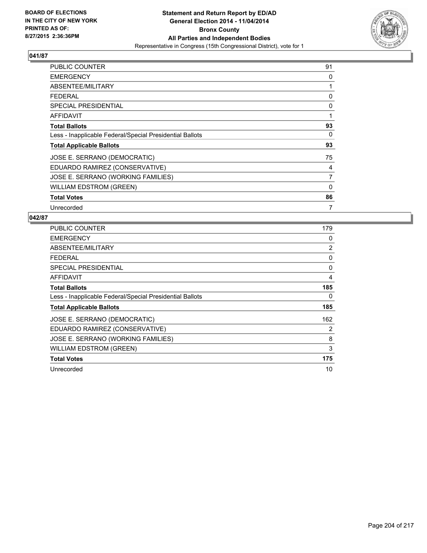

| <b>PUBLIC COUNTER</b>                                    | 91             |
|----------------------------------------------------------|----------------|
| <b>EMERGENCY</b>                                         | 0              |
| ABSENTEE/MILITARY                                        | 1              |
| <b>FEDERAL</b>                                           | 0              |
| <b>SPECIAL PRESIDENTIAL</b>                              | 0              |
| AFFIDAVIT                                                | 1              |
| <b>Total Ballots</b>                                     | 93             |
| Less - Inapplicable Federal/Special Presidential Ballots | 0              |
| <b>Total Applicable Ballots</b>                          | 93             |
| JOSE E. SERRANO (DEMOCRATIC)                             | 75             |
| EDUARDO RAMIREZ (CONSERVATIVE)                           | 4              |
| JOSE E. SERRANO (WORKING FAMILIES)                       | $\overline{7}$ |
| WILLIAM EDSTROM (GREEN)                                  | 0              |
| <b>Total Votes</b>                                       | 86             |
| Unrecorded                                               | 7              |

| PUBLIC COUNTER                                           | 179 |
|----------------------------------------------------------|-----|
| <b>EMERGENCY</b>                                         | 0   |
| ABSENTEE/MILITARY                                        | 2   |
| <b>FEDERAL</b>                                           | 0   |
| <b>SPECIAL PRESIDENTIAL</b>                              | 0   |
| AFFIDAVIT                                                | 4   |
| <b>Total Ballots</b>                                     | 185 |
| Less - Inapplicable Federal/Special Presidential Ballots | 0   |
| <b>Total Applicable Ballots</b>                          | 185 |
| JOSE E. SERRANO (DEMOCRATIC)                             | 162 |
| EDUARDO RAMIREZ (CONSERVATIVE)                           | 2   |
| JOSE E. SERRANO (WORKING FAMILIES)                       | 8   |
| WILLIAM EDSTROM (GREEN)                                  | 3   |
| <b>Total Votes</b>                                       | 175 |
| Unrecorded                                               | 10  |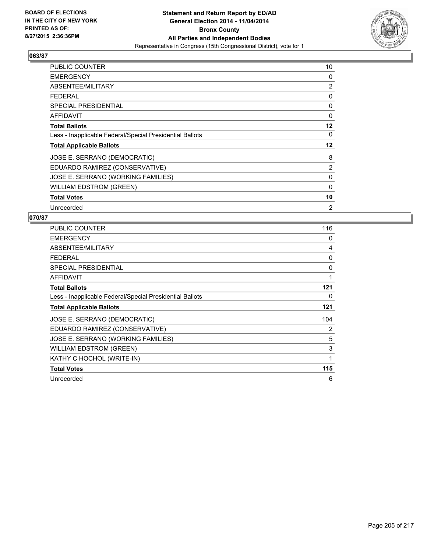

| <b>PUBLIC COUNTER</b>                                    | 10      |
|----------------------------------------------------------|---------|
| <b>EMERGENCY</b>                                         | 0       |
| ABSENTEE/MILITARY                                        | 2       |
| <b>FEDERAL</b>                                           | 0       |
| <b>SPECIAL PRESIDENTIAL</b>                              | 0       |
| <b>AFFIDAVIT</b>                                         | 0       |
| <b>Total Ballots</b>                                     | 12      |
| Less - Inapplicable Federal/Special Presidential Ballots | 0       |
| <b>Total Applicable Ballots</b>                          | $12 \,$ |
| JOSE E. SERRANO (DEMOCRATIC)                             | 8       |
| EDUARDO RAMIREZ (CONSERVATIVE)                           | 2       |
| JOSE E. SERRANO (WORKING FAMILIES)                       | 0       |
| WILLIAM EDSTROM (GREEN)                                  | 0       |
| <b>Total Votes</b>                                       | 10      |
| Unrecorded                                               | 2       |

| <b>PUBLIC COUNTER</b>                                    | 116 |
|----------------------------------------------------------|-----|
| <b>EMERGENCY</b>                                         | 0   |
| ABSENTEE/MILITARY                                        | 4   |
| <b>FEDERAL</b>                                           | 0   |
| SPECIAL PRESIDENTIAL                                     | 0   |
| <b>AFFIDAVIT</b>                                         | 1   |
| <b>Total Ballots</b>                                     | 121 |
| Less - Inapplicable Federal/Special Presidential Ballots | 0   |
| <b>Total Applicable Ballots</b>                          | 121 |
| JOSE E. SERRANO (DEMOCRATIC)                             | 104 |
| EDUARDO RAMIREZ (CONSERVATIVE)                           | 2   |
| JOSE E. SERRANO (WORKING FAMILIES)                       | 5   |
| <b>WILLIAM EDSTROM (GREEN)</b>                           | 3   |
| KATHY C HOCHOL (WRITE-IN)                                | 1   |
| <b>Total Votes</b>                                       | 115 |
| Unrecorded                                               |     |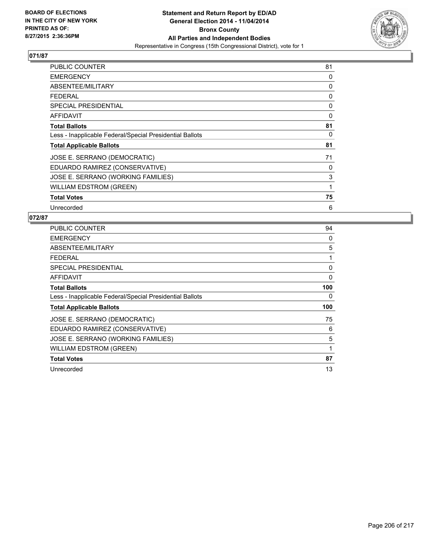

| PUBLIC COUNTER                                           | 81 |
|----------------------------------------------------------|----|
| <b>EMERGENCY</b>                                         | 0  |
| ABSENTEE/MILITARY                                        | 0  |
| <b>FEDERAL</b>                                           | 0  |
| <b>SPECIAL PRESIDENTIAL</b>                              | 0  |
| <b>AFFIDAVIT</b>                                         | 0  |
| <b>Total Ballots</b>                                     | 81 |
| Less - Inapplicable Federal/Special Presidential Ballots | 0  |
| <b>Total Applicable Ballots</b>                          | 81 |
| JOSE E. SERRANO (DEMOCRATIC)                             | 71 |
| EDUARDO RAMIREZ (CONSERVATIVE)                           | 0  |
| JOSE E. SERRANO (WORKING FAMILIES)                       | 3  |
| WILLIAM EDSTROM (GREEN)                                  | 1  |
| <b>Total Votes</b>                                       | 75 |
| Unrecorded                                               | 6  |

| <b>PUBLIC COUNTER</b>                                    | 94  |
|----------------------------------------------------------|-----|
| <b>EMERGENCY</b>                                         | 0   |
| ABSENTEE/MILITARY                                        | 5   |
| <b>FEDERAL</b>                                           | 1   |
| SPECIAL PRESIDENTIAL                                     | 0   |
| AFFIDAVIT                                                | 0   |
| <b>Total Ballots</b>                                     | 100 |
| Less - Inapplicable Federal/Special Presidential Ballots | 0   |
| <b>Total Applicable Ballots</b>                          | 100 |
| JOSE E. SERRANO (DEMOCRATIC)                             | 75  |
| EDUARDO RAMIREZ (CONSERVATIVE)                           | 6   |
| JOSE E. SERRANO (WORKING FAMILIES)                       | 5   |
| <b>WILLIAM EDSTROM (GREEN)</b>                           | 1   |
| <b>Total Votes</b>                                       | 87  |
| Unrecorded                                               | 13  |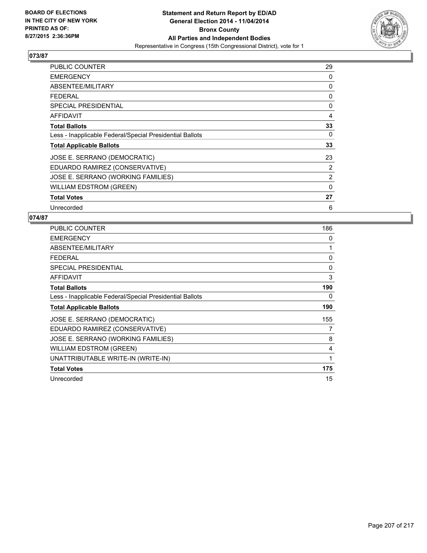

| PUBLIC COUNTER                                           | 29       |
|----------------------------------------------------------|----------|
| <b>EMERGENCY</b>                                         | 0        |
| ABSENTEE/MILITARY                                        | 0        |
| <b>FEDERAL</b>                                           | 0        |
| <b>SPECIAL PRESIDENTIAL</b>                              | 0        |
| <b>AFFIDAVIT</b>                                         | 4        |
| <b>Total Ballots</b>                                     | 33       |
| Less - Inapplicable Federal/Special Presidential Ballots | 0        |
| <b>Total Applicable Ballots</b>                          | 33       |
| JOSE E. SERRANO (DEMOCRATIC)                             | 23       |
| EDUARDO RAMIREZ (CONSERVATIVE)                           | 2        |
| JOSE E. SERRANO (WORKING FAMILIES)                       | 2        |
| <b>WILLIAM EDSTROM (GREEN)</b>                           | $\Omega$ |
| <b>Total Votes</b>                                       | 27       |
| Unrecorded                                               | 6        |

| <b>PUBLIC COUNTER</b>                                    | 186 |
|----------------------------------------------------------|-----|
| <b>EMERGENCY</b>                                         | 0   |
| ABSENTEE/MILITARY                                        | 1   |
| <b>FEDERAL</b>                                           | 0   |
| <b>SPECIAL PRESIDENTIAL</b>                              | 0   |
| AFFIDAVIT                                                | 3   |
| <b>Total Ballots</b>                                     | 190 |
| Less - Inapplicable Federal/Special Presidential Ballots | 0   |
| <b>Total Applicable Ballots</b>                          | 190 |
| JOSE E. SERRANO (DEMOCRATIC)                             | 155 |
| EDUARDO RAMIREZ (CONSERVATIVE)                           | 7   |
| JOSE E. SERRANO (WORKING FAMILIES)                       | 8   |
| <b>WILLIAM EDSTROM (GREEN)</b>                           | 4   |
| UNATTRIBUTABLE WRITE-IN (WRITE-IN)                       | 1   |
| <b>Total Votes</b>                                       | 175 |
|                                                          |     |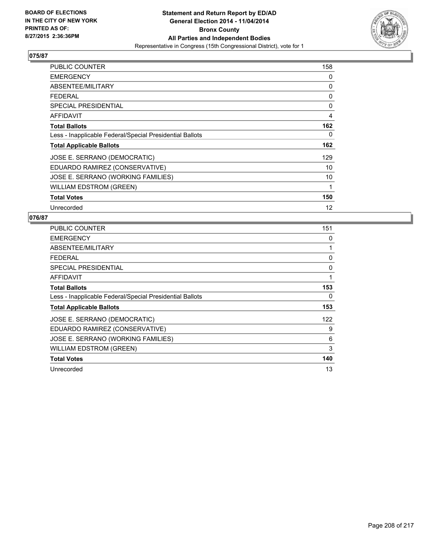

| PUBLIC COUNTER                                           | 158 |
|----------------------------------------------------------|-----|
| <b>EMERGENCY</b>                                         | 0   |
| ABSENTEE/MILITARY                                        | 0   |
| <b>FEDERAL</b>                                           | 0   |
| <b>SPECIAL PRESIDENTIAL</b>                              | 0   |
| AFFIDAVIT                                                | 4   |
| <b>Total Ballots</b>                                     | 162 |
| Less - Inapplicable Federal/Special Presidential Ballots | 0   |
| <b>Total Applicable Ballots</b>                          | 162 |
| JOSE E. SERRANO (DEMOCRATIC)                             | 129 |
| EDUARDO RAMIREZ (CONSERVATIVE)                           | 10  |
| JOSE E. SERRANO (WORKING FAMILIES)                       | 10  |
| <b>WILLIAM EDSTROM (GREEN)</b>                           | 1   |
| <b>Total Votes</b>                                       | 150 |
| Unrecorded                                               | 12  |

| <b>PUBLIC COUNTER</b>                                    | 151 |
|----------------------------------------------------------|-----|
| <b>EMERGENCY</b>                                         | 0   |
| ABSENTEE/MILITARY                                        | 1   |
| <b>FEDERAL</b>                                           | 0   |
| <b>SPECIAL PRESIDENTIAL</b>                              | 0   |
| AFFIDAVIT                                                | 1   |
| <b>Total Ballots</b>                                     | 153 |
| Less - Inapplicable Federal/Special Presidential Ballots | 0   |
| <b>Total Applicable Ballots</b>                          | 153 |
| JOSE E. SERRANO (DEMOCRATIC)                             | 122 |
| EDUARDO RAMIREZ (CONSERVATIVE)                           | 9   |
| JOSE E. SERRANO (WORKING FAMILIES)                       | 6   |
| <b>WILLIAM EDSTROM (GREEN)</b>                           | 3   |
| <b>Total Votes</b>                                       | 140 |
| Unrecorded                                               | 13  |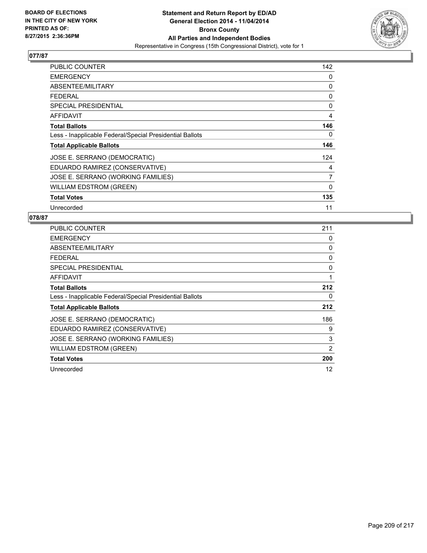

| <b>PUBLIC COUNTER</b>                                    | 142            |
|----------------------------------------------------------|----------------|
| <b>EMERGENCY</b>                                         | 0              |
| ABSENTEE/MILITARY                                        | 0              |
| <b>FEDERAL</b>                                           | 0              |
| <b>SPECIAL PRESIDENTIAL</b>                              | 0              |
| AFFIDAVIT                                                | 4              |
| <b>Total Ballots</b>                                     | 146            |
| Less - Inapplicable Federal/Special Presidential Ballots | 0              |
| <b>Total Applicable Ballots</b>                          | 146            |
| JOSE E. SERRANO (DEMOCRATIC)                             | 124            |
| EDUARDO RAMIREZ (CONSERVATIVE)                           | 4              |
| JOSE E. SERRANO (WORKING FAMILIES)                       | $\overline{7}$ |
| WILLIAM EDSTROM (GREEN)                                  | 0              |
| <b>Total Votes</b>                                       | 135            |
| Unrecorded                                               | 11             |

| PUBLIC COUNTER                                           | 211 |
|----------------------------------------------------------|-----|
| <b>EMERGENCY</b>                                         | 0   |
| ABSENTEE/MILITARY                                        | 0   |
| FEDERAL                                                  | 0   |
| <b>SPECIAL PRESIDENTIAL</b>                              | 0   |
| AFFIDAVIT                                                | 1   |
| <b>Total Ballots</b>                                     | 212 |
| Less - Inapplicable Federal/Special Presidential Ballots | 0   |
| <b>Total Applicable Ballots</b>                          | 212 |
| JOSE E. SERRANO (DEMOCRATIC)                             | 186 |
| EDUARDO RAMIREZ (CONSERVATIVE)                           | 9   |
| JOSE E. SERRANO (WORKING FAMILIES)                       | 3   |
| <b>WILLIAM EDSTROM (GREEN)</b>                           | 2   |
| <b>Total Votes</b>                                       | 200 |
| Unrecorded                                               | 12  |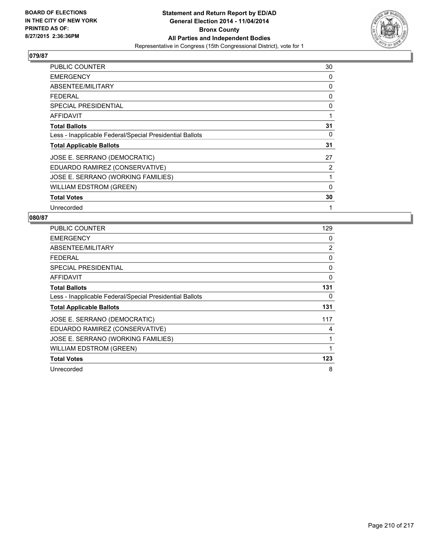

| PUBLIC COUNTER                                           | 30 |
|----------------------------------------------------------|----|
| <b>EMERGENCY</b>                                         | 0  |
| ABSENTEE/MILITARY                                        | 0  |
| <b>FEDERAL</b>                                           | 0  |
| <b>SPECIAL PRESIDENTIAL</b>                              | 0  |
| AFFIDAVIT                                                | 1  |
| <b>Total Ballots</b>                                     | 31 |
| Less - Inapplicable Federal/Special Presidential Ballots | 0  |
| <b>Total Applicable Ballots</b>                          | 31 |
| JOSE E. SERRANO (DEMOCRATIC)                             | 27 |
| EDUARDO RAMIREZ (CONSERVATIVE)                           | 2  |
| JOSE E. SERRANO (WORKING FAMILIES)                       | 1  |
| WILLIAM EDSTROM (GREEN)                                  | 0  |
| <b>Total Votes</b>                                       | 30 |
| Unrecorded                                               | 1  |

| PUBLIC COUNTER                                           | 129 |
|----------------------------------------------------------|-----|
| <b>EMERGENCY</b>                                         | 0   |
| ABSENTEE/MILITARY                                        | 2   |
| <b>FEDERAL</b>                                           | 0   |
| SPECIAL PRESIDENTIAL                                     | 0   |
| AFFIDAVIT                                                | 0   |
| <b>Total Ballots</b>                                     | 131 |
| Less - Inapplicable Federal/Special Presidential Ballots | 0   |
| <b>Total Applicable Ballots</b>                          | 131 |
| JOSE E. SERRANO (DEMOCRATIC)                             | 117 |
| EDUARDO RAMIREZ (CONSERVATIVE)                           | 4   |
| JOSE E. SERRANO (WORKING FAMILIES)                       | 1   |
| <b>WILLIAM EDSTROM (GREEN)</b>                           | 1   |
| <b>Total Votes</b>                                       | 123 |
| Unrecorded                                               | 8   |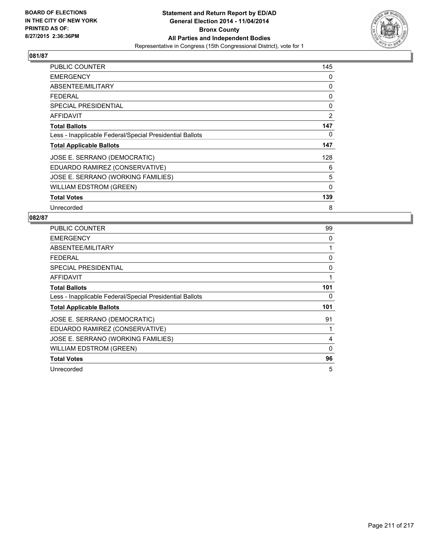

| PUBLIC COUNTER                                           | 145          |
|----------------------------------------------------------|--------------|
| <b>EMERGENCY</b>                                         | 0            |
| ABSENTEE/MILITARY                                        | 0            |
| <b>FEDERAL</b>                                           | 0            |
| <b>SPECIAL PRESIDENTIAL</b>                              | 0            |
| AFFIDAVIT                                                | 2            |
| <b>Total Ballots</b>                                     | 147          |
| Less - Inapplicable Federal/Special Presidential Ballots | 0            |
| <b>Total Applicable Ballots</b>                          | 147          |
| JOSE E. SERRANO (DEMOCRATIC)                             | 128          |
| EDUARDO RAMIREZ (CONSERVATIVE)                           | 6            |
| JOSE E. SERRANO (WORKING FAMILIES)                       | 5            |
| <b>WILLIAM EDSTROM (GREEN)</b>                           | $\mathbf{0}$ |
| <b>Total Votes</b>                                       | 139          |
| Unrecorded                                               | 8            |

| <b>PUBLIC COUNTER</b>                                    | 99  |
|----------------------------------------------------------|-----|
| <b>EMERGENCY</b>                                         | 0   |
| ABSENTEE/MILITARY                                        | 1   |
| <b>FEDERAL</b>                                           | 0   |
| SPECIAL PRESIDENTIAL                                     | 0   |
| AFFIDAVIT                                                | 1   |
| <b>Total Ballots</b>                                     | 101 |
| Less - Inapplicable Federal/Special Presidential Ballots | 0   |
| <b>Total Applicable Ballots</b>                          | 101 |
| JOSE E. SERRANO (DEMOCRATIC)                             | 91  |
| EDUARDO RAMIREZ (CONSERVATIVE)                           | 1   |
| JOSE E. SERRANO (WORKING FAMILIES)                       | 4   |
| <b>WILLIAM EDSTROM (GREEN)</b>                           | 0   |
| <b>Total Votes</b>                                       | 96  |
| Unrecorded                                               | 5   |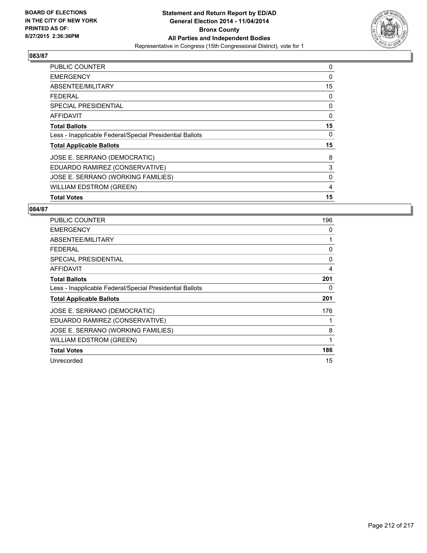

| <b>PUBLIC COUNTER</b>                                    | 0            |
|----------------------------------------------------------|--------------|
| <b>EMERGENCY</b>                                         | 0            |
| ABSENTEE/MILITARY                                        | 15           |
| <b>FEDERAL</b>                                           | 0            |
| <b>SPECIAL PRESIDENTIAL</b>                              | 0            |
| <b>AFFIDAVIT</b>                                         | $\mathbf{0}$ |
| <b>Total Ballots</b>                                     | 15           |
| Less - Inapplicable Federal/Special Presidential Ballots | 0            |
| <b>Total Applicable Ballots</b>                          | 15           |
| JOSE E. SERRANO (DEMOCRATIC)                             | 8            |
| EDUARDO RAMIREZ (CONSERVATIVE)                           | 3            |
| JOSE E. SERRANO (WORKING FAMILIES)                       | 0            |
| <b>WILLIAM EDSTROM (GREEN)</b>                           | 4            |
| <b>Total Votes</b>                                       | 15           |

| <b>PUBLIC COUNTER</b>                                    | 196 |
|----------------------------------------------------------|-----|
| <b>EMERGENCY</b>                                         | 0   |
| ABSENTEE/MILITARY                                        | 1   |
| <b>FEDERAL</b>                                           | 0   |
| SPECIAL PRESIDENTIAL                                     | 0   |
| <b>AFFIDAVIT</b>                                         | 4   |
| <b>Total Ballots</b>                                     | 201 |
| Less - Inapplicable Federal/Special Presidential Ballots | 0   |
| <b>Total Applicable Ballots</b>                          | 201 |
| JOSE E. SERRANO (DEMOCRATIC)                             | 176 |
| EDUARDO RAMIREZ (CONSERVATIVE)                           | 1   |
| JOSE E. SERRANO (WORKING FAMILIES)                       | 8   |
| <b>WILLIAM EDSTROM (GREEN)</b>                           | 1   |
| <b>Total Votes</b>                                       | 186 |
| Unrecorded                                               | 15  |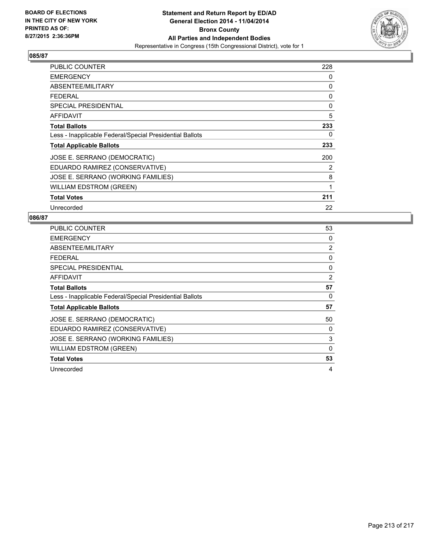

| PUBLIC COUNTER                                           | 228 |
|----------------------------------------------------------|-----|
| <b>EMERGENCY</b>                                         | 0   |
| ABSENTEE/MILITARY                                        | 0   |
| <b>FEDERAL</b>                                           | 0   |
| <b>SPECIAL PRESIDENTIAL</b>                              | 0   |
| AFFIDAVIT                                                | 5   |
| <b>Total Ballots</b>                                     | 233 |
| Less - Inapplicable Federal/Special Presidential Ballots | 0   |
| <b>Total Applicable Ballots</b>                          | 233 |
| JOSE E. SERRANO (DEMOCRATIC)                             | 200 |
| EDUARDO RAMIREZ (CONSERVATIVE)                           | 2   |
| JOSE E. SERRANO (WORKING FAMILIES)                       | 8   |
| <b>WILLIAM EDSTROM (GREEN)</b>                           | 1   |
| <b>Total Votes</b>                                       | 211 |
| Unrecorded                                               | 22  |

| <b>PUBLIC COUNTER</b>                                    | 53 |
|----------------------------------------------------------|----|
| <b>EMERGENCY</b>                                         | 0  |
| ABSENTEE/MILITARY                                        | 2  |
| <b>FEDERAL</b>                                           | 0  |
| SPECIAL PRESIDENTIAL                                     | 0  |
| AFFIDAVIT                                                | 2  |
| <b>Total Ballots</b>                                     | 57 |
| Less - Inapplicable Federal/Special Presidential Ballots | 0  |
| <b>Total Applicable Ballots</b>                          | 57 |
| JOSE E. SERRANO (DEMOCRATIC)                             | 50 |
| EDUARDO RAMIREZ (CONSERVATIVE)                           | 0  |
| JOSE E. SERRANO (WORKING FAMILIES)                       | 3  |
| <b>WILLIAM EDSTROM (GREEN)</b>                           | 0  |
| <b>Total Votes</b>                                       | 53 |
| Unrecorded                                               | 4  |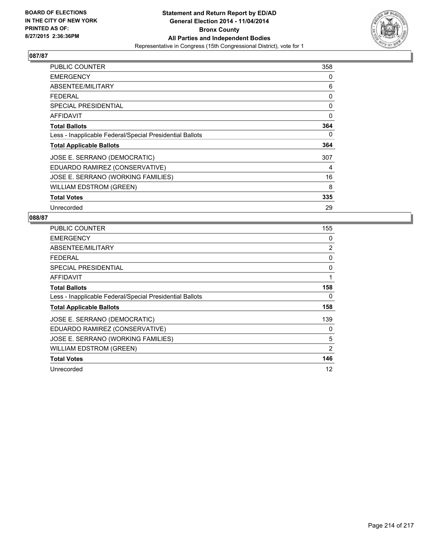

| PUBLIC COUNTER                                           | 358 |
|----------------------------------------------------------|-----|
| <b>EMERGENCY</b>                                         | 0   |
| ABSENTEE/MILITARY                                        | 6   |
| <b>FEDERAL</b>                                           | 0   |
| <b>SPECIAL PRESIDENTIAL</b>                              | 0   |
| <b>AFFIDAVIT</b>                                         | 0   |
| <b>Total Ballots</b>                                     | 364 |
| Less - Inapplicable Federal/Special Presidential Ballots | 0   |
| <b>Total Applicable Ballots</b>                          | 364 |
| JOSE E. SERRANO (DEMOCRATIC)                             | 307 |
| EDUARDO RAMIREZ (CONSERVATIVE)                           | 4   |
| JOSE E. SERRANO (WORKING FAMILIES)                       | 16  |
| WILLIAM EDSTROM (GREEN)                                  | 8   |
| <b>Total Votes</b>                                       | 335 |
| Unrecorded                                               | 29  |

| <b>PUBLIC COUNTER</b>                                    | 155 |
|----------------------------------------------------------|-----|
| <b>EMERGENCY</b>                                         | 0   |
| ABSENTEE/MILITARY                                        | 2   |
| <b>FEDERAL</b>                                           | 0   |
| SPECIAL PRESIDENTIAL                                     | 0   |
| <b>AFFIDAVIT</b>                                         | 1   |
| <b>Total Ballots</b>                                     | 158 |
| Less - Inapplicable Federal/Special Presidential Ballots | 0   |
| <b>Total Applicable Ballots</b>                          | 158 |
| JOSE E. SERRANO (DEMOCRATIC)                             | 139 |
| EDUARDO RAMIREZ (CONSERVATIVE)                           | 0   |
| JOSE E. SERRANO (WORKING FAMILIES)                       | 5   |
| <b>WILLIAM EDSTROM (GREEN)</b>                           | 2   |
| <b>Total Votes</b>                                       | 146 |
| Unrecorded                                               | 12  |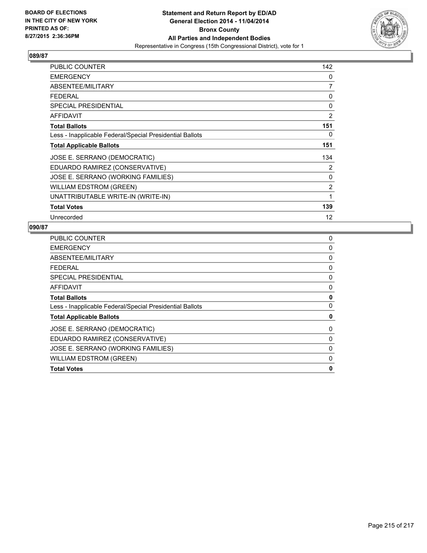

| <b>PUBLIC COUNTER</b>                                    | 142            |
|----------------------------------------------------------|----------------|
| <b>EMERGENCY</b>                                         | 0              |
| ABSENTEE/MILITARY                                        | $\overline{7}$ |
| <b>FEDERAL</b>                                           | 0              |
| <b>SPECIAL PRESIDENTIAL</b>                              | 0              |
| <b>AFFIDAVIT</b>                                         | $\overline{2}$ |
| <b>Total Ballots</b>                                     | 151            |
| Less - Inapplicable Federal/Special Presidential Ballots | 0              |
| <b>Total Applicable Ballots</b>                          | 151            |
| JOSE E. SERRANO (DEMOCRATIC)                             | 134            |
| EDUARDO RAMIREZ (CONSERVATIVE)                           | 2              |
| JOSE E. SERRANO (WORKING FAMILIES)                       | 0              |
| <b>WILLIAM EDSTROM (GREEN)</b>                           | 2              |
| UNATTRIBUTABLE WRITE-IN (WRITE-IN)                       | 1              |
| <b>Total Votes</b>                                       | 139            |
| Unrecorded                                               | 12             |

| 0 |
|---|
| 0 |
| 0 |
| 0 |
| 0 |
| 0 |
| 0 |
| 0 |
| 0 |
| 0 |
| 0 |
| 0 |
| 0 |
| 0 |
|   |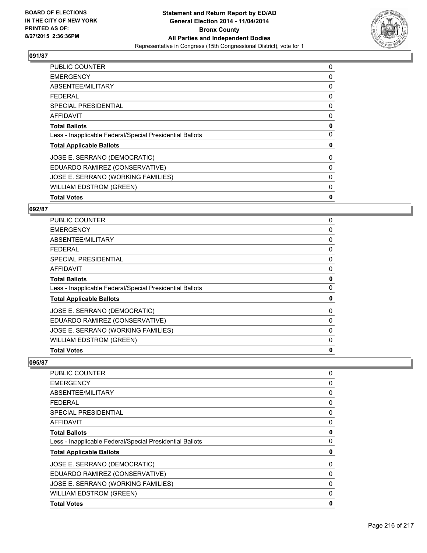

| <b>PUBLIC COUNTER</b>                                    | 0 |
|----------------------------------------------------------|---|
| <b>EMERGENCY</b>                                         | 0 |
| ABSENTEE/MILITARY                                        | 0 |
| <b>FEDERAL</b>                                           | 0 |
| SPECIAL PRESIDENTIAL                                     | 0 |
| AFFIDAVIT                                                | 0 |
| <b>Total Ballots</b>                                     | 0 |
| Less - Inapplicable Federal/Special Presidential Ballots | 0 |
| <b>Total Applicable Ballots</b>                          | 0 |
| JOSE E. SERRANO (DEMOCRATIC)                             | 0 |
| EDUARDO RAMIREZ (CONSERVATIVE)                           | 0 |
| JOSE E. SERRANO (WORKING FAMILIES)                       | 0 |
| <b>WILLIAM EDSTROM (GREEN)</b>                           | 0 |
| <b>Total Votes</b>                                       | 0 |

#### **092/87**

| <b>PUBLIC COUNTER</b>                                    | 0            |
|----------------------------------------------------------|--------------|
| <b>EMERGENCY</b>                                         | 0            |
| ABSENTEE/MILITARY                                        | 0            |
| <b>FEDERAL</b>                                           | 0            |
| <b>SPECIAL PRESIDENTIAL</b>                              | 0            |
| <b>AFFIDAVIT</b>                                         | 0            |
| <b>Total Ballots</b>                                     | $\mathbf 0$  |
| Less - Inapplicable Federal/Special Presidential Ballots | 0            |
| <b>Total Applicable Ballots</b>                          | 0            |
| JOSE E. SERRANO (DEMOCRATIC)                             | 0            |
| EDUARDO RAMIREZ (CONSERVATIVE)                           | 0            |
| JOSE E. SERRANO (WORKING FAMILIES)                       | 0            |
| <b>WILLIAM EDSTROM (GREEN)</b>                           | 0            |
| <b>Total Votes</b>                                       | $\mathbf{0}$ |

| PUBLIC COUNTER                                           | 0        |
|----------------------------------------------------------|----------|
| <b>EMERGENCY</b>                                         | 0        |
| ABSENTEE/MILITARY                                        | 0        |
| <b>FEDERAL</b>                                           | 0        |
| <b>SPECIAL PRESIDENTIAL</b>                              | 0        |
| <b>AFFIDAVIT</b>                                         | 0        |
| <b>Total Ballots</b>                                     | 0        |
| Less - Inapplicable Federal/Special Presidential Ballots | 0        |
| <b>Total Applicable Ballots</b>                          | 0        |
| JOSE E. SERRANO (DEMOCRATIC)                             | 0        |
| EDUARDO RAMIREZ (CONSERVATIVE)                           | 0        |
| JOSE E. SERRANO (WORKING FAMILIES)                       | 0        |
| <b>WILLIAM EDSTROM (GREEN)</b>                           | $\Omega$ |
| <b>Total Votes</b>                                       | 0        |
|                                                          |          |